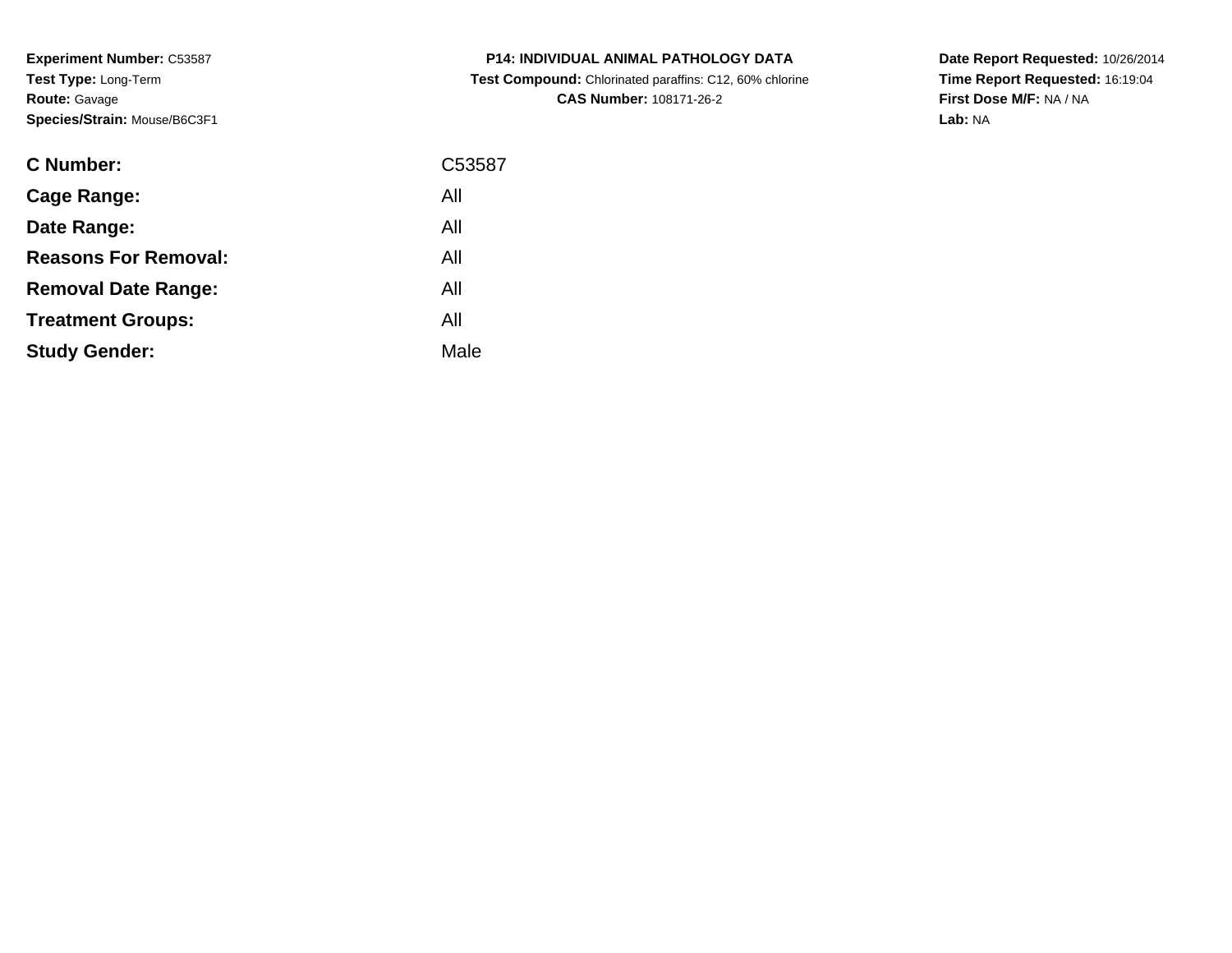**Experiment Number:** C53587**Test Type:** Long-Term**Route:** Gavage**Species/Strain:** Mouse/B6C3F1

| <b>C Number:</b>            | C53587 |
|-----------------------------|--------|
| <b>Cage Range:</b>          | All    |
| Date Range:                 | All    |
| <b>Reasons For Removal:</b> | All    |
| <b>Removal Date Range:</b>  | All    |
| <b>Treatment Groups:</b>    | All    |
| <b>Study Gender:</b>        | Male   |
|                             |        |

**P14: INDIVIDUAL ANIMAL PATHOLOGY DATA Test Compound:** Chlorinated paraffins: C12, 60% chlorine**CAS Number:** 108171-26-2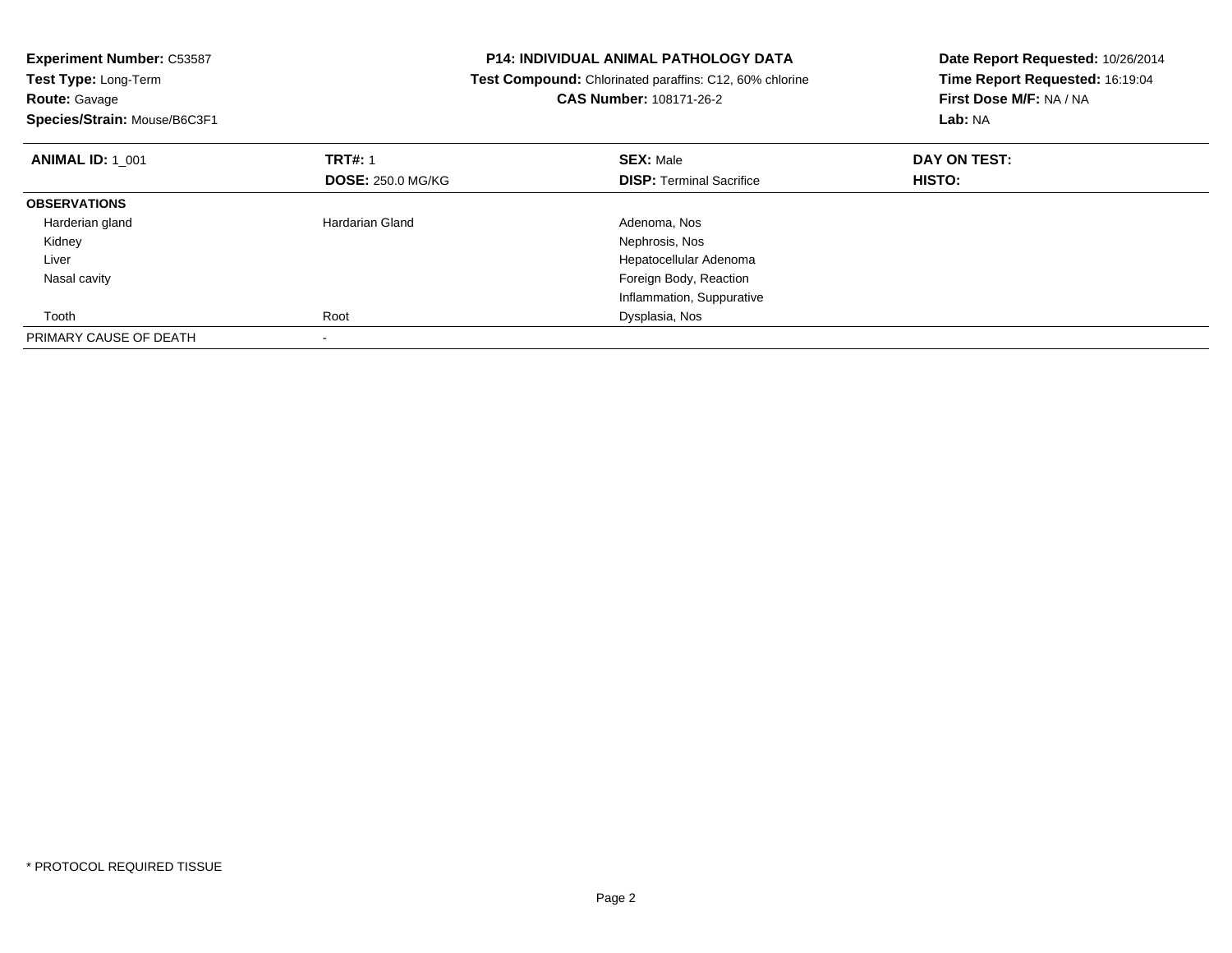| <b>Experiment Number: C53587</b>          | <b>P14: INDIVIDUAL ANIMAL PATHOLOGY DATA</b>                   |                                 |
|-------------------------------------------|----------------------------------------------------------------|---------------------------------|
| Test Type: Long-Term                      | <b>Test Compound:</b> Chlorinated paraffins: C12, 60% chlorine | Time Report Requested: 16:19:04 |
| <b>Route: Gavage</b>                      | CAS Number: 108171-26-2                                        | First Dose M/F: NA / NA         |
| Species/Strain: Mouse/B6C3F1              |                                                                | Lab: NA                         |
| <b>TRT#: 1</b><br><b>ANIMAL ID: 1 001</b> | <b>SEX: Male</b>                                               | DAY ON TEST:                    |
| <b>DOSE: 250.0 MG/KG</b>                  | <b>DISP: Terminal Sacrifice</b>                                | HISTO:                          |
| <b>OBSERVATIONS</b>                       |                                                                |                                 |
| <b>Hardarian Gland</b><br>Harderian gland | Adenoma, Nos                                                   |                                 |
| Kidney                                    | Nephrosis, Nos                                                 |                                 |
| Liver                                     | Hepatocellular Adenoma                                         |                                 |
| Nasal cavity                              | Foreign Body, Reaction                                         |                                 |
|                                           | Inflammation, Suppurative                                      |                                 |
| Root<br>Tooth                             | Dysplasia, Nos                                                 |                                 |
| PRIMARY CAUSE OF DEATH<br>٠               |                                                                |                                 |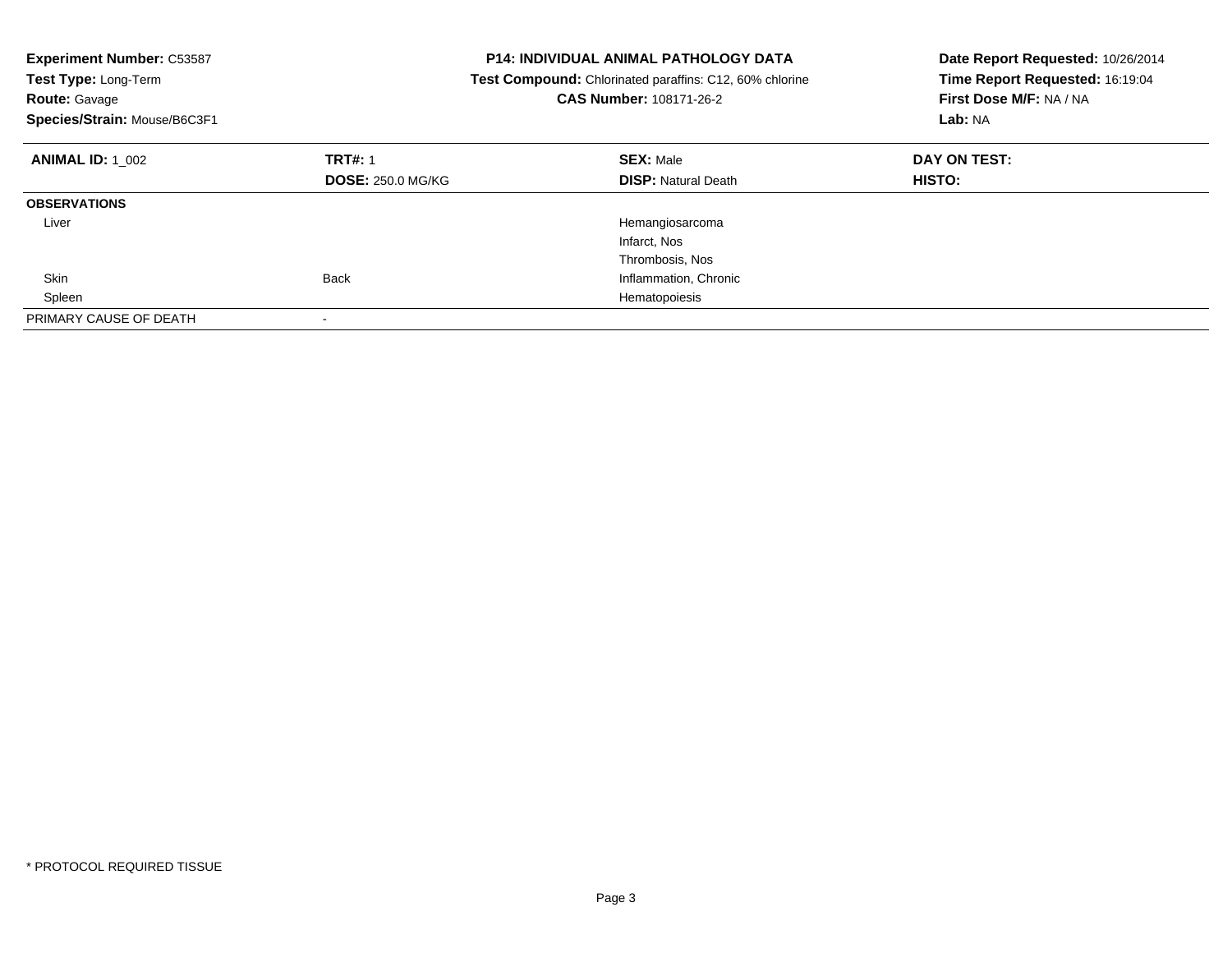| <b>Experiment Number: C53587</b><br>Test Type: Long-Term<br><b>Route: Gavage</b><br>Species/Strain: Mouse/B6C3F1 |                          | <b>P14: INDIVIDUAL ANIMAL PATHOLOGY DATA</b><br>Test Compound: Chlorinated paraffins: C12, 60% chlorine<br>CAS Number: 108171-26-2 | Date Report Requested: 10/26/2014<br>Time Report Requested: 16:19:04<br>First Dose M/F: NA / NA<br>Lab: NA |
|------------------------------------------------------------------------------------------------------------------|--------------------------|------------------------------------------------------------------------------------------------------------------------------------|------------------------------------------------------------------------------------------------------------|
| <b>ANIMAL ID: 1 002</b>                                                                                          | <b>TRT#: 1</b>           | <b>SEX: Male</b>                                                                                                                   | DAY ON TEST:                                                                                               |
|                                                                                                                  | <b>DOSE: 250.0 MG/KG</b> | <b>DISP: Natural Death</b>                                                                                                         | HISTO:                                                                                                     |
| <b>OBSERVATIONS</b>                                                                                              |                          |                                                                                                                                    |                                                                                                            |
| Liver                                                                                                            |                          | Hemangiosarcoma                                                                                                                    |                                                                                                            |
|                                                                                                                  |                          | Infarct, Nos                                                                                                                       |                                                                                                            |
|                                                                                                                  |                          | Thrombosis, Nos                                                                                                                    |                                                                                                            |
| Skin                                                                                                             | <b>Back</b>              | Inflammation, Chronic                                                                                                              |                                                                                                            |
| Spleen                                                                                                           |                          | Hematopoiesis                                                                                                                      |                                                                                                            |
| PRIMARY CAUSE OF DEATH                                                                                           |                          |                                                                                                                                    |                                                                                                            |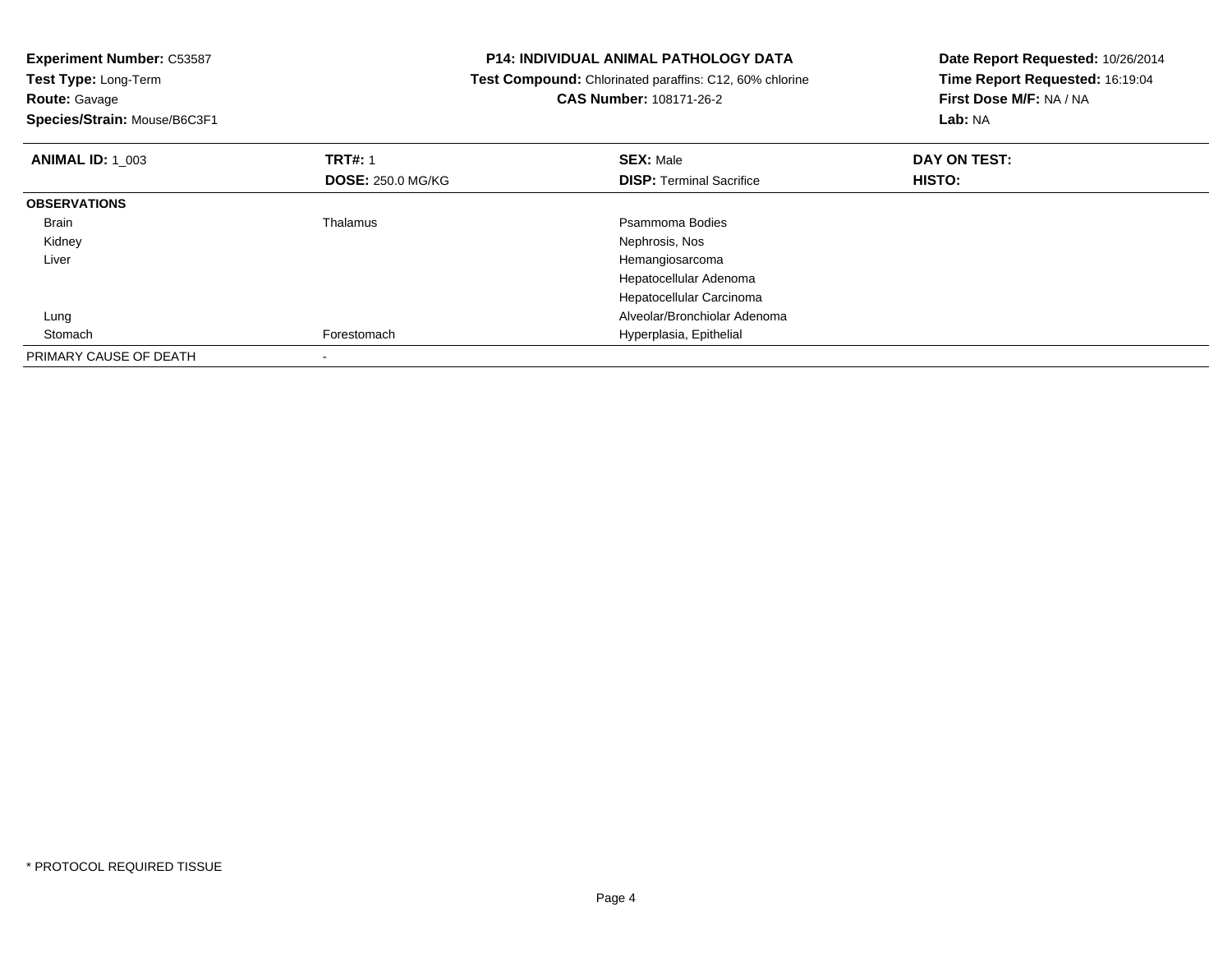|                                         | Date Report Requested: 10/26/2014<br>Time Report Requested: 16:19:04                                    |
|-----------------------------------------|---------------------------------------------------------------------------------------------------------|
|                                         |                                                                                                         |
| <b>CAS Number: 108171-26-2</b>          | First Dose M/F: NA / NA                                                                                 |
|                                         | Lab: NA                                                                                                 |
| <b>SEX: Male</b>                        | DAY ON TEST:                                                                                            |
| <b>DISP:</b> Terminal Sacrifice         | HISTO:                                                                                                  |
|                                         |                                                                                                         |
| Psammoma Bodies                         |                                                                                                         |
| Nephrosis, Nos                          |                                                                                                         |
| Hemangiosarcoma                         |                                                                                                         |
| Hepatocellular Adenoma                  |                                                                                                         |
| Hepatocellular Carcinoma                |                                                                                                         |
| Alveolar/Bronchiolar Adenoma            |                                                                                                         |
| Hyperplasia, Epithelial                 |                                                                                                         |
|                                         |                                                                                                         |
| <b>DOSE: 250.0 MG/KG</b><br>Forestomach | <b>P14: INDIVIDUAL ANIMAL PATHOLOGY DATA</b><br>Test Compound: Chlorinated paraffins: C12, 60% chlorine |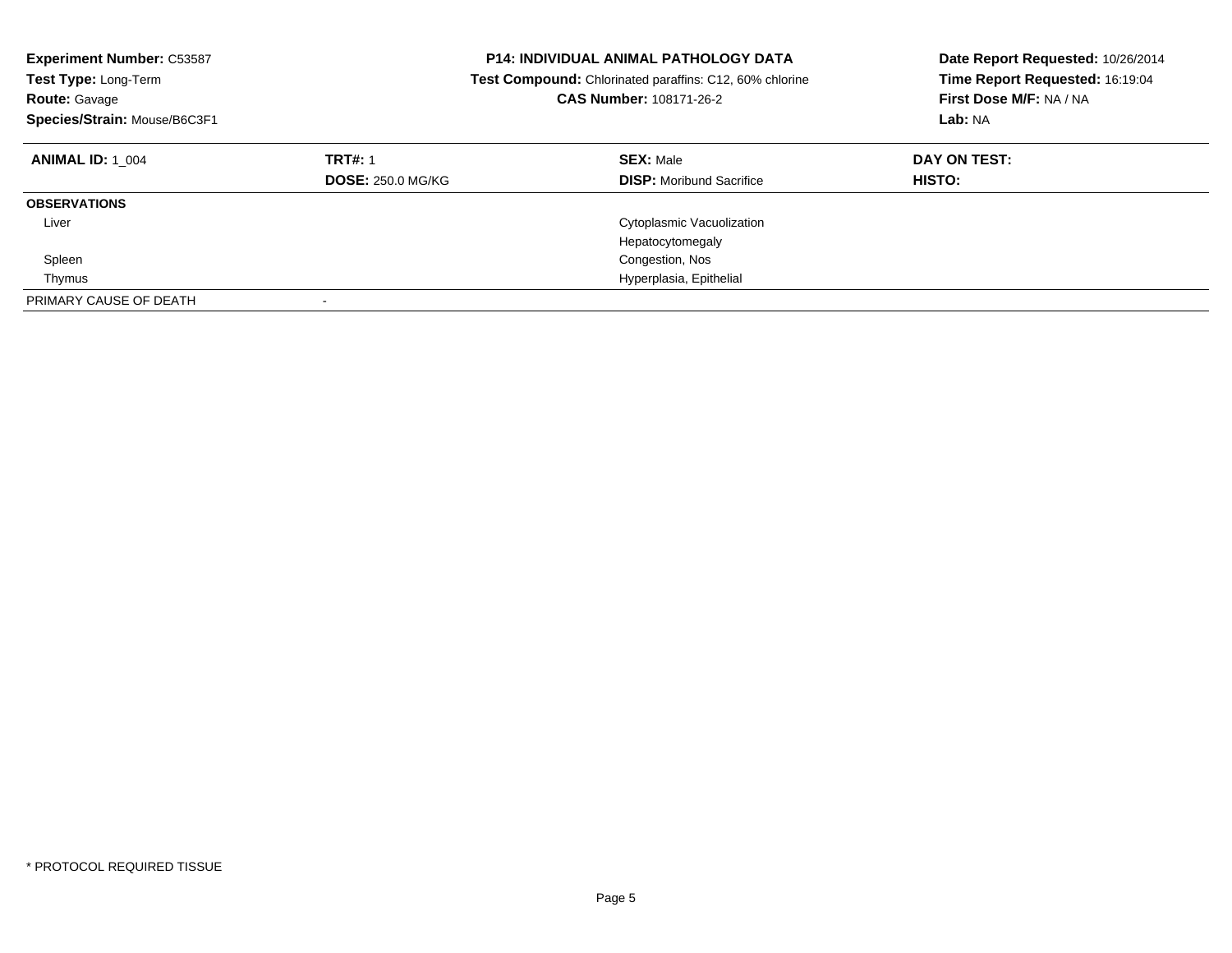| <b>Experiment Number: C53587</b><br><b>Test Type: Long-Term</b><br><b>Route: Gavage</b><br>Species/Strain: Mouse/B6C3F1 |                                            | <b>P14: INDIVIDUAL ANIMAL PATHOLOGY DATA</b><br><b>Test Compound:</b> Chlorinated paraffins: C12, 60% chlorine<br><b>CAS Number: 108171-26-2</b> | Date Report Requested: 10/26/2014<br>Time Report Requested: 16:19:04<br>First Dose M/F: NA / NA<br>Lab: NA |
|-------------------------------------------------------------------------------------------------------------------------|--------------------------------------------|--------------------------------------------------------------------------------------------------------------------------------------------------|------------------------------------------------------------------------------------------------------------|
| <b>ANIMAL ID: 1 004</b>                                                                                                 | <b>TRT#: 1</b><br><b>DOSE: 250.0 MG/KG</b> | <b>SEX: Male</b><br><b>DISP:</b> Moribund Sacrifice                                                                                              | DAY ON TEST:<br>HISTO:                                                                                     |
| <b>OBSERVATIONS</b>                                                                                                     |                                            |                                                                                                                                                  |                                                                                                            |
| Liver                                                                                                                   |                                            | Cytoplasmic Vacuolization<br>Hepatocytomegaly                                                                                                    |                                                                                                            |
| Spleen                                                                                                                  |                                            | Congestion, Nos                                                                                                                                  |                                                                                                            |
| Thymus                                                                                                                  |                                            | Hyperplasia, Epithelial                                                                                                                          |                                                                                                            |
| PRIMARY CAUSE OF DEATH                                                                                                  |                                            |                                                                                                                                                  |                                                                                                            |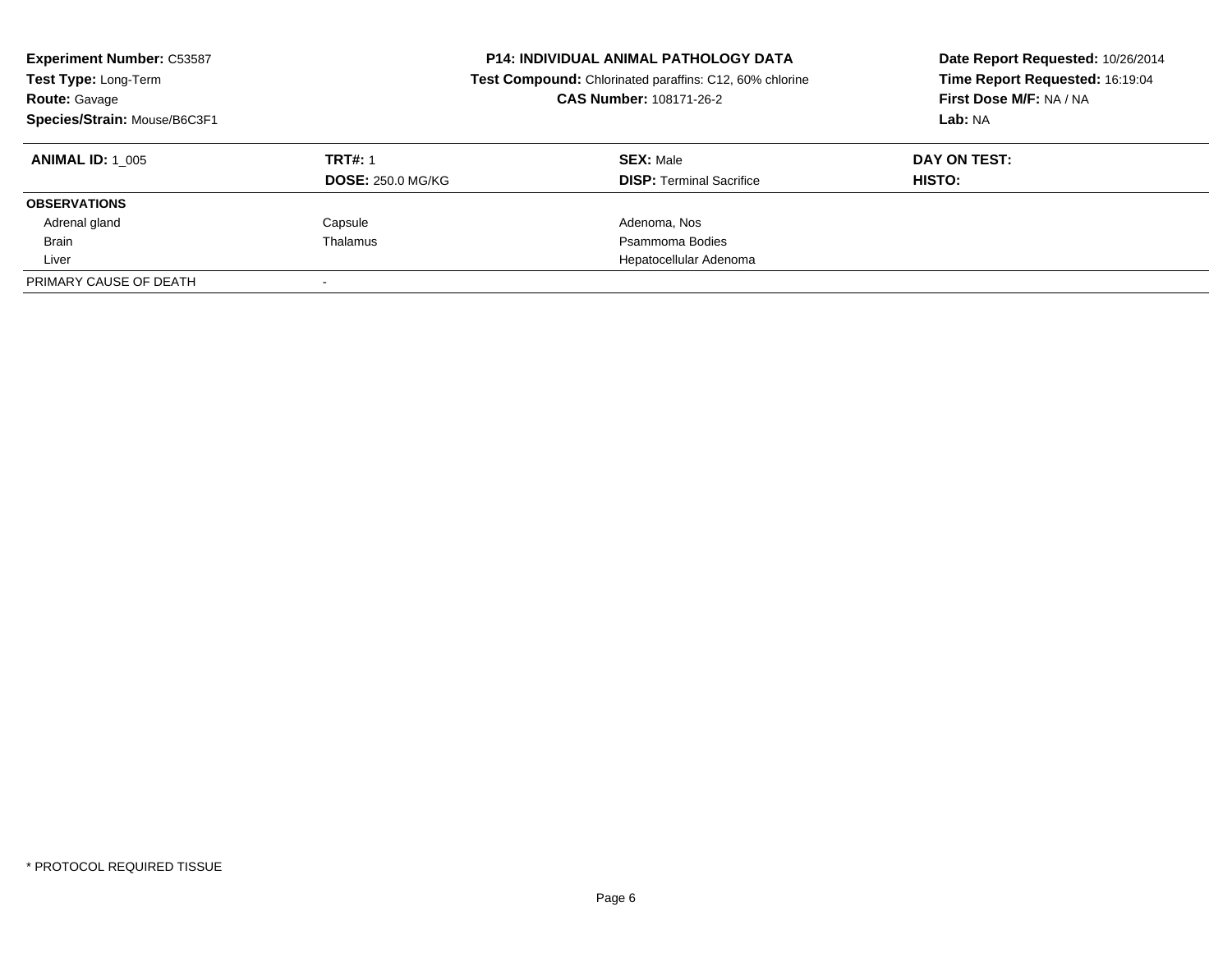| <b>Experiment Number: C53587</b><br>Test Type: Long-Term<br><b>Route: Gavage</b><br>Species/Strain: Mouse/B6C3F1 |                          | <b>P14: INDIVIDUAL ANIMAL PATHOLOGY DATA</b><br>Test Compound: Chlorinated paraffins: C12, 60% chlorine<br><b>CAS Number: 108171-26-2</b> | Date Report Requested: 10/26/2014<br>Time Report Requested: 16:19:04<br>First Dose M/F: NA / NA<br>Lab: NA |
|------------------------------------------------------------------------------------------------------------------|--------------------------|-------------------------------------------------------------------------------------------------------------------------------------------|------------------------------------------------------------------------------------------------------------|
| <b>ANIMAL ID:</b> 1 005                                                                                          | <b>TRT#: 1</b>           | <b>SEX: Male</b>                                                                                                                          | DAY ON TEST:                                                                                               |
|                                                                                                                  | <b>DOSE: 250.0 MG/KG</b> | <b>DISP:</b> Terminal Sacrifice                                                                                                           | <b>HISTO:</b>                                                                                              |
| <b>OBSERVATIONS</b>                                                                                              |                          |                                                                                                                                           |                                                                                                            |
| Adrenal gland                                                                                                    | Capsule                  | Adenoma, Nos                                                                                                                              |                                                                                                            |
| <b>Brain</b>                                                                                                     | Thalamus                 | Psammoma Bodies                                                                                                                           |                                                                                                            |
| Liver                                                                                                            |                          | Hepatocellular Adenoma                                                                                                                    |                                                                                                            |
| PRIMARY CAUSE OF DEATH                                                                                           |                          |                                                                                                                                           |                                                                                                            |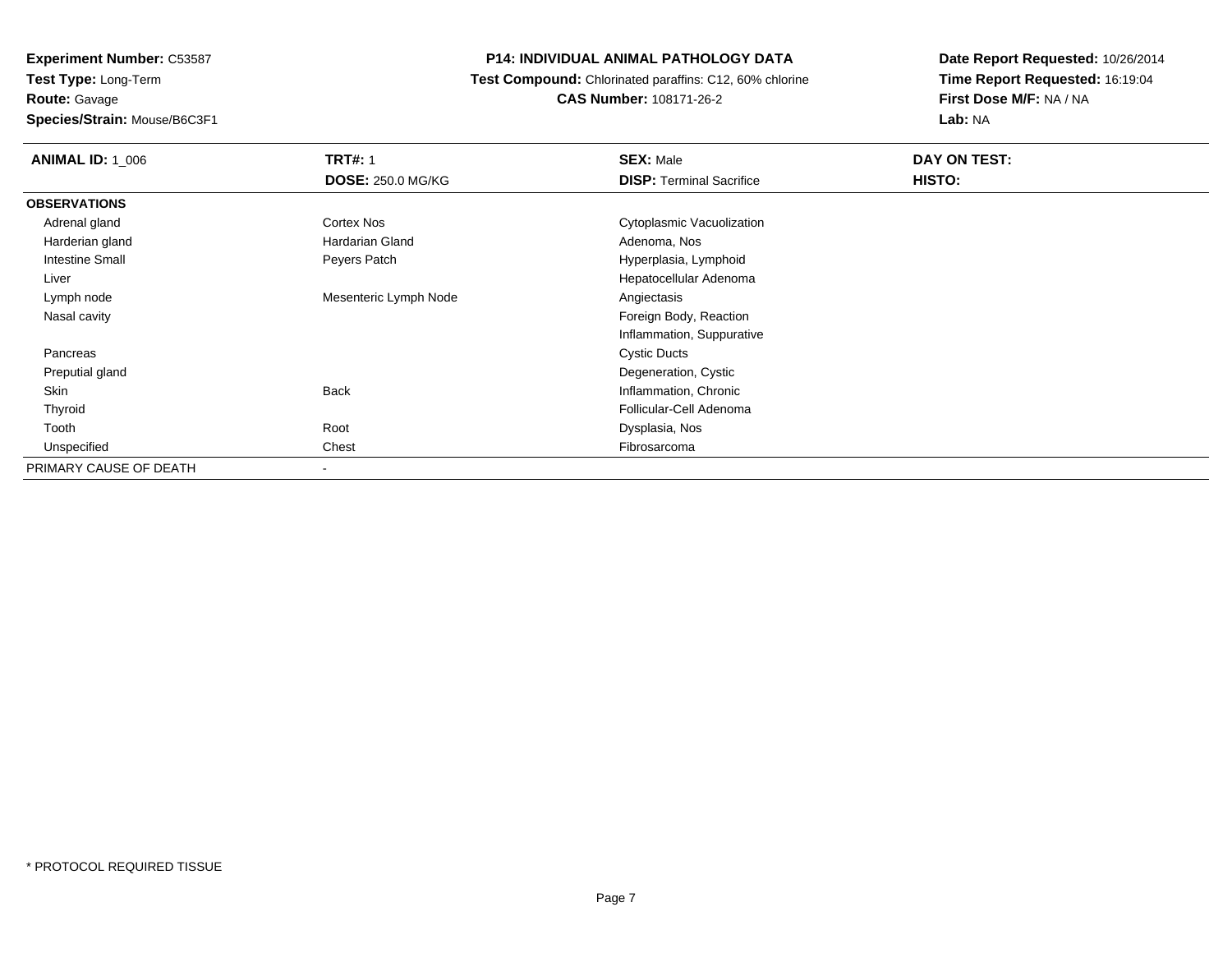**Experiment Number:** C53587**Test Type:** Long-Term**Route:** Gavage**Species/Strain:** Mouse/B6C3F1

## **P14: INDIVIDUAL ANIMAL PATHOLOGY DATA**

 **Test Compound:** Chlorinated paraffins: C12, 60% chlorine**CAS Number:** 108171-26-2

| <b>ANIMAL ID: 1_006</b> | <b>TRT#: 1</b>           | <b>SEX: Male</b>                | DAY ON TEST: |  |
|-------------------------|--------------------------|---------------------------------|--------------|--|
|                         | <b>DOSE: 250.0 MG/KG</b> | <b>DISP: Terminal Sacrifice</b> | HISTO:       |  |
| <b>OBSERVATIONS</b>     |                          |                                 |              |  |
| Adrenal gland           | Cortex Nos               | Cytoplasmic Vacuolization       |              |  |
| Harderian gland         | <b>Hardarian Gland</b>   | Adenoma, Nos                    |              |  |
| Intestine Small         | Peyers Patch             | Hyperplasia, Lymphoid           |              |  |
| Liver                   |                          | Hepatocellular Adenoma          |              |  |
| Lymph node              | Mesenteric Lymph Node    | Angiectasis                     |              |  |
| Nasal cavity            |                          | Foreign Body, Reaction          |              |  |
|                         |                          | Inflammation, Suppurative       |              |  |
| Pancreas                |                          | <b>Cystic Ducts</b>             |              |  |
| Preputial gland         |                          | Degeneration, Cystic            |              |  |
| Skin                    | <b>Back</b>              | Inflammation, Chronic           |              |  |
| Thyroid                 |                          | Follicular-Cell Adenoma         |              |  |
| Tooth                   | Root                     | Dysplasia, Nos                  |              |  |
| Unspecified             | Chest                    | Fibrosarcoma                    |              |  |
| PRIMARY CAUSE OF DEATH  | $\overline{\phantom{a}}$ |                                 |              |  |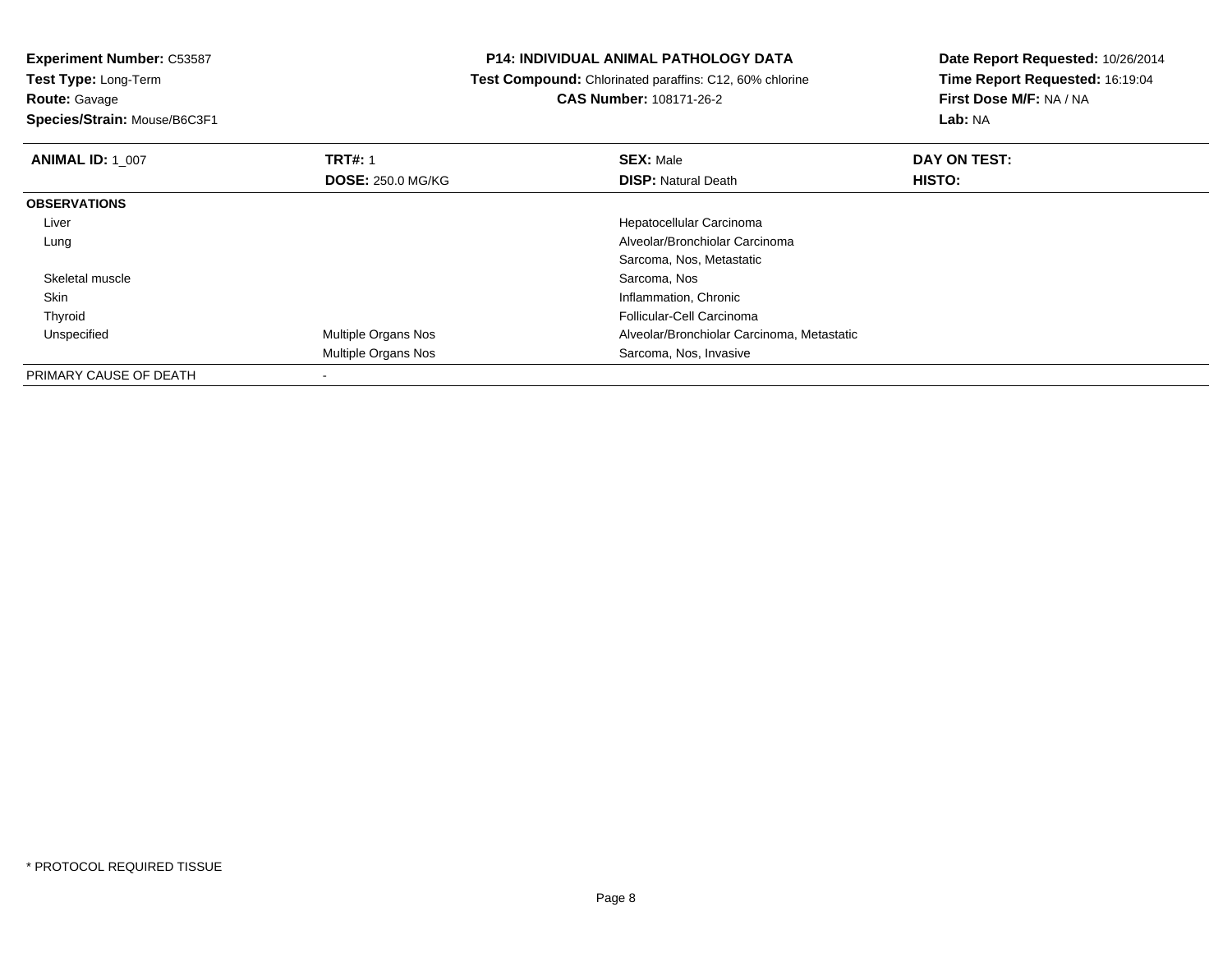**Route:** Gavage

**Species/Strain:** Mouse/B6C3F1

## **P14: INDIVIDUAL ANIMAL PATHOLOGY DATA**

 **Test Compound:** Chlorinated paraffins: C12, 60% chlorine**CAS Number:** 108171-26-2

| <b>ANIMAL ID: 1 007</b> | <b>TRT#: 1</b>             | <b>SEX: Male</b>                           | DAY ON TEST: |  |
|-------------------------|----------------------------|--------------------------------------------|--------------|--|
|                         | <b>DOSE: 250.0 MG/KG</b>   | <b>DISP: Natural Death</b>                 | HISTO:       |  |
| <b>OBSERVATIONS</b>     |                            |                                            |              |  |
| Liver                   |                            | Hepatocellular Carcinoma                   |              |  |
| Lung                    |                            | Alveolar/Bronchiolar Carcinoma             |              |  |
|                         |                            | Sarcoma, Nos, Metastatic                   |              |  |
| Skeletal muscle         |                            | Sarcoma, Nos                               |              |  |
| Skin                    |                            | Inflammation, Chronic                      |              |  |
| Thyroid                 |                            | Follicular-Cell Carcinoma                  |              |  |
| Unspecified             | <b>Multiple Organs Nos</b> | Alveolar/Bronchiolar Carcinoma, Metastatic |              |  |
|                         | Multiple Organs Nos        | Sarcoma, Nos, Invasive                     |              |  |
| PRIMARY CAUSE OF DEATH  |                            |                                            |              |  |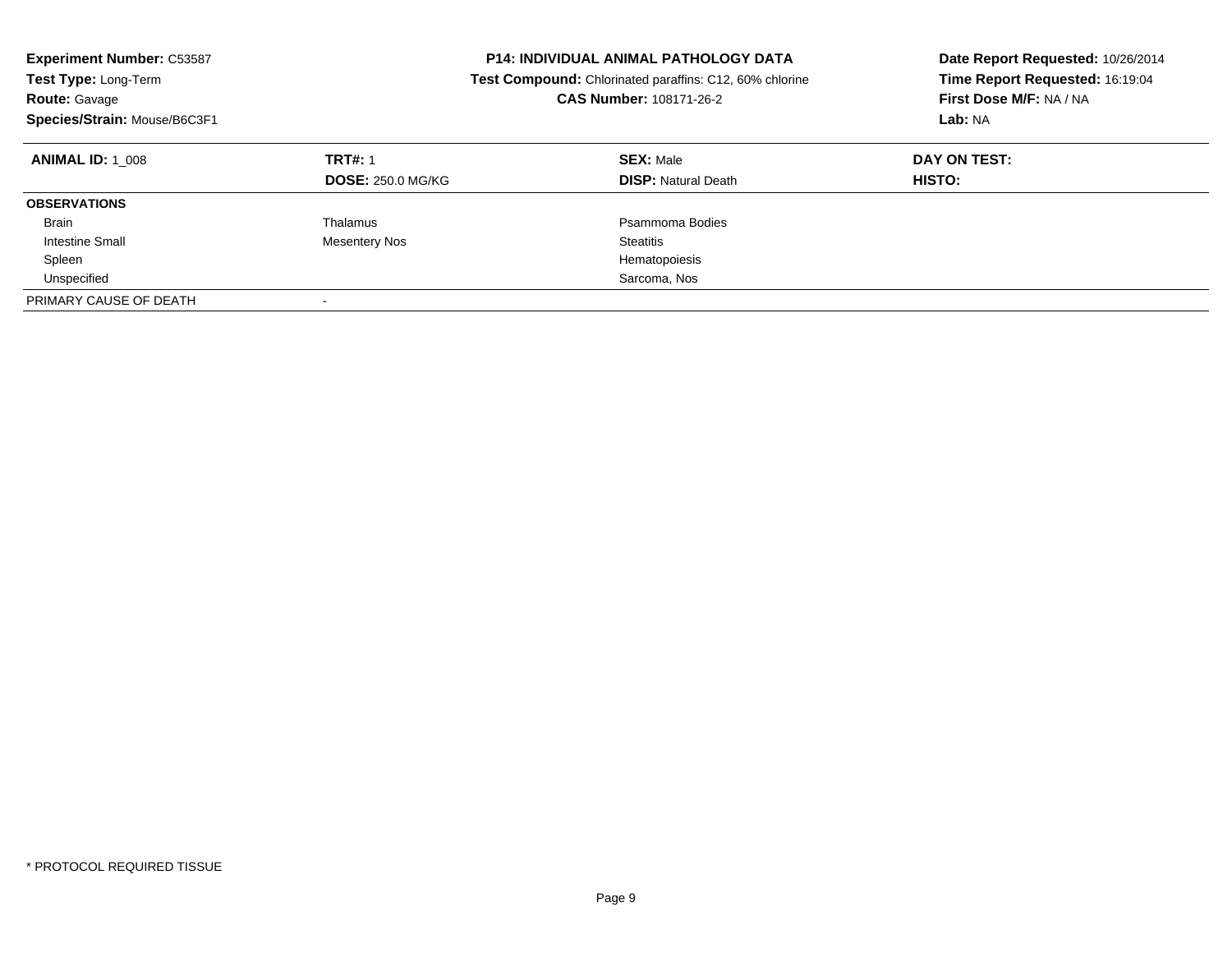| <b>Experiment Number: C53587</b><br>Test Type: Long-Term<br><b>Route: Gavage</b><br>Species/Strain: Mouse/B6C3F1 |                                            | <b>P14: INDIVIDUAL ANIMAL PATHOLOGY DATA</b><br>Test Compound: Chlorinated paraffins: C12, 60% chlorine<br><b>CAS Number: 108171-26-2</b> | Date Report Requested: 10/26/2014<br>Time Report Requested: 16:19:04<br>First Dose M/F: NA / NA<br>Lab: NA |
|------------------------------------------------------------------------------------------------------------------|--------------------------------------------|-------------------------------------------------------------------------------------------------------------------------------------------|------------------------------------------------------------------------------------------------------------|
| <b>ANIMAL ID:</b> 1 008                                                                                          | <b>TRT#: 1</b><br><b>DOSE: 250.0 MG/KG</b> | <b>SEX: Male</b><br><b>DISP:</b> Natural Death                                                                                            | DAY ON TEST:<br>HISTO:                                                                                     |
| <b>OBSERVATIONS</b>                                                                                              |                                            |                                                                                                                                           |                                                                                                            |
| <b>Brain</b>                                                                                                     | Thalamus                                   | Psammoma Bodies                                                                                                                           |                                                                                                            |
| Intestine Small                                                                                                  | Mesentery Nos                              | Steatitis                                                                                                                                 |                                                                                                            |
| Spleen                                                                                                           |                                            | Hematopoiesis                                                                                                                             |                                                                                                            |
| Unspecified                                                                                                      |                                            | Sarcoma, Nos                                                                                                                              |                                                                                                            |
| PRIMARY CAUSE OF DEATH                                                                                           |                                            |                                                                                                                                           |                                                                                                            |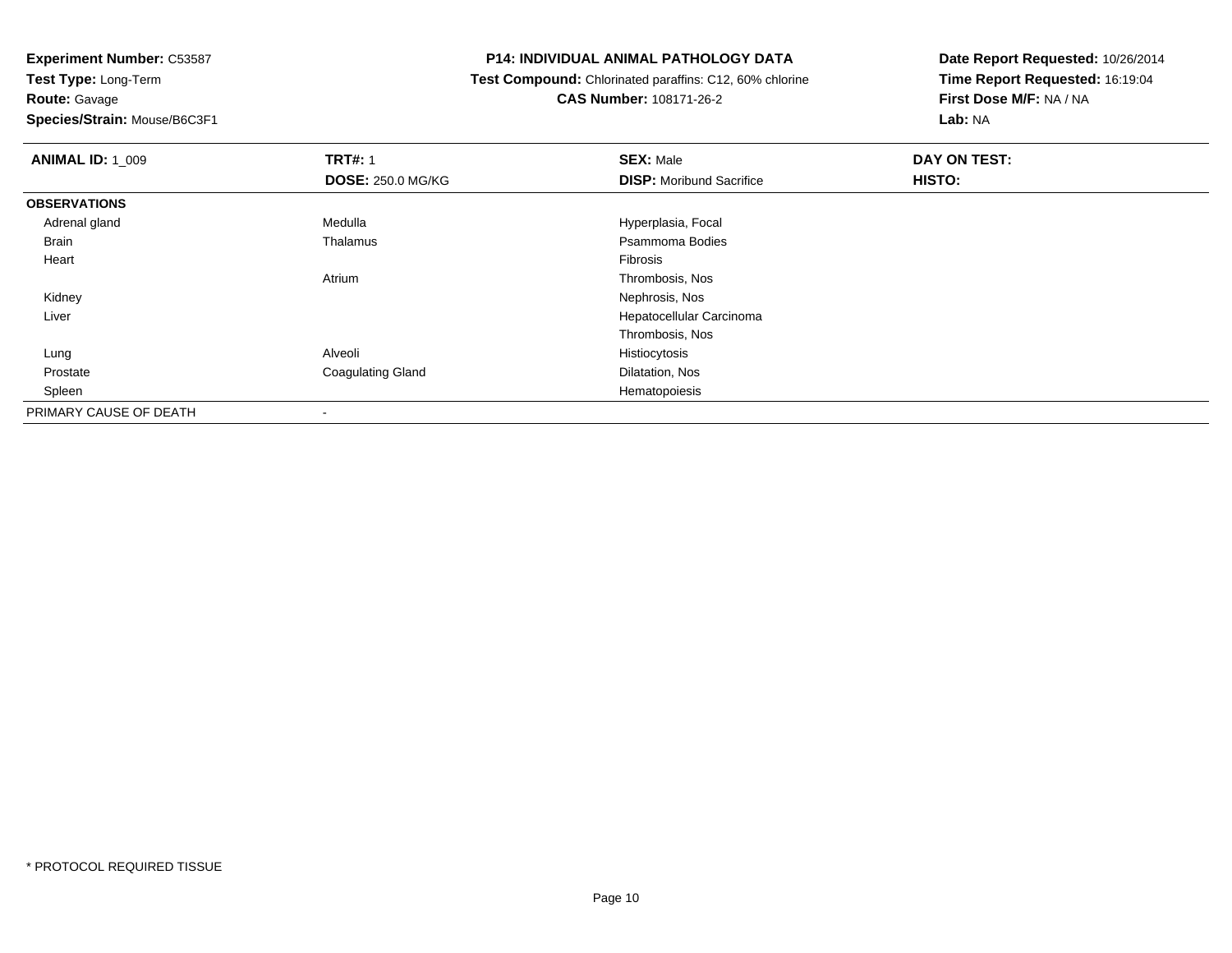**Route:** Gavage

**Species/Strain:** Mouse/B6C3F1

## **P14: INDIVIDUAL ANIMAL PATHOLOGY DATA**

 **Test Compound:** Chlorinated paraffins: C12, 60% chlorine**CAS Number:** 108171-26-2

| <b>ANIMAL ID: 1 009</b> | <b>TRT#: 1</b>           | <b>SEX: Male</b>                | DAY ON TEST: |  |
|-------------------------|--------------------------|---------------------------------|--------------|--|
|                         | <b>DOSE: 250.0 MG/KG</b> | <b>DISP:</b> Moribund Sacrifice | HISTO:       |  |
| <b>OBSERVATIONS</b>     |                          |                                 |              |  |
| Adrenal gland           | Medulla                  | Hyperplasia, Focal              |              |  |
| Brain                   | Thalamus                 | Psammoma Bodies                 |              |  |
| Heart                   |                          | Fibrosis                        |              |  |
|                         | Atrium                   | Thrombosis, Nos                 |              |  |
| Kidney                  |                          | Nephrosis, Nos                  |              |  |
| Liver                   |                          | Hepatocellular Carcinoma        |              |  |
|                         |                          | Thrombosis, Nos                 |              |  |
| Lung                    | Alveoli                  | Histiocytosis                   |              |  |
| Prostate                | <b>Coagulating Gland</b> | Dilatation, Nos                 |              |  |
| Spleen                  |                          | Hematopoiesis                   |              |  |
| PRIMARY CAUSE OF DEATH  |                          |                                 |              |  |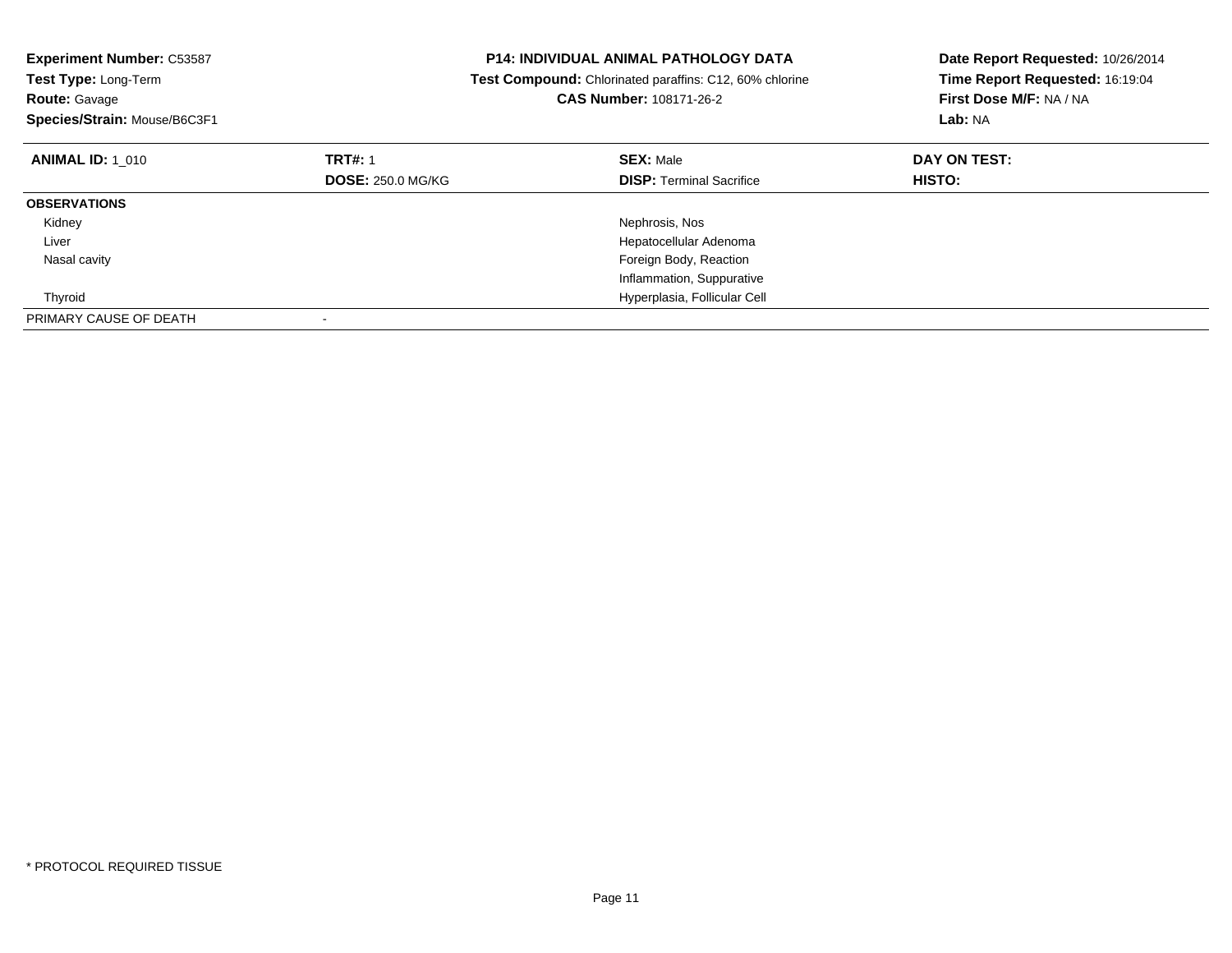| <b>Experiment Number: C53587</b><br><b>Test Type: Long-Term</b><br>Route: Gavage<br>Species/Strain: Mouse/B6C3F1 |                          | <b>P14: INDIVIDUAL ANIMAL PATHOLOGY DATA</b><br><b>Test Compound:</b> Chlorinated paraffins: C12, 60% chlorine<br><b>CAS Number: 108171-26-2</b> | Date Report Requested: 10/26/2014<br>Time Report Requested: 16:19:04<br>First Dose M/F: NA / NA<br>Lab: NA |
|------------------------------------------------------------------------------------------------------------------|--------------------------|--------------------------------------------------------------------------------------------------------------------------------------------------|------------------------------------------------------------------------------------------------------------|
| <b>ANIMAL ID: 1 010</b>                                                                                          | <b>TRT#: 1</b>           | <b>SEX: Male</b>                                                                                                                                 | DAY ON TEST:                                                                                               |
|                                                                                                                  | <b>DOSE: 250.0 MG/KG</b> | <b>DISP: Terminal Sacrifice</b>                                                                                                                  | HISTO:                                                                                                     |
| <b>OBSERVATIONS</b>                                                                                              |                          |                                                                                                                                                  |                                                                                                            |
| Kidney                                                                                                           |                          | Nephrosis, Nos                                                                                                                                   |                                                                                                            |
| Liver                                                                                                            |                          | Hepatocellular Adenoma                                                                                                                           |                                                                                                            |
| Nasal cavity                                                                                                     |                          | Foreign Body, Reaction                                                                                                                           |                                                                                                            |
|                                                                                                                  |                          | Inflammation, Suppurative                                                                                                                        |                                                                                                            |
| Thyroid                                                                                                          |                          | Hyperplasia, Follicular Cell                                                                                                                     |                                                                                                            |
| PRIMARY CAUSE OF DEATH                                                                                           |                          |                                                                                                                                                  |                                                                                                            |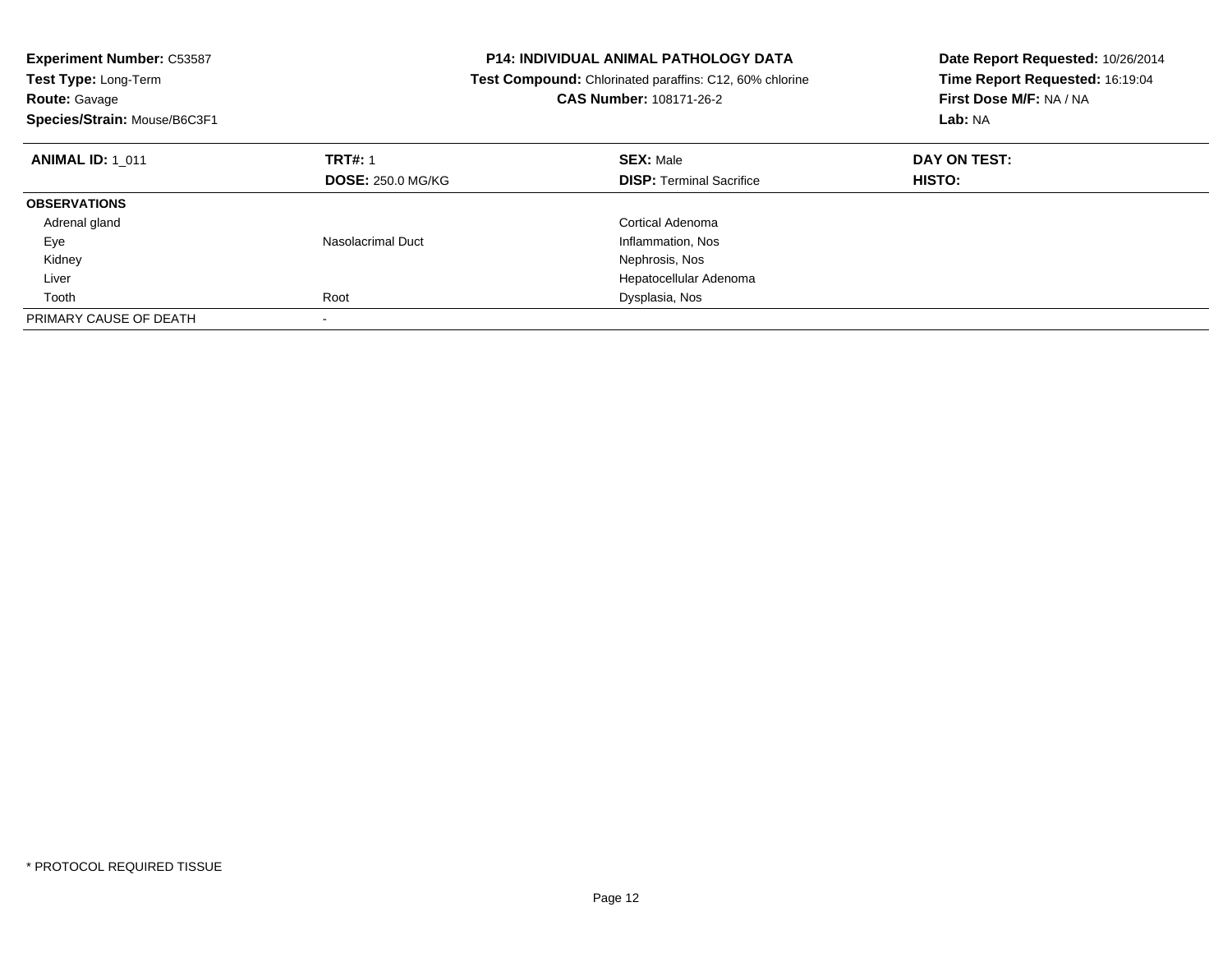| <b>Experiment Number: C53587</b><br><b>Test Type: Long-Term</b><br><b>Route: Gavage</b><br>Species/Strain: Mouse/B6C3F1 | <b>P14: INDIVIDUAL ANIMAL PATHOLOGY DATA</b><br>Test Compound: Chlorinated paraffins: C12, 60% chlorine<br>CAS Number: 108171-26-2 |                                 | Date Report Requested: 10/26/2014<br>Time Report Requested: 16:19:04<br>First Dose M/F: NA / NA<br>Lab: NA |
|-------------------------------------------------------------------------------------------------------------------------|------------------------------------------------------------------------------------------------------------------------------------|---------------------------------|------------------------------------------------------------------------------------------------------------|
| <b>ANIMAL ID: 1 011</b>                                                                                                 | <b>TRT#: 1</b>                                                                                                                     | <b>SEX: Male</b>                | DAY ON TEST:                                                                                               |
|                                                                                                                         | <b>DOSE: 250.0 MG/KG</b>                                                                                                           | <b>DISP:</b> Terminal Sacrifice | <b>HISTO:</b>                                                                                              |
| <b>OBSERVATIONS</b>                                                                                                     |                                                                                                                                    |                                 |                                                                                                            |
| Adrenal gland                                                                                                           |                                                                                                                                    | Cortical Adenoma                |                                                                                                            |
| Eye                                                                                                                     | Nasolacrimal Duct                                                                                                                  | Inflammation, Nos               |                                                                                                            |
| Kidney                                                                                                                  |                                                                                                                                    | Nephrosis, Nos                  |                                                                                                            |
| Liver                                                                                                                   |                                                                                                                                    | Hepatocellular Adenoma          |                                                                                                            |
| Tooth                                                                                                                   | Root                                                                                                                               | Dysplasia, Nos                  |                                                                                                            |
| PRIMARY CAUSE OF DEATH                                                                                                  |                                                                                                                                    |                                 |                                                                                                            |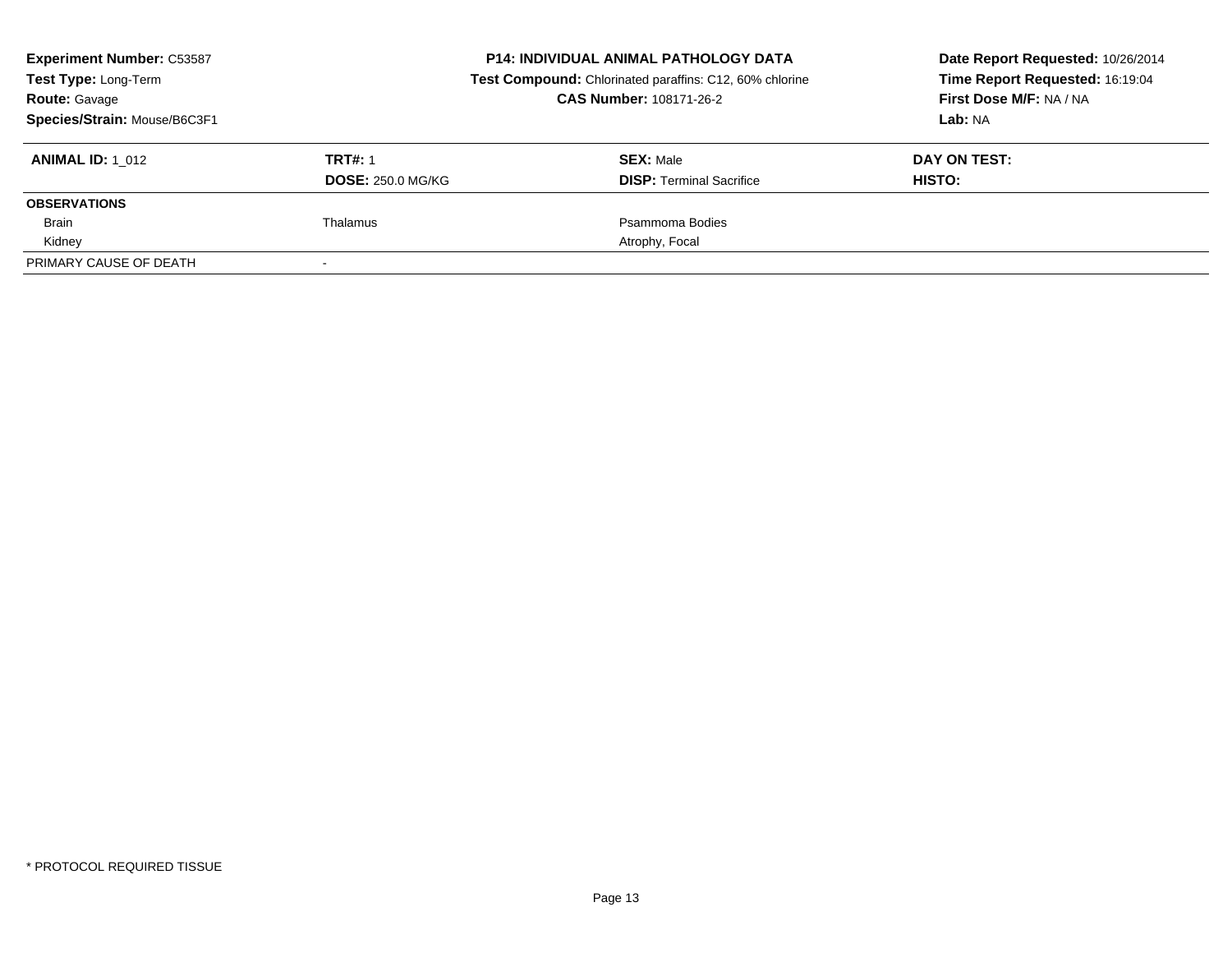| <b>Experiment Number: C53587</b><br>Test Type: Long-Term<br><b>Route: Gavage</b><br>Species/Strain: Mouse/B6C3F1 |                                            | <b>P14: INDIVIDUAL ANIMAL PATHOLOGY DATA</b><br>Test Compound: Chlorinated paraffins: C12, 60% chlorine<br><b>CAS Number: 108171-26-2</b> | Date Report Requested: 10/26/2014<br>Time Report Requested: 16:19:04<br>First Dose M/F: NA / NA<br>Lab: NA |  |
|------------------------------------------------------------------------------------------------------------------|--------------------------------------------|-------------------------------------------------------------------------------------------------------------------------------------------|------------------------------------------------------------------------------------------------------------|--|
| <b>ANIMAL ID:</b> 1 012                                                                                          | <b>TRT#: 1</b><br><b>DOSE: 250.0 MG/KG</b> | <b>SEX: Male</b><br><b>DISP:</b> Terminal Sacrifice                                                                                       | DAY ON TEST:<br>HISTO:                                                                                     |  |
| <b>OBSERVATIONS</b>                                                                                              |                                            |                                                                                                                                           |                                                                                                            |  |
| <b>Brain</b>                                                                                                     | Thalamus                                   | Psammoma Bodies                                                                                                                           |                                                                                                            |  |
| Kidney                                                                                                           |                                            | Atrophy, Focal                                                                                                                            |                                                                                                            |  |
| PRIMARY CAUSE OF DEATH                                                                                           |                                            |                                                                                                                                           |                                                                                                            |  |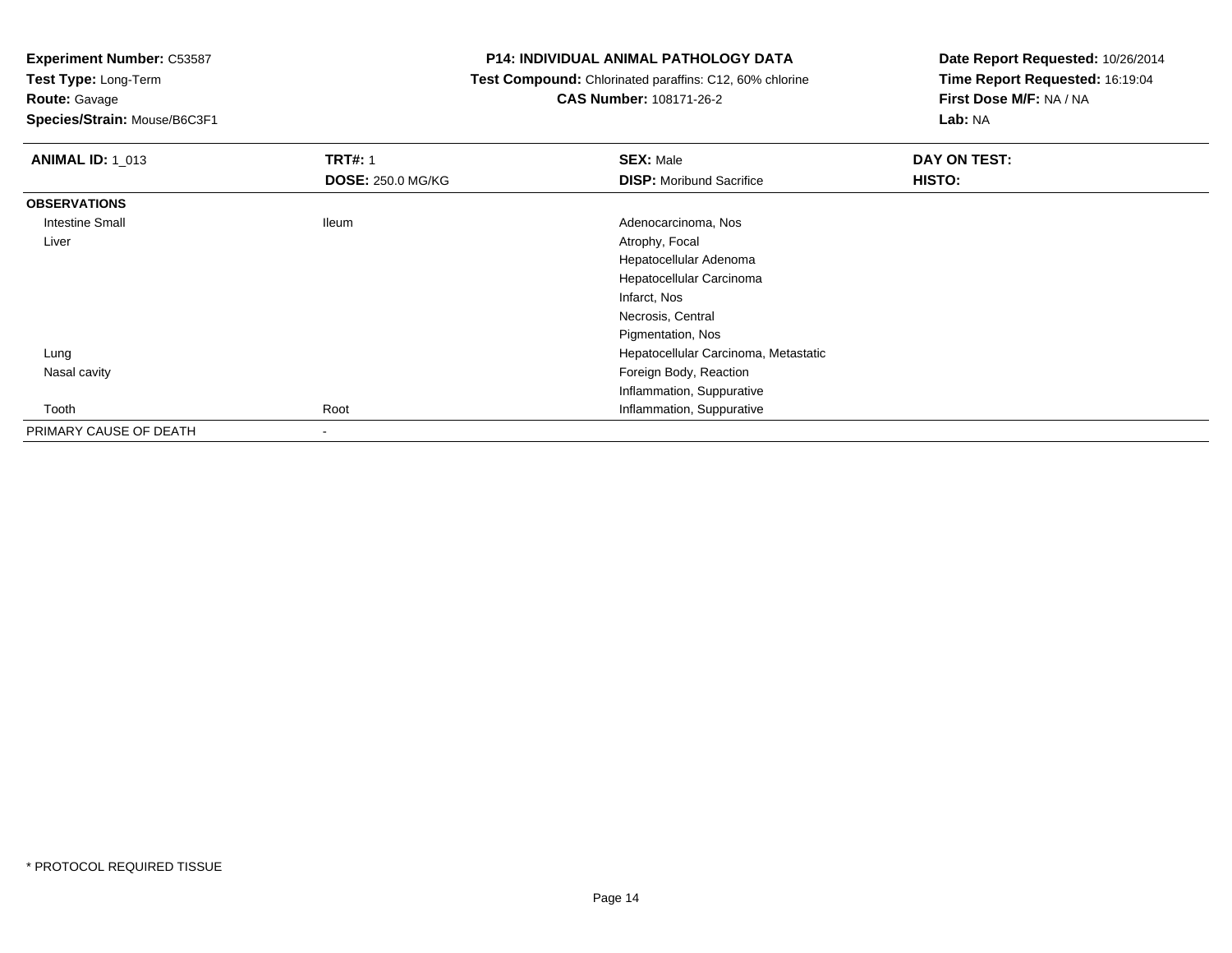**Experiment Number:** C53587

**Test Type:** Long-Term

**Route:** Gavage

**Species/Strain:** Mouse/B6C3F1

# **P14: INDIVIDUAL ANIMAL PATHOLOGY DATA**

 **Test Compound:** Chlorinated paraffins: C12, 60% chlorine**CAS Number:** 108171-26-2

| <b>ANIMAL ID: 1_013</b> | <b>TRT#: 1</b>           | <b>SEX: Male</b>                     | DAY ON TEST: |
|-------------------------|--------------------------|--------------------------------------|--------------|
|                         | <b>DOSE: 250.0 MG/KG</b> | <b>DISP:</b> Moribund Sacrifice      | HISTO:       |
| <b>OBSERVATIONS</b>     |                          |                                      |              |
| Intestine Small         | <b>Ileum</b>             | Adenocarcinoma, Nos                  |              |
| Liver                   |                          | Atrophy, Focal                       |              |
|                         |                          | Hepatocellular Adenoma               |              |
|                         |                          | Hepatocellular Carcinoma             |              |
|                         |                          | Infarct, Nos                         |              |
|                         |                          | Necrosis, Central                    |              |
|                         |                          | Pigmentation, Nos                    |              |
| Lung                    |                          | Hepatocellular Carcinoma, Metastatic |              |
| Nasal cavity            |                          | Foreign Body, Reaction               |              |
|                         |                          | Inflammation, Suppurative            |              |
| Tooth                   | Root                     | Inflammation, Suppurative            |              |
| PRIMARY CAUSE OF DEATH  | $\overline{\phantom{a}}$ |                                      |              |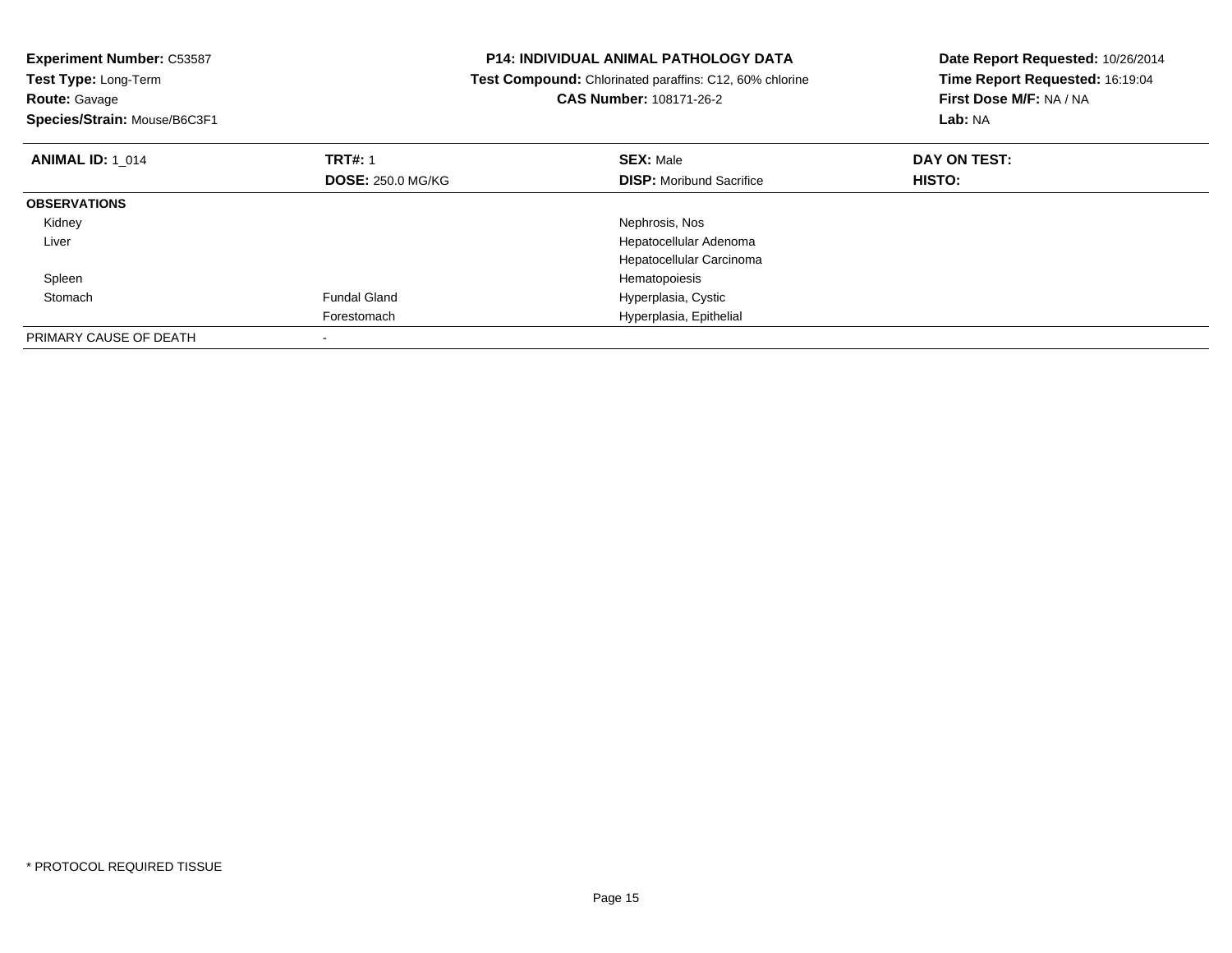| <b>Experiment Number: C53587</b><br>Test Type: Long-Term<br><b>Route: Gavage</b><br>Species/Strain: Mouse/B6C3F1 |                                            | <b>P14: INDIVIDUAL ANIMAL PATHOLOGY DATA</b><br>Test Compound: Chlorinated paraffins: C12, 60% chlorine<br>CAS Number: 108171-26-2 | Date Report Requested: 10/26/2014<br>Time Report Requested: 16:19:04<br>First Dose M/F: NA / NA<br>Lab: NA |
|------------------------------------------------------------------------------------------------------------------|--------------------------------------------|------------------------------------------------------------------------------------------------------------------------------------|------------------------------------------------------------------------------------------------------------|
| <b>ANIMAL ID: 1 014</b>                                                                                          | <b>TRT#: 1</b><br><b>DOSE: 250.0 MG/KG</b> | <b>SEX: Male</b><br><b>DISP:</b> Moribund Sacrifice                                                                                | DAY ON TEST:<br>HISTO:                                                                                     |
| <b>OBSERVATIONS</b>                                                                                              |                                            |                                                                                                                                    |                                                                                                            |
| Kidney                                                                                                           |                                            | Nephrosis, Nos                                                                                                                     |                                                                                                            |
| Liver                                                                                                            |                                            | Hepatocellular Adenoma                                                                                                             |                                                                                                            |
|                                                                                                                  |                                            | Hepatocellular Carcinoma                                                                                                           |                                                                                                            |
| Spleen                                                                                                           |                                            | Hematopoiesis                                                                                                                      |                                                                                                            |
| Stomach                                                                                                          | <b>Fundal Gland</b>                        | Hyperplasia, Cystic                                                                                                                |                                                                                                            |
|                                                                                                                  | Forestomach                                | Hyperplasia, Epithelial                                                                                                            |                                                                                                            |
| PRIMARY CAUSE OF DEATH                                                                                           |                                            |                                                                                                                                    |                                                                                                            |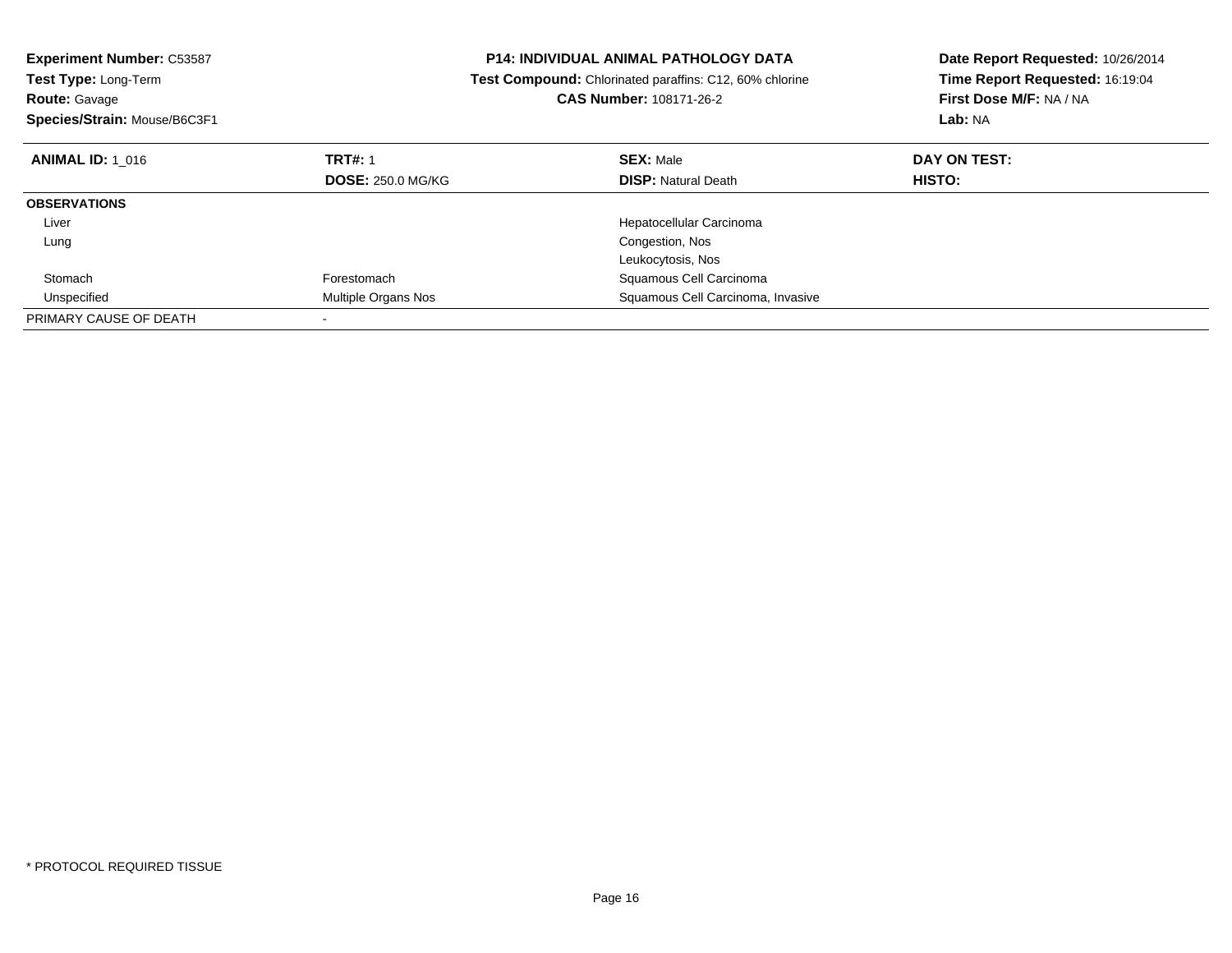| <b>Experiment Number: C53587</b><br>Test Type: Long-Term<br><b>Route: Gavage</b> |                          | <b>P14: INDIVIDUAL ANIMAL PATHOLOGY DATA</b><br>Test Compound: Chlorinated paraffins: C12, 60% chlorine<br><b>CAS Number: 108171-26-2</b> | Date Report Requested: 10/26/2014<br>Time Report Requested: 16:19:04<br>First Dose M/F: NA / NA |
|----------------------------------------------------------------------------------|--------------------------|-------------------------------------------------------------------------------------------------------------------------------------------|-------------------------------------------------------------------------------------------------|
| Species/Strain: Mouse/B6C3F1                                                     |                          |                                                                                                                                           | Lab: NA                                                                                         |
| <b>ANIMAL ID: 1 016</b>                                                          | <b>TRT#: 1</b>           | <b>SEX: Male</b>                                                                                                                          | DAY ON TEST:                                                                                    |
|                                                                                  | <b>DOSE: 250.0 MG/KG</b> | <b>DISP: Natural Death</b>                                                                                                                | <b>HISTO:</b>                                                                                   |
| <b>OBSERVATIONS</b>                                                              |                          |                                                                                                                                           |                                                                                                 |
| Liver                                                                            |                          | Hepatocellular Carcinoma                                                                                                                  |                                                                                                 |
| Lung                                                                             |                          | Congestion, Nos                                                                                                                           |                                                                                                 |
|                                                                                  |                          | Leukocytosis, Nos                                                                                                                         |                                                                                                 |
| Stomach                                                                          | Forestomach              | Squamous Cell Carcinoma                                                                                                                   |                                                                                                 |
| Unspecified                                                                      | Multiple Organs Nos      | Squamous Cell Carcinoma, Invasive                                                                                                         |                                                                                                 |
| PRIMARY CAUSE OF DEATH                                                           |                          |                                                                                                                                           |                                                                                                 |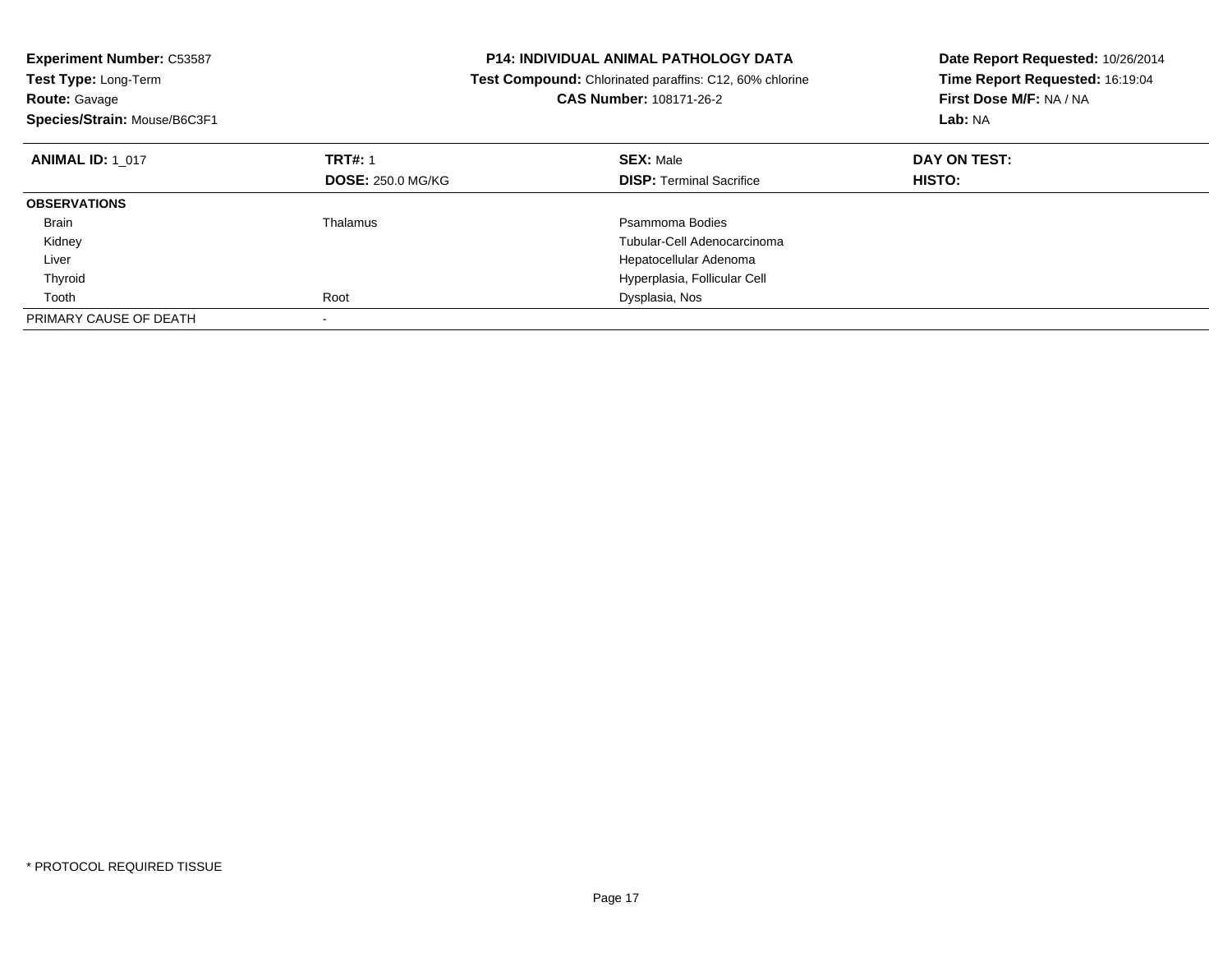| <b>Experiment Number: C53587</b>                                                |                          | <b>P14: INDIVIDUAL ANIMAL PATHOLOGY DATA</b> | Date Report Requested: 10/26/2014 |
|---------------------------------------------------------------------------------|--------------------------|----------------------------------------------|-----------------------------------|
| Test Type: Long-Term<br>Test Compound: Chlorinated paraffins: C12, 60% chlorine |                          |                                              | Time Report Requested: 16:19:04   |
| <b>Route: Gavage</b>                                                            |                          | <b>CAS Number: 108171-26-2</b>               | First Dose M/F: NA / NA           |
| Species/Strain: Mouse/B6C3F1                                                    |                          |                                              | Lab: NA                           |
| <b>ANIMAL ID: 1 017</b>                                                         | <b>TRT#: 1</b>           | <b>SEX: Male</b>                             | DAY ON TEST:                      |
|                                                                                 | <b>DOSE: 250.0 MG/KG</b> | <b>DISP: Terminal Sacrifice</b>              | <b>HISTO:</b>                     |
| <b>OBSERVATIONS</b>                                                             |                          |                                              |                                   |
| Brain                                                                           | Thalamus                 | Psammoma Bodies                              |                                   |
| Kidney                                                                          |                          | Tubular-Cell Adenocarcinoma                  |                                   |
| Liver                                                                           |                          | Hepatocellular Adenoma                       |                                   |
| Thyroid                                                                         |                          | Hyperplasia, Follicular Cell                 |                                   |
| Tooth                                                                           | Root                     | Dysplasia, Nos                               |                                   |
| PRIMARY CAUSE OF DEATH                                                          |                          |                                              |                                   |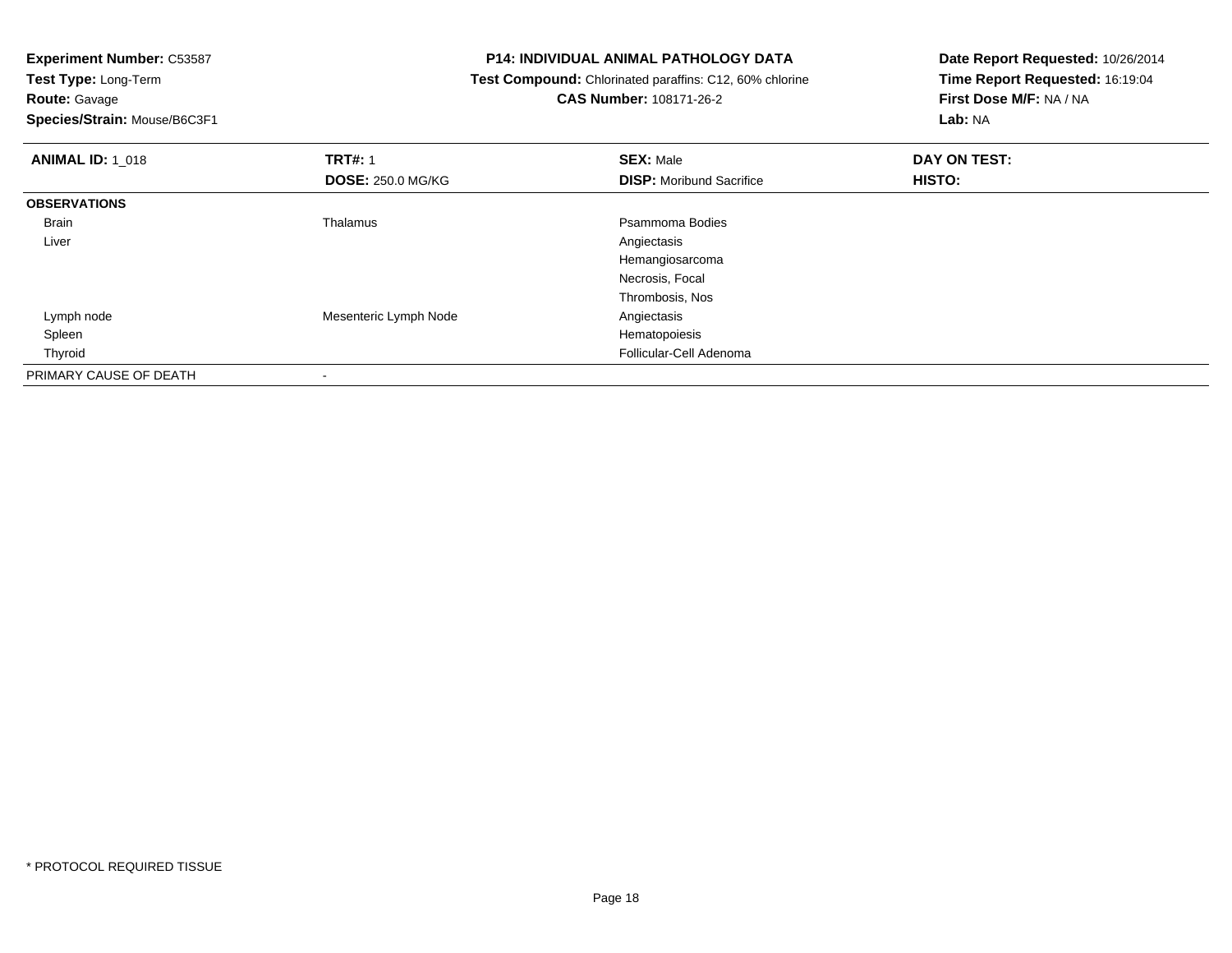**Route:** Gavage

**Species/Strain:** Mouse/B6C3F1

## **P14: INDIVIDUAL ANIMAL PATHOLOGY DATA**

 **Test Compound:** Chlorinated paraffins: C12, 60% chlorine**CAS Number:** 108171-26-2

| <b>ANIMAL ID: 1_018</b> | <b>TRT#: 1</b>           | <b>SEX: Male</b>                | DAY ON TEST: |  |
|-------------------------|--------------------------|---------------------------------|--------------|--|
|                         | <b>DOSE: 250.0 MG/KG</b> | <b>DISP:</b> Moribund Sacrifice | HISTO:       |  |
| <b>OBSERVATIONS</b>     |                          |                                 |              |  |
| Brain                   | Thalamus                 | Psammoma Bodies                 |              |  |
| Liver                   |                          | Angiectasis                     |              |  |
|                         |                          | Hemangiosarcoma                 |              |  |
|                         |                          | Necrosis, Focal                 |              |  |
|                         |                          | Thrombosis, Nos                 |              |  |
| Lymph node              | Mesenteric Lymph Node    | Angiectasis                     |              |  |
| Spleen                  |                          | Hematopoiesis                   |              |  |
| Thyroid                 |                          | Follicular-Cell Adenoma         |              |  |
| PRIMARY CAUSE OF DEATH  |                          |                                 |              |  |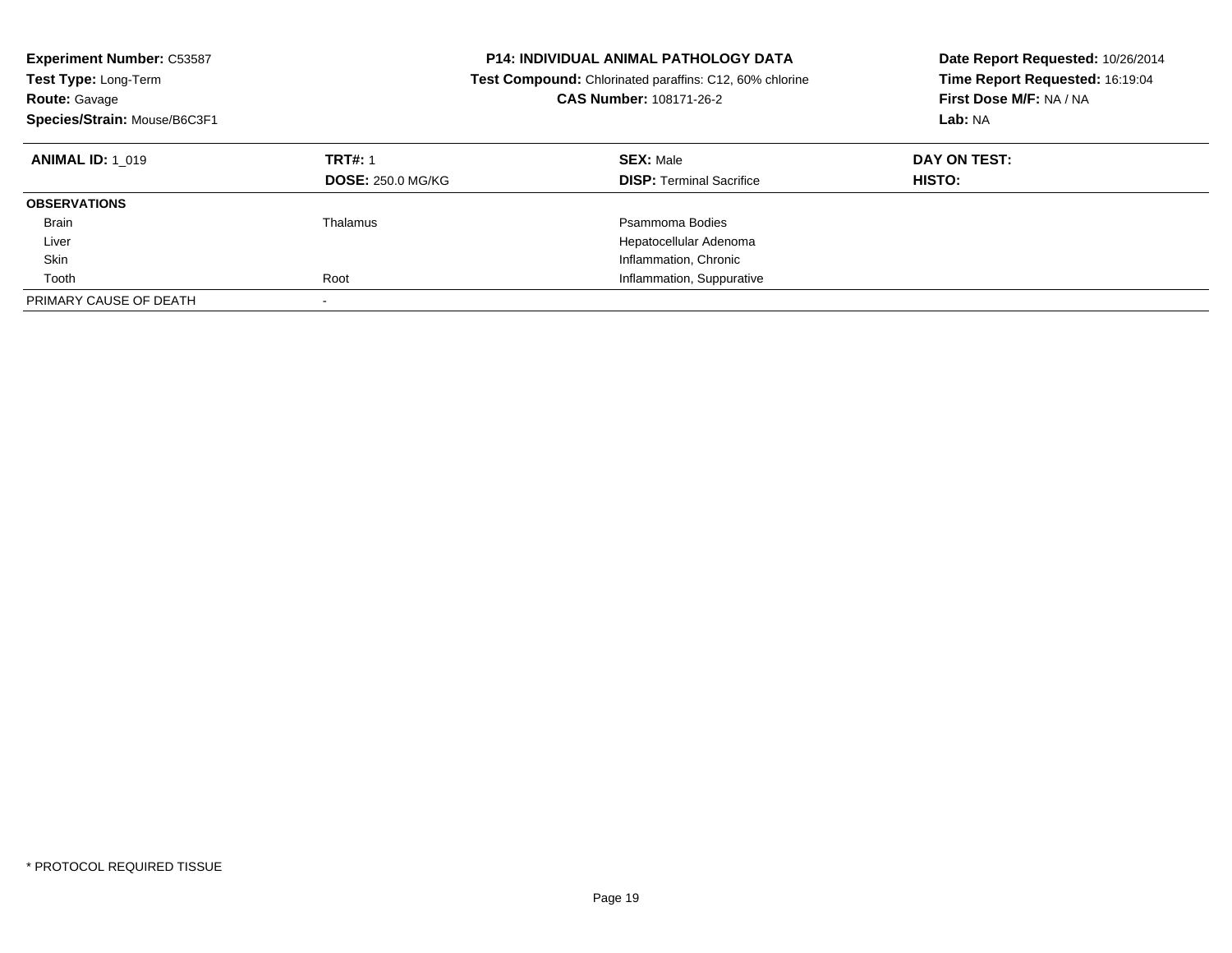| <b>Experiment Number: C53587</b><br>Test Type: Long-Term<br><b>Route: Gavage</b><br>Species/Strain: Mouse/B6C3F1 |                                            | <b>P14: INDIVIDUAL ANIMAL PATHOLOGY DATA</b><br><b>Test Compound:</b> Chlorinated paraffins: C12, 60% chlorine<br>CAS Number: 108171-26-2 | Date Report Requested: 10/26/2014<br>Time Report Requested: 16:19:04<br>First Dose M/F: NA / NA<br>Lab: NA |
|------------------------------------------------------------------------------------------------------------------|--------------------------------------------|-------------------------------------------------------------------------------------------------------------------------------------------|------------------------------------------------------------------------------------------------------------|
| <b>ANIMAL ID: 1 019</b>                                                                                          | <b>TRT#: 1</b><br><b>DOSE: 250.0 MG/KG</b> | <b>SEX: Male</b><br><b>DISP:</b> Terminal Sacrifice                                                                                       | DAY ON TEST:<br>HISTO:                                                                                     |
| <b>OBSERVATIONS</b>                                                                                              |                                            |                                                                                                                                           |                                                                                                            |
| <b>Brain</b>                                                                                                     | Thalamus                                   | Psammoma Bodies                                                                                                                           |                                                                                                            |
| Liver                                                                                                            |                                            | Hepatocellular Adenoma                                                                                                                    |                                                                                                            |
| Skin                                                                                                             |                                            | Inflammation, Chronic                                                                                                                     |                                                                                                            |
| Tooth                                                                                                            | Root                                       | Inflammation, Suppurative                                                                                                                 |                                                                                                            |
| PRIMARY CAUSE OF DEATH                                                                                           | $\overline{\phantom{a}}$                   |                                                                                                                                           |                                                                                                            |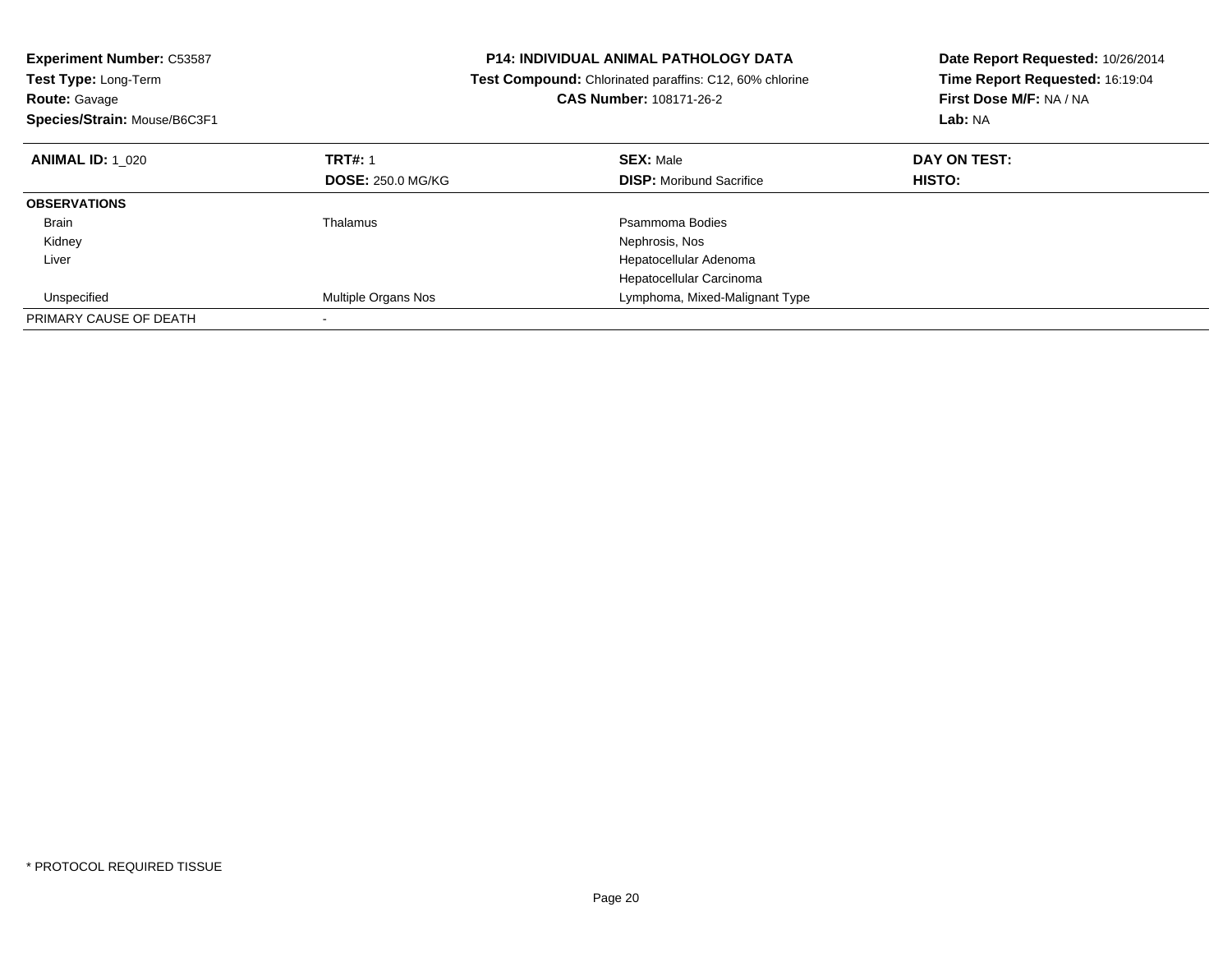| <b>Experiment Number: C53587</b> | <b>P14: INDIVIDUAL ANIMAL PATHOLOGY DATA</b><br>Test Compound: Chlorinated paraffins: C12, 60% chlorine |                                 | Date Report Requested: 10/26/2014 |
|----------------------------------|---------------------------------------------------------------------------------------------------------|---------------------------------|-----------------------------------|
| <b>Test Type: Long-Term</b>      |                                                                                                         |                                 | Time Report Requested: 16:19:04   |
| <b>Route: Gavage</b>             |                                                                                                         | CAS Number: 108171-26-2         | First Dose M/F: NA / NA           |
| Species/Strain: Mouse/B6C3F1     |                                                                                                         |                                 | Lab: NA                           |
| <b>ANIMAL ID: 1 020</b>          | <b>TRT#: 1</b>                                                                                          | <b>SEX: Male</b>                | DAY ON TEST:                      |
|                                  | <b>DOSE: 250.0 MG/KG</b>                                                                                | <b>DISP:</b> Moribund Sacrifice | HISTO:                            |
| <b>OBSERVATIONS</b>              |                                                                                                         |                                 |                                   |
| <b>Brain</b>                     | Thalamus                                                                                                | Psammoma Bodies                 |                                   |
| Kidney                           |                                                                                                         | Nephrosis, Nos                  |                                   |
| Liver                            |                                                                                                         | Hepatocellular Adenoma          |                                   |
|                                  |                                                                                                         | Hepatocellular Carcinoma        |                                   |
| Unspecified                      | Multiple Organs Nos                                                                                     | Lymphoma, Mixed-Malignant Type  |                                   |
| PRIMARY CAUSE OF DEATH           |                                                                                                         |                                 |                                   |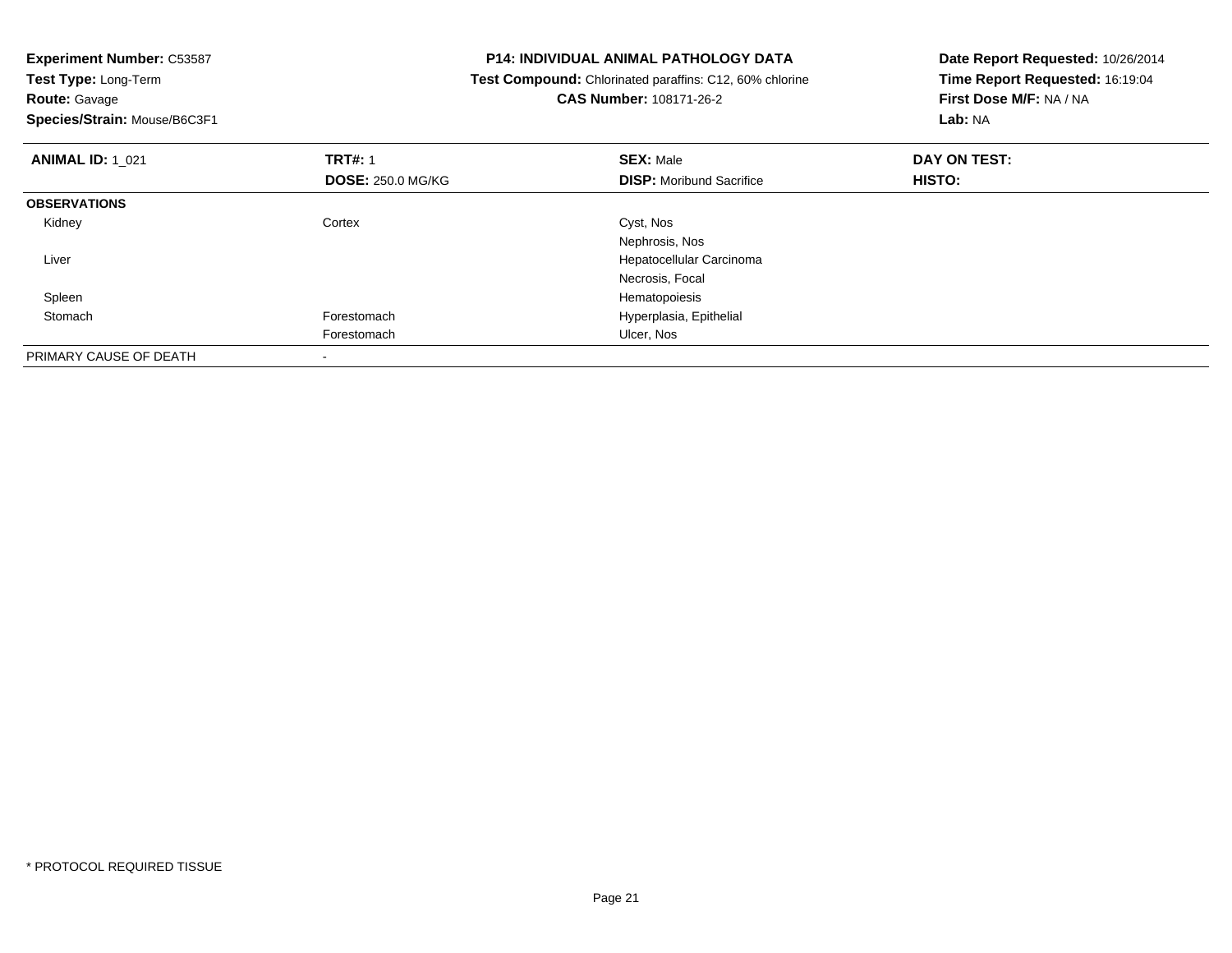| <b>Experiment Number: C53587</b>          | <b>P14: INDIVIDUAL ANIMAL PATHOLOGY DATA</b>                   | Date Report Requested: 10/26/2014 |  |
|-------------------------------------------|----------------------------------------------------------------|-----------------------------------|--|
| Test Type: Long-Term                      | <b>Test Compound:</b> Chlorinated paraffins: C12, 60% chlorine | Time Report Requested: 16:19:04   |  |
| Route: Gavage                             | <b>CAS Number: 108171-26-2</b>                                 | First Dose M/F: NA / NA           |  |
| Species/Strain: Mouse/B6C3F1              |                                                                | Lab: NA                           |  |
| <b>TRT#: 1</b><br><b>ANIMAL ID: 1 021</b> | <b>SEX: Male</b>                                               | DAY ON TEST:                      |  |
| <b>DOSE: 250.0 MG/KG</b>                  | <b>DISP:</b> Moribund Sacrifice                                | HISTO:                            |  |
| <b>OBSERVATIONS</b>                       |                                                                |                                   |  |
| Cortex<br>Kidney                          | Cyst, Nos                                                      |                                   |  |
|                                           | Nephrosis, Nos                                                 |                                   |  |
| Liver                                     | Hepatocellular Carcinoma                                       |                                   |  |
|                                           | Necrosis, Focal                                                |                                   |  |
| Spleen                                    | Hematopoiesis                                                  |                                   |  |
| Stomach<br>Forestomach                    | Hyperplasia, Epithelial                                        |                                   |  |
| Forestomach                               | Ulcer, Nos                                                     |                                   |  |
| PRIMARY CAUSE OF DEATH                    |                                                                |                                   |  |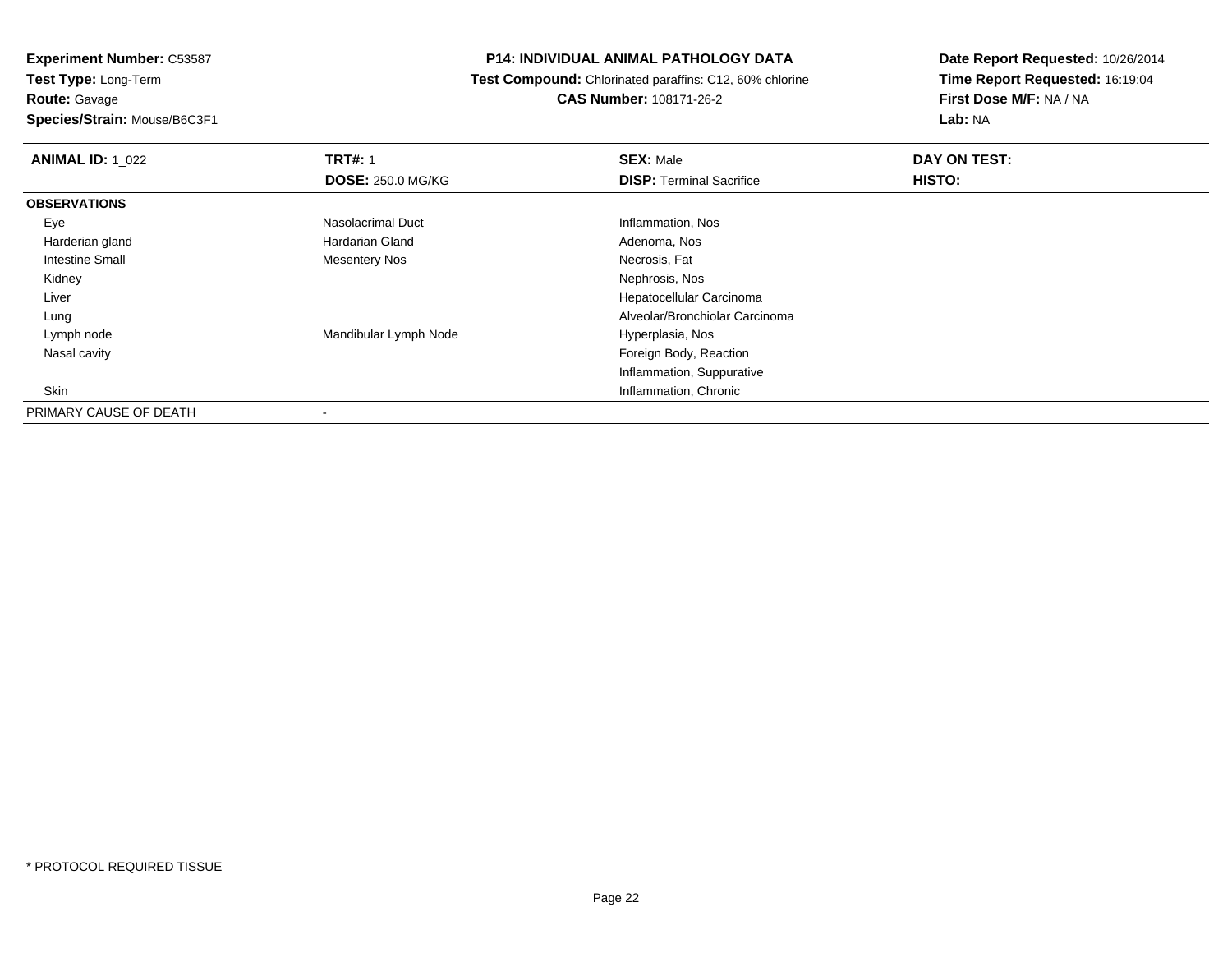**Experiment Number:** C53587**Test Type:** Long-Term**Route:** Gavage**Species/Strain:** Mouse/B6C3F1

## **P14: INDIVIDUAL ANIMAL PATHOLOGY DATA**

 **Test Compound:** Chlorinated paraffins: C12, 60% chlorine**CAS Number:** 108171-26-2

| <b>ANIMAL ID: 1 022</b> | <b>TRT#: 1</b>           | <b>SEX: Male</b>                | DAY ON TEST: |  |
|-------------------------|--------------------------|---------------------------------|--------------|--|
|                         | <b>DOSE: 250.0 MG/KG</b> | <b>DISP: Terminal Sacrifice</b> | HISTO:       |  |
| <b>OBSERVATIONS</b>     |                          |                                 |              |  |
| Eye                     | Nasolacrimal Duct        | Inflammation, Nos               |              |  |
| Harderian gland         | Hardarian Gland          | Adenoma, Nos                    |              |  |
| Intestine Small         | <b>Mesentery Nos</b>     | Necrosis, Fat                   |              |  |
| Kidney                  |                          | Nephrosis, Nos                  |              |  |
| Liver                   |                          | Hepatocellular Carcinoma        |              |  |
| Lung                    |                          | Alveolar/Bronchiolar Carcinoma  |              |  |
| Lymph node              | Mandibular Lymph Node    | Hyperplasia, Nos                |              |  |
| Nasal cavity            |                          | Foreign Body, Reaction          |              |  |
|                         |                          | Inflammation, Suppurative       |              |  |
| Skin                    |                          | Inflammation, Chronic           |              |  |
| PRIMARY CAUSE OF DEATH  | $\overline{\phantom{a}}$ |                                 |              |  |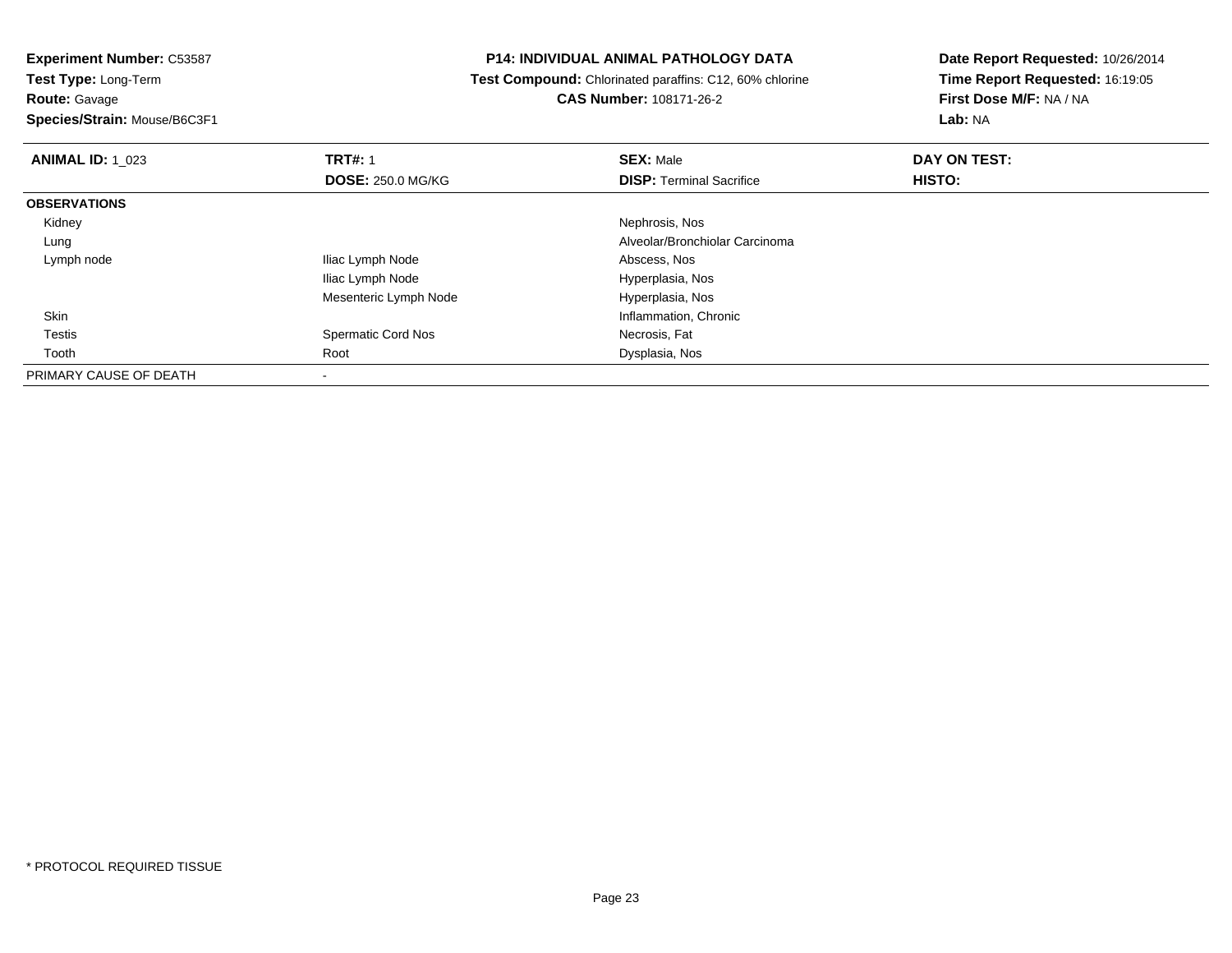**Route:** Gavage

**Species/Strain:** Mouse/B6C3F1

## **P14: INDIVIDUAL ANIMAL PATHOLOGY DATA**

 **Test Compound:** Chlorinated paraffins: C12, 60% chlorine**CAS Number:** 108171-26-2

| <b>ANIMAL ID: 1 023</b> | <b>TRT#: 1</b>            | <b>SEX: Male</b>                | DAY ON TEST: |  |
|-------------------------|---------------------------|---------------------------------|--------------|--|
|                         | <b>DOSE: 250.0 MG/KG</b>  | <b>DISP: Terminal Sacrifice</b> | HISTO:       |  |
| <b>OBSERVATIONS</b>     |                           |                                 |              |  |
| Kidney                  |                           | Nephrosis, Nos                  |              |  |
| Lung                    |                           | Alveolar/Bronchiolar Carcinoma  |              |  |
| Lymph node              | Iliac Lymph Node          | Abscess, Nos                    |              |  |
|                         | Iliac Lymph Node          | Hyperplasia, Nos                |              |  |
|                         | Mesenteric Lymph Node     | Hyperplasia, Nos                |              |  |
| Skin                    |                           | Inflammation, Chronic           |              |  |
| <b>Testis</b>           | <b>Spermatic Cord Nos</b> | Necrosis, Fat                   |              |  |
| Tooth                   | Root                      | Dysplasia, Nos                  |              |  |
| PRIMARY CAUSE OF DEATH  |                           |                                 |              |  |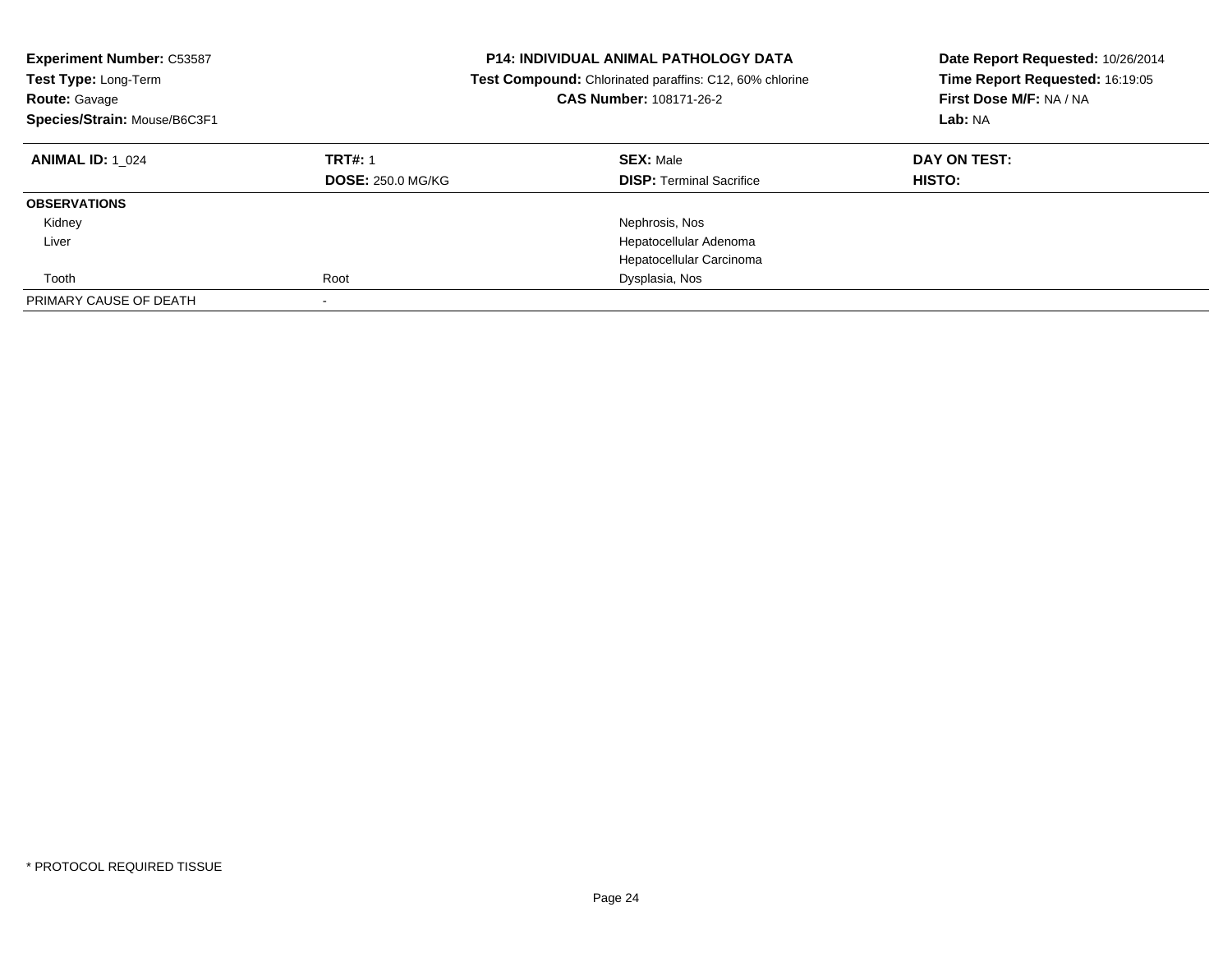| <b>Experiment Number: C53587</b><br>Test Type: Long-Term<br><b>Route: Gavage</b><br>Species/Strain: Mouse/B6C3F1 |                                            | <b>P14: INDIVIDUAL ANIMAL PATHOLOGY DATA</b><br>Date Report Requested: 10/26/2014<br>Time Report Requested: 16:19:05<br>Test Compound: Chlorinated paraffins: C12, 60% chlorine<br>First Dose M/F: NA / NA<br>CAS Number: 108171-26-2<br>Lab: NA |                        |
|------------------------------------------------------------------------------------------------------------------|--------------------------------------------|--------------------------------------------------------------------------------------------------------------------------------------------------------------------------------------------------------------------------------------------------|------------------------|
| <b>ANIMAL ID: 1 024</b>                                                                                          | <b>TRT#: 1</b><br><b>DOSE: 250.0 MG/KG</b> | <b>SEX: Male</b><br><b>DISP:</b> Terminal Sacrifice                                                                                                                                                                                              | DAY ON TEST:<br>HISTO: |
| <b>OBSERVATIONS</b>                                                                                              |                                            |                                                                                                                                                                                                                                                  |                        |
| Kidney                                                                                                           |                                            | Nephrosis, Nos                                                                                                                                                                                                                                   |                        |
| Liver                                                                                                            |                                            | Hepatocellular Adenoma                                                                                                                                                                                                                           |                        |
|                                                                                                                  |                                            | Hepatocellular Carcinoma                                                                                                                                                                                                                         |                        |
| Tooth                                                                                                            | Root                                       | Dysplasia, Nos                                                                                                                                                                                                                                   |                        |
| PRIMARY CAUSE OF DEATH                                                                                           |                                            |                                                                                                                                                                                                                                                  |                        |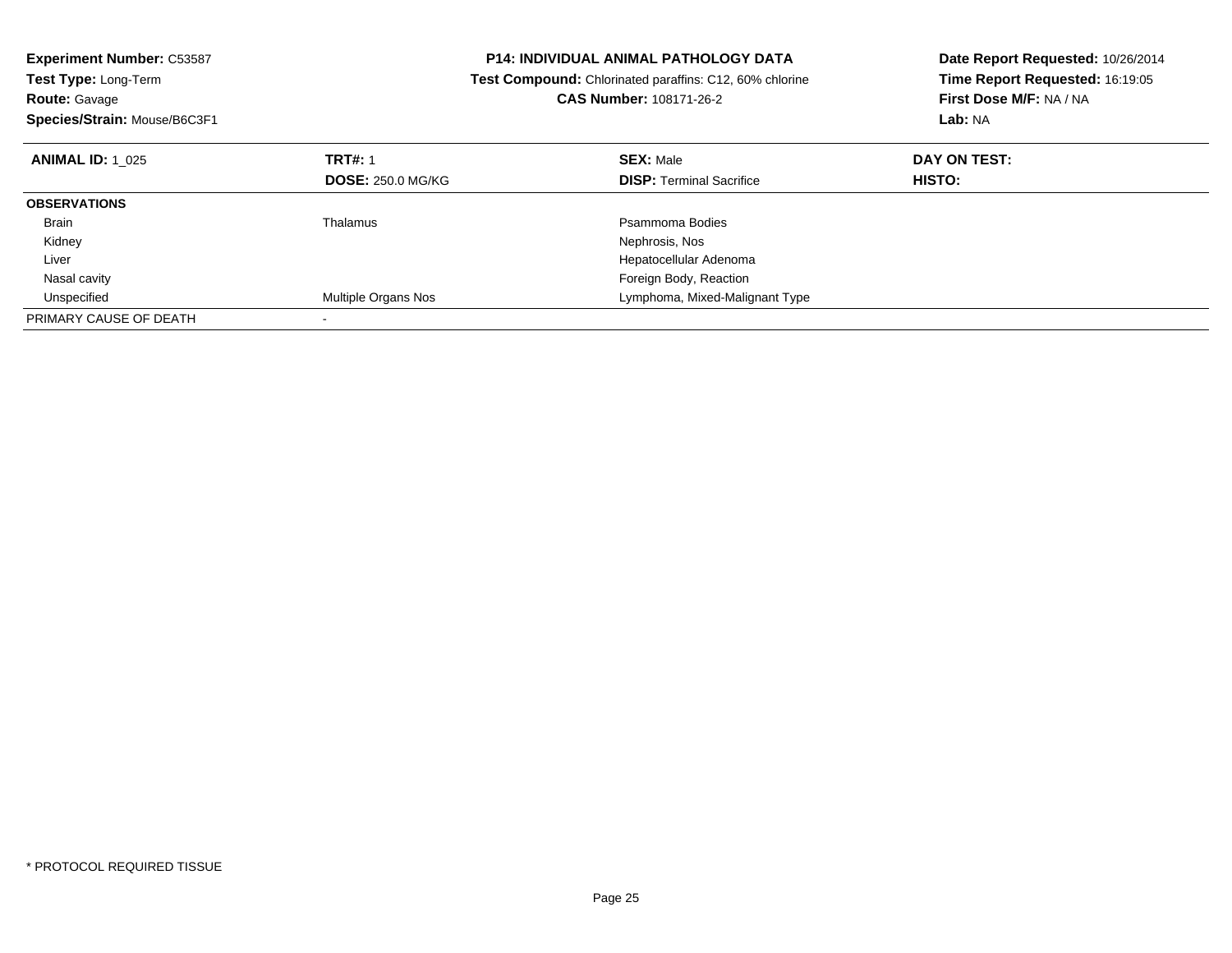| <b>Experiment Number: C53587</b> |                          | <b>P14: INDIVIDUAL ANIMAL PATHOLOGY DATA</b>                   | Date Report Requested: 10/26/2014<br>Time Report Requested: 16:19:05 |  |
|----------------------------------|--------------------------|----------------------------------------------------------------|----------------------------------------------------------------------|--|
| <b>Test Type: Long-Term</b>      |                          | <b>Test Compound:</b> Chlorinated paraffins: C12, 60% chlorine |                                                                      |  |
| <b>Route: Gavage</b>             |                          | <b>CAS Number: 108171-26-2</b>                                 | First Dose M/F: NA / NA                                              |  |
| Species/Strain: Mouse/B6C3F1     |                          |                                                                | Lab: NA                                                              |  |
| <b>ANIMAL ID: 1 025</b>          | <b>TRT#: 1</b>           | <b>SEX: Male</b>                                               | DAY ON TEST:                                                         |  |
|                                  | <b>DOSE: 250.0 MG/KG</b> | <b>DISP:</b> Terminal Sacrifice                                | HISTO:                                                               |  |
| <b>OBSERVATIONS</b>              |                          |                                                                |                                                                      |  |
| Brain                            | Thalamus                 | Psammoma Bodies                                                |                                                                      |  |
| Kidney                           |                          | Nephrosis, Nos                                                 |                                                                      |  |
| Liver                            |                          | Hepatocellular Adenoma                                         |                                                                      |  |
| Nasal cavity                     |                          | Foreign Body, Reaction                                         |                                                                      |  |
| Unspecified                      | Multiple Organs Nos      | Lymphoma, Mixed-Malignant Type                                 |                                                                      |  |
| PRIMARY CAUSE OF DEATH           |                          |                                                                |                                                                      |  |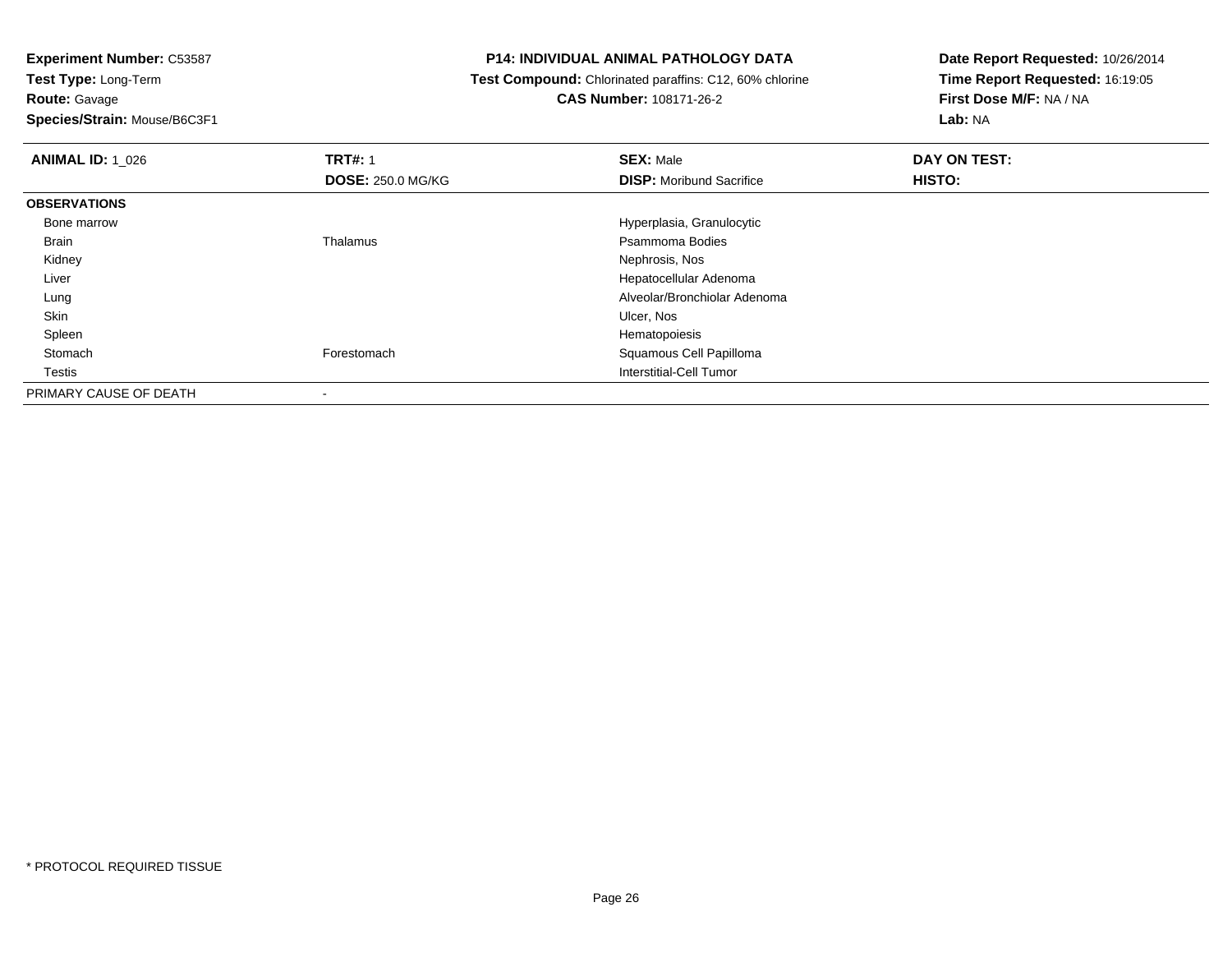**Experiment Number:** C53587**Test Type:** Long-Term**Route:** Gavage

**Species/Strain:** Mouse/B6C3F1

## **P14: INDIVIDUAL ANIMAL PATHOLOGY DATA**

 **Test Compound:** Chlorinated paraffins: C12, 60% chlorine**CAS Number:** 108171-26-2

| <b>ANIMAL ID: 1 026</b> | <b>TRT#: 1</b>           | <b>SEX: Male</b>                | DAY ON TEST: |  |
|-------------------------|--------------------------|---------------------------------|--------------|--|
|                         | <b>DOSE: 250.0 MG/KG</b> | <b>DISP:</b> Moribund Sacrifice | HISTO:       |  |
| <b>OBSERVATIONS</b>     |                          |                                 |              |  |
| Bone marrow             |                          | Hyperplasia, Granulocytic       |              |  |
| Brain                   | Thalamus                 | Psammoma Bodies                 |              |  |
| Kidney                  |                          | Nephrosis, Nos                  |              |  |
| Liver                   |                          | Hepatocellular Adenoma          |              |  |
| Lung                    |                          | Alveolar/Bronchiolar Adenoma    |              |  |
| Skin                    |                          | Ulcer, Nos                      |              |  |
| Spleen                  |                          | Hematopoiesis                   |              |  |
| Stomach                 | Forestomach              | Squamous Cell Papilloma         |              |  |
| Testis                  |                          | Interstitial-Cell Tumor         |              |  |
| PRIMARY CAUSE OF DEATH  | $\overline{\phantom{a}}$ |                                 |              |  |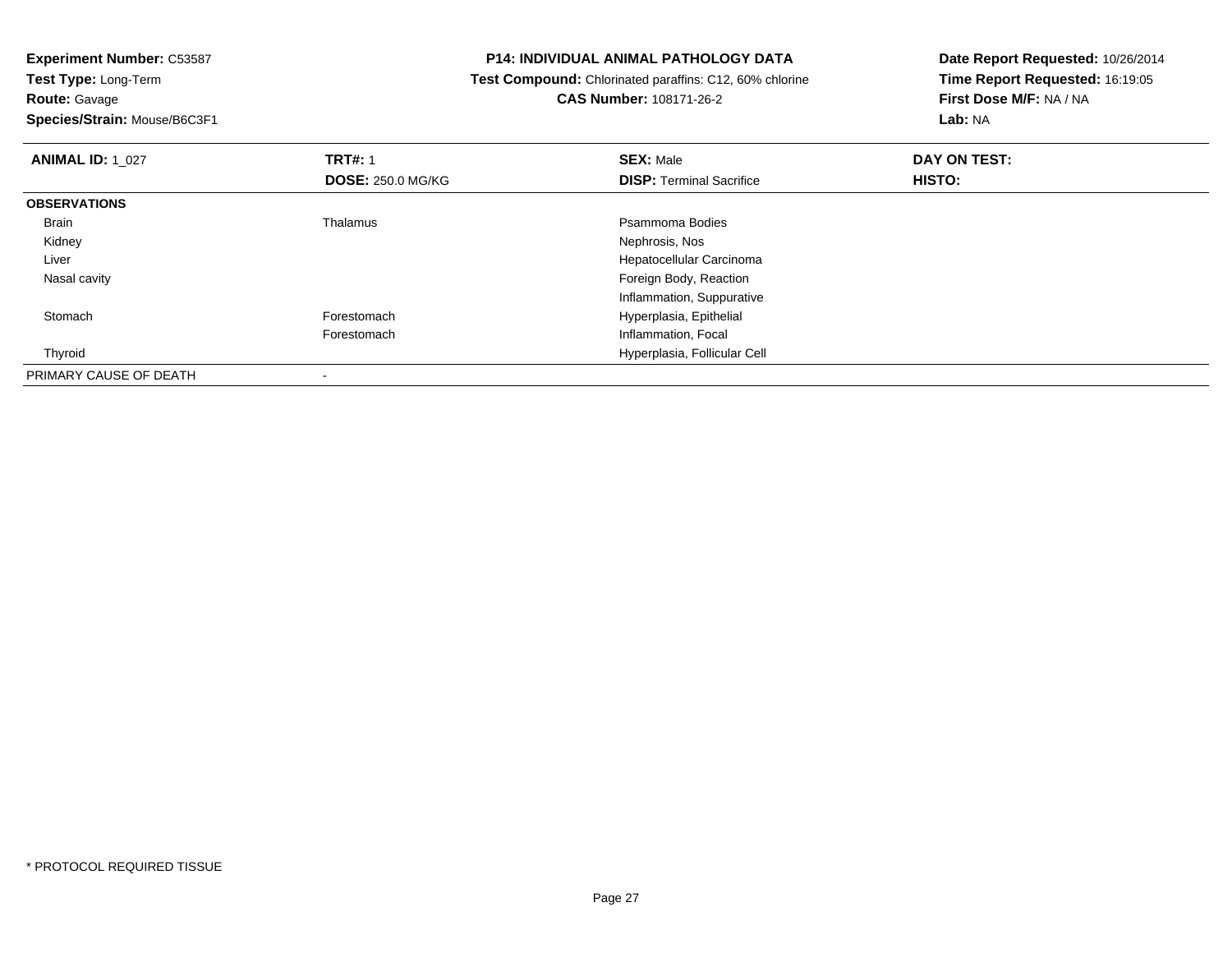**Experiment Number:** C53587**Test Type:** Long-Term**Route:** Gavage

**Species/Strain:** Mouse/B6C3F1

## **P14: INDIVIDUAL ANIMAL PATHOLOGY DATA**

 **Test Compound:** Chlorinated paraffins: C12, 60% chlorine**CAS Number:** 108171-26-2

| <b>ANIMAL ID: 1 027</b> | <b>TRT#: 1</b>           | <b>SEX: Male</b>                | DAY ON TEST: |  |
|-------------------------|--------------------------|---------------------------------|--------------|--|
|                         | <b>DOSE: 250.0 MG/KG</b> | <b>DISP:</b> Terminal Sacrifice | HISTO:       |  |
| <b>OBSERVATIONS</b>     |                          |                                 |              |  |
| Brain                   | Thalamus                 | Psammoma Bodies                 |              |  |
| Kidney                  |                          | Nephrosis, Nos                  |              |  |
| Liver                   |                          | Hepatocellular Carcinoma        |              |  |
| Nasal cavity            |                          | Foreign Body, Reaction          |              |  |
|                         |                          | Inflammation, Suppurative       |              |  |
| Stomach                 | Forestomach              | Hyperplasia, Epithelial         |              |  |
|                         | Forestomach              | Inflammation, Focal             |              |  |
| Thyroid                 |                          | Hyperplasia, Follicular Cell    |              |  |
| PRIMARY CAUSE OF DEATH  |                          |                                 |              |  |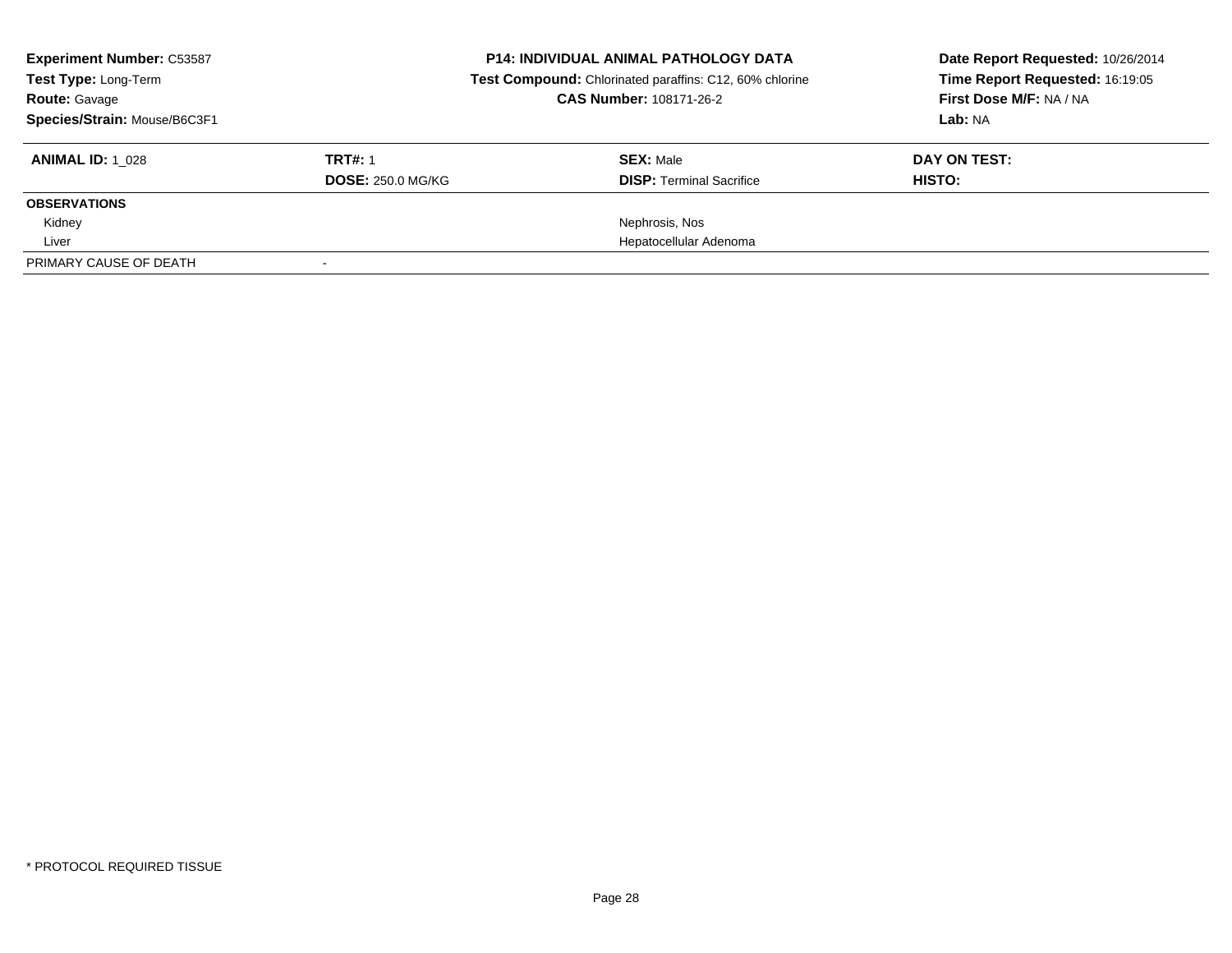| <b>Experiment Number: C53587</b><br>Test Type: Long-Term<br><b>Route: Gavage</b><br>Species/Strain: Mouse/B6C3F1 |                                            | <b>P14: INDIVIDUAL ANIMAL PATHOLOGY DATA</b><br>Test Compound: Chlorinated paraffins: C12, 60% chlorine<br><b>CAS Number: 108171-26-2</b> | Date Report Requested: 10/26/2014<br>Time Report Requested: 16:19:05<br>First Dose M/F: NA / NA<br>Lab: NA |  |
|------------------------------------------------------------------------------------------------------------------|--------------------------------------------|-------------------------------------------------------------------------------------------------------------------------------------------|------------------------------------------------------------------------------------------------------------|--|
| <b>ANIMAL ID: 1 028</b>                                                                                          | <b>TRT#: 1</b><br><b>DOSE: 250.0 MG/KG</b> | <b>SEX: Male</b><br><b>DISP: Terminal Sacrifice</b>                                                                                       | DAY ON TEST:<br>HISTO:                                                                                     |  |
| <b>OBSERVATIONS</b>                                                                                              |                                            |                                                                                                                                           |                                                                                                            |  |
| Kidney                                                                                                           |                                            | Nephrosis, Nos                                                                                                                            |                                                                                                            |  |
| Liver                                                                                                            |                                            | Hepatocellular Adenoma                                                                                                                    |                                                                                                            |  |
| PRIMARY CAUSE OF DEATH                                                                                           |                                            |                                                                                                                                           |                                                                                                            |  |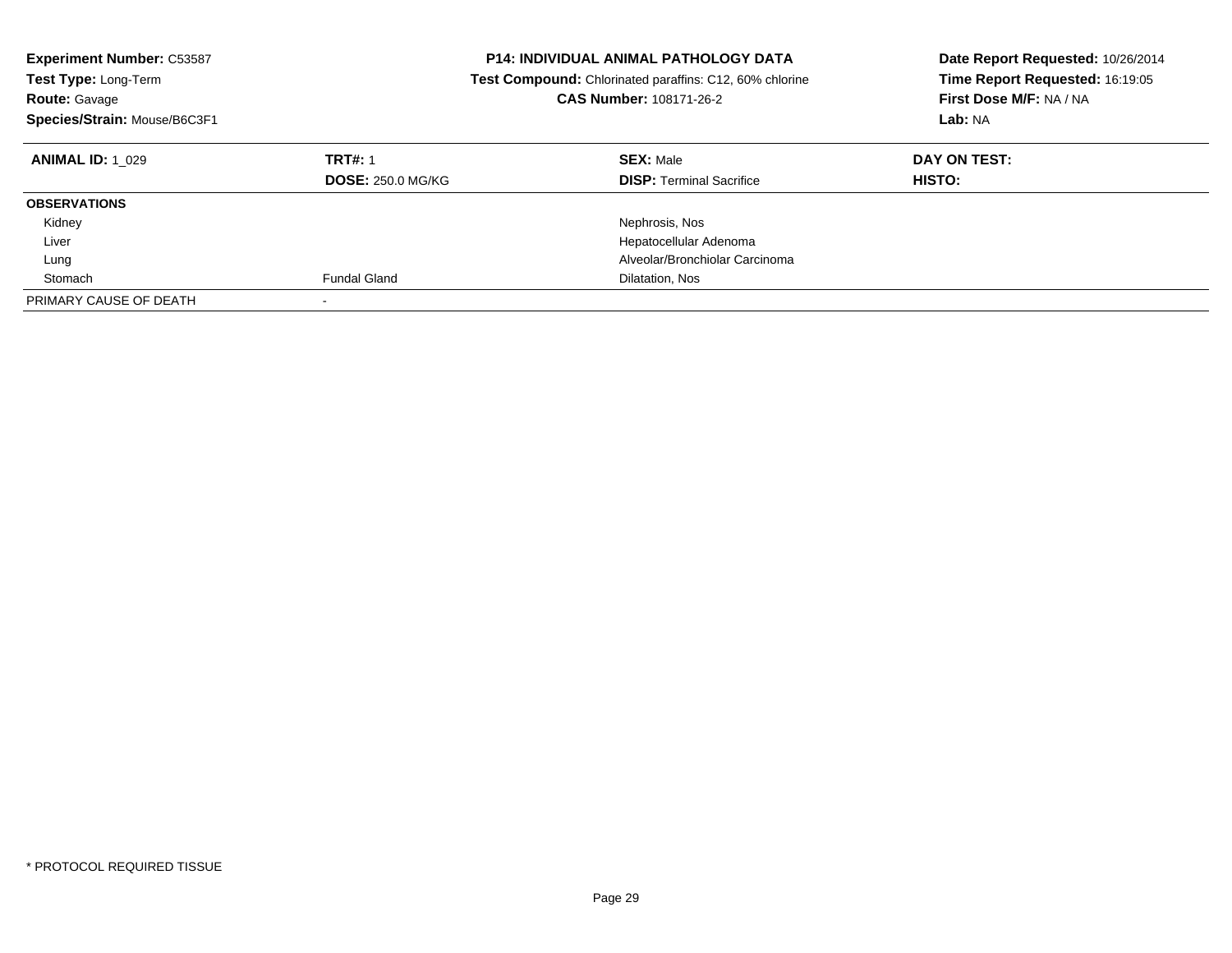| <b>Experiment Number: C53587</b><br><b>Test Type: Long-Term</b><br><b>Route: Gavage</b><br>Species/Strain: Mouse/B6C3F1 |                                            | <b>P14: INDIVIDUAL ANIMAL PATHOLOGY DATA</b><br><b>Test Compound:</b> Chlorinated paraffins: C12, 60% chlorine<br>CAS Number: 108171-26-2 | Date Report Requested: 10/26/2014<br>Time Report Requested: 16:19:05<br>First Dose M/F: NA / NA<br>Lab: NA |
|-------------------------------------------------------------------------------------------------------------------------|--------------------------------------------|-------------------------------------------------------------------------------------------------------------------------------------------|------------------------------------------------------------------------------------------------------------|
| <b>ANIMAL ID: 1 029</b>                                                                                                 | <b>TRT#: 1</b><br><b>DOSE: 250.0 MG/KG</b> | <b>SEX: Male</b><br><b>DISP:</b> Terminal Sacrifice                                                                                       | DAY ON TEST:<br><b>HISTO:</b>                                                                              |
| <b>OBSERVATIONS</b>                                                                                                     |                                            |                                                                                                                                           |                                                                                                            |
| Kidney                                                                                                                  |                                            | Nephrosis, Nos                                                                                                                            |                                                                                                            |
| Liver                                                                                                                   |                                            | Hepatocellular Adenoma                                                                                                                    |                                                                                                            |
| Lung                                                                                                                    |                                            | Alveolar/Bronchiolar Carcinoma                                                                                                            |                                                                                                            |
| Stomach                                                                                                                 | <b>Fundal Gland</b>                        | Dilatation, Nos                                                                                                                           |                                                                                                            |
| PRIMARY CAUSE OF DEATH                                                                                                  |                                            |                                                                                                                                           |                                                                                                            |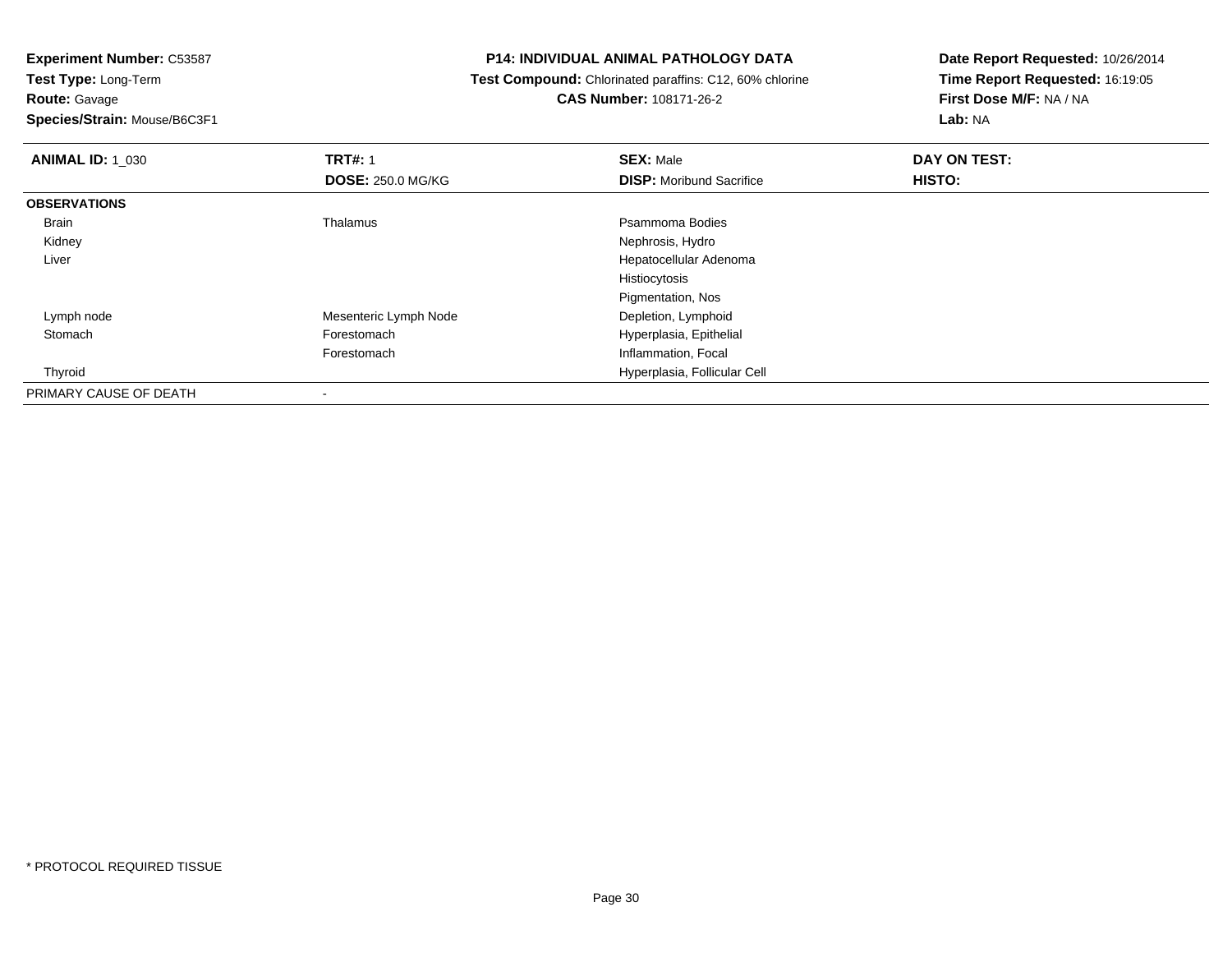**Route:** Gavage

**Species/Strain:** Mouse/B6C3F1

## **P14: INDIVIDUAL ANIMAL PATHOLOGY DATA**

 **Test Compound:** Chlorinated paraffins: C12, 60% chlorine**CAS Number:** 108171-26-2

| <b>ANIMAL ID: 1 030</b> | <b>TRT#: 1</b>           | <b>SEX: Male</b>                | DAY ON TEST: |  |
|-------------------------|--------------------------|---------------------------------|--------------|--|
|                         | <b>DOSE: 250.0 MG/KG</b> | <b>DISP:</b> Moribund Sacrifice | HISTO:       |  |
| <b>OBSERVATIONS</b>     |                          |                                 |              |  |
| Brain                   | Thalamus                 | Psammoma Bodies                 |              |  |
| Kidney                  |                          | Nephrosis, Hydro                |              |  |
| Liver                   |                          | Hepatocellular Adenoma          |              |  |
|                         |                          | Histiocytosis                   |              |  |
|                         |                          | Pigmentation, Nos               |              |  |
| Lymph node              | Mesenteric Lymph Node    | Depletion, Lymphoid             |              |  |
| Stomach                 | Forestomach              | Hyperplasia, Epithelial         |              |  |
|                         | Forestomach              | Inflammation, Focal             |              |  |
| Thyroid                 |                          | Hyperplasia, Follicular Cell    |              |  |
| PRIMARY CAUSE OF DEATH  |                          |                                 |              |  |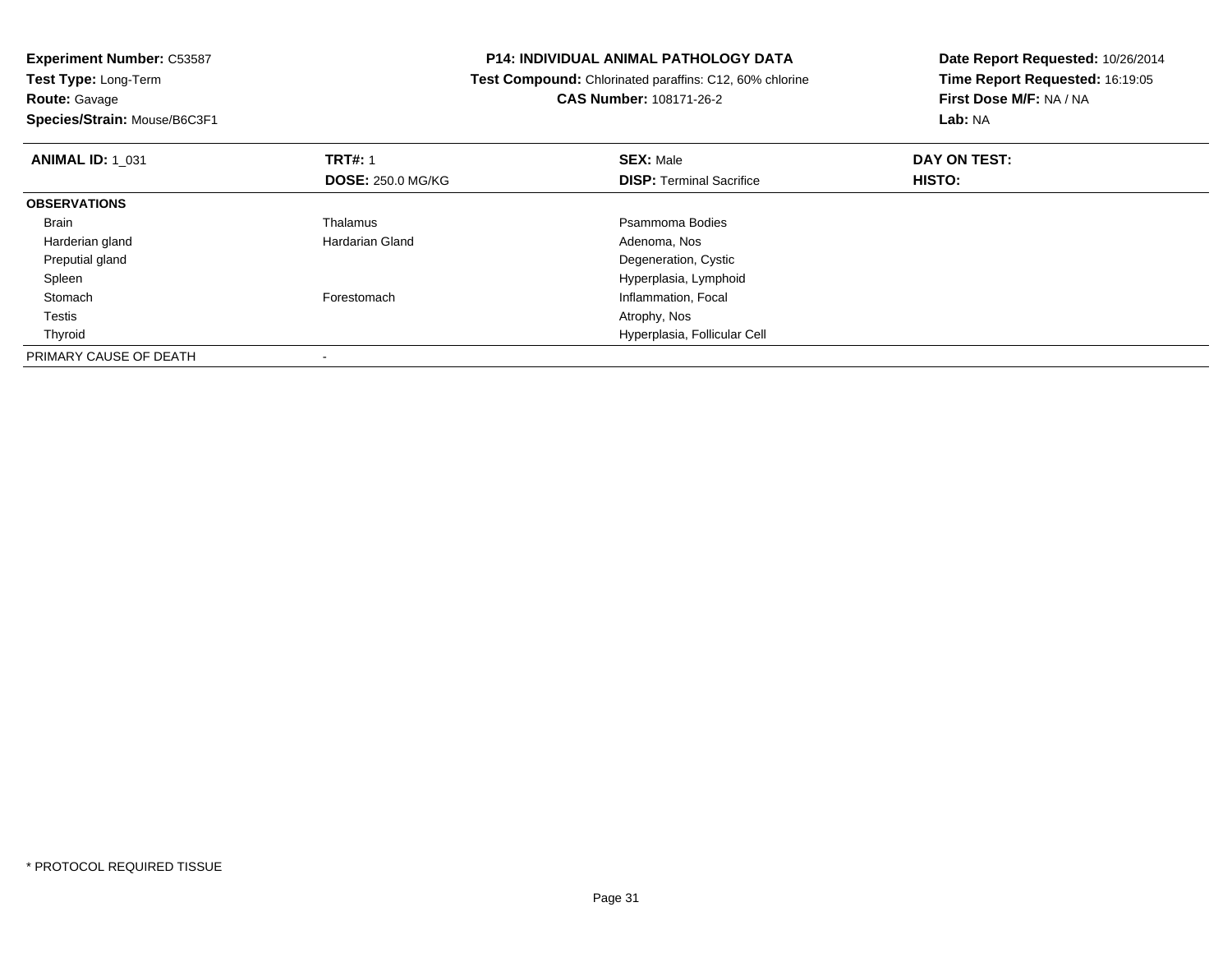**Experiment Number:** C53587**Test Type:** Long-Term**Route:** Gavage **Species/Strain:** Mouse/B6C3F1**P14: INDIVIDUAL ANIMAL PATHOLOGY DATA Test Compound:** Chlorinated paraffins: C12, 60% chlorine**CAS Number:** 108171-26-2**Date Report Requested:** 10/26/2014**Time Report Requested:** 16:19:05**First Dose M/F:** NA / NA**Lab:** NA**ANIMAL ID:** 1\_031**TRT#:** 1 **SEX:** Male **DAY ON TEST: DOSE:** 250.0 MG/KG**DISP:** Terminal Sacrifice **HISTO: OBSERVATIONS** Brainn and the control of the Thalamus and the control of the Psammoma Bodies and the Psammoma Bodies of the Psammoma Bodies and the Psammoma Bodies of the Psammoma Bodies of the Psammoma Bodies of the Psammoma Bodies of the Ps Harderian glandHardarian Gland **Adenoma**, Nos Preputial gland Degeneration, Cystic SpleenHyperplasia, Lymphoid<br>
Forestomach entity and the method of the method of the method of the method of the method of the method of th<br>
Here is a method of the method of the method of the method of the method of the method o StomachInflammation, Focal<br>Atrophy, Nos Testiss and the contract of the contract of the contract of the contract of the contract of the contract of the contract of the contract of the contract of the contract of the contract of the contract of the contract of the cont Thyroid Hyperplasia, Follicular Cell PRIMARY CAUSE OF DEATH-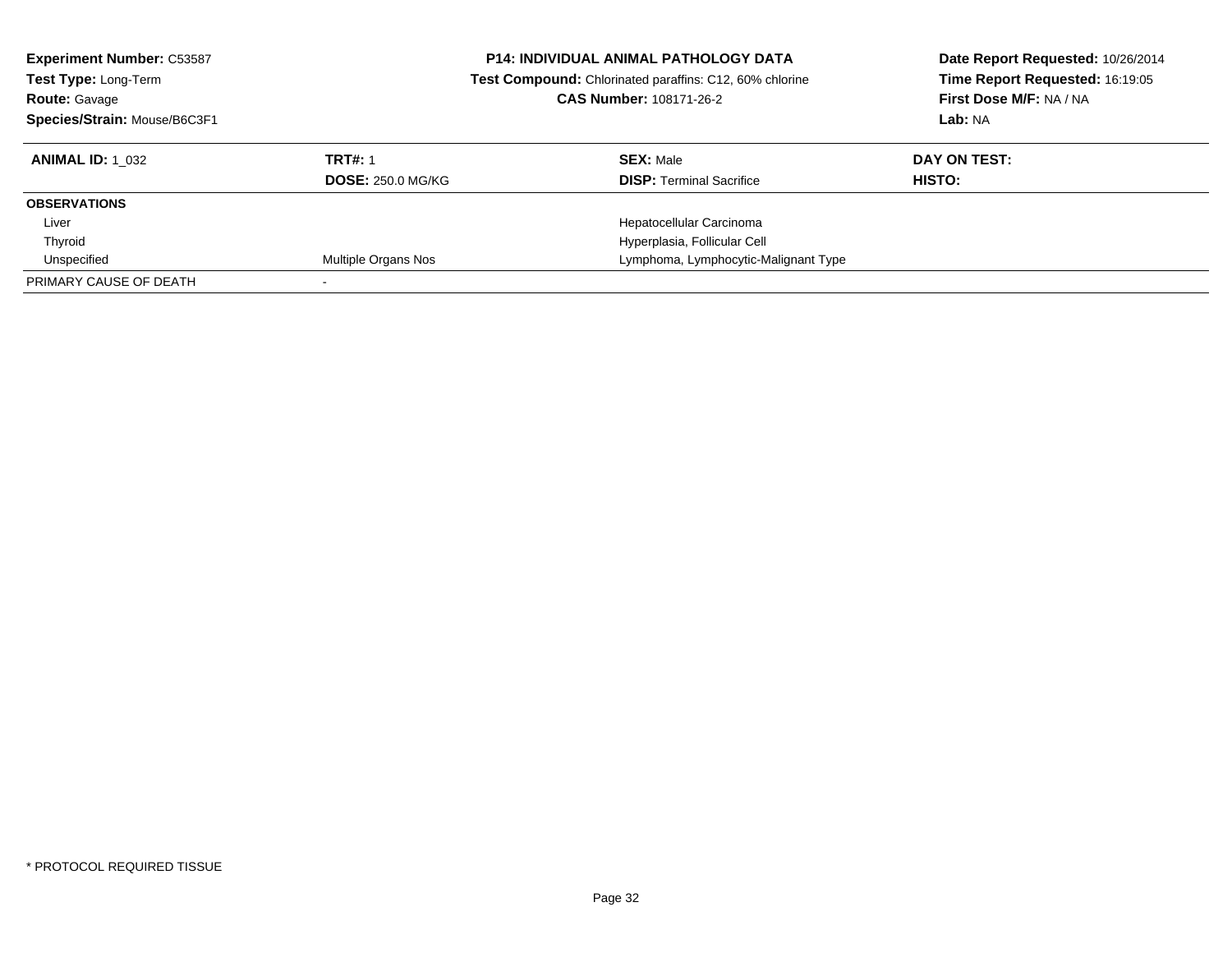| <b>Experiment Number: C53587</b><br>Test Type: Long-Term<br><b>Route: Gavage</b><br>Species/Strain: Mouse/B6C3F1 |                          | <b>P14: INDIVIDUAL ANIMAL PATHOLOGY DATA</b><br>Test Compound: Chlorinated paraffins: C12, 60% chlorine<br><b>CAS Number: 108171-26-2</b> | Date Report Requested: 10/26/2014<br>Time Report Requested: 16:19:05<br>First Dose M/F: NA / NA<br>Lab: NA |
|------------------------------------------------------------------------------------------------------------------|--------------------------|-------------------------------------------------------------------------------------------------------------------------------------------|------------------------------------------------------------------------------------------------------------|
| <b>ANIMAL ID:</b> 1 032                                                                                          | <b>TRT#: 1</b>           | <b>SEX: Male</b>                                                                                                                          | DAY ON TEST:                                                                                               |
|                                                                                                                  | <b>DOSE: 250.0 MG/KG</b> | <b>DISP:</b> Terminal Sacrifice                                                                                                           | <b>HISTO:</b>                                                                                              |
| <b>OBSERVATIONS</b>                                                                                              |                          |                                                                                                                                           |                                                                                                            |
| Liver                                                                                                            |                          | Hepatocellular Carcinoma                                                                                                                  |                                                                                                            |
| Thyroid                                                                                                          |                          | Hyperplasia, Follicular Cell                                                                                                              |                                                                                                            |
| Unspecified                                                                                                      | Multiple Organs Nos      | Lymphoma, Lymphocytic-Malignant Type                                                                                                      |                                                                                                            |
| PRIMARY CAUSE OF DEATH                                                                                           |                          |                                                                                                                                           |                                                                                                            |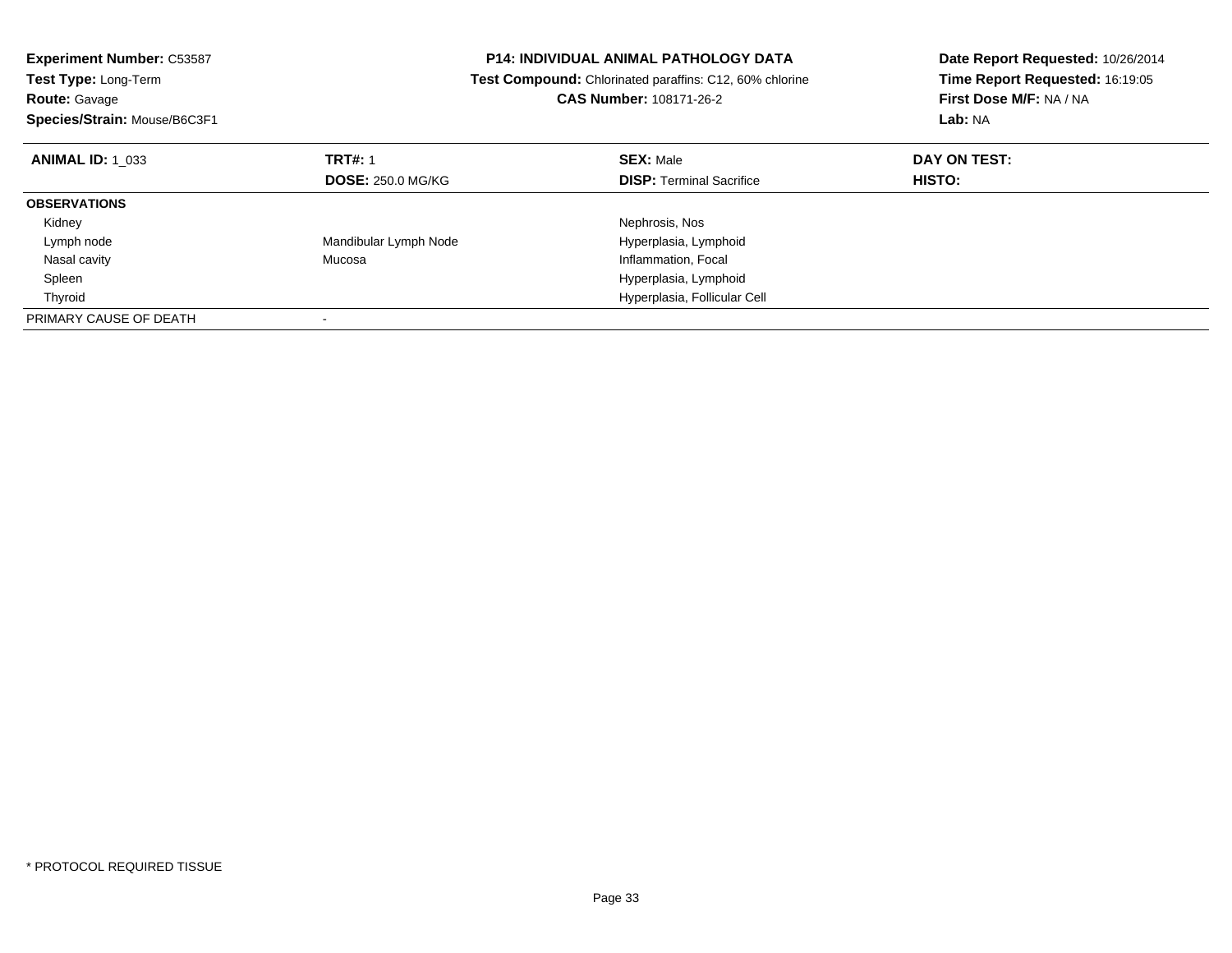| <b>Experiment Number: C53587</b><br>Test Type: Long-Term |                          | <b>P14: INDIVIDUAL ANIMAL PATHOLOGY DATA</b><br>Test Compound: Chlorinated paraffins: C12, 60% chlorine | Date Report Requested: 10/26/2014<br>Time Report Requested: 16:19:05 |
|----------------------------------------------------------|--------------------------|---------------------------------------------------------------------------------------------------------|----------------------------------------------------------------------|
| <b>Route: Gavage</b>                                     |                          | <b>CAS Number: 108171-26-2</b>                                                                          | First Dose M/F: NA / NA                                              |
| Species/Strain: Mouse/B6C3F1                             |                          |                                                                                                         | Lab: NA                                                              |
| <b>ANIMAL ID: 1 033</b>                                  | <b>TRT#: 1</b>           | <b>SEX: Male</b>                                                                                        | DAY ON TEST:                                                         |
|                                                          | <b>DOSE: 250.0 MG/KG</b> | <b>DISP: Terminal Sacrifice</b>                                                                         | HISTO:                                                               |
| <b>OBSERVATIONS</b>                                      |                          |                                                                                                         |                                                                      |
| Kidney                                                   |                          | Nephrosis, Nos                                                                                          |                                                                      |
| Lymph node                                               | Mandibular Lymph Node    | Hyperplasia, Lymphoid                                                                                   |                                                                      |
| Nasal cavity                                             | Mucosa                   | Inflammation, Focal                                                                                     |                                                                      |
| Spleen                                                   |                          | Hyperplasia, Lymphoid                                                                                   |                                                                      |
| Thyroid                                                  |                          | Hyperplasia, Follicular Cell                                                                            |                                                                      |
| PRIMARY CAUSE OF DEATH                                   |                          |                                                                                                         |                                                                      |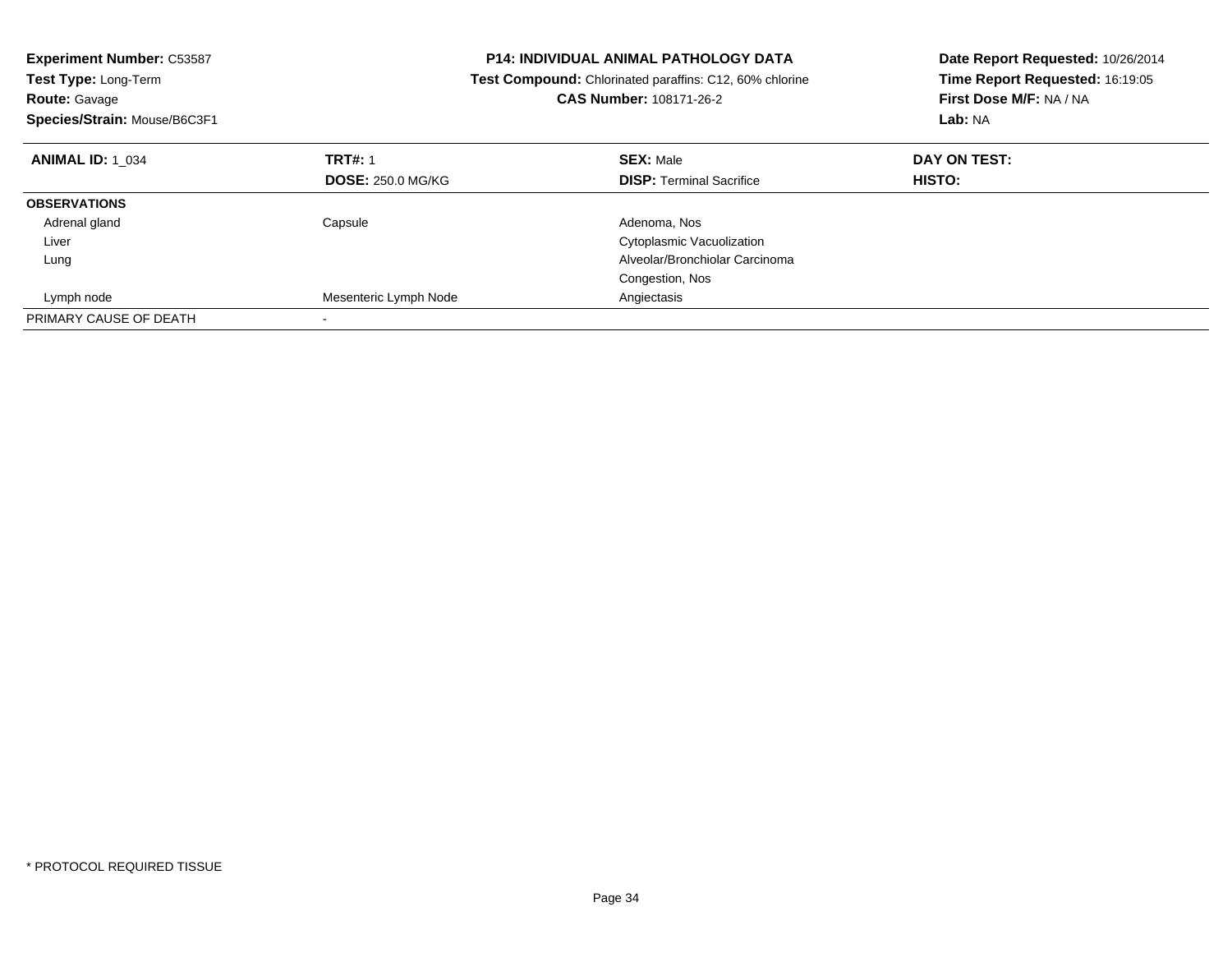| <b>Experiment Number: C53587</b><br><b>Test Type: Long-Term</b><br><b>Route: Gavage</b><br>Species/Strain: Mouse/B6C3F1 |                          | <b>P14: INDIVIDUAL ANIMAL PATHOLOGY DATA</b><br>Test Compound: Chlorinated paraffins: C12, 60% chlorine<br>CAS Number: 108171-26-2 | Date Report Requested: 10/26/2014<br>Time Report Requested: 16:19:05<br>First Dose M/F: NA / NA<br>Lab: NA |
|-------------------------------------------------------------------------------------------------------------------------|--------------------------|------------------------------------------------------------------------------------------------------------------------------------|------------------------------------------------------------------------------------------------------------|
| <b>ANIMAL ID: 1 034</b>                                                                                                 | <b>TRT#: 1</b>           | <b>SEX: Male</b>                                                                                                                   | DAY ON TEST:                                                                                               |
|                                                                                                                         | <b>DOSE: 250.0 MG/KG</b> | <b>DISP:</b> Terminal Sacrifice                                                                                                    | <b>HISTO:</b>                                                                                              |
| <b>OBSERVATIONS</b>                                                                                                     |                          |                                                                                                                                    |                                                                                                            |
| Adrenal gland                                                                                                           | Capsule                  | Adenoma, Nos                                                                                                                       |                                                                                                            |
| Liver                                                                                                                   |                          | Cytoplasmic Vacuolization                                                                                                          |                                                                                                            |
| Lung                                                                                                                    |                          | Alveolar/Bronchiolar Carcinoma                                                                                                     |                                                                                                            |
|                                                                                                                         |                          | Congestion, Nos                                                                                                                    |                                                                                                            |
| Lymph node                                                                                                              | Mesenteric Lymph Node    | Angiectasis                                                                                                                        |                                                                                                            |
| PRIMARY CAUSE OF DEATH                                                                                                  |                          |                                                                                                                                    |                                                                                                            |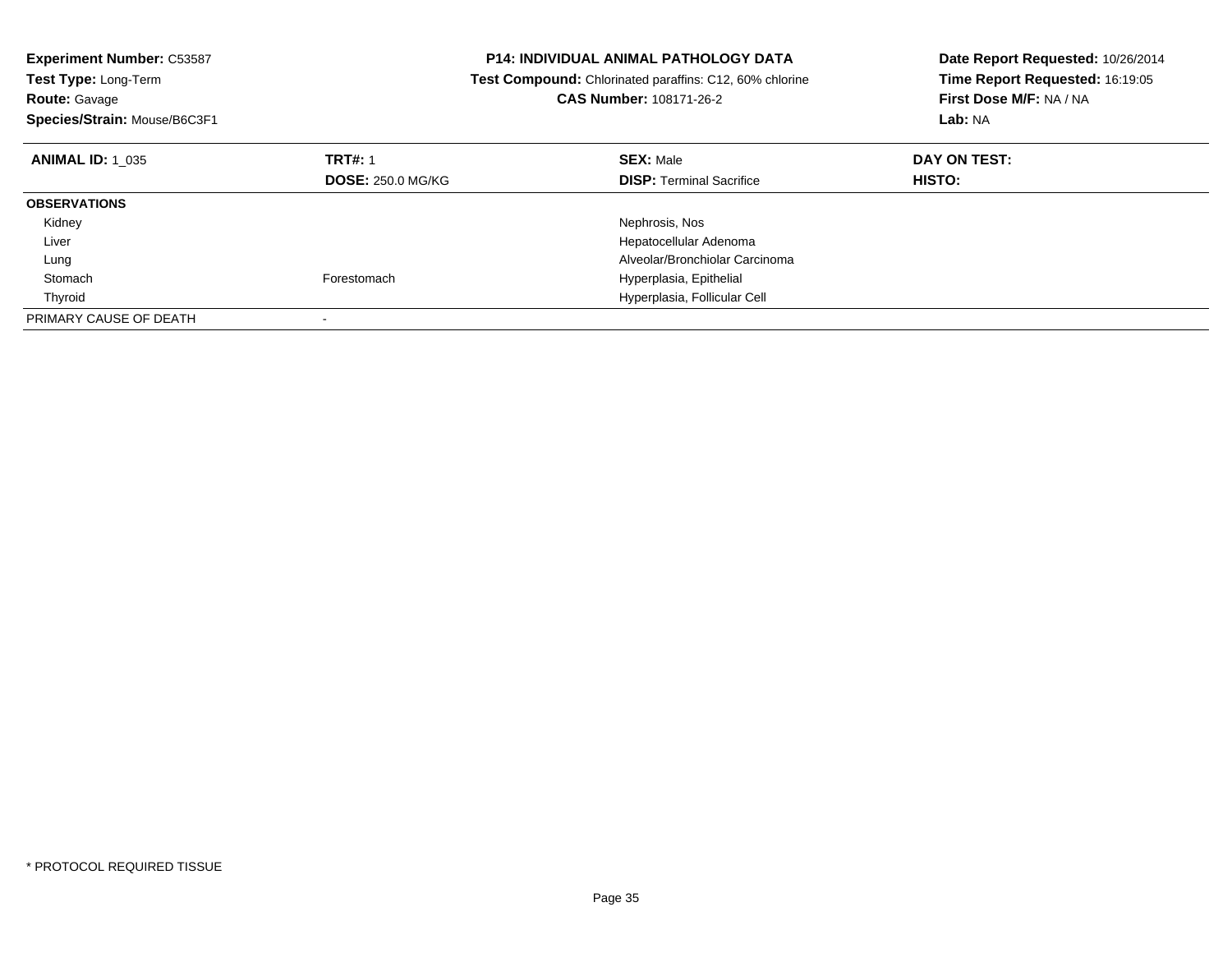| <b>Experiment Number: C53587</b><br><b>Test Type: Long-Term</b><br><b>Route: Gavage</b><br>Species/Strain: Mouse/B6C3F1 |                          | P14: INDIVIDUAL ANIMAL PATHOLOGY DATA<br>Test Compound: Chlorinated paraffins: C12, 60% chlorine<br><b>CAS Number: 108171-26-2</b> | Date Report Requested: 10/26/2014<br>Time Report Requested: 16:19:05<br>First Dose M/F: NA / NA<br>Lab: NA |
|-------------------------------------------------------------------------------------------------------------------------|--------------------------|------------------------------------------------------------------------------------------------------------------------------------|------------------------------------------------------------------------------------------------------------|
|                                                                                                                         |                          |                                                                                                                                    |                                                                                                            |
| <b>ANIMAL ID: 1 035</b>                                                                                                 | <b>TRT#: 1</b>           | <b>SEX: Male</b>                                                                                                                   | DAY ON TEST:                                                                                               |
|                                                                                                                         | <b>DOSE: 250.0 MG/KG</b> | <b>DISP:</b> Terminal Sacrifice                                                                                                    | <b>HISTO:</b>                                                                                              |
| <b>OBSERVATIONS</b>                                                                                                     |                          |                                                                                                                                    |                                                                                                            |
| Kidney                                                                                                                  |                          | Nephrosis, Nos                                                                                                                     |                                                                                                            |
| Liver                                                                                                                   |                          | Hepatocellular Adenoma                                                                                                             |                                                                                                            |
| Lung                                                                                                                    |                          | Alveolar/Bronchiolar Carcinoma                                                                                                     |                                                                                                            |
| Stomach                                                                                                                 | Forestomach              | Hyperplasia, Epithelial                                                                                                            |                                                                                                            |
| Thyroid                                                                                                                 |                          | Hyperplasia, Follicular Cell                                                                                                       |                                                                                                            |
| PRIMARY CAUSE OF DEATH                                                                                                  |                          |                                                                                                                                    |                                                                                                            |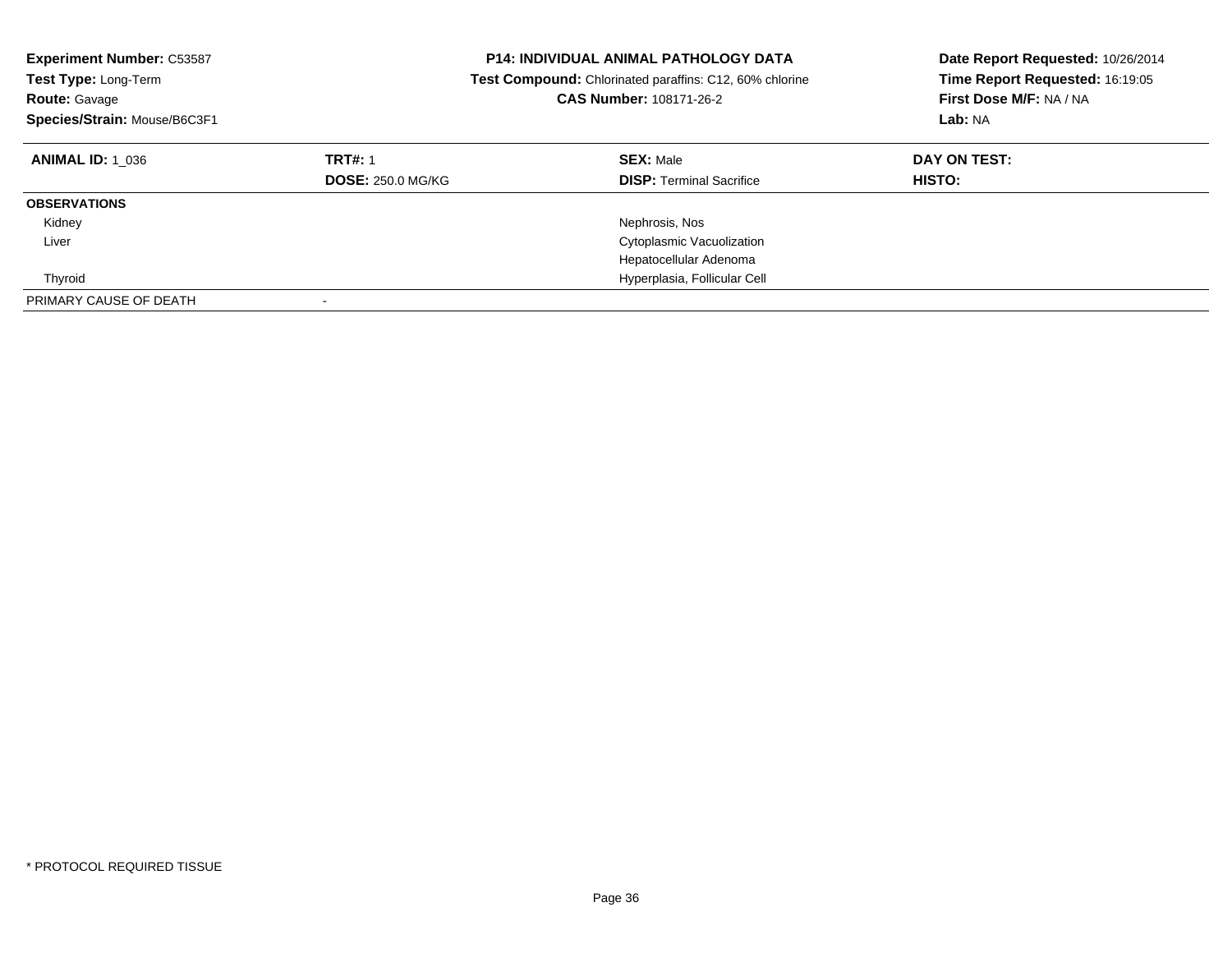| <b>Experiment Number: C53587</b><br><b>Test Type: Long-Term</b><br><b>Route: Gavage</b><br>Species/Strain: Mouse/B6C3F1 |                                            | <b>P14: INDIVIDUAL ANIMAL PATHOLOGY DATA</b><br>Date Report Requested: 10/26/2014<br>Time Report Requested: 16:19:05<br><b>Test Compound:</b> Chlorinated paraffins: C12, 60% chlorine<br>First Dose M/F: NA / NA<br>CAS Number: 108171-26-2<br>Lab: NA |                               |
|-------------------------------------------------------------------------------------------------------------------------|--------------------------------------------|---------------------------------------------------------------------------------------------------------------------------------------------------------------------------------------------------------------------------------------------------------|-------------------------------|
| <b>ANIMAL ID: 1 036</b>                                                                                                 | <b>TRT#: 1</b><br><b>DOSE: 250.0 MG/KG</b> | <b>SEX: Male</b><br><b>DISP:</b> Terminal Sacrifice                                                                                                                                                                                                     | DAY ON TEST:<br><b>HISTO:</b> |
| <b>OBSERVATIONS</b>                                                                                                     |                                            |                                                                                                                                                                                                                                                         |                               |
| Kidney                                                                                                                  |                                            | Nephrosis, Nos                                                                                                                                                                                                                                          |                               |
| Liver                                                                                                                   |                                            | Cytoplasmic Vacuolization                                                                                                                                                                                                                               |                               |
|                                                                                                                         |                                            | Hepatocellular Adenoma                                                                                                                                                                                                                                  |                               |
| Thyroid                                                                                                                 |                                            | Hyperplasia, Follicular Cell                                                                                                                                                                                                                            |                               |
| PRIMARY CAUSE OF DEATH                                                                                                  |                                            |                                                                                                                                                                                                                                                         |                               |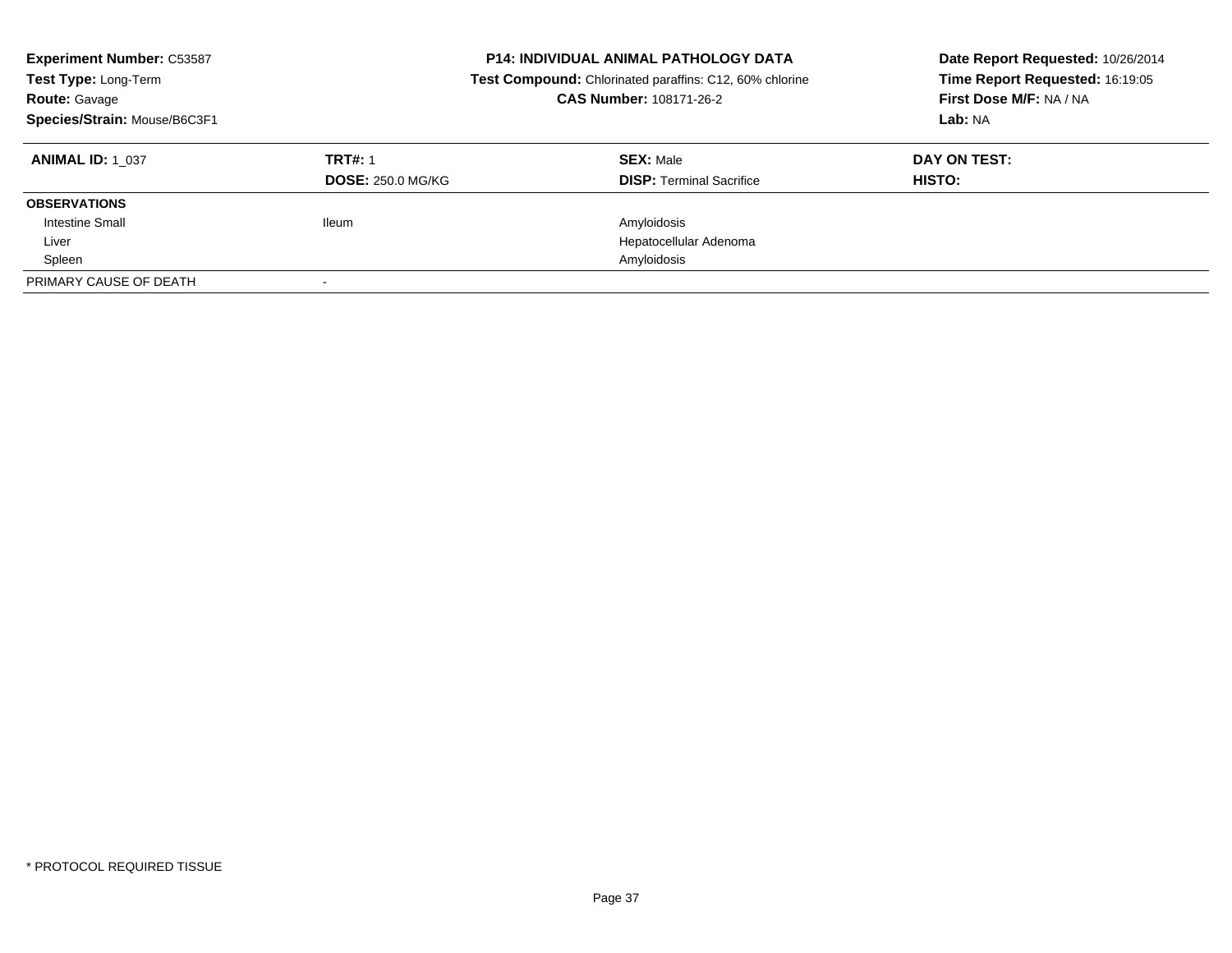| <b>Experiment Number: C53587</b><br>Test Type: Long-Term<br><b>Route: Gavage</b><br>Species/Strain: Mouse/B6C3F1 |                          | <b>P14: INDIVIDUAL ANIMAL PATHOLOGY DATA</b><br>Date Report Requested: 10/26/2014<br>Time Report Requested: 16:19:05<br>Test Compound: Chlorinated paraffins: C12, 60% chlorine<br>First Dose M/F: NA / NA<br>CAS Number: 108171-26-2<br>Lab: NA |              |
|------------------------------------------------------------------------------------------------------------------|--------------------------|--------------------------------------------------------------------------------------------------------------------------------------------------------------------------------------------------------------------------------------------------|--------------|
| <b>ANIMAL ID: 1 037</b>                                                                                          | <b>TRT#: 1</b>           | <b>SEX: Male</b>                                                                                                                                                                                                                                 | DAY ON TEST: |
|                                                                                                                  | <b>DOSE: 250.0 MG/KG</b> | <b>DISP:</b> Terminal Sacrifice                                                                                                                                                                                                                  | HISTO:       |
| <b>OBSERVATIONS</b>                                                                                              |                          |                                                                                                                                                                                                                                                  |              |
| Intestine Small                                                                                                  | <b>Ileum</b>             | Amyloidosis                                                                                                                                                                                                                                      |              |
| Liver                                                                                                            |                          | Hepatocellular Adenoma                                                                                                                                                                                                                           |              |
| Spleen                                                                                                           |                          | Amyloidosis                                                                                                                                                                                                                                      |              |
| PRIMARY CAUSE OF DEATH                                                                                           |                          |                                                                                                                                                                                                                                                  |              |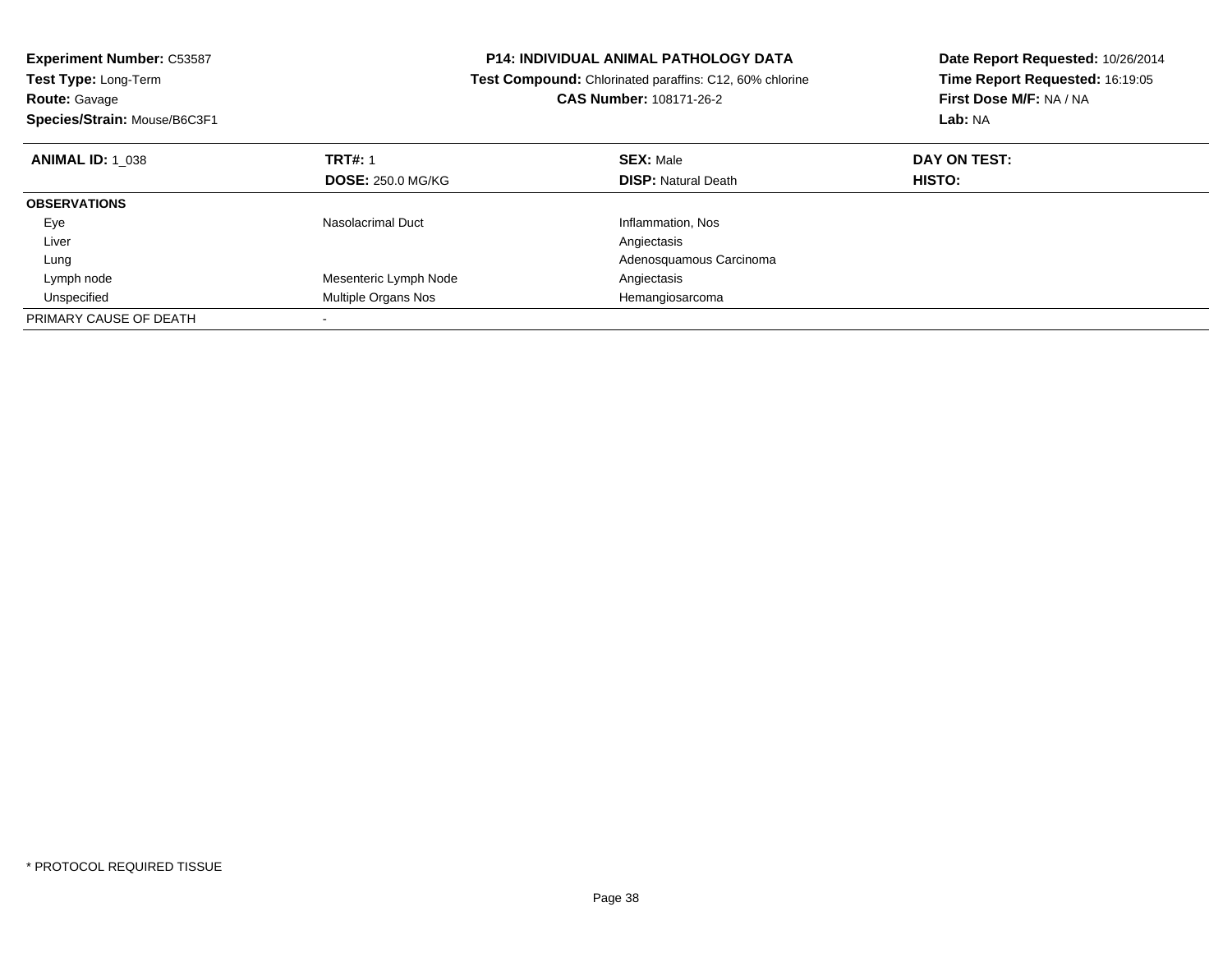**Experiment Number:** C53587**Test Type:** Long-Term**Route:** Gavage **Species/Strain:** Mouse/B6C3F1**P14: INDIVIDUAL ANIMAL PATHOLOGY DATA Test Compound:** Chlorinated paraffins: C12, 60% chlorine**CAS Number:** 108171-26-2**Date Report Requested:** 10/26/2014**Time Report Requested:** 16:19:05**First Dose M/F:** NA / NA**Lab:** NA**ANIMAL ID:** 1\_038**REX:** Male **DAY ON TEST: TRT#:** 1 **SEX:** Male **SEX:** Male **DOSE:** 250.0 MG/KG**DISP:** Natural Death **HISTO: OBSERVATIONS** EyeNasolacrimal Duct Inflammation, Nos<br>
Angiectasis Liverr and the contract of the contract of the contract of the contract of the contract of the contract of the contract of the contract of the contract of the contract of the contract of the contract of the contract of the cont Adenosquamous Carcinoma Lung Lymph nodeMesenteric Lymph Node<br>
Multiple Organs Nos<br>
Multiple Organs Nos<br>
Angiectasis<br>
Hemangiosarcoma UnspecifiedMultiple Organs Nos PRIMARY CAUSE OF DEATH-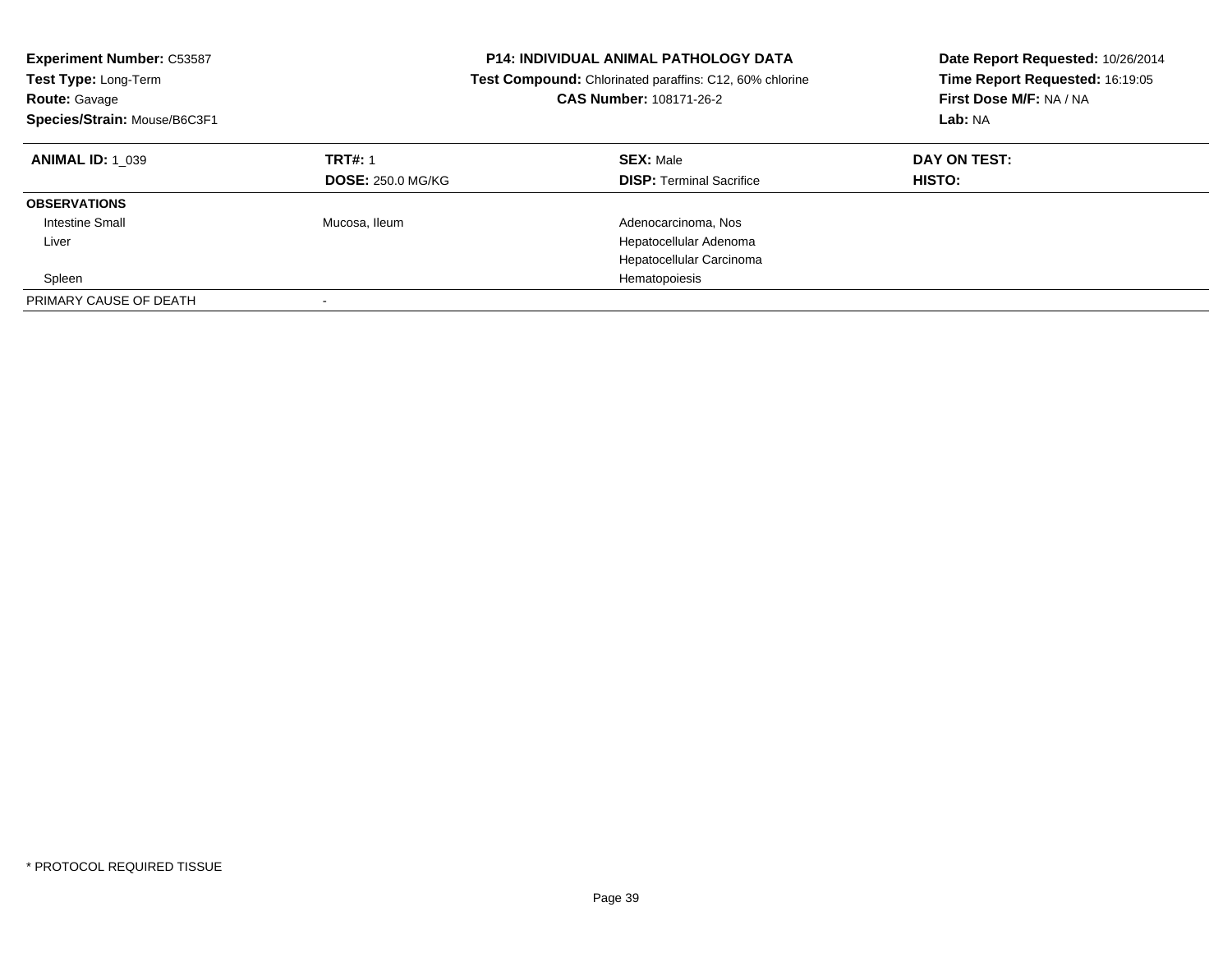| <b>Experiment Number: C53587</b><br>Test Type: Long-Term<br><b>Route: Gavage</b><br>Species/Strain: Mouse/B6C3F1 |                                            | <b>P14: INDIVIDUAL ANIMAL PATHOLOGY DATA</b><br>Date Report Requested: 10/26/2014<br>Time Report Requested: 16:19:05<br>Test Compound: Chlorinated paraffins: C12, 60% chlorine<br>First Dose M/F: NA / NA<br>CAS Number: 108171-26-2<br>Lab: NA |                               |
|------------------------------------------------------------------------------------------------------------------|--------------------------------------------|--------------------------------------------------------------------------------------------------------------------------------------------------------------------------------------------------------------------------------------------------|-------------------------------|
| <b>ANIMAL ID: 1 039</b>                                                                                          | <b>TRT#: 1</b><br><b>DOSE: 250.0 MG/KG</b> | <b>SEX: Male</b><br><b>DISP:</b> Terminal Sacrifice                                                                                                                                                                                              | DAY ON TEST:<br><b>HISTO:</b> |
| <b>OBSERVATIONS</b>                                                                                              |                                            |                                                                                                                                                                                                                                                  |                               |
| <b>Intestine Small</b>                                                                                           | Mucosa, Ileum                              | Adenocarcinoma, Nos                                                                                                                                                                                                                              |                               |
| Liver                                                                                                            |                                            | Hepatocellular Adenoma                                                                                                                                                                                                                           |                               |
|                                                                                                                  |                                            | Hepatocellular Carcinoma                                                                                                                                                                                                                         |                               |
| Spleen                                                                                                           |                                            | Hematopoiesis                                                                                                                                                                                                                                    |                               |
| PRIMARY CAUSE OF DEATH                                                                                           |                                            |                                                                                                                                                                                                                                                  |                               |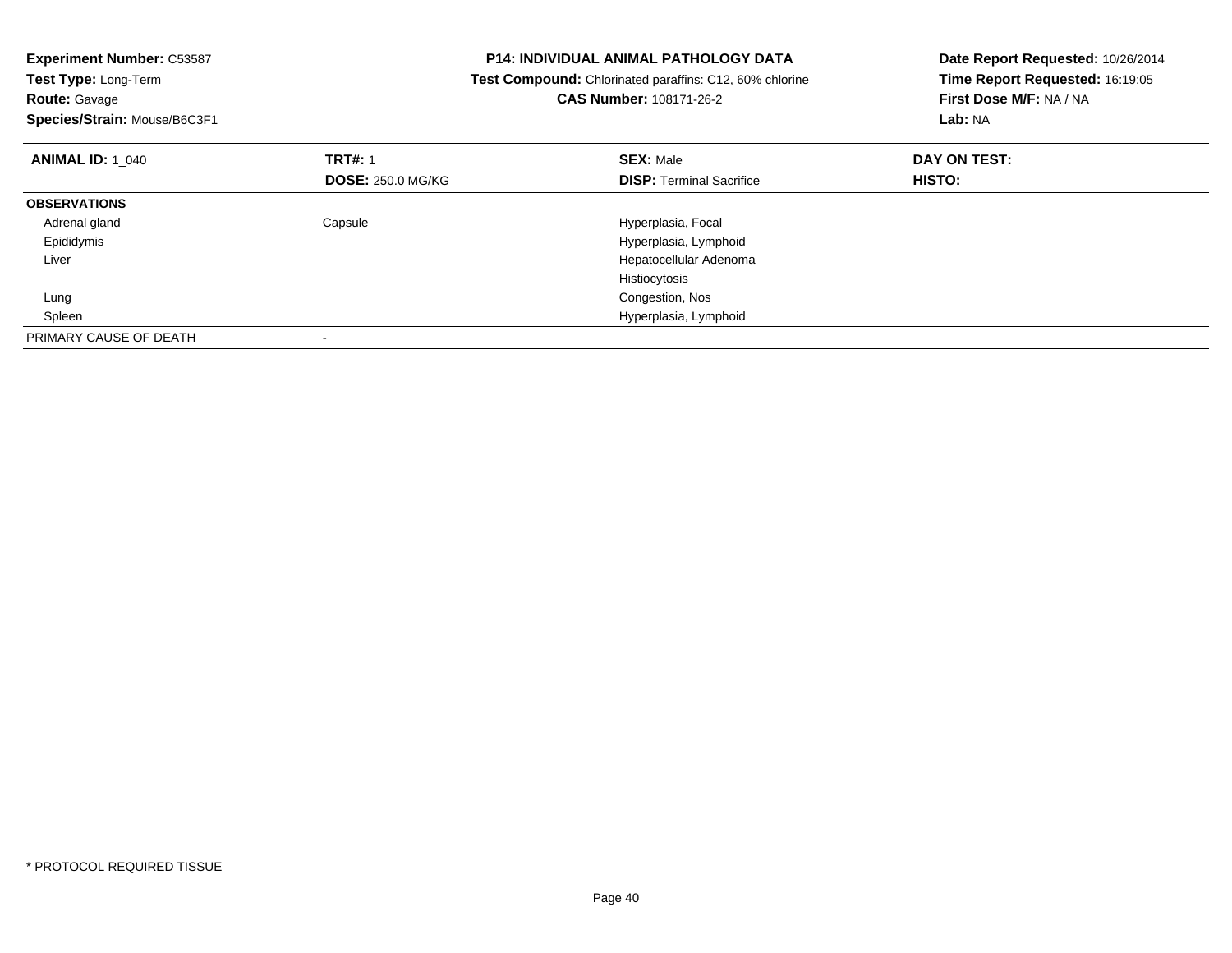| <b>Experiment Number: C53587</b> | <b>P14: INDIVIDUAL ANIMAL PATHOLOGY DATA</b> |                                                         | Date Report Requested: 10/26/2014 |
|----------------------------------|----------------------------------------------|---------------------------------------------------------|-----------------------------------|
| Test Type: Long-Term             |                                              | Test Compound: Chlorinated paraffins: C12, 60% chlorine | Time Report Requested: 16:19:05   |
| <b>Route: Gavage</b>             |                                              | <b>CAS Number: 108171-26-2</b>                          | First Dose M/F: NA / NA           |
| Species/Strain: Mouse/B6C3F1     |                                              |                                                         | Lab: NA                           |
| <b>ANIMAL ID: 1 040</b>          | <b>TRT#: 1</b>                               | <b>SEX: Male</b>                                        | DAY ON TEST:                      |
|                                  | <b>DOSE: 250.0 MG/KG</b>                     | <b>DISP: Terminal Sacrifice</b>                         | <b>HISTO:</b>                     |
| <b>OBSERVATIONS</b>              |                                              |                                                         |                                   |
| Adrenal gland                    | Capsule                                      | Hyperplasia, Focal                                      |                                   |
| Epididymis                       |                                              | Hyperplasia, Lymphoid                                   |                                   |
| Liver                            |                                              | Hepatocellular Adenoma                                  |                                   |
|                                  |                                              | Histiocytosis                                           |                                   |
| Lung                             |                                              | Congestion, Nos                                         |                                   |
| Spleen                           |                                              | Hyperplasia, Lymphoid                                   |                                   |
| PRIMARY CAUSE OF DEATH           |                                              |                                                         |                                   |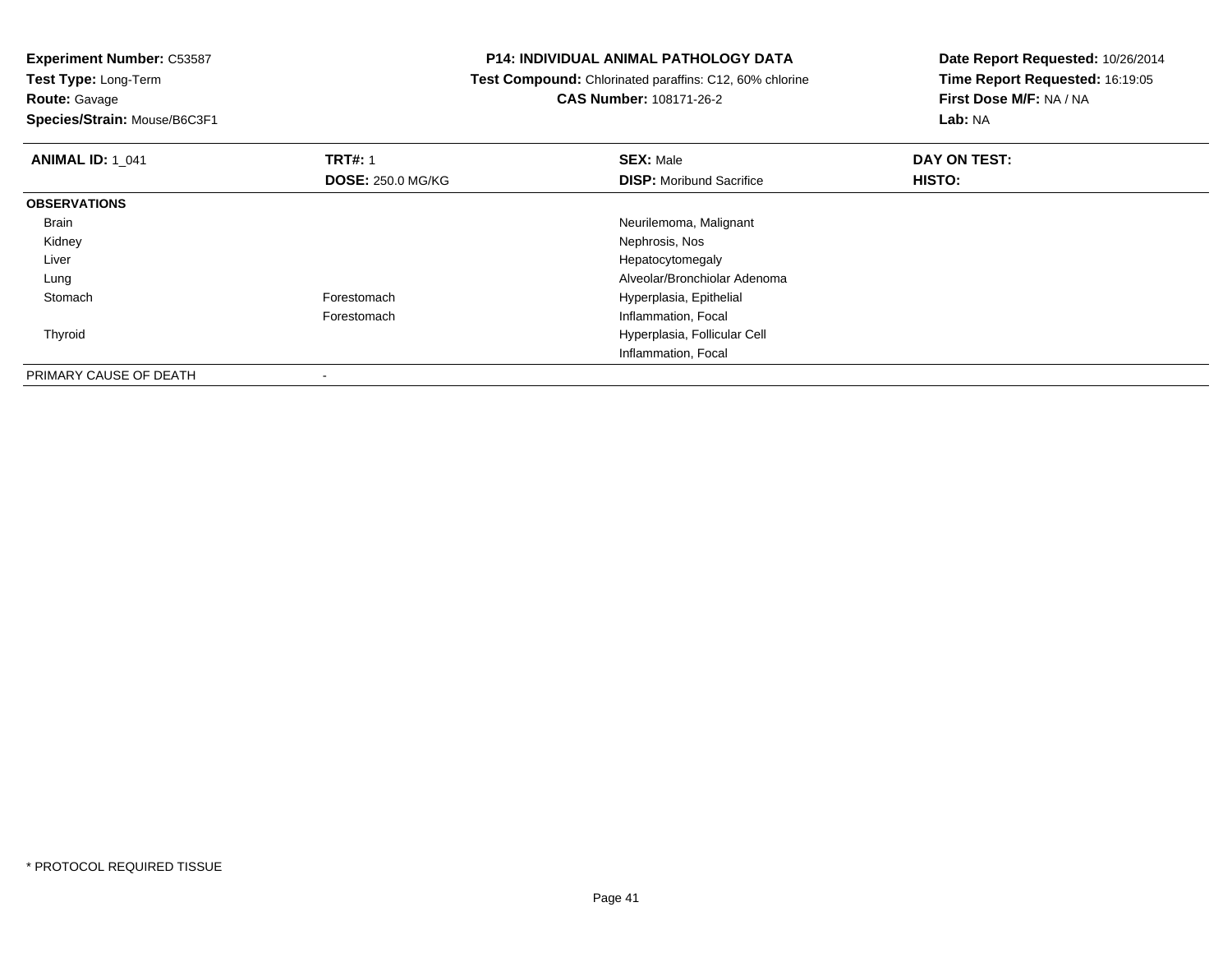**Experiment Number:** C53587**Test Type:** Long-Term**Route:** Gavage

**Species/Strain:** Mouse/B6C3F1

## **P14: INDIVIDUAL ANIMAL PATHOLOGY DATA**

 **Test Compound:** Chlorinated paraffins: C12, 60% chlorine**CAS Number:** 108171-26-2

| <b>ANIMAL ID: 1 041</b> | <b>TRT#: 1</b>           | <b>SEX: Male</b>                | DAY ON TEST: |  |
|-------------------------|--------------------------|---------------------------------|--------------|--|
|                         | <b>DOSE: 250.0 MG/KG</b> | <b>DISP:</b> Moribund Sacrifice | HISTO:       |  |
| <b>OBSERVATIONS</b>     |                          |                                 |              |  |
| Brain                   |                          | Neurilemoma, Malignant          |              |  |
| Kidney                  |                          | Nephrosis, Nos                  |              |  |
| Liver                   |                          | Hepatocytomegaly                |              |  |
| Lung                    |                          | Alveolar/Bronchiolar Adenoma    |              |  |
| Stomach                 | Forestomach              | Hyperplasia, Epithelial         |              |  |
|                         | Forestomach              | Inflammation, Focal             |              |  |
| Thyroid                 |                          | Hyperplasia, Follicular Cell    |              |  |
|                         |                          | Inflammation, Focal             |              |  |
| PRIMARY CAUSE OF DEATH  |                          |                                 |              |  |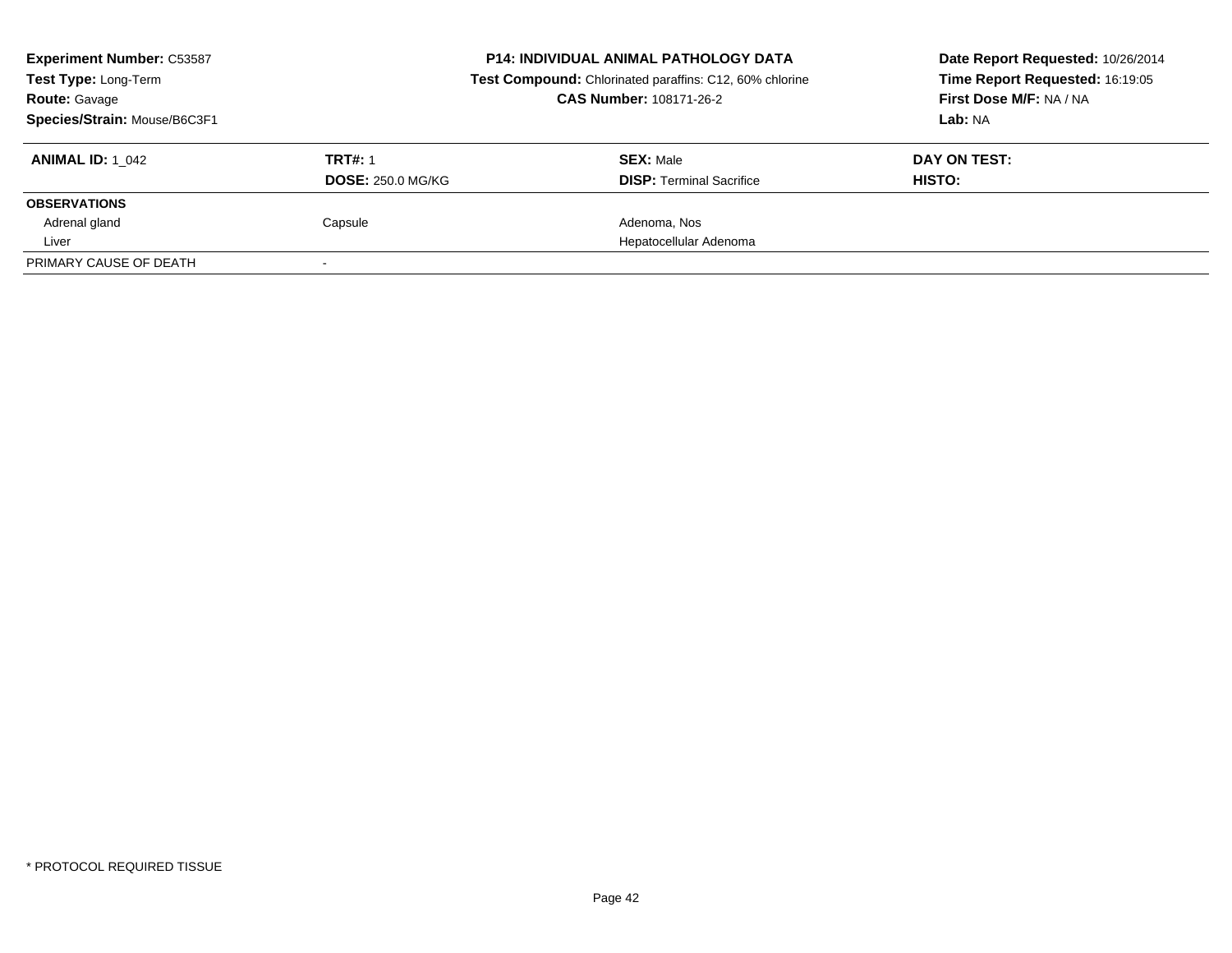| <b>Experiment Number: C53587</b><br>Test Type: Long-Term<br><b>Route: Gavage</b><br>Species/Strain: Mouse/B6C3F1 | <b>P14: INDIVIDUAL ANIMAL PATHOLOGY DATA</b><br>Test Compound: Chlorinated paraffins: C12, 60% chlorine<br><b>CAS Number: 108171-26-2</b> |                                                     | Date Report Requested: 10/26/2014<br>Time Report Requested: 16:19:05<br>First Dose M/F: NA / NA<br>Lab: NA |
|------------------------------------------------------------------------------------------------------------------|-------------------------------------------------------------------------------------------------------------------------------------------|-----------------------------------------------------|------------------------------------------------------------------------------------------------------------|
| <b>ANIMAL ID: 1 042</b>                                                                                          | <b>TRT#: 1</b><br><b>DOSE: 250.0 MG/KG</b>                                                                                                | <b>SEX: Male</b><br><b>DISP:</b> Terminal Sacrifice | DAY ON TEST:<br>HISTO:                                                                                     |
| <b>OBSERVATIONS</b>                                                                                              |                                                                                                                                           |                                                     |                                                                                                            |
| Adrenal gland                                                                                                    | Capsule                                                                                                                                   | Adenoma, Nos                                        |                                                                                                            |
| Liver                                                                                                            |                                                                                                                                           | Hepatocellular Adenoma                              |                                                                                                            |
| PRIMARY CAUSE OF DEATH                                                                                           |                                                                                                                                           |                                                     |                                                                                                            |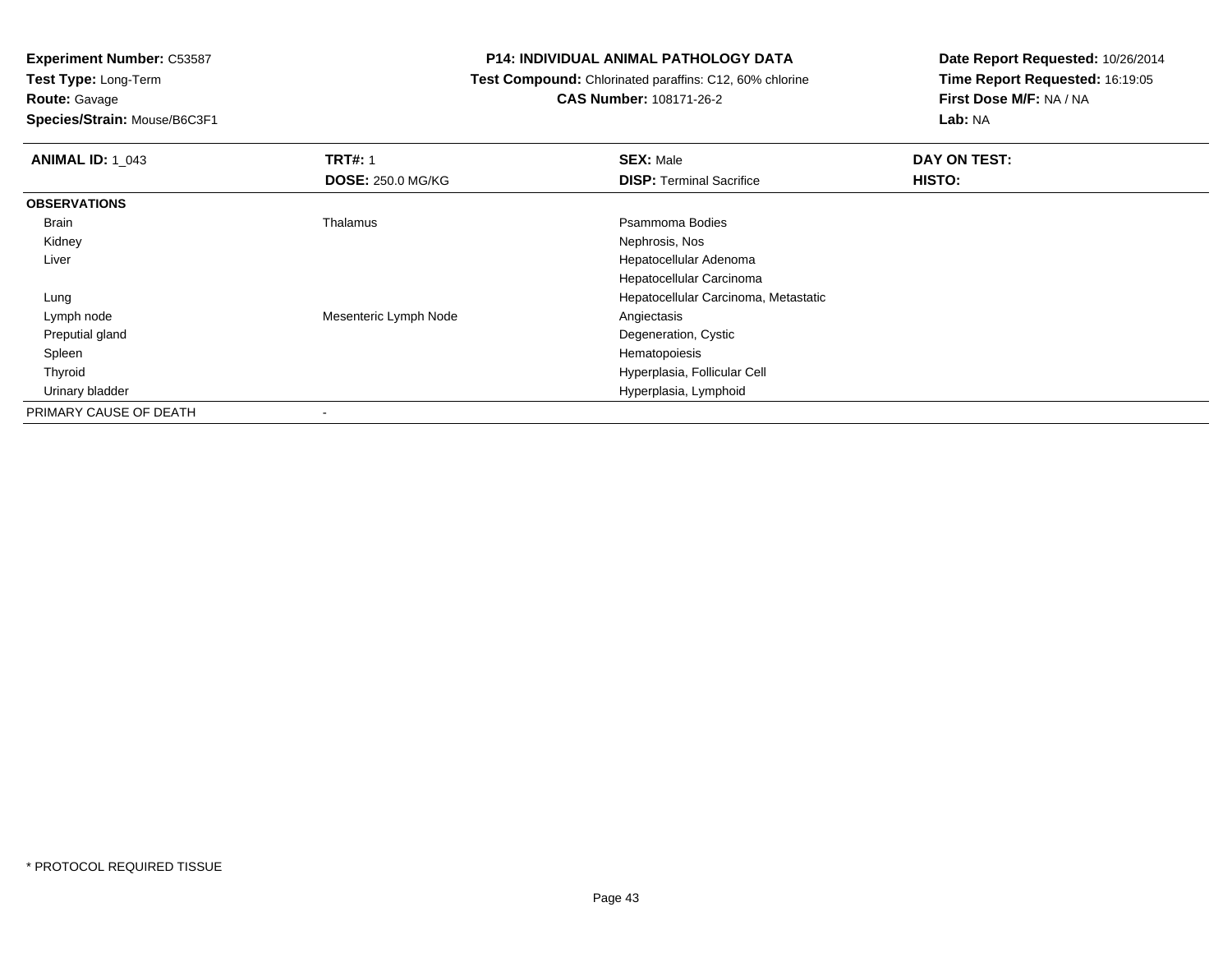**Route:** Gavage

**Species/Strain:** Mouse/B6C3F1

## **P14: INDIVIDUAL ANIMAL PATHOLOGY DATA**

 **Test Compound:** Chlorinated paraffins: C12, 60% chlorine**CAS Number:** 108171-26-2

| <b>ANIMAL ID: 1 043</b> | <b>TRT#: 1</b>           | <b>SEX: Male</b>                     | DAY ON TEST: |
|-------------------------|--------------------------|--------------------------------------|--------------|
|                         | <b>DOSE: 250.0 MG/KG</b> | <b>DISP: Terminal Sacrifice</b>      | HISTO:       |
| <b>OBSERVATIONS</b>     |                          |                                      |              |
| Brain                   | Thalamus                 | Psammoma Bodies                      |              |
| Kidney                  |                          | Nephrosis, Nos                       |              |
| Liver                   |                          | Hepatocellular Adenoma               |              |
|                         |                          | Hepatocellular Carcinoma             |              |
| Lung                    |                          | Hepatocellular Carcinoma, Metastatic |              |
| Lymph node              | Mesenteric Lymph Node    | Angiectasis                          |              |
| Preputial gland         |                          | Degeneration, Cystic                 |              |
| Spleen                  |                          | Hematopoiesis                        |              |
| Thyroid                 |                          | Hyperplasia, Follicular Cell         |              |
| Urinary bladder         |                          | Hyperplasia, Lymphoid                |              |
| PRIMARY CAUSE OF DEATH  | ۰                        |                                      |              |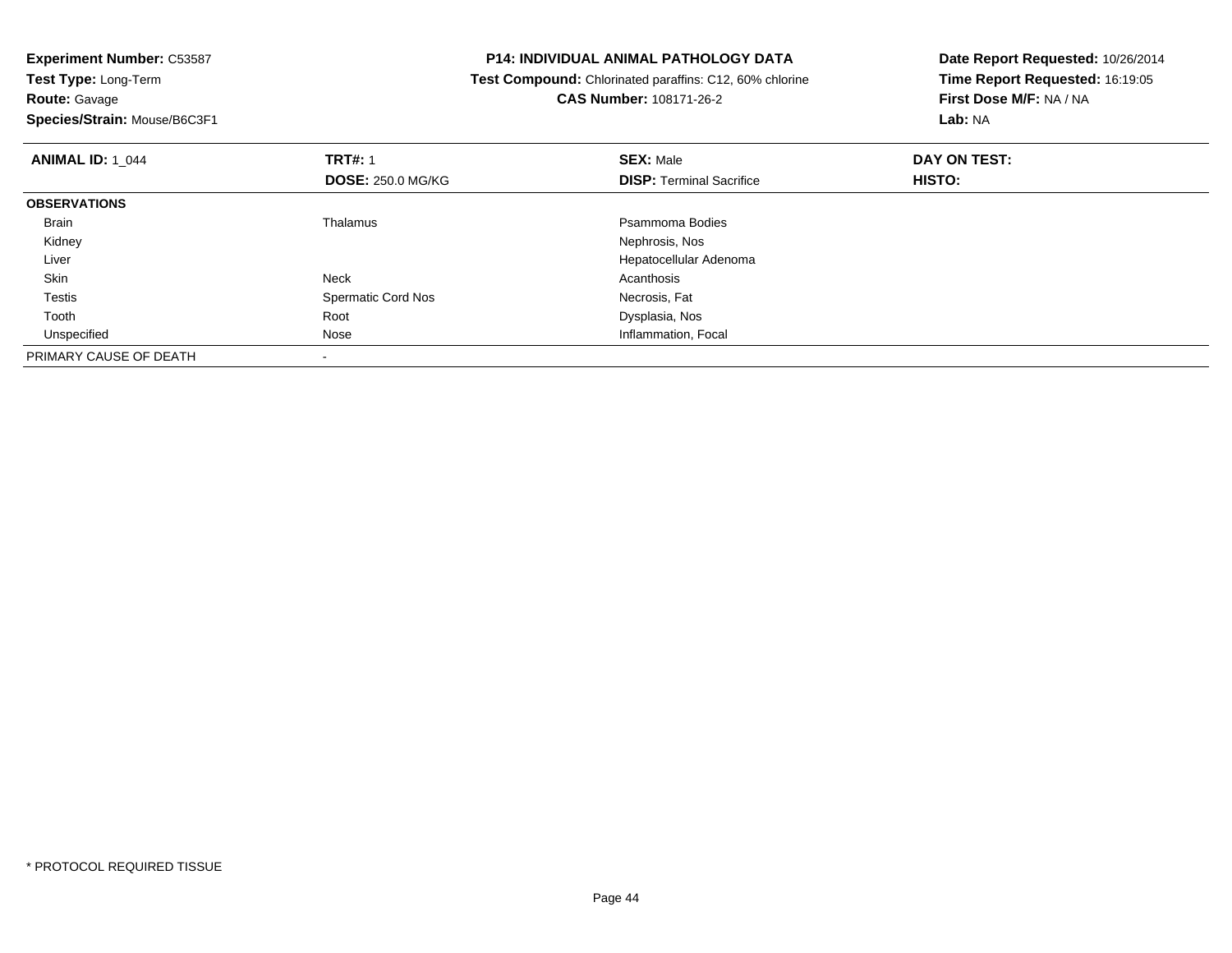**Experiment Number:** C53587**Test Type:** Long-Term**Route:** Gavage

**Species/Strain:** Mouse/B6C3F1

## **P14: INDIVIDUAL ANIMAL PATHOLOGY DATA**

 **Test Compound:** Chlorinated paraffins: C12, 60% chlorine**CAS Number:** 108171-26-2

| <b>ANIMAL ID: 1_044</b> | <b>TRT#: 1</b><br><b>DOSE: 250.0 MG/KG</b> | <b>SEX: Male</b><br><b>DISP: Terminal Sacrifice</b> | DAY ON TEST:<br>HISTO: |  |
|-------------------------|--------------------------------------------|-----------------------------------------------------|------------------------|--|
| <b>OBSERVATIONS</b>     |                                            |                                                     |                        |  |
| <b>Brain</b>            | Thalamus                                   | Psammoma Bodies                                     |                        |  |
| Kidney                  |                                            | Nephrosis, Nos                                      |                        |  |
| Liver                   |                                            | Hepatocellular Adenoma                              |                        |  |
| Skin                    | Neck                                       | Acanthosis                                          |                        |  |
| <b>Testis</b>           | <b>Spermatic Cord Nos</b>                  | Necrosis, Fat                                       |                        |  |
| Tooth                   | Root                                       | Dysplasia, Nos                                      |                        |  |
| Unspecified             | Nose                                       | Inflammation, Focal                                 |                        |  |
| PRIMARY CAUSE OF DEATH  |                                            |                                                     |                        |  |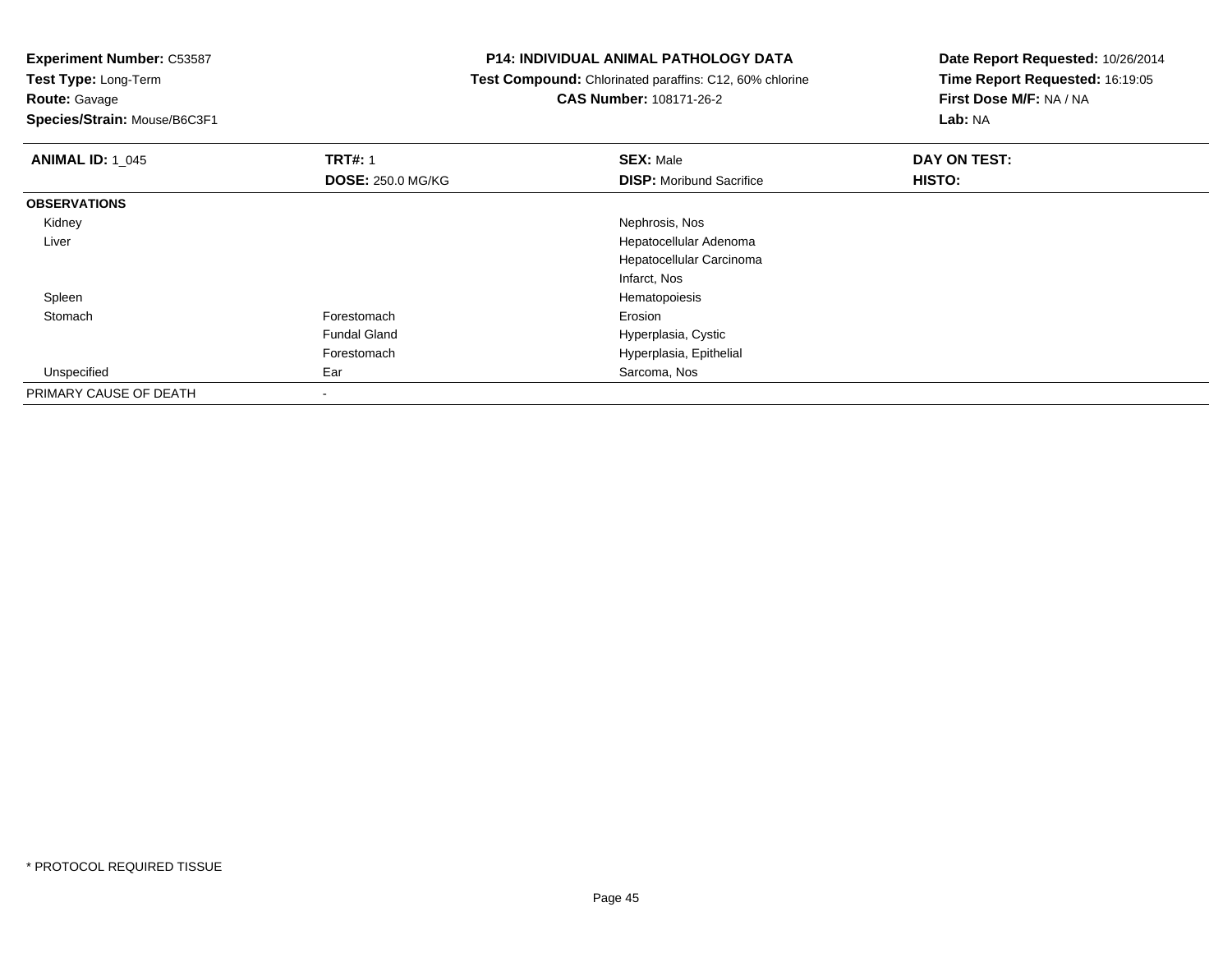**Test Type:** Long-Term**Route:** Gavage

**Species/Strain:** Mouse/B6C3F1

## **P14: INDIVIDUAL ANIMAL PATHOLOGY DATA**

 **Test Compound:** Chlorinated paraffins: C12, 60% chlorine**CAS Number:** 108171-26-2

| <b>ANIMAL ID: 1 045</b> | <b>TRT#: 1</b>           | <b>SEX: Male</b>                | DAY ON TEST: |  |
|-------------------------|--------------------------|---------------------------------|--------------|--|
|                         | <b>DOSE: 250.0 MG/KG</b> | <b>DISP:</b> Moribund Sacrifice | HISTO:       |  |
| <b>OBSERVATIONS</b>     |                          |                                 |              |  |
| Kidney                  |                          | Nephrosis, Nos                  |              |  |
| Liver                   |                          | Hepatocellular Adenoma          |              |  |
|                         |                          | Hepatocellular Carcinoma        |              |  |
|                         |                          | Infarct, Nos                    |              |  |
| Spleen                  |                          | Hematopoiesis                   |              |  |
| Stomach                 | Forestomach              | Erosion                         |              |  |
|                         | <b>Fundal Gland</b>      | Hyperplasia, Cystic             |              |  |
|                         | Forestomach              | Hyperplasia, Epithelial         |              |  |
| Unspecified             | Ear                      | Sarcoma, Nos                    |              |  |
| PRIMARY CAUSE OF DEATH  |                          |                                 |              |  |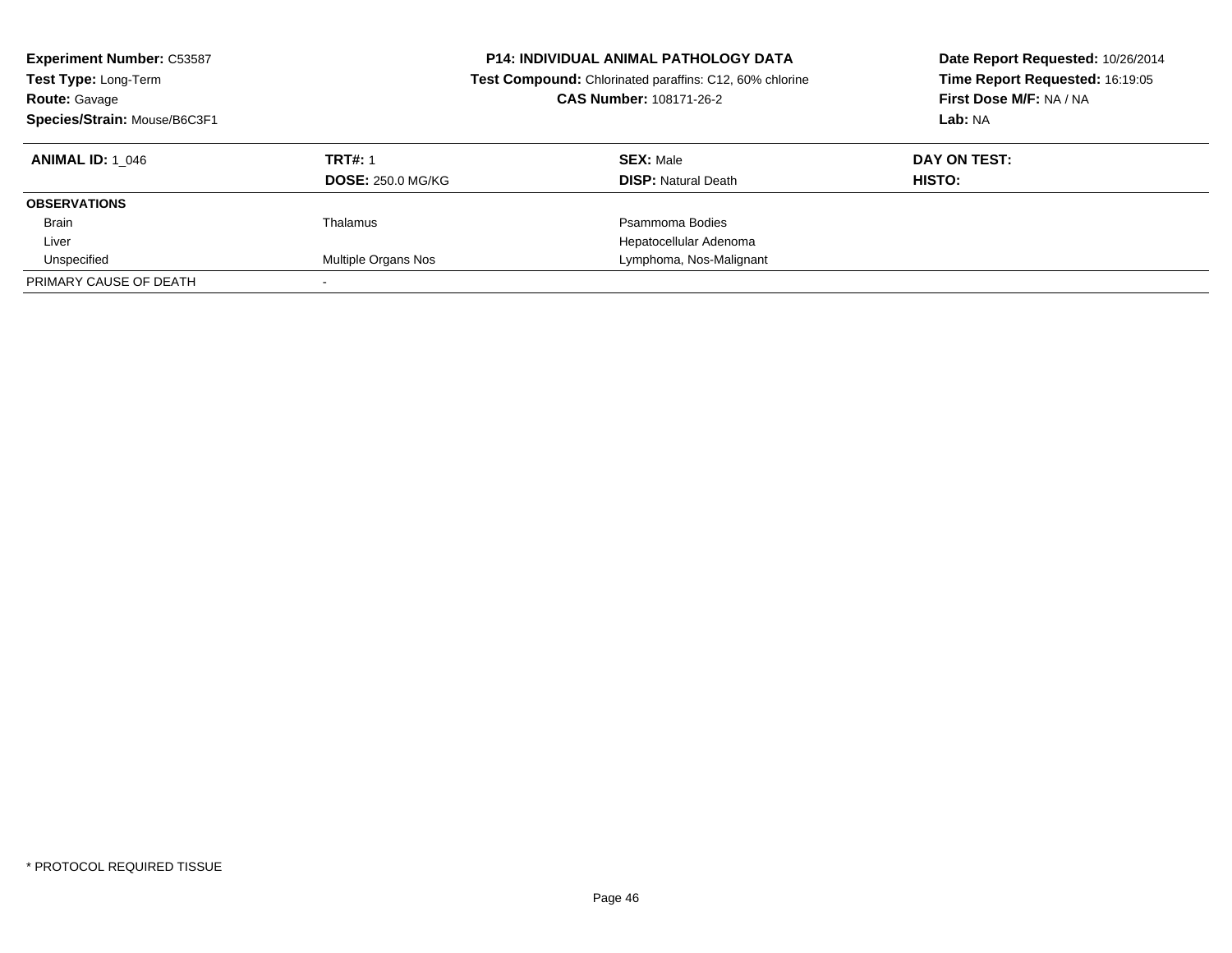| <b>Experiment Number: C53587</b><br>Test Type: Long-Term<br><b>Route: Gavage</b><br>Species/Strain: Mouse/B6C3F1 | <b>P14: INDIVIDUAL ANIMAL PATHOLOGY DATA</b><br>Test Compound: Chlorinated paraffins: C12, 60% chlorine<br>CAS Number: 108171-26-2 |                                                | Date Report Requested: 10/26/2014<br>Time Report Requested: 16:19:05<br>First Dose M/F: NA / NA<br>Lab: NA |
|------------------------------------------------------------------------------------------------------------------|------------------------------------------------------------------------------------------------------------------------------------|------------------------------------------------|------------------------------------------------------------------------------------------------------------|
| <b>ANIMAL ID: 1 046</b>                                                                                          | <b>TRT#: 1</b><br><b>DOSE: 250.0 MG/KG</b>                                                                                         | <b>SEX: Male</b><br><b>DISP:</b> Natural Death | DAY ON TEST:<br>HISTO:                                                                                     |
| <b>OBSERVATIONS</b>                                                                                              |                                                                                                                                    |                                                |                                                                                                            |
| <b>Brain</b>                                                                                                     | Thalamus                                                                                                                           | Psammoma Bodies                                |                                                                                                            |
| Liver                                                                                                            |                                                                                                                                    | Hepatocellular Adenoma                         |                                                                                                            |
| Unspecified                                                                                                      | Multiple Organs Nos                                                                                                                | Lymphoma, Nos-Malignant                        |                                                                                                            |
| PRIMARY CAUSE OF DEATH                                                                                           |                                                                                                                                    |                                                |                                                                                                            |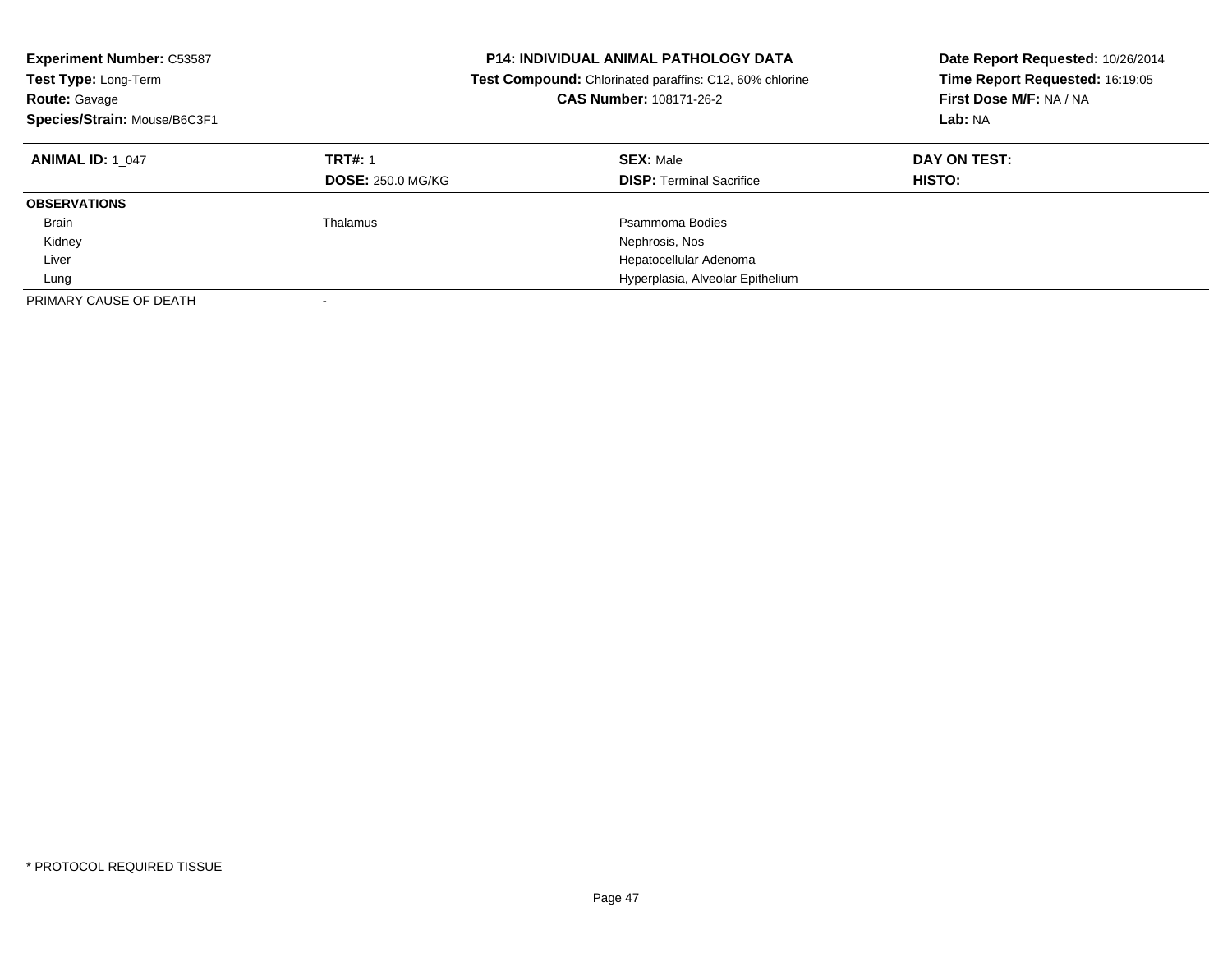| <b>Experiment Number: C53587</b><br>Test Type: Long-Term<br><b>Route: Gavage</b><br>Species/Strain: Mouse/B6C3F1 |                          | <b>P14: INDIVIDUAL ANIMAL PATHOLOGY DATA</b><br>Test Compound: Chlorinated paraffins: C12, 60% chlorine<br><b>CAS Number: 108171-26-2</b> | Date Report Requested: 10/26/2014<br>Time Report Requested: 16:19:05<br>First Dose M/F: NA / NA<br>Lab: NA |
|------------------------------------------------------------------------------------------------------------------|--------------------------|-------------------------------------------------------------------------------------------------------------------------------------------|------------------------------------------------------------------------------------------------------------|
| <b>ANIMAL ID: 1 047</b>                                                                                          | <b>TRT#: 1</b>           | <b>SEX: Male</b>                                                                                                                          | DAY ON TEST:                                                                                               |
|                                                                                                                  | <b>DOSE: 250.0 MG/KG</b> | <b>DISP:</b> Terminal Sacrifice                                                                                                           | <b>HISTO:</b>                                                                                              |
| <b>OBSERVATIONS</b>                                                                                              |                          |                                                                                                                                           |                                                                                                            |
| <b>Brain</b>                                                                                                     | Thalamus                 | Psammoma Bodies                                                                                                                           |                                                                                                            |
| Kidney                                                                                                           |                          | Nephrosis, Nos                                                                                                                            |                                                                                                            |
| Liver                                                                                                            |                          | Hepatocellular Adenoma                                                                                                                    |                                                                                                            |
| Lung                                                                                                             |                          | Hyperplasia, Alveolar Epithelium                                                                                                          |                                                                                                            |
| PRIMARY CAUSE OF DEATH                                                                                           |                          |                                                                                                                                           |                                                                                                            |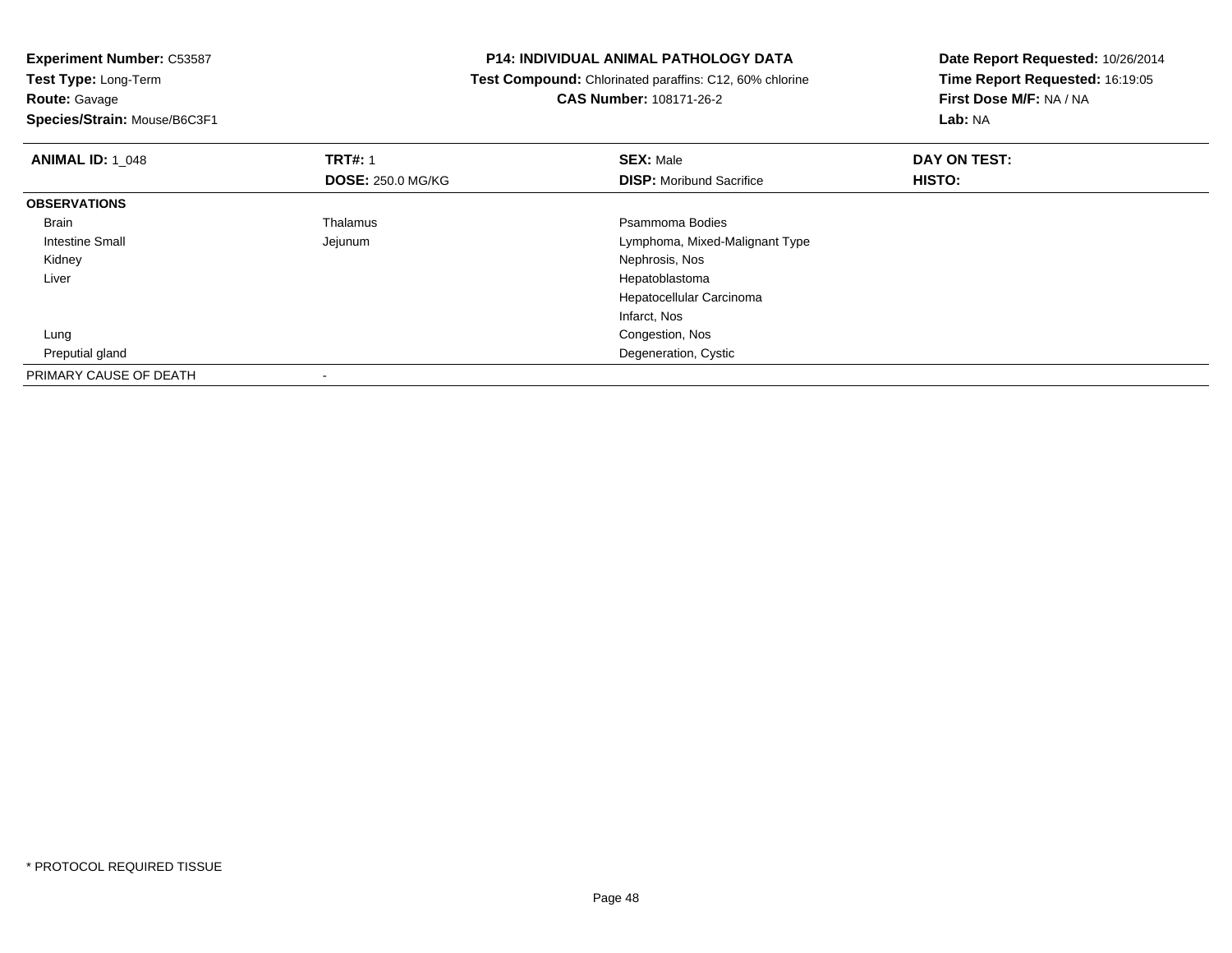**Route:** Gavage

**Species/Strain:** Mouse/B6C3F1

## **P14: INDIVIDUAL ANIMAL PATHOLOGY DATA**

 **Test Compound:** Chlorinated paraffins: C12, 60% chlorine**CAS Number:** 108171-26-2

| <b>ANIMAL ID: 1 048</b> | <b>TRT#: 1</b>           | <b>SEX: Male</b>                | DAY ON TEST: |  |
|-------------------------|--------------------------|---------------------------------|--------------|--|
|                         | <b>DOSE: 250.0 MG/KG</b> | <b>DISP:</b> Moribund Sacrifice | HISTO:       |  |
| <b>OBSERVATIONS</b>     |                          |                                 |              |  |
| Brain                   | Thalamus                 | Psammoma Bodies                 |              |  |
| Intestine Small         | Jejunum                  | Lymphoma, Mixed-Malignant Type  |              |  |
| Kidney                  |                          | Nephrosis, Nos                  |              |  |
| Liver                   |                          | Hepatoblastoma                  |              |  |
|                         |                          | Hepatocellular Carcinoma        |              |  |
|                         |                          | Infarct, Nos                    |              |  |
| Lung                    |                          | Congestion, Nos                 |              |  |
| Preputial gland         |                          | Degeneration, Cystic            |              |  |
| PRIMARY CAUSE OF DEATH  |                          |                                 |              |  |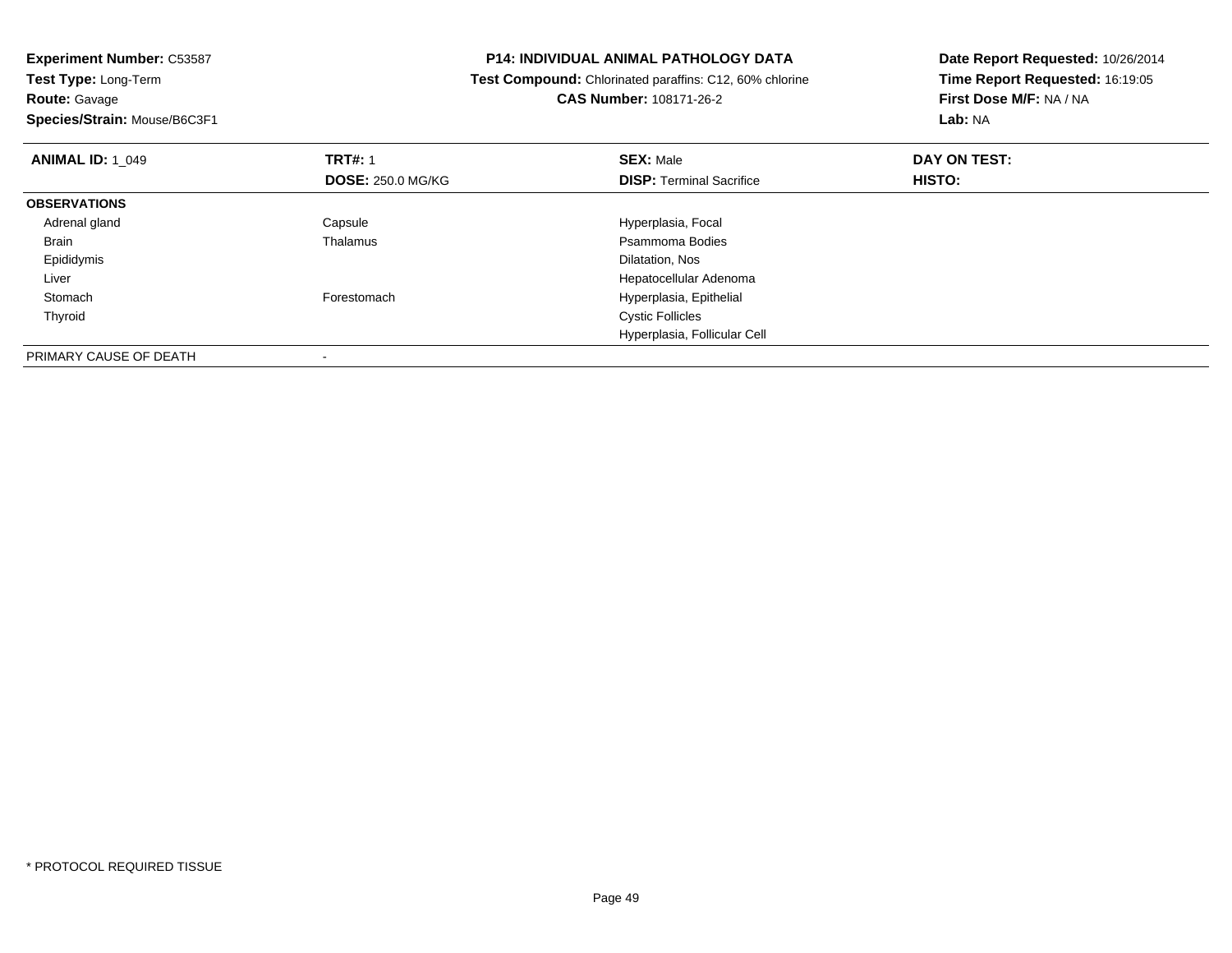**Experiment Number:** C53587**Test Type:** Long-Term**Route:** Gavage **Species/Strain:** Mouse/B6C3F1**P14: INDIVIDUAL ANIMAL PATHOLOGY DATA Test Compound:** Chlorinated paraffins: C12, 60% chlorine**CAS Number:** 108171-26-2**Date Report Requested:** 10/26/2014**Time Report Requested:** 16:19:05**First Dose M/F:** NA / NA**Lab:** NA**ANIMAL ID:** 1\_049**9 TRT#:** 1 **SEX:** Male **SEX:** Male **DAY ON TEST: DOSE:** 250.0 MG/KG**DISP:** Terminal Sacrifice **HISTO: OBSERVATIONS** Adrenal glandCapsule Capsule Capsular Capsule Hyperplasia, Focal Thalamus<br>
Thalamus Capsular Capsular Capsular Capsular Psammoma Bodies BrainPsammoma Bodies<br>Dilatation, Nos Epididymiss and the contract of the contract of the contract of the contract of the contract of the contract of the contract of the contract of the contract of the contract of the contract of the contract of the contract of the cont Liver Hepatocellular Adenoma StomachForestomach **Hyperplasia**, Epithelial Thyroid Cystic Follicles Hyperplasia, Follicular CellPRIMARY CAUSE OF DEATH

-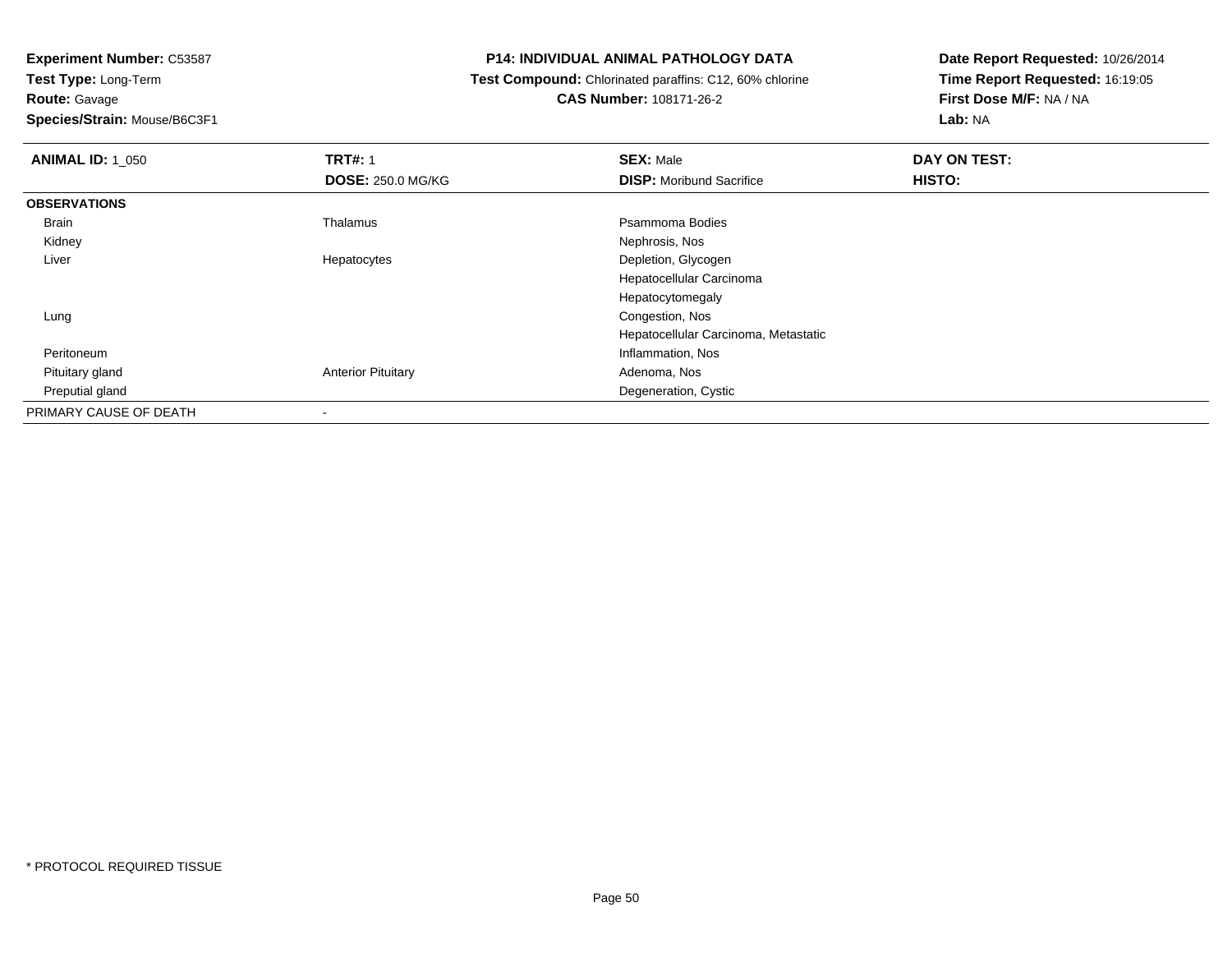**Route:** Gavage

**Species/Strain:** Mouse/B6C3F1

## **P14: INDIVIDUAL ANIMAL PATHOLOGY DATA**

 **Test Compound:** Chlorinated paraffins: C12, 60% chlorine**CAS Number:** 108171-26-2

| <b>ANIMAL ID: 1_050</b> | <b>TRT#: 1</b>            | <b>SEX: Male</b>                     | DAY ON TEST: |  |
|-------------------------|---------------------------|--------------------------------------|--------------|--|
|                         | <b>DOSE: 250.0 MG/KG</b>  | <b>DISP:</b> Moribund Sacrifice      | HISTO:       |  |
| <b>OBSERVATIONS</b>     |                           |                                      |              |  |
| Brain                   | Thalamus                  | Psammoma Bodies                      |              |  |
| Kidney                  |                           | Nephrosis, Nos                       |              |  |
| Liver                   | Hepatocytes               | Depletion, Glycogen                  |              |  |
|                         |                           | Hepatocellular Carcinoma             |              |  |
|                         |                           | Hepatocytomegaly                     |              |  |
| Lung                    |                           | Congestion, Nos                      |              |  |
|                         |                           | Hepatocellular Carcinoma, Metastatic |              |  |
| Peritoneum              |                           | Inflammation, Nos                    |              |  |
| Pituitary gland         | <b>Anterior Pituitary</b> | Adenoma, Nos                         |              |  |
| Preputial gland         |                           | Degeneration, Cystic                 |              |  |
| PRIMARY CAUSE OF DEATH  |                           |                                      |              |  |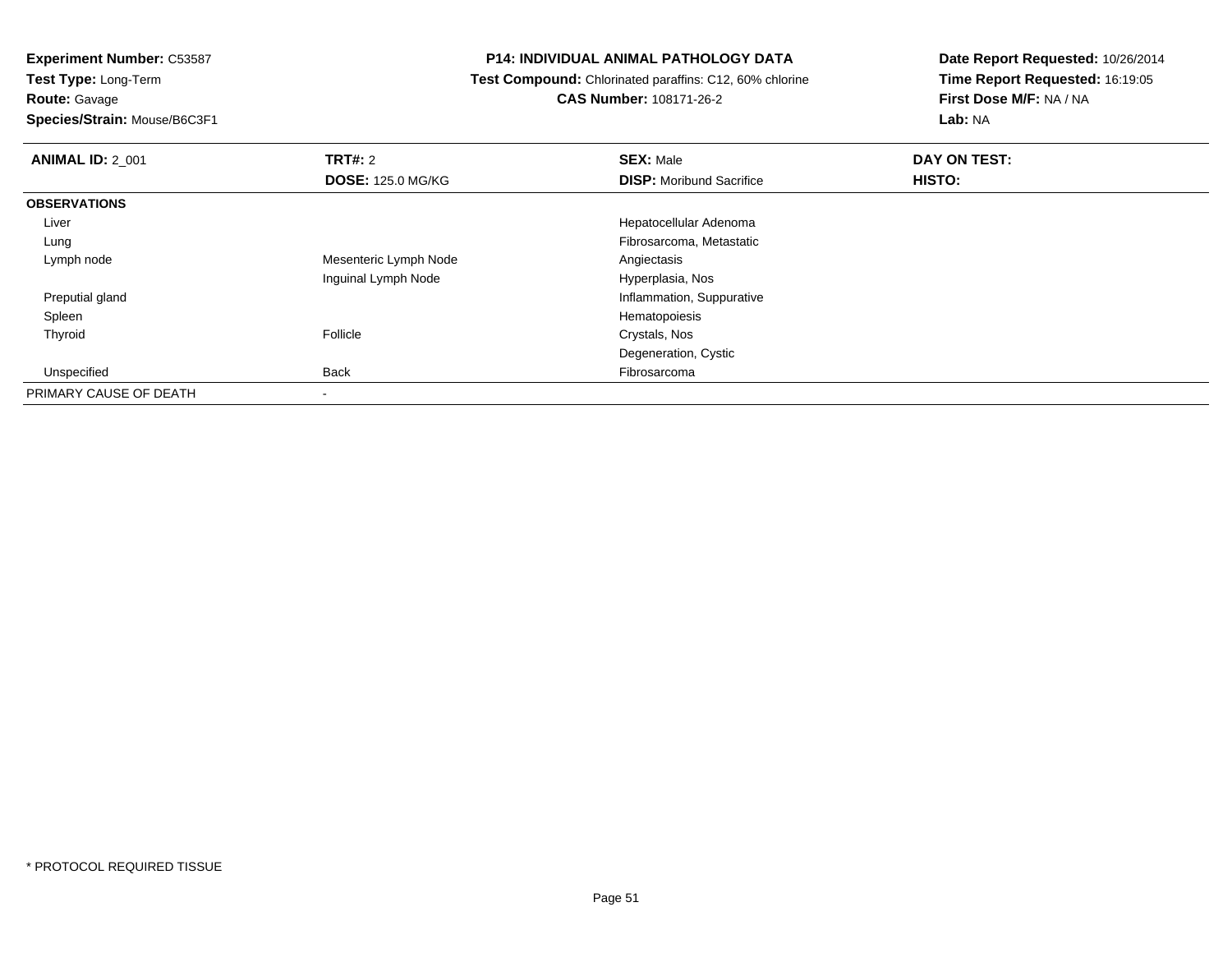**Test Type:** Long-Term**Route:** Gavage

**Species/Strain:** Mouse/B6C3F1

# **P14: INDIVIDUAL ANIMAL PATHOLOGY DATA**

**Test Compound:** Chlorinated paraffins: C12, 60% chlorine

**CAS Number:** 108171-26-2

| <b>ANIMAL ID: 2_001</b> | TRT#: 2                  | <b>SEX: Male</b>                | DAY ON TEST: |  |
|-------------------------|--------------------------|---------------------------------|--------------|--|
|                         | <b>DOSE: 125.0 MG/KG</b> | <b>DISP:</b> Moribund Sacrifice | HISTO:       |  |
| <b>OBSERVATIONS</b>     |                          |                                 |              |  |
| Liver                   |                          | Hepatocellular Adenoma          |              |  |
| Lung                    |                          | Fibrosarcoma, Metastatic        |              |  |
| Lymph node              | Mesenteric Lymph Node    | Angiectasis                     |              |  |
|                         | Inguinal Lymph Node      | Hyperplasia, Nos                |              |  |
| Preputial gland         |                          | Inflammation, Suppurative       |              |  |
| Spleen                  |                          | Hematopoiesis                   |              |  |
| Thyroid                 | Follicle                 | Crystals, Nos                   |              |  |
|                         |                          | Degeneration, Cystic            |              |  |
| Unspecified             | Back                     | Fibrosarcoma                    |              |  |
| PRIMARY CAUSE OF DEATH  |                          |                                 |              |  |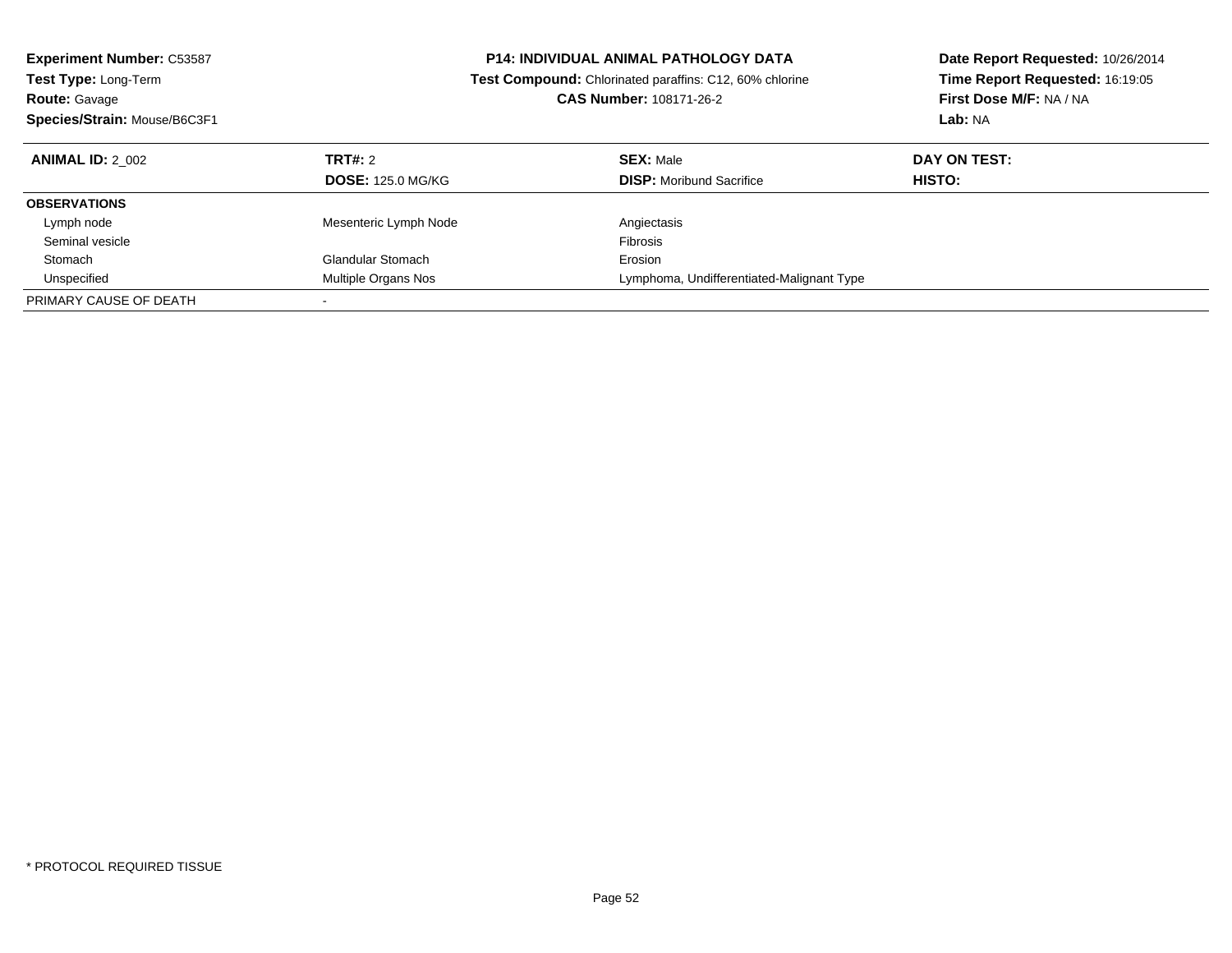| <b>Experiment Number: C53587</b> |                          | <b>P14: INDIVIDUAL ANIMAL PATHOLOGY DATA</b>                   | Date Report Requested: 10/26/2014 |  |
|----------------------------------|--------------------------|----------------------------------------------------------------|-----------------------------------|--|
| <b>Test Type: Long-Term</b>      |                          | <b>Test Compound:</b> Chlorinated paraffins: C12, 60% chlorine | Time Report Requested: 16:19:05   |  |
| <b>Route: Gavage</b>             |                          | <b>CAS Number: 108171-26-2</b>                                 | First Dose M/F: NA / NA           |  |
| Species/Strain: Mouse/B6C3F1     |                          |                                                                | Lab: NA                           |  |
| <b>ANIMAL ID: 2 002</b>          | TRT#: 2                  | <b>SEX: Male</b>                                               | DAY ON TEST:                      |  |
|                                  | <b>DOSE: 125.0 MG/KG</b> | <b>DISP:</b> Moribund Sacrifice                                | <b>HISTO:</b>                     |  |
| <b>OBSERVATIONS</b>              |                          |                                                                |                                   |  |
| Lymph node                       | Mesenteric Lymph Node    | Angiectasis                                                    |                                   |  |
| Seminal vesicle                  |                          | <b>Fibrosis</b>                                                |                                   |  |
| Stomach                          | <b>Glandular Stomach</b> | Erosion                                                        |                                   |  |
| Unspecified                      | Multiple Organs Nos      | Lymphoma, Undifferentiated-Malignant Type                      |                                   |  |
| PRIMARY CAUSE OF DEATH           |                          |                                                                |                                   |  |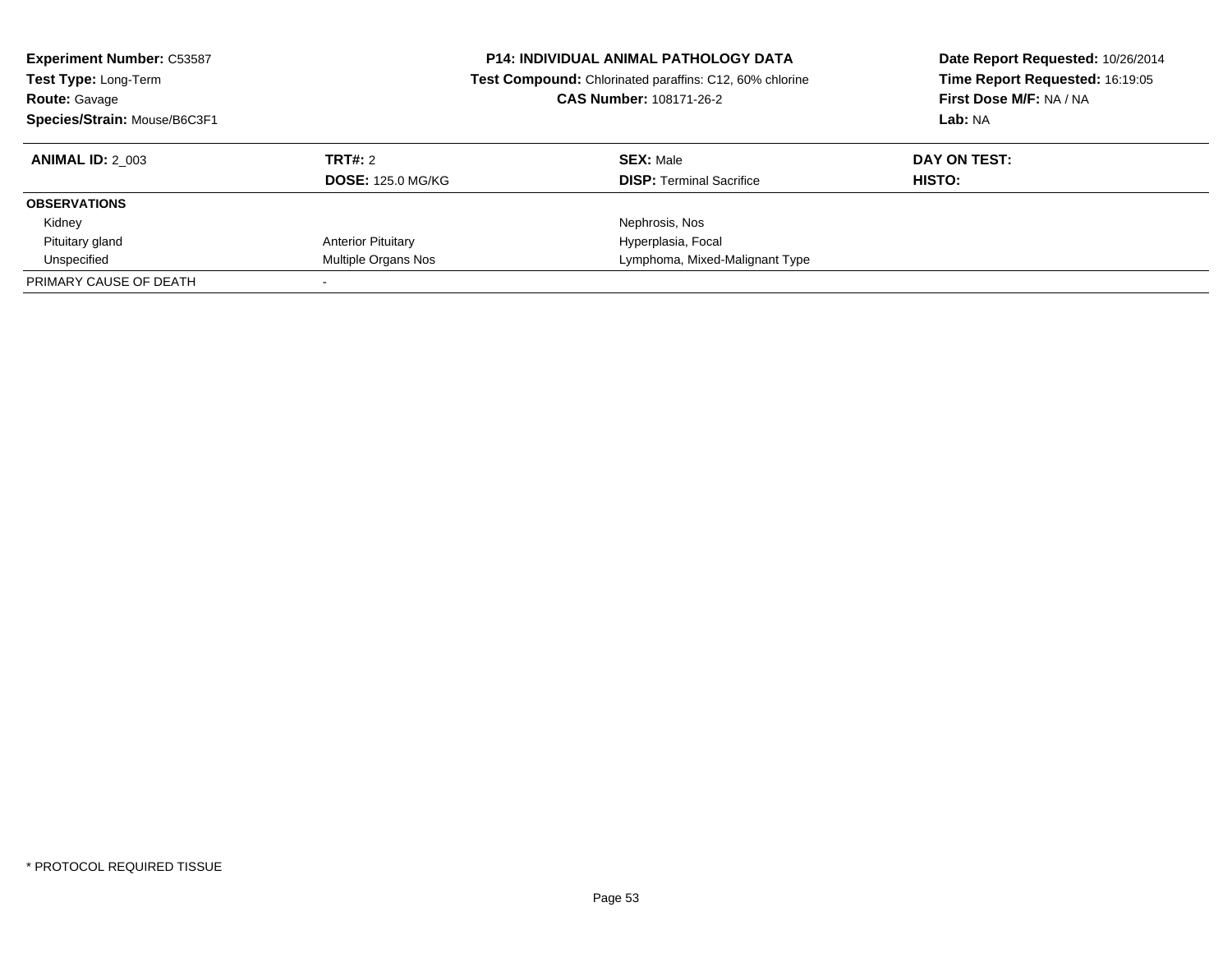| <b>Experiment Number: C53587</b><br>Test Type: Long-Term<br><b>Route: Gavage</b><br>Species/Strain: Mouse/B6C3F1 |                           | <b>P14: INDIVIDUAL ANIMAL PATHOLOGY DATA</b><br>Test Compound: Chlorinated paraffins: C12, 60% chlorine<br><b>CAS Number: 108171-26-2</b> | Date Report Requested: 10/26/2014<br>Time Report Requested: 16:19:05<br>First Dose M/F: NA / NA<br>Lab: NA |  |
|------------------------------------------------------------------------------------------------------------------|---------------------------|-------------------------------------------------------------------------------------------------------------------------------------------|------------------------------------------------------------------------------------------------------------|--|
| <b>ANIMAL ID: 2 003</b>                                                                                          | <b>TRT#: 2</b>            | <b>SEX: Male</b>                                                                                                                          | DAY ON TEST:                                                                                               |  |
|                                                                                                                  | <b>DOSE: 125.0 MG/KG</b>  | <b>DISP:</b> Terminal Sacrifice                                                                                                           | HISTO:                                                                                                     |  |
| <b>OBSERVATIONS</b>                                                                                              |                           |                                                                                                                                           |                                                                                                            |  |
| Kidney                                                                                                           |                           | Nephrosis, Nos                                                                                                                            |                                                                                                            |  |
| Pituitary gland                                                                                                  | <b>Anterior Pituitary</b> | Hyperplasia, Focal                                                                                                                        |                                                                                                            |  |
| Unspecified                                                                                                      | Multiple Organs Nos       | Lymphoma, Mixed-Malignant Type                                                                                                            |                                                                                                            |  |
| PRIMARY CAUSE OF DEATH                                                                                           |                           |                                                                                                                                           |                                                                                                            |  |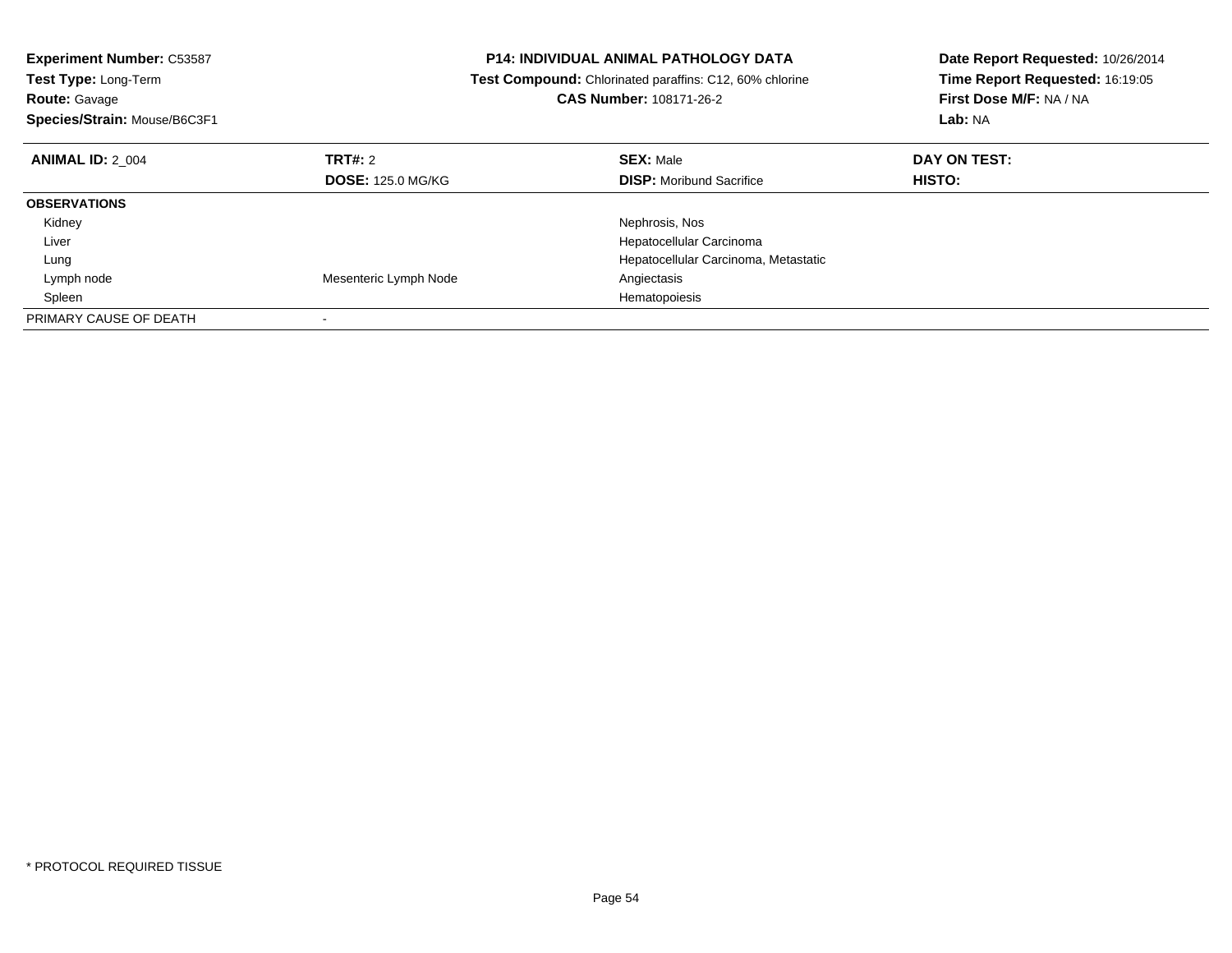| <b>Experiment Number: C53587</b> |                          | <b>P14: INDIVIDUAL ANIMAL PATHOLOGY DATA</b>            | Date Report Requested: 10/26/2014 |  |
|----------------------------------|--------------------------|---------------------------------------------------------|-----------------------------------|--|
| Test Type: Long-Term             |                          | Test Compound: Chlorinated paraffins: C12, 60% chlorine | Time Report Requested: 16:19:05   |  |
| <b>Route: Gavage</b>             |                          | CAS Number: 108171-26-2                                 | First Dose M/F: NA / NA           |  |
| Species/Strain: Mouse/B6C3F1     |                          |                                                         | Lab: NA                           |  |
| <b>ANIMAL ID: 2 004</b>          | TRT#: 2                  | <b>SEX: Male</b>                                        | DAY ON TEST:                      |  |
|                                  | <b>DOSE: 125.0 MG/KG</b> | <b>DISP:</b> Moribund Sacrifice                         | HISTO:                            |  |
| <b>OBSERVATIONS</b>              |                          |                                                         |                                   |  |
| Kidney                           |                          | Nephrosis, Nos                                          |                                   |  |
| Liver                            |                          | Hepatocellular Carcinoma                                |                                   |  |
| Lung                             |                          | Hepatocellular Carcinoma, Metastatic                    |                                   |  |
| Lymph node                       | Mesenteric Lymph Node    | Angiectasis                                             |                                   |  |
| Spleen                           |                          | Hematopoiesis                                           |                                   |  |
| PRIMARY CAUSE OF DEATH           |                          |                                                         |                                   |  |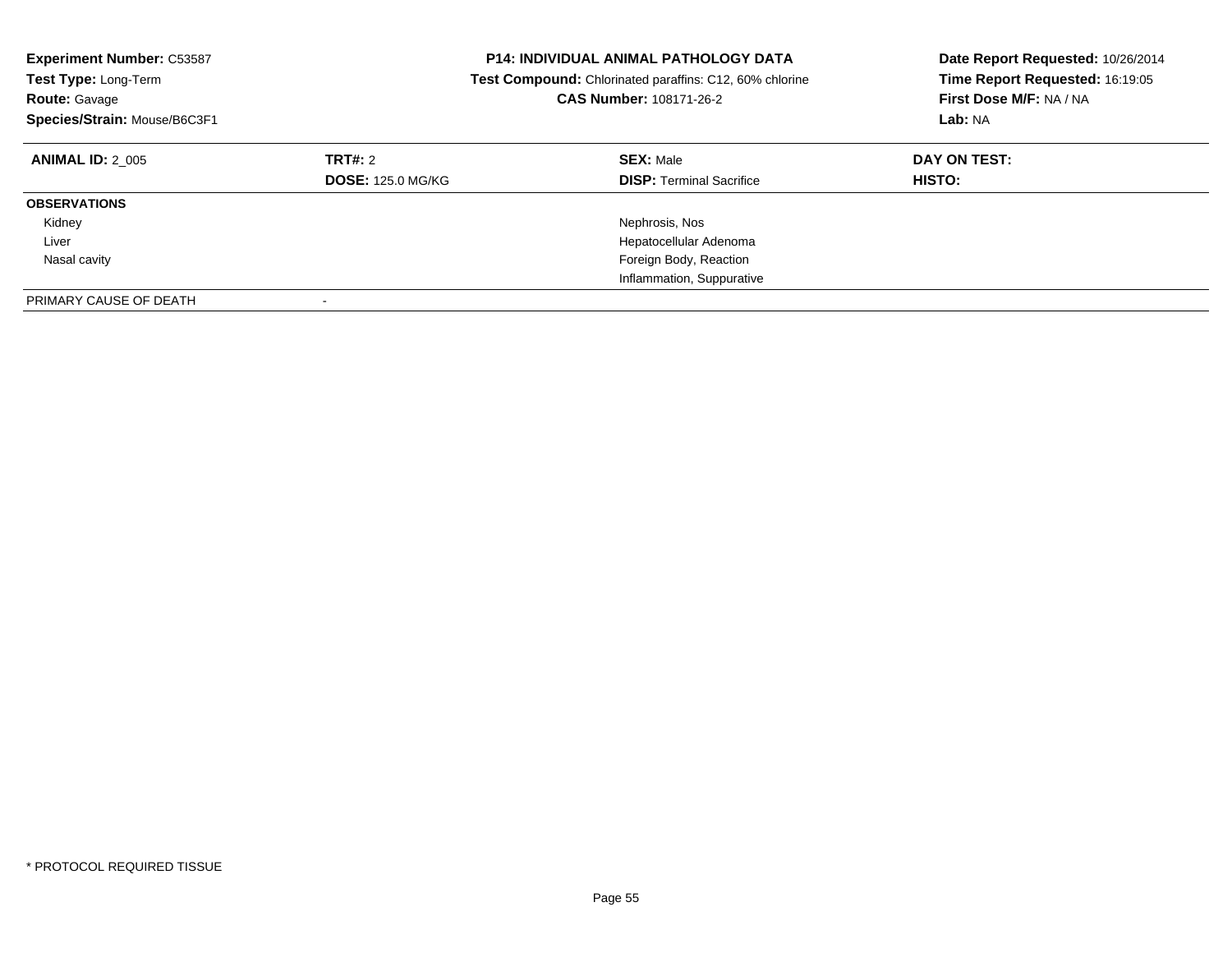| <b>Experiment Number: C53587</b><br>Test Type: Long-Term<br><b>Route: Gavage</b><br>Species/Strain: Mouse/B6C3F1 | <b>P14: INDIVIDUAL ANIMAL PATHOLOGY DATA</b><br><b>Test Compound:</b> Chlorinated paraffins: C12, 60% chlorine<br>CAS Number: 108171-26-2 |                                                     |                               |  |  |  | Date Report Requested: 10/26/2014<br>Time Report Requested: 16:19:05<br>First Dose M/F: NA / NA<br>Lab: NA |
|------------------------------------------------------------------------------------------------------------------|-------------------------------------------------------------------------------------------------------------------------------------------|-----------------------------------------------------|-------------------------------|--|--|--|------------------------------------------------------------------------------------------------------------|
| <b>ANIMAL ID: 2 005</b>                                                                                          | <b>TRT#: 2</b><br><b>DOSE: 125.0 MG/KG</b>                                                                                                | <b>SEX: Male</b><br><b>DISP:</b> Terminal Sacrifice | DAY ON TEST:<br><b>HISTO:</b> |  |  |  |                                                                                                            |
| <b>OBSERVATIONS</b>                                                                                              |                                                                                                                                           |                                                     |                               |  |  |  |                                                                                                            |
| Kidney                                                                                                           |                                                                                                                                           | Nephrosis, Nos                                      |                               |  |  |  |                                                                                                            |
| Liver                                                                                                            |                                                                                                                                           | Hepatocellular Adenoma                              |                               |  |  |  |                                                                                                            |
| Nasal cavity                                                                                                     |                                                                                                                                           | Foreign Body, Reaction                              |                               |  |  |  |                                                                                                            |
|                                                                                                                  |                                                                                                                                           | Inflammation, Suppurative                           |                               |  |  |  |                                                                                                            |
| PRIMARY CAUSE OF DEATH                                                                                           |                                                                                                                                           |                                                     |                               |  |  |  |                                                                                                            |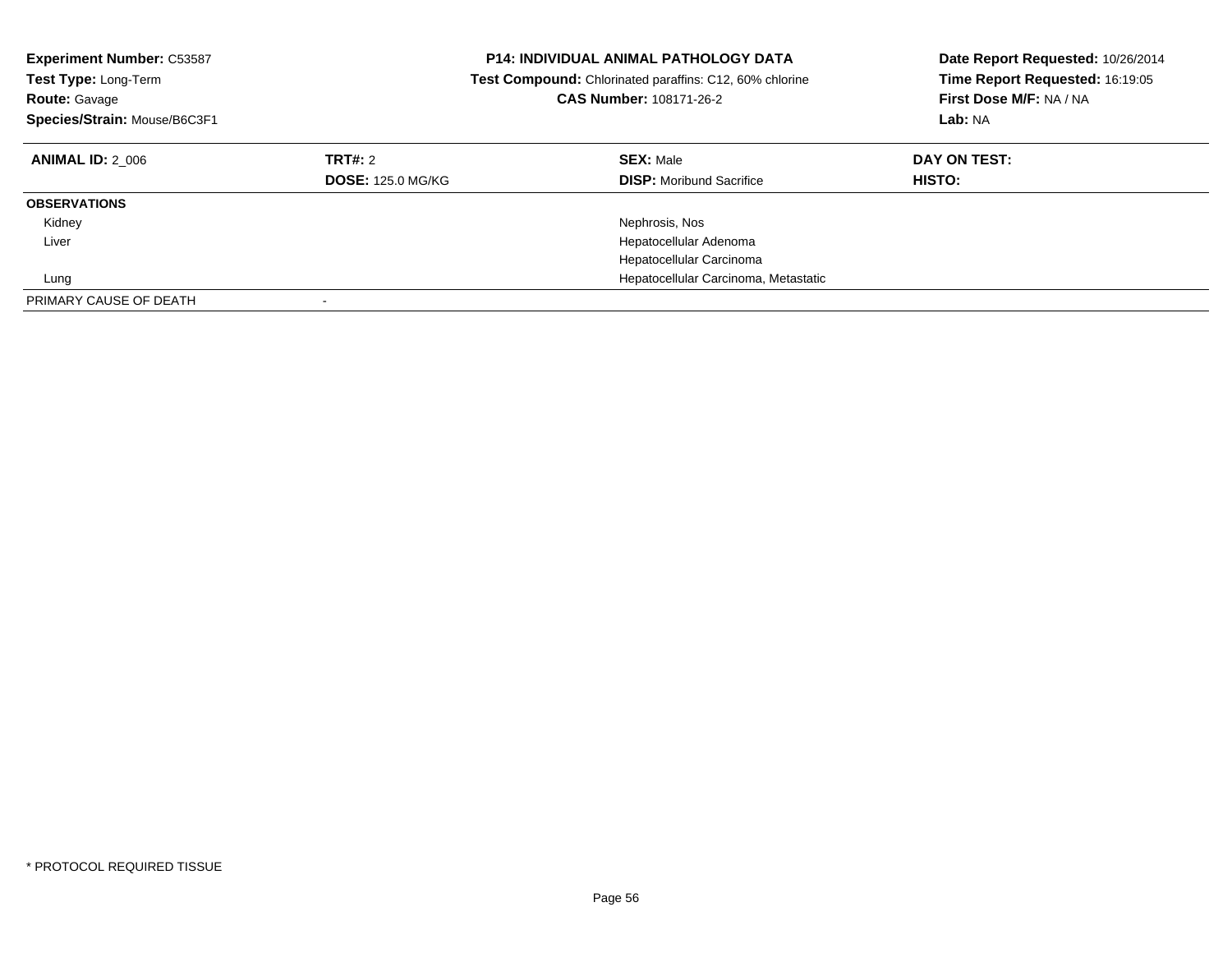| <b>Experiment Number: C53587</b><br>Test Type: Long-Term<br><b>Route: Gavage</b><br>Species/Strain: Mouse/B6C3F1 | <b>P14: INDIVIDUAL ANIMAL PATHOLOGY DATA</b><br><b>Test Compound:</b> Chlorinated paraffins: C12, 60% chlorine<br>CAS Number: 108171-26-2 |                                                     | Date Report Requested: 10/26/2014<br>Time Report Requested: 16:19:05<br>First Dose M/F: NA / NA<br>Lab: NA |
|------------------------------------------------------------------------------------------------------------------|-------------------------------------------------------------------------------------------------------------------------------------------|-----------------------------------------------------|------------------------------------------------------------------------------------------------------------|
| <b>ANIMAL ID: 2 006</b>                                                                                          | TRT#: 2<br><b>DOSE: 125.0 MG/KG</b>                                                                                                       | <b>SEX: Male</b><br><b>DISP:</b> Moribund Sacrifice | DAY ON TEST:<br><b>HISTO:</b>                                                                              |
| <b>OBSERVATIONS</b>                                                                                              |                                                                                                                                           |                                                     |                                                                                                            |
| Kidney                                                                                                           |                                                                                                                                           | Nephrosis, Nos                                      |                                                                                                            |
| Liver                                                                                                            |                                                                                                                                           | Hepatocellular Adenoma                              |                                                                                                            |
|                                                                                                                  |                                                                                                                                           | Hepatocellular Carcinoma                            |                                                                                                            |
| Lung                                                                                                             |                                                                                                                                           | Hepatocellular Carcinoma, Metastatic                |                                                                                                            |
| PRIMARY CAUSE OF DEATH                                                                                           |                                                                                                                                           |                                                     |                                                                                                            |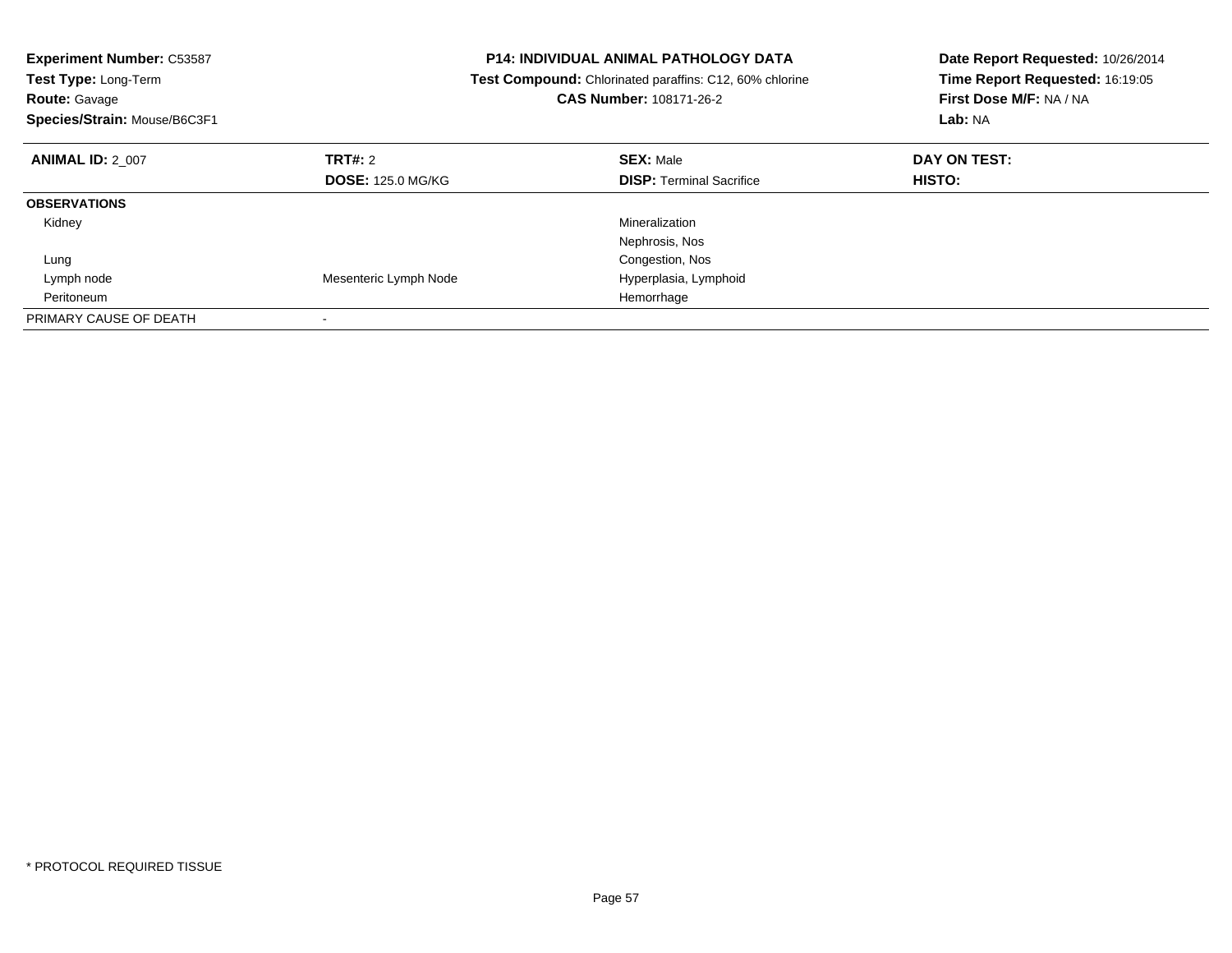| <b>Experiment Number: C53587</b><br>Test Type: Long-Term<br>Route: Gavage<br>Species/Strain: Mouse/B6C3F1 |                          | <b>P14: INDIVIDUAL ANIMAL PATHOLOGY DATA</b><br>Test Compound: Chlorinated paraffins: C12, 60% chlorine<br>CAS Number: 108171-26-2 | Date Report Requested: 10/26/2014<br>Time Report Requested: 16:19:05<br>First Dose M/F: NA / NA<br>Lab: NA |
|-----------------------------------------------------------------------------------------------------------|--------------------------|------------------------------------------------------------------------------------------------------------------------------------|------------------------------------------------------------------------------------------------------------|
| <b>ANIMAL ID: 2 007</b>                                                                                   | TRT#: 2                  | <b>SEX: Male</b>                                                                                                                   | DAY ON TEST:                                                                                               |
|                                                                                                           | <b>DOSE: 125.0 MG/KG</b> | <b>DISP: Terminal Sacrifice</b>                                                                                                    | HISTO:                                                                                                     |
| <b>OBSERVATIONS</b>                                                                                       |                          |                                                                                                                                    |                                                                                                            |
| Kidney                                                                                                    |                          | Mineralization                                                                                                                     |                                                                                                            |
|                                                                                                           |                          | Nephrosis, Nos                                                                                                                     |                                                                                                            |
| Lung                                                                                                      |                          | Congestion, Nos                                                                                                                    |                                                                                                            |
| Lymph node                                                                                                | Mesenteric Lymph Node    | Hyperplasia, Lymphoid                                                                                                              |                                                                                                            |
| Peritoneum                                                                                                |                          | Hemorrhage                                                                                                                         |                                                                                                            |
| PRIMARY CAUSE OF DEATH                                                                                    |                          |                                                                                                                                    |                                                                                                            |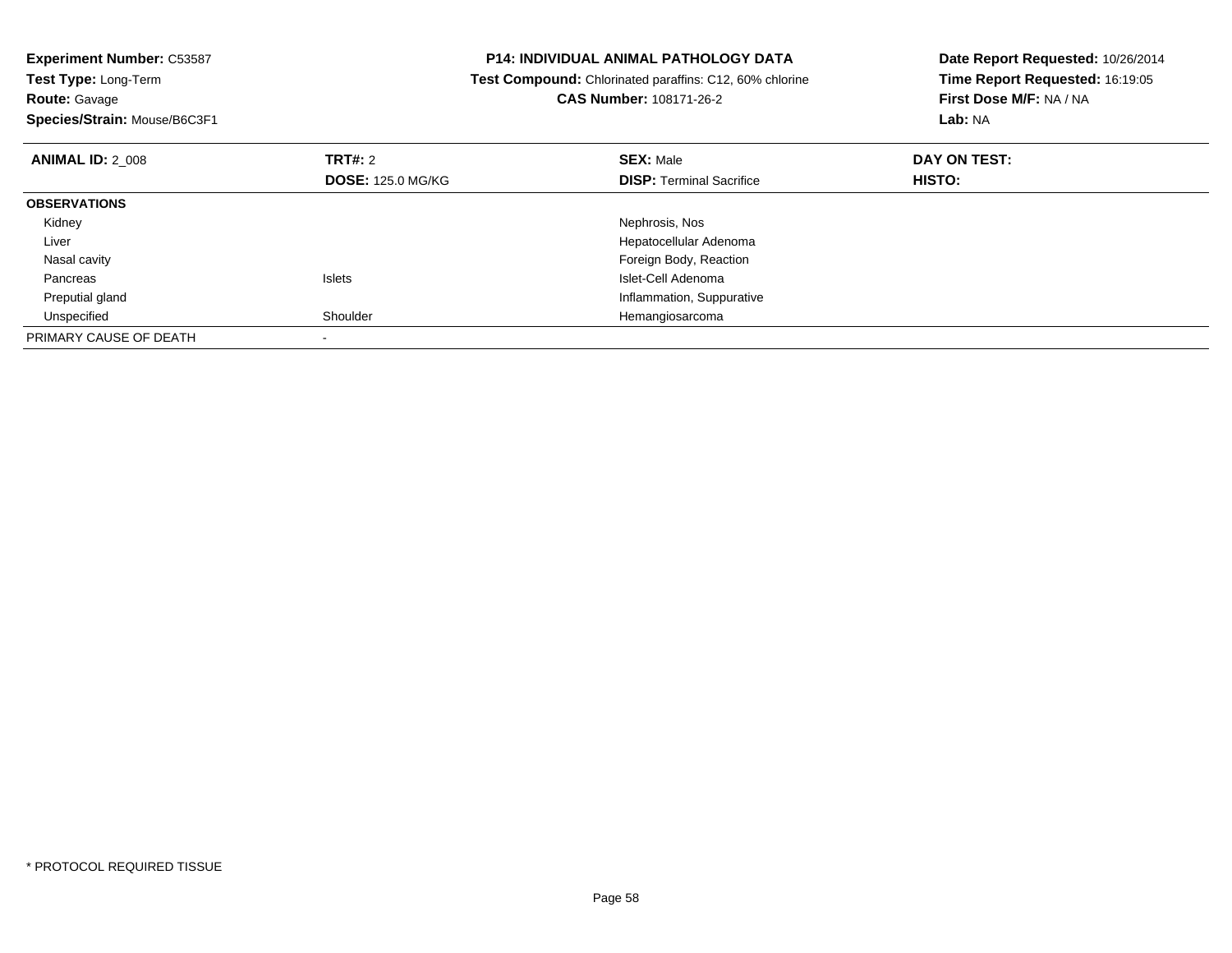**Experiment Number:** C53587**Test Type:** Long-Term**Route:** Gavage **Species/Strain:** Mouse/B6C3F1**P14: INDIVIDUAL ANIMAL PATHOLOGY DATA Test Compound:** Chlorinated paraffins: C12, 60% chlorine**CAS Number:** 108171-26-2**Date Report Requested:** 10/26/2014**Time Report Requested:** 16:19:05**First Dose M/F:** NA / NA**Lab:** NA**ANIMAL ID:** 2\_008**REX:** Male **DAY ON TEST: CONSIST: SEX:** Male **DOSE:** 125.0 MG/KG**DISP:** Terminal Sacrifice **HISTO: OBSERVATIONS** Kidney Nephrosis, Nos Liver Hepatocellular Adenoma Foreign Body, Reaction Nasal cavity PancreasIslets **Islet-Cell Adenoma**  Inflammation, Suppurative Preputial gland UnspecifiedShoulder **Hemangiosarcoma** PRIMARY CAUSE OF DEATH-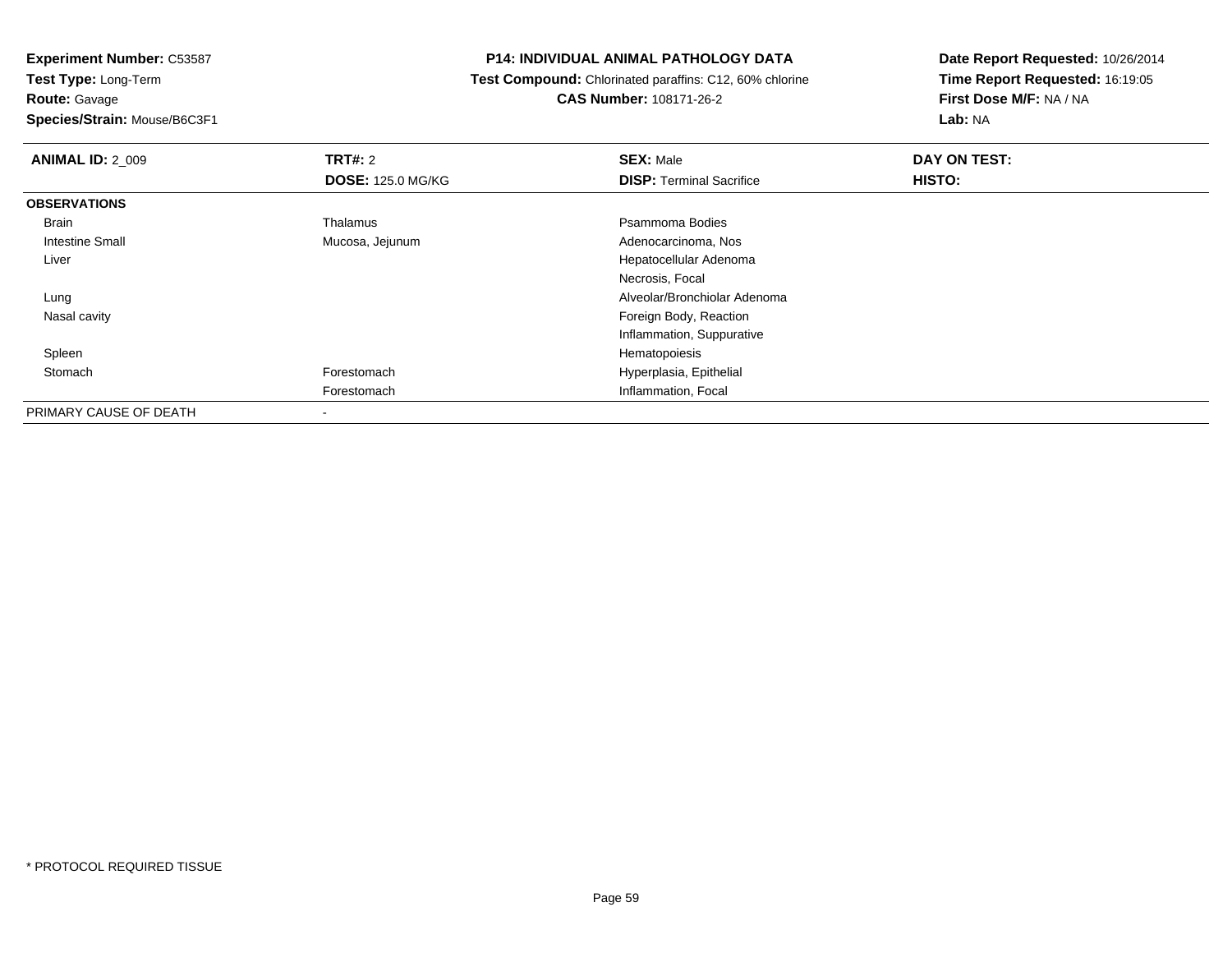**Test Type:** Long-Term**Route:** Gavage

**Species/Strain:** Mouse/B6C3F1

## **P14: INDIVIDUAL ANIMAL PATHOLOGY DATA**

 **Test Compound:** Chlorinated paraffins: C12, 60% chlorine**CAS Number:** 108171-26-2

| <b>ANIMAL ID: 2 009</b> | <b>TRT#: 2</b>           | <b>SEX: Male</b>                | DAY ON TEST: |  |
|-------------------------|--------------------------|---------------------------------|--------------|--|
|                         | <b>DOSE: 125.0 MG/KG</b> | <b>DISP: Terminal Sacrifice</b> | HISTO:       |  |
| <b>OBSERVATIONS</b>     |                          |                                 |              |  |
| Brain                   | Thalamus                 | Psammoma Bodies                 |              |  |
| <b>Intestine Small</b>  | Mucosa, Jejunum          | Adenocarcinoma, Nos             |              |  |
| Liver                   |                          | Hepatocellular Adenoma          |              |  |
|                         |                          | Necrosis, Focal                 |              |  |
| Lung                    |                          | Alveolar/Bronchiolar Adenoma    |              |  |
| Nasal cavity            |                          | Foreign Body, Reaction          |              |  |
|                         |                          | Inflammation, Suppurative       |              |  |
| Spleen                  |                          | Hematopoiesis                   |              |  |
| Stomach                 | Forestomach              | Hyperplasia, Epithelial         |              |  |
|                         | Forestomach              | Inflammation, Focal             |              |  |
| PRIMARY CAUSE OF DEATH  | $\,$                     |                                 |              |  |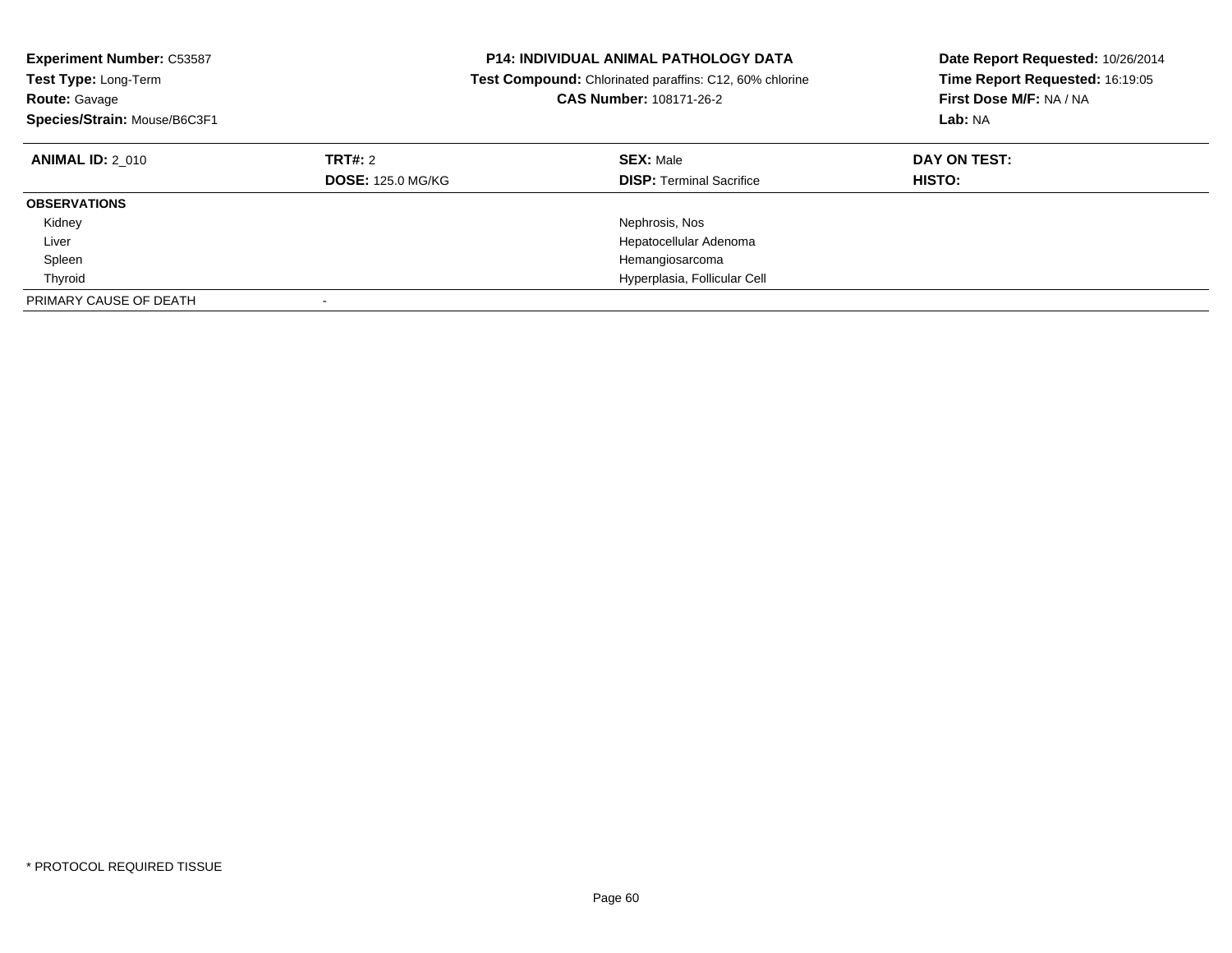| <b>Experiment Number: C53587</b><br>Test Type: Long-Term<br><b>Route: Gavage</b><br>Species/Strain: Mouse/B6C3F1 | <b>P14: INDIVIDUAL ANIMAL PATHOLOGY DATA</b><br><b>Test Compound:</b> Chlorinated paraffins: C12, 60% chlorine<br>CAS Number: 108171-26-2 |                                                     | Date Report Requested: 10/26/2014<br>Time Report Requested: 16:19:05<br>First Dose M/F: NA / NA<br>Lab: NA |
|------------------------------------------------------------------------------------------------------------------|-------------------------------------------------------------------------------------------------------------------------------------------|-----------------------------------------------------|------------------------------------------------------------------------------------------------------------|
| <b>ANIMAL ID: 2 010</b>                                                                                          | <b>TRT#: 2</b><br><b>DOSE: 125.0 MG/KG</b>                                                                                                | <b>SEX: Male</b><br><b>DISP:</b> Terminal Sacrifice | DAY ON TEST:<br><b>HISTO:</b>                                                                              |
| <b>OBSERVATIONS</b>                                                                                              |                                                                                                                                           |                                                     |                                                                                                            |
| Kidney                                                                                                           |                                                                                                                                           | Nephrosis, Nos                                      |                                                                                                            |
| Liver                                                                                                            |                                                                                                                                           | Hepatocellular Adenoma                              |                                                                                                            |
| Spleen                                                                                                           |                                                                                                                                           | Hemangiosarcoma                                     |                                                                                                            |
| Thyroid                                                                                                          |                                                                                                                                           | Hyperplasia, Follicular Cell                        |                                                                                                            |
| PRIMARY CAUSE OF DEATH                                                                                           |                                                                                                                                           |                                                     |                                                                                                            |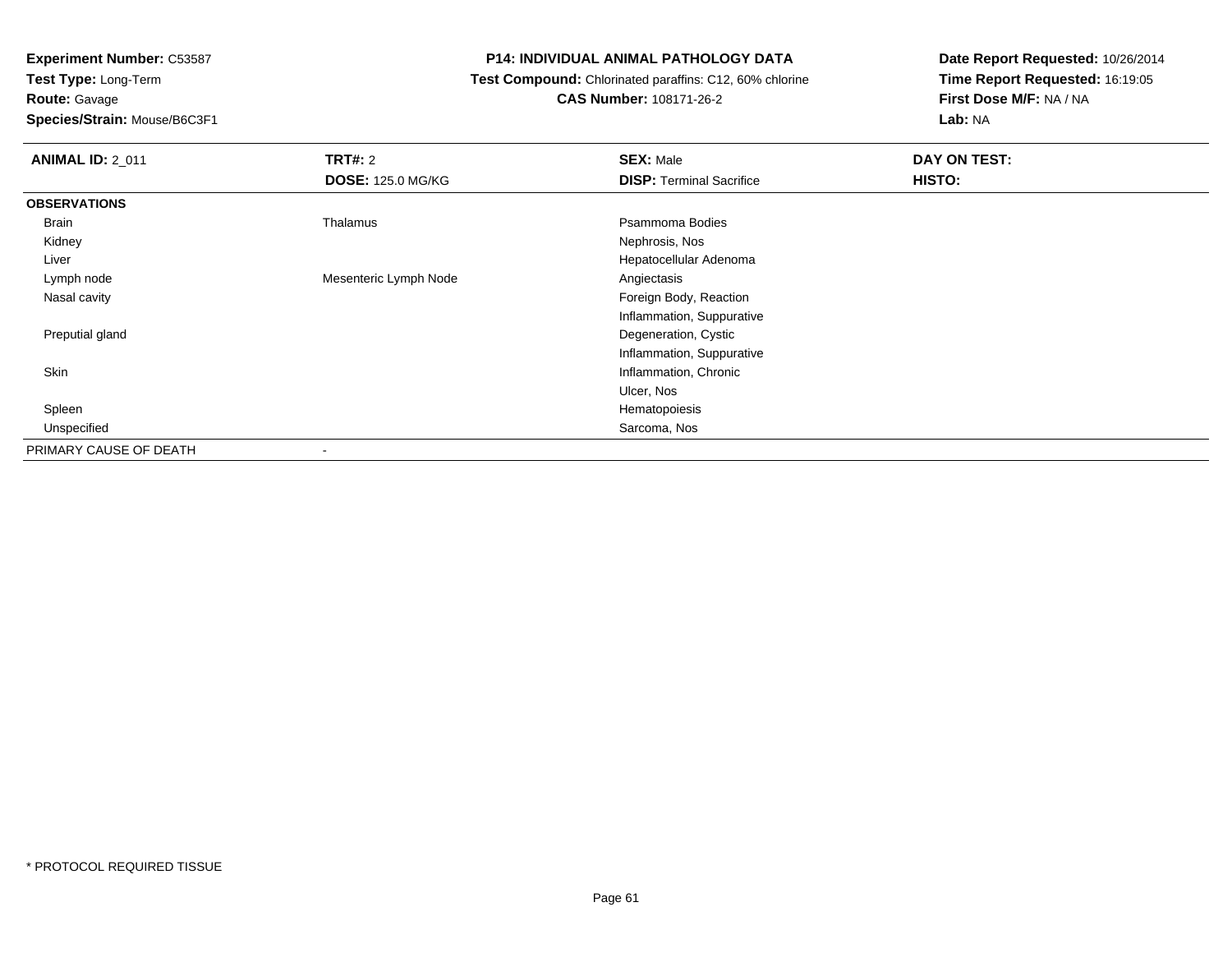**Route:** Gavage

**Species/Strain:** Mouse/B6C3F1

## **P14: INDIVIDUAL ANIMAL PATHOLOGY DATA**

 **Test Compound:** Chlorinated paraffins: C12, 60% chlorine**CAS Number:** 108171-26-2

| <b>ANIMAL ID: 2_011</b> | <b>TRT#: 2</b>           | <b>SEX: Male</b>                | DAY ON TEST: |  |
|-------------------------|--------------------------|---------------------------------|--------------|--|
|                         | <b>DOSE: 125.0 MG/KG</b> | <b>DISP: Terminal Sacrifice</b> | HISTO:       |  |
| <b>OBSERVATIONS</b>     |                          |                                 |              |  |
| Brain                   | Thalamus                 | Psammoma Bodies                 |              |  |
| Kidney                  |                          | Nephrosis, Nos                  |              |  |
| Liver                   |                          | Hepatocellular Adenoma          |              |  |
| Lymph node              | Mesenteric Lymph Node    | Angiectasis                     |              |  |
| Nasal cavity            |                          | Foreign Body, Reaction          |              |  |
|                         |                          | Inflammation, Suppurative       |              |  |
| Preputial gland         |                          | Degeneration, Cystic            |              |  |
|                         |                          | Inflammation, Suppurative       |              |  |
| Skin                    |                          | Inflammation, Chronic           |              |  |
|                         |                          | Ulcer, Nos                      |              |  |
| Spleen                  |                          | Hematopoiesis                   |              |  |
| Unspecified             |                          | Sarcoma, Nos                    |              |  |
| PRIMARY CAUSE OF DEATH  |                          |                                 |              |  |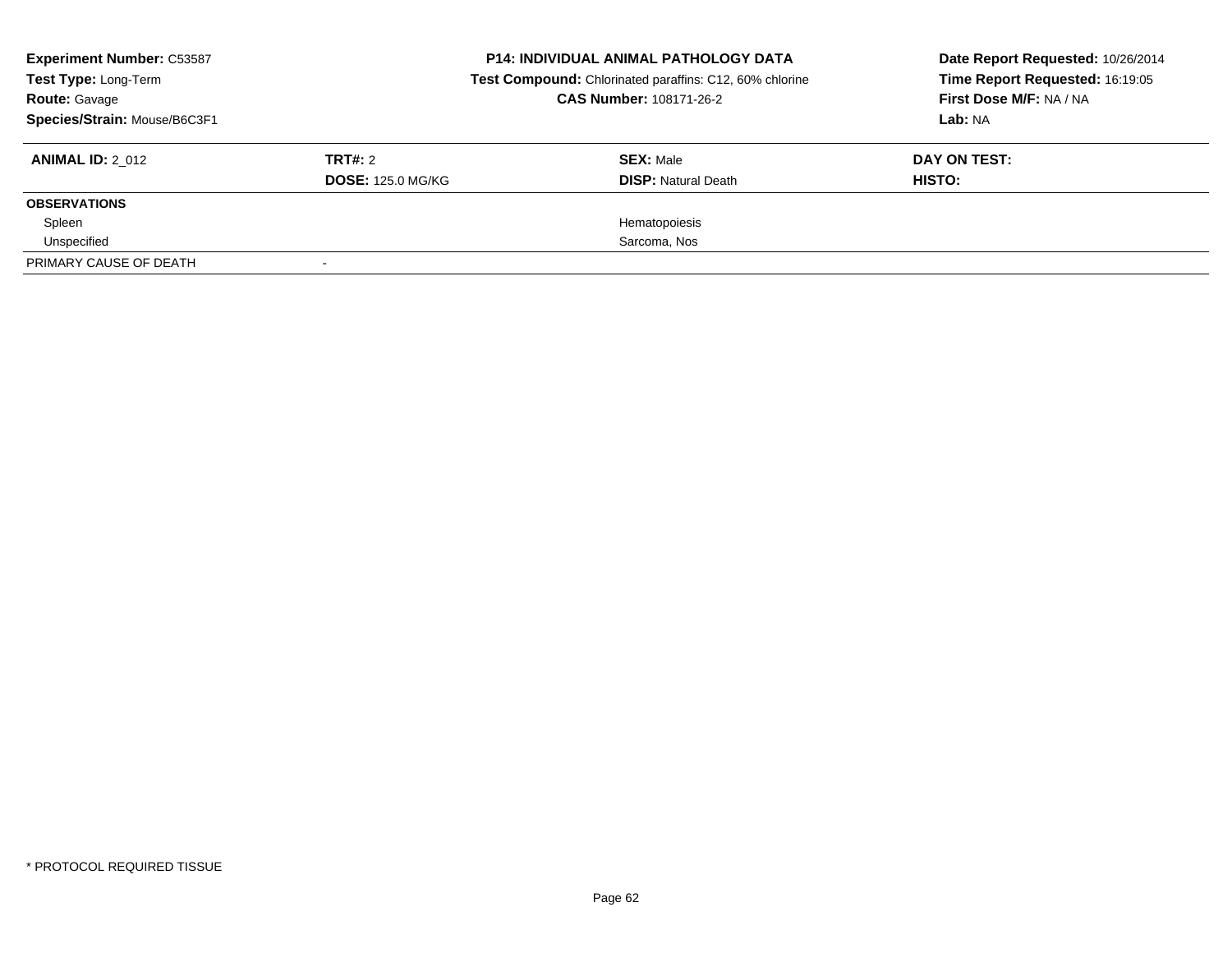| <b>Experiment Number: C53587</b><br>Test Type: Long-Term<br><b>Route: Gavage</b><br>Species/Strain: Mouse/B6C3F1 |                                     | <b>P14: INDIVIDUAL ANIMAL PATHOLOGY DATA</b><br>Test Compound: Chlorinated paraffins: C12, 60% chlorine<br><b>CAS Number: 108171-26-2</b> | Date Report Requested: 10/26/2014<br>Time Report Requested: 16:19:05<br>First Dose M/F: NA / NA<br>Lab: NA |  |
|------------------------------------------------------------------------------------------------------------------|-------------------------------------|-------------------------------------------------------------------------------------------------------------------------------------------|------------------------------------------------------------------------------------------------------------|--|
| <b>ANIMAL ID: 2 012</b>                                                                                          | TRT#: 2<br><b>DOSE: 125.0 MG/KG</b> | <b>SEX: Male</b><br><b>DISP:</b> Natural Death                                                                                            | DAY ON TEST:<br>HISTO:                                                                                     |  |
| <b>OBSERVATIONS</b>                                                                                              |                                     |                                                                                                                                           |                                                                                                            |  |
| Spleen                                                                                                           |                                     | Hematopoiesis                                                                                                                             |                                                                                                            |  |
| Unspecified                                                                                                      |                                     | Sarcoma, Nos                                                                                                                              |                                                                                                            |  |
| PRIMARY CAUSE OF DEATH                                                                                           |                                     |                                                                                                                                           |                                                                                                            |  |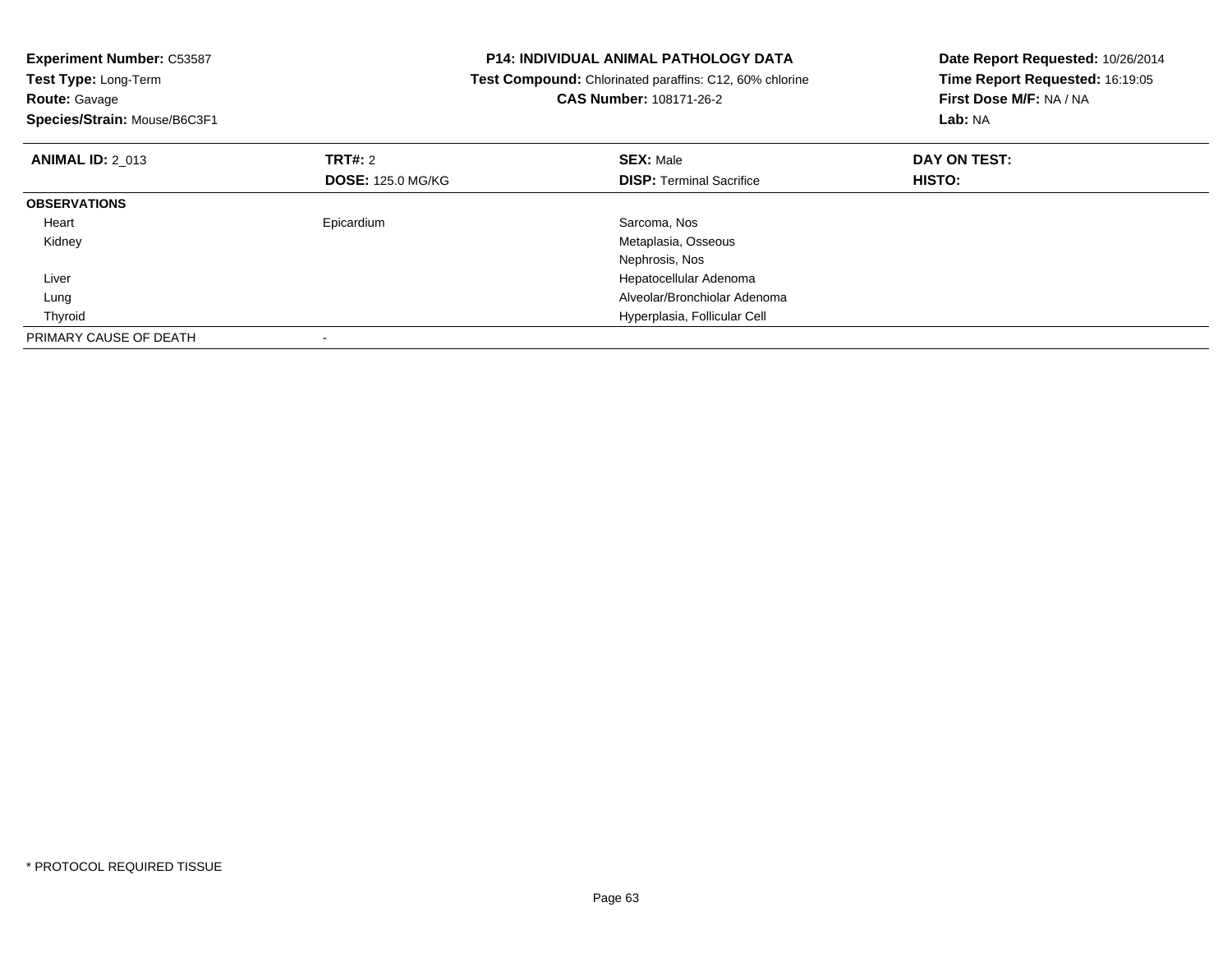| <b>Experiment Number: C53587</b> |                          | <b>P14: INDIVIDUAL ANIMAL PATHOLOGY DATA</b>            | Date Report Requested: 10/26/2014 |  |
|----------------------------------|--------------------------|---------------------------------------------------------|-----------------------------------|--|
| <b>Test Type: Long-Term</b>      |                          | Test Compound: Chlorinated paraffins: C12, 60% chlorine | Time Report Requested: 16:19:05   |  |
| <b>Route: Gavage</b>             |                          | CAS Number: 108171-26-2                                 | First Dose M/F: NA / NA           |  |
| Species/Strain: Mouse/B6C3F1     |                          |                                                         | Lab: NA                           |  |
| <b>ANIMAL ID: 2 013</b>          | <b>TRT#: 2</b>           | <b>SEX: Male</b>                                        | DAY ON TEST:                      |  |
|                                  | <b>DOSE: 125.0 MG/KG</b> | <b>DISP: Terminal Sacrifice</b>                         | HISTO:                            |  |
| <b>OBSERVATIONS</b>              |                          |                                                         |                                   |  |
| Heart                            | Epicardium               | Sarcoma, Nos                                            |                                   |  |
| Kidney                           |                          | Metaplasia, Osseous                                     |                                   |  |
|                                  |                          | Nephrosis, Nos                                          |                                   |  |
| Liver                            |                          | Hepatocellular Adenoma                                  |                                   |  |
| Lung                             |                          | Alveolar/Bronchiolar Adenoma                            |                                   |  |
| Thyroid                          |                          | Hyperplasia, Follicular Cell                            |                                   |  |
| PRIMARY CAUSE OF DEATH           |                          |                                                         |                                   |  |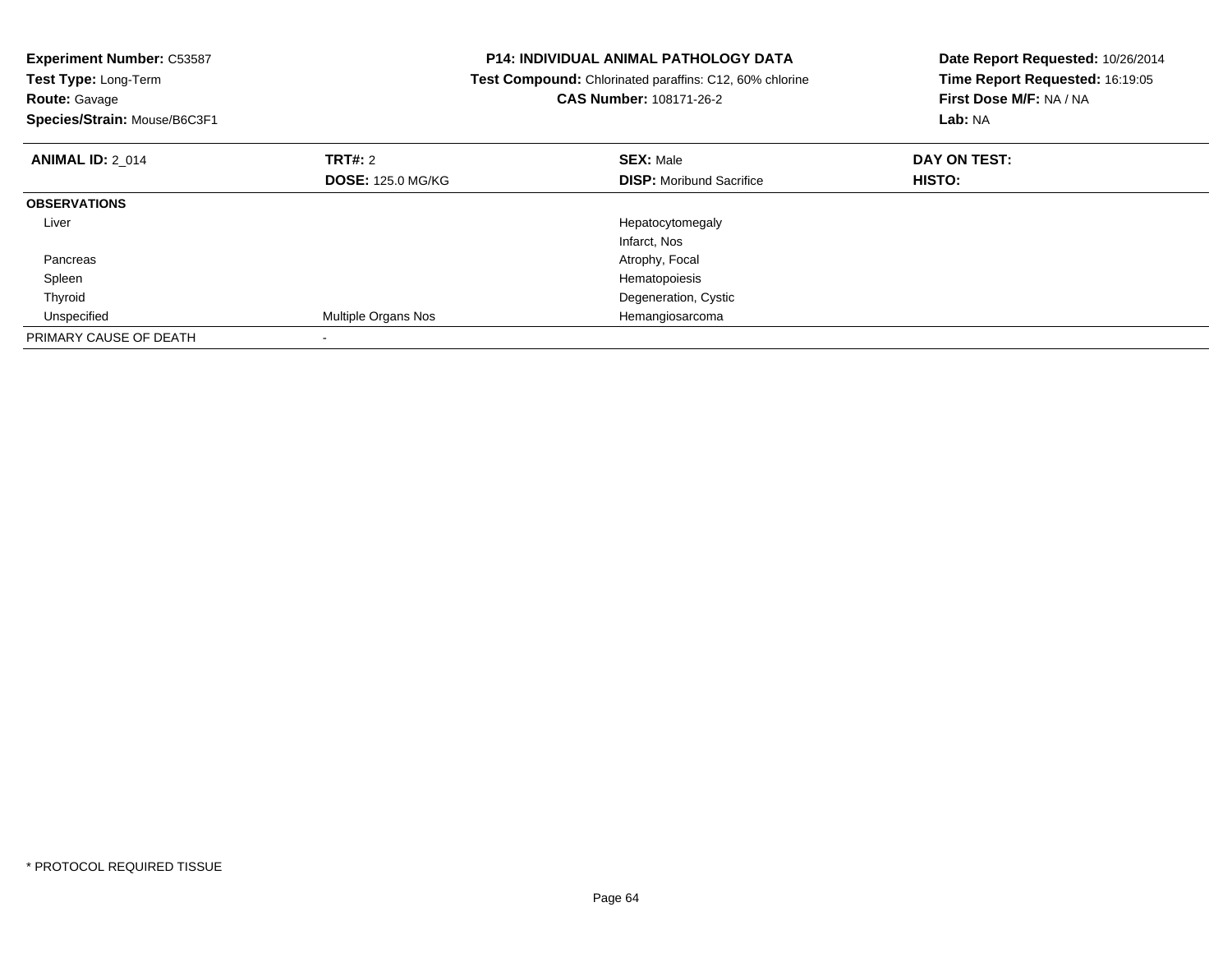| <b>Experiment Number: C53587</b><br>Test Type: Long-Term<br><b>Route: Gavage</b><br>Species/Strain: Mouse/B6C3F1 |                                     | <b>P14: INDIVIDUAL ANIMAL PATHOLOGY DATA</b><br>Test Compound: Chlorinated paraffins: C12, 60% chlorine<br>CAS Number: 108171-26-2 | Date Report Requested: 10/26/2014<br>Time Report Requested: 16:19:05<br>First Dose M/F: NA / NA<br>Lab: NA |  |
|------------------------------------------------------------------------------------------------------------------|-------------------------------------|------------------------------------------------------------------------------------------------------------------------------------|------------------------------------------------------------------------------------------------------------|--|
| <b>ANIMAL ID: 2_014</b>                                                                                          | TRT#: 2<br><b>DOSE: 125.0 MG/KG</b> | <b>SEX: Male</b><br><b>DISP:</b> Moribund Sacrifice                                                                                | DAY ON TEST:<br>HISTO:                                                                                     |  |
| <b>OBSERVATIONS</b>                                                                                              |                                     |                                                                                                                                    |                                                                                                            |  |
| Liver                                                                                                            |                                     | Hepatocytomegaly<br>Infarct, Nos                                                                                                   |                                                                                                            |  |
| Pancreas                                                                                                         |                                     | Atrophy, Focal                                                                                                                     |                                                                                                            |  |
| Spleen                                                                                                           |                                     | Hematopoiesis                                                                                                                      |                                                                                                            |  |
| Thyroid                                                                                                          |                                     | Degeneration, Cystic                                                                                                               |                                                                                                            |  |
| Unspecified                                                                                                      | <b>Multiple Organs Nos</b>          | Hemangiosarcoma                                                                                                                    |                                                                                                            |  |
| PRIMARY CAUSE OF DEATH                                                                                           |                                     |                                                                                                                                    |                                                                                                            |  |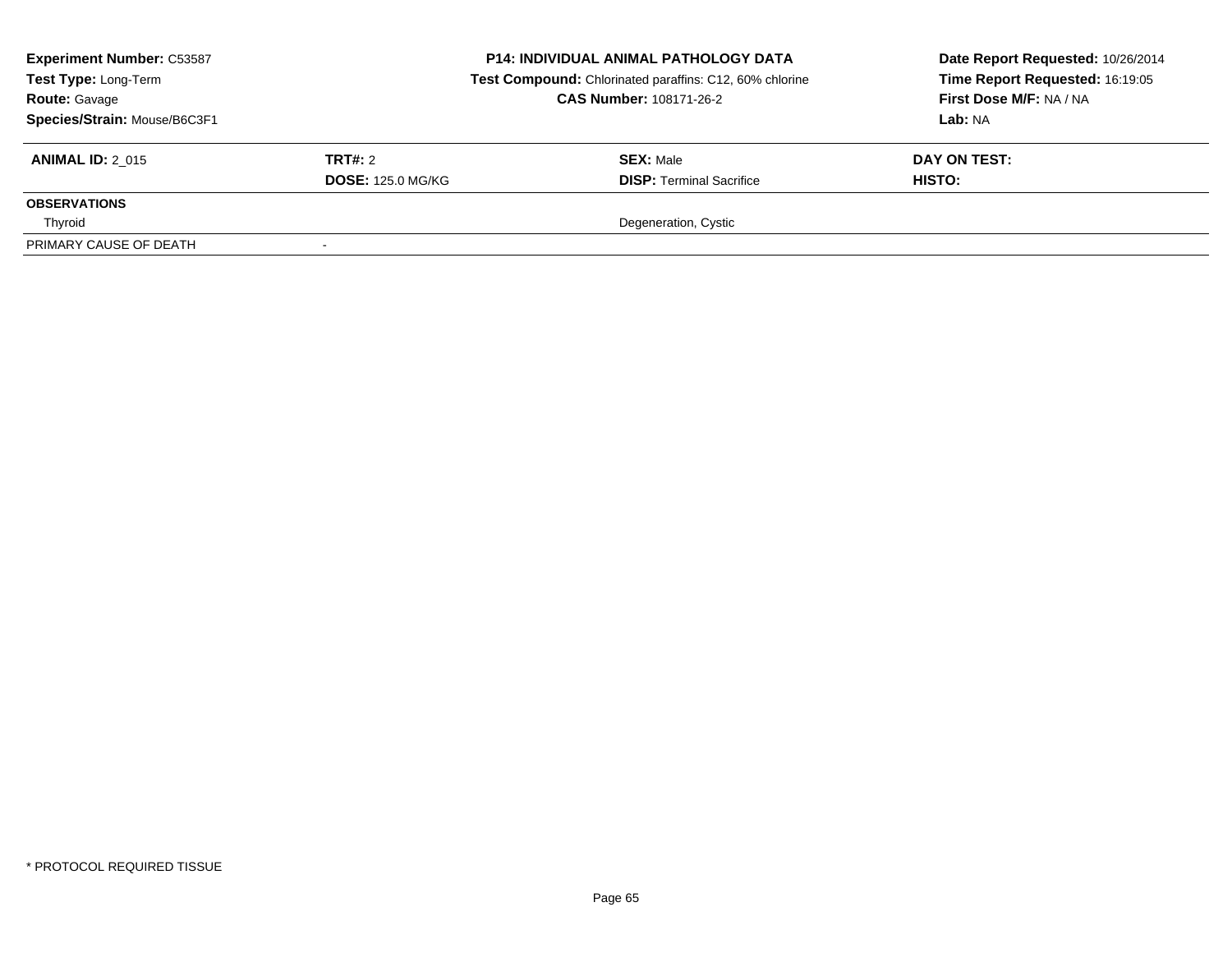| <b>Experiment Number: C53587</b><br>Test Type: Long-Term<br><b>Route: Gavage</b><br>Species/Strain: Mouse/B6C3F1 |                          | <b>P14: INDIVIDUAL ANIMAL PATHOLOGY DATA</b><br>Test Compound: Chlorinated paraffins: C12, 60% chlorine<br><b>CAS Number: 108171-26-2</b> | Date Report Requested: 10/26/2014<br>Time Report Requested: 16:19:05<br>First Dose M/F: NA / NA<br>Lab: NA |  |
|------------------------------------------------------------------------------------------------------------------|--------------------------|-------------------------------------------------------------------------------------------------------------------------------------------|------------------------------------------------------------------------------------------------------------|--|
| <b>ANIMAL ID: 2 015</b>                                                                                          | TRT#: 2                  | <b>SEX: Male</b>                                                                                                                          | DAY ON TEST:                                                                                               |  |
|                                                                                                                  | <b>DOSE: 125.0 MG/KG</b> | <b>DISP:</b> Terminal Sacrifice                                                                                                           | HISTO:                                                                                                     |  |
| <b>OBSERVATIONS</b>                                                                                              |                          |                                                                                                                                           |                                                                                                            |  |
| Thyroid                                                                                                          |                          | Degeneration, Cystic                                                                                                                      |                                                                                                            |  |
| PRIMARY CAUSE OF DEATH                                                                                           |                          |                                                                                                                                           |                                                                                                            |  |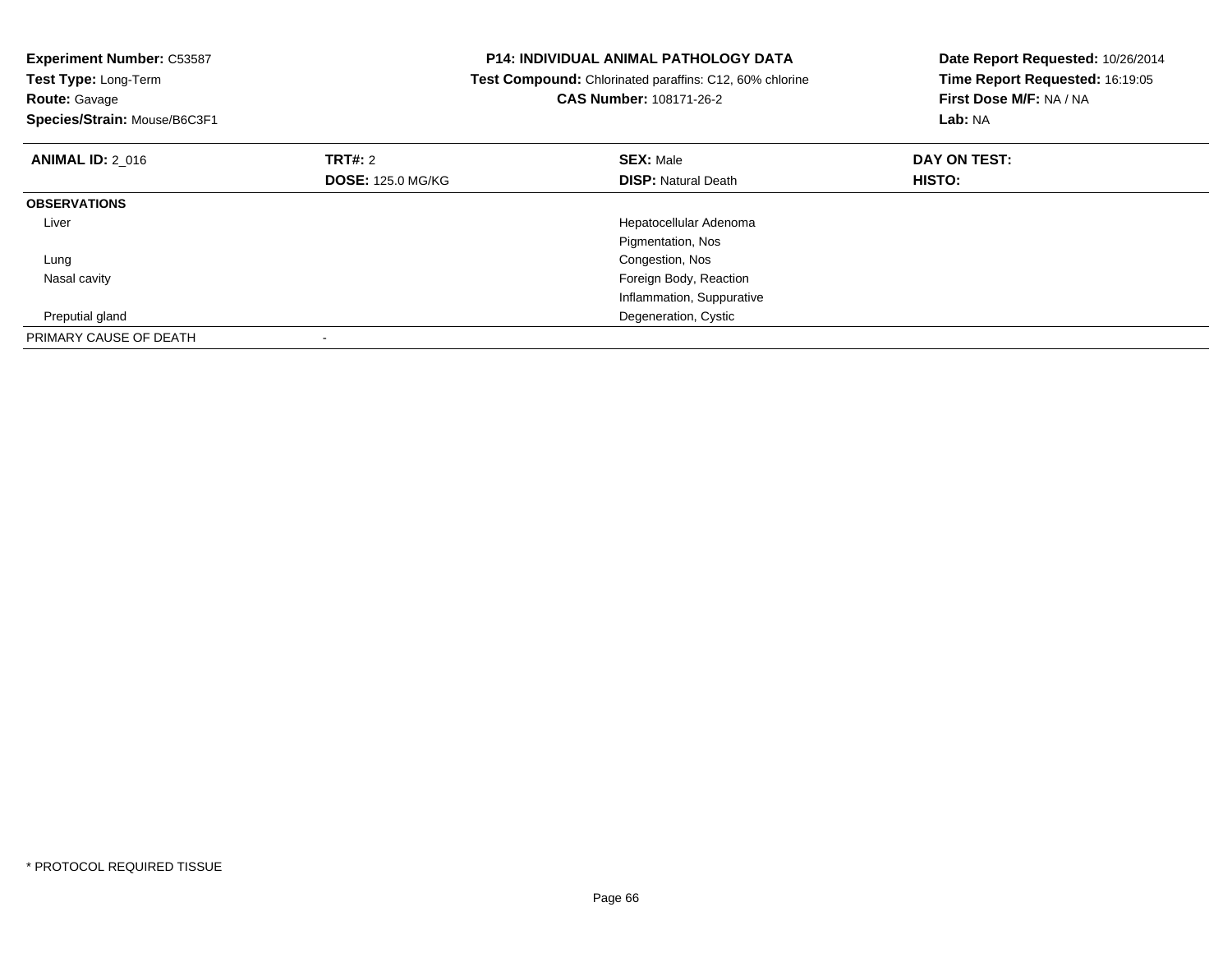| <b>Experiment Number: C53587</b><br>Test Type: Long-Term<br><b>Route: Gavage</b><br>Species/Strain: Mouse/B6C3F1 | <b>P14: INDIVIDUAL ANIMAL PATHOLOGY DATA</b><br>Test Compound: Chlorinated paraffins: C12, 60% chlorine<br><b>CAS Number: 108171-26-2</b> |                                                | Date Report Requested: 10/26/2014<br>Time Report Requested: 16:19:05<br>First Dose M/F: NA / NA<br>Lab: NA |  |
|------------------------------------------------------------------------------------------------------------------|-------------------------------------------------------------------------------------------------------------------------------------------|------------------------------------------------|------------------------------------------------------------------------------------------------------------|--|
| <b>ANIMAL ID: 2 016</b>                                                                                          | TRT#: 2<br><b>DOSE: 125.0 MG/KG</b>                                                                                                       | <b>SEX: Male</b><br><b>DISP: Natural Death</b> | DAY ON TEST:<br><b>HISTO:</b>                                                                              |  |
| <b>OBSERVATIONS</b>                                                                                              |                                                                                                                                           |                                                |                                                                                                            |  |
| Liver                                                                                                            |                                                                                                                                           | Hepatocellular Adenoma<br>Pigmentation, Nos    |                                                                                                            |  |
| Lung                                                                                                             |                                                                                                                                           | Congestion, Nos                                |                                                                                                            |  |
| Nasal cavity                                                                                                     |                                                                                                                                           | Foreign Body, Reaction                         |                                                                                                            |  |
|                                                                                                                  |                                                                                                                                           | Inflammation, Suppurative                      |                                                                                                            |  |
| Preputial gland                                                                                                  |                                                                                                                                           | Degeneration, Cystic                           |                                                                                                            |  |
| PRIMARY CAUSE OF DEATH                                                                                           |                                                                                                                                           |                                                |                                                                                                            |  |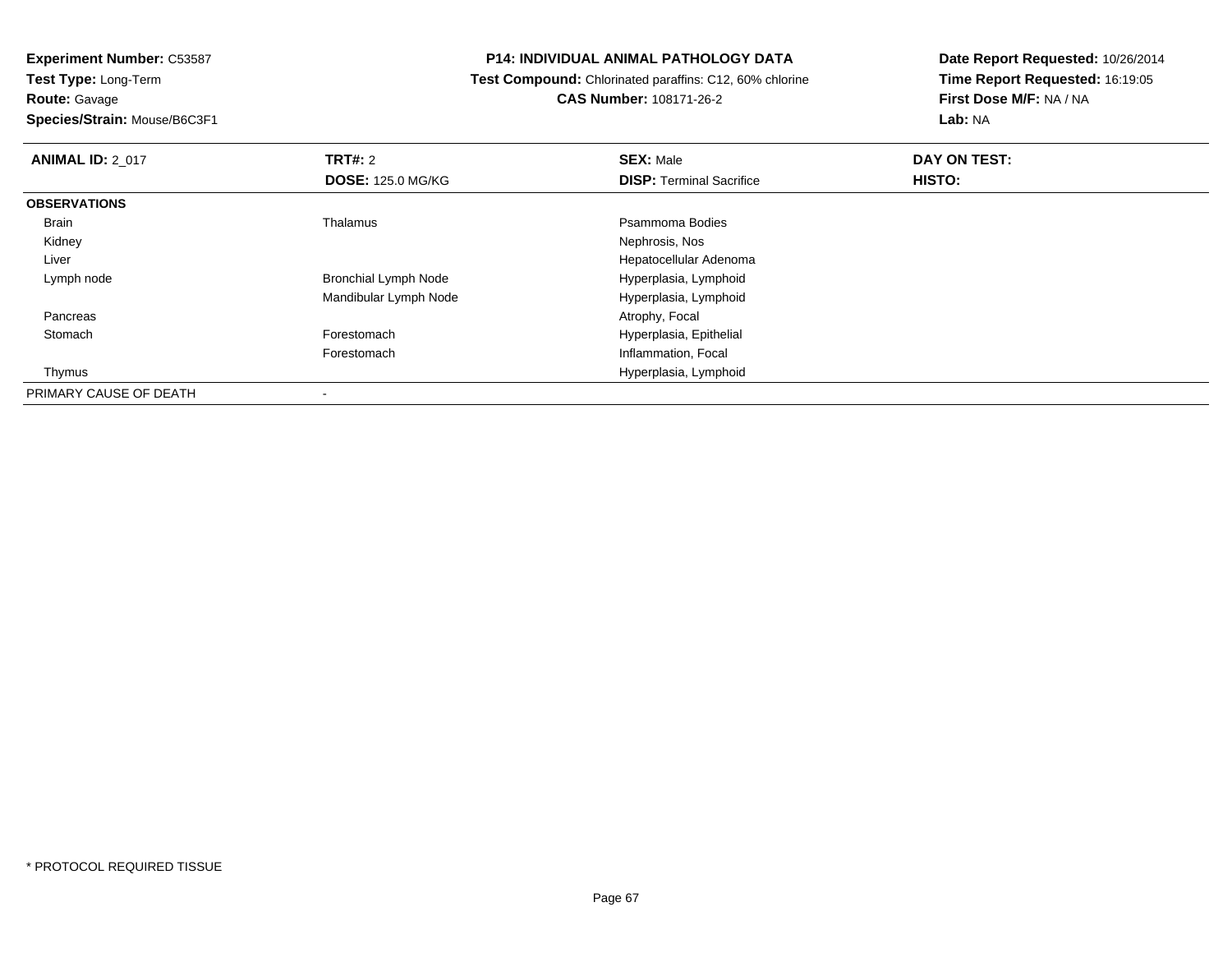**Route:** Gavage

**Species/Strain:** Mouse/B6C3F1

## **P14: INDIVIDUAL ANIMAL PATHOLOGY DATA**

 **Test Compound:** Chlorinated paraffins: C12, 60% chlorine**CAS Number:** 108171-26-2

| <b>ANIMAL ID: 2 017</b> | <b>TRT#: 2</b>              | <b>SEX: Male</b>                | DAY ON TEST: |  |
|-------------------------|-----------------------------|---------------------------------|--------------|--|
|                         | <b>DOSE: 125.0 MG/KG</b>    | <b>DISP: Terminal Sacrifice</b> | HISTO:       |  |
| <b>OBSERVATIONS</b>     |                             |                                 |              |  |
| Brain                   | Thalamus                    | Psammoma Bodies                 |              |  |
| Kidney                  |                             | Nephrosis, Nos                  |              |  |
| Liver                   |                             | Hepatocellular Adenoma          |              |  |
| Lymph node              | <b>Bronchial Lymph Node</b> | Hyperplasia, Lymphoid           |              |  |
|                         | Mandibular Lymph Node       | Hyperplasia, Lymphoid           |              |  |
| Pancreas                |                             | Atrophy, Focal                  |              |  |
| Stomach                 | Forestomach                 | Hyperplasia, Epithelial         |              |  |
|                         | Forestomach                 | Inflammation, Focal             |              |  |
| Thymus                  |                             | Hyperplasia, Lymphoid           |              |  |
| PRIMARY CAUSE OF DEATH  |                             |                                 |              |  |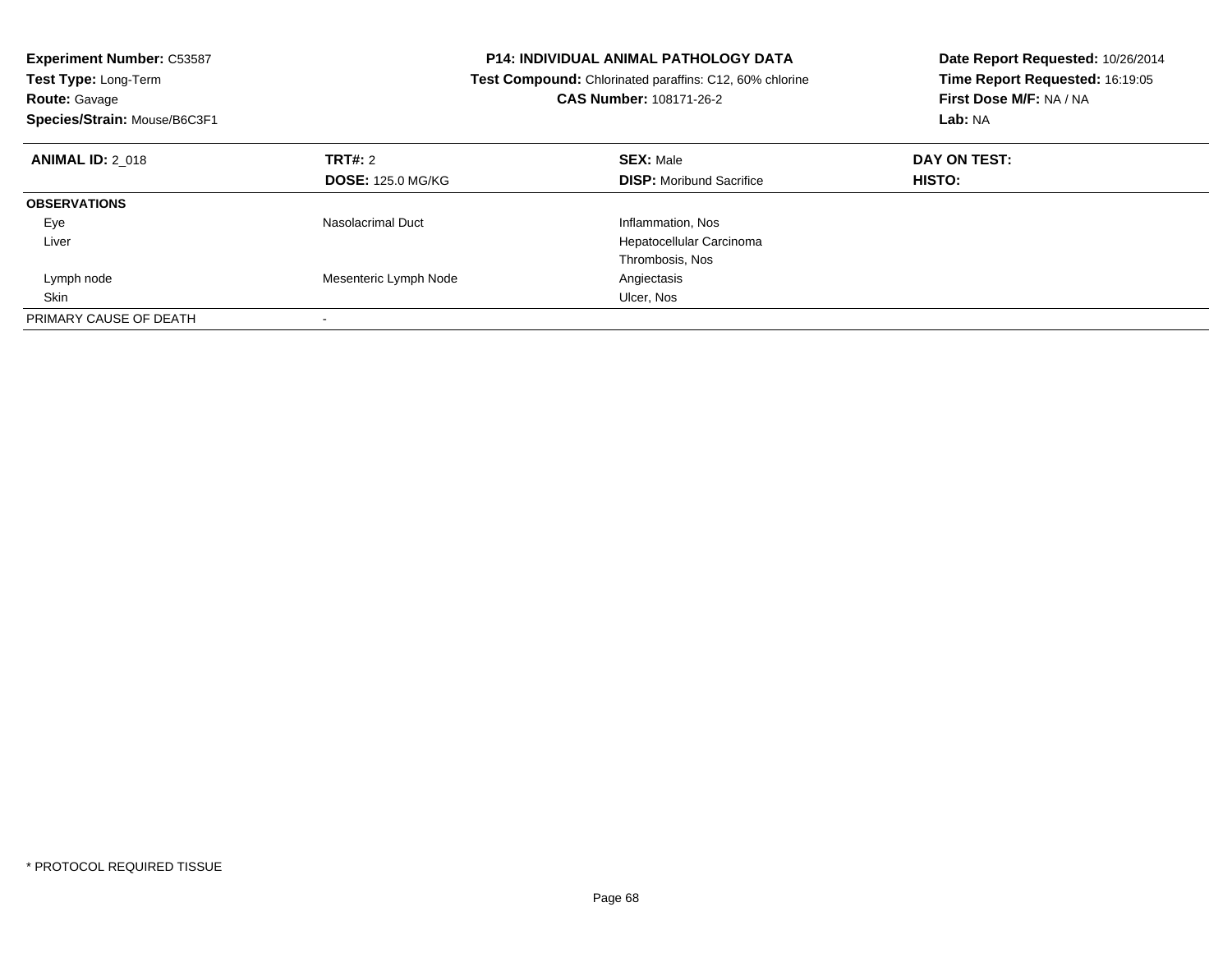| <b>Experiment Number: C53587</b><br><b>P14: INDIVIDUAL ANIMAL PATHOLOGY DATA</b><br>Test Type: Long-Term<br>Test Compound: Chlorinated paraffins: C12, 60% chlorine<br>CAS Number: 108171-26-2<br><b>Route: Gavage</b><br>Species/Strain: Mouse/B6C3F1 |                          |                                 | Date Report Requested: 10/26/2014<br>Time Report Requested: 16:19:05<br>First Dose M/F: NA / NA<br>Lab: NA |
|--------------------------------------------------------------------------------------------------------------------------------------------------------------------------------------------------------------------------------------------------------|--------------------------|---------------------------------|------------------------------------------------------------------------------------------------------------|
| <b>ANIMAL ID: 2 018</b>                                                                                                                                                                                                                                | TRT#: 2                  | <b>SEX: Male</b>                | DAY ON TEST:                                                                                               |
|                                                                                                                                                                                                                                                        | <b>DOSE: 125.0 MG/KG</b> | <b>DISP:</b> Moribund Sacrifice | HISTO:                                                                                                     |
| <b>OBSERVATIONS</b>                                                                                                                                                                                                                                    |                          |                                 |                                                                                                            |
| Eye                                                                                                                                                                                                                                                    | Nasolacrimal Duct        | Inflammation, Nos               |                                                                                                            |
| Liver                                                                                                                                                                                                                                                  |                          | Hepatocellular Carcinoma        |                                                                                                            |
|                                                                                                                                                                                                                                                        |                          | Thrombosis, Nos                 |                                                                                                            |
| Lymph node                                                                                                                                                                                                                                             | Mesenteric Lymph Node    | Angiectasis                     |                                                                                                            |
| Skin                                                                                                                                                                                                                                                   |                          | Ulcer, Nos                      |                                                                                                            |
| PRIMARY CAUSE OF DEATH                                                                                                                                                                                                                                 |                          |                                 |                                                                                                            |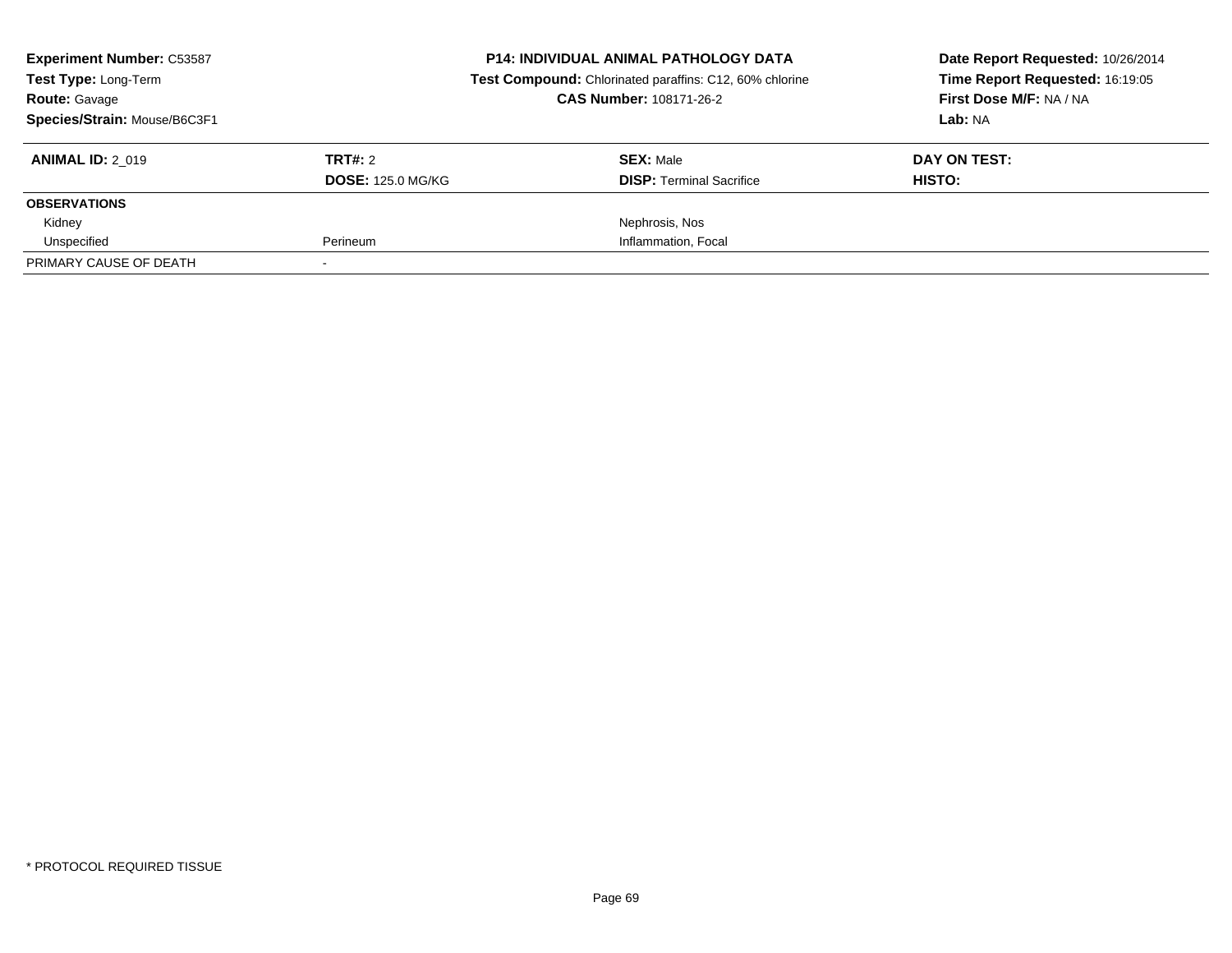| <b>Experiment Number: C53587</b><br><b>Test Type: Long-Term</b><br><b>Route: Gavage</b><br>Species/Strain: Mouse/B6C3F1 |                                     | <b>P14: INDIVIDUAL ANIMAL PATHOLOGY DATA</b><br>Test Compound: Chlorinated paraffins: C12, 60% chlorine<br><b>CAS Number: 108171-26-2</b> | Date Report Requested: 10/26/2014<br>Time Report Requested: 16:19:05<br>First Dose M/F: NA / NA<br>Lab: NA |
|-------------------------------------------------------------------------------------------------------------------------|-------------------------------------|-------------------------------------------------------------------------------------------------------------------------------------------|------------------------------------------------------------------------------------------------------------|
| <b>ANIMAL ID: 2 019</b>                                                                                                 | TRT#: 2<br><b>DOSE: 125.0 MG/KG</b> | <b>SEX: Male</b><br><b>DISP:</b> Terminal Sacrifice                                                                                       | DAY ON TEST:<br>HISTO:                                                                                     |
| <b>OBSERVATIONS</b>                                                                                                     |                                     |                                                                                                                                           |                                                                                                            |
| Kidney                                                                                                                  |                                     | Nephrosis, Nos                                                                                                                            |                                                                                                            |
| Unspecified                                                                                                             | Perineum                            | Inflammation, Focal                                                                                                                       |                                                                                                            |
| PRIMARY CAUSE OF DEATH                                                                                                  |                                     |                                                                                                                                           |                                                                                                            |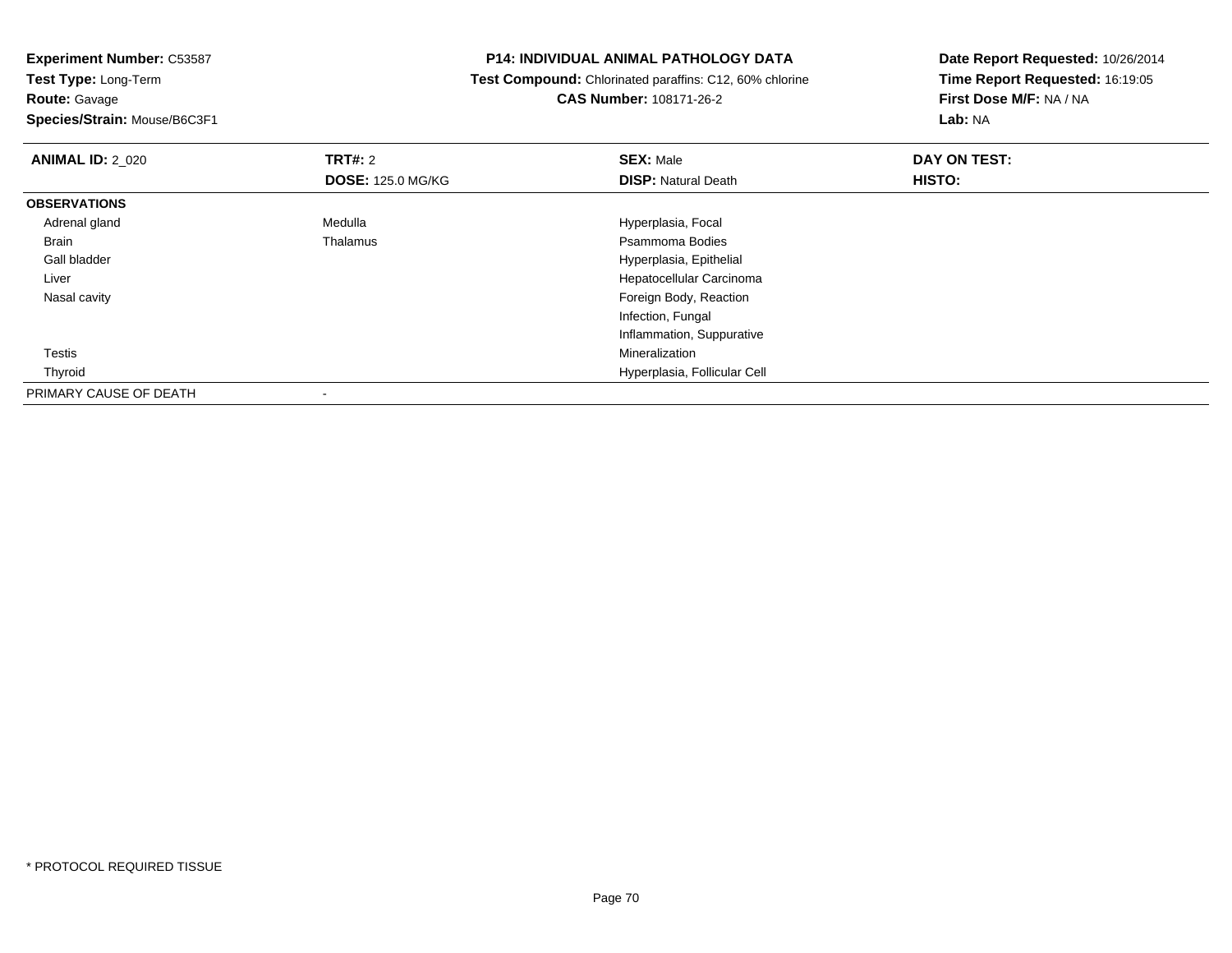**Route:** Gavage

**Species/Strain:** Mouse/B6C3F1

## **P14: INDIVIDUAL ANIMAL PATHOLOGY DATA**

 **Test Compound:** Chlorinated paraffins: C12, 60% chlorine**CAS Number:** 108171-26-2

| <b>ANIMAL ID: 2_020</b> | TRT#: 2                  | <b>SEX: Male</b>             | DAY ON TEST: |  |
|-------------------------|--------------------------|------------------------------|--------------|--|
|                         | <b>DOSE: 125.0 MG/KG</b> | <b>DISP: Natural Death</b>   | HISTO:       |  |
| <b>OBSERVATIONS</b>     |                          |                              |              |  |
| Adrenal gland           | Medulla                  | Hyperplasia, Focal           |              |  |
| <b>Brain</b>            | Thalamus                 | Psammoma Bodies              |              |  |
| Gall bladder            |                          | Hyperplasia, Epithelial      |              |  |
| Liver                   |                          | Hepatocellular Carcinoma     |              |  |
| Nasal cavity            |                          | Foreign Body, Reaction       |              |  |
|                         |                          | Infection, Fungal            |              |  |
|                         |                          | Inflammation, Suppurative    |              |  |
| Testis                  |                          | Mineralization               |              |  |
| Thyroid                 |                          | Hyperplasia, Follicular Cell |              |  |
| PRIMARY CAUSE OF DEATH  |                          |                              |              |  |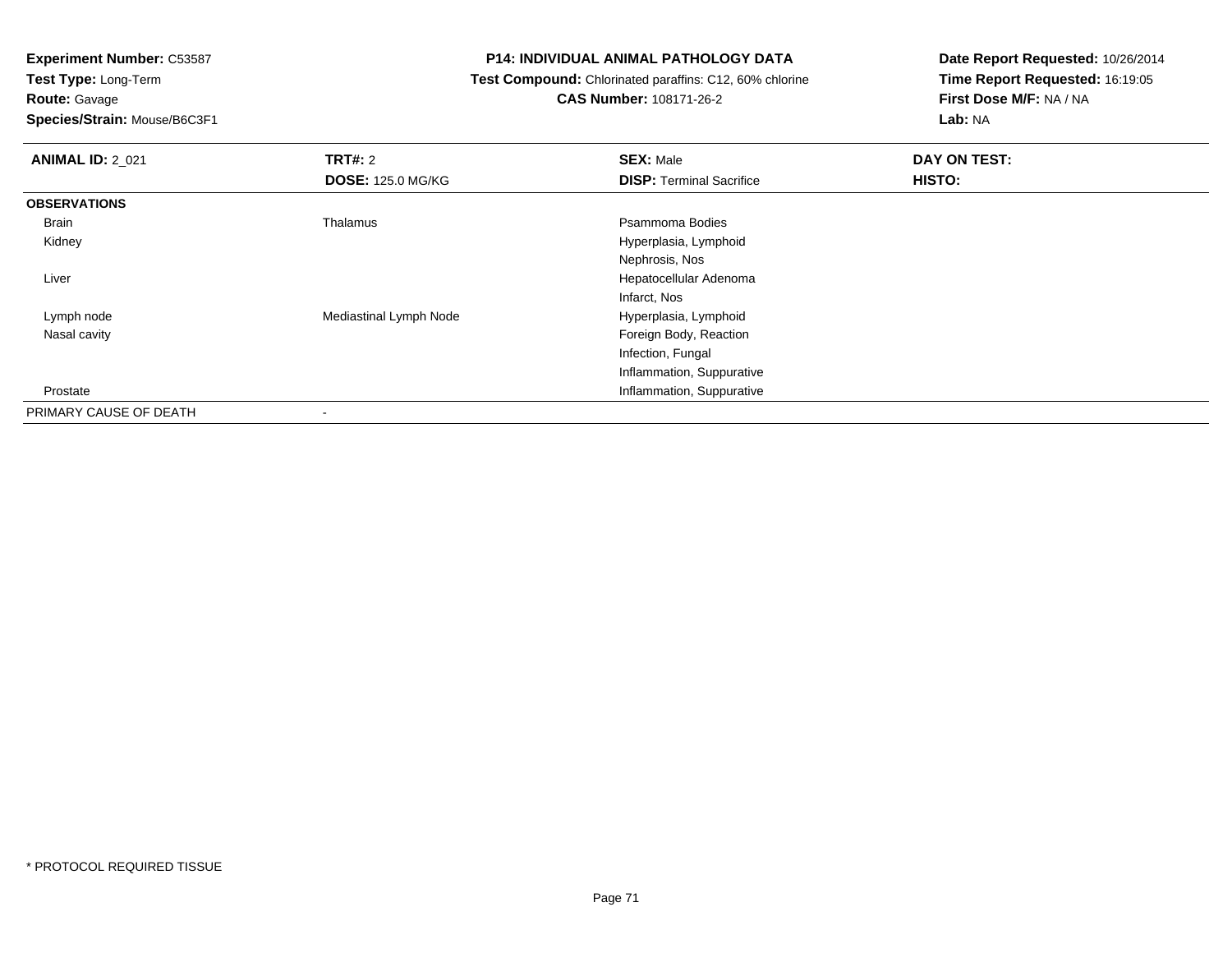**Test Type:** Long-Term**Route:** Gavage

**Species/Strain:** Mouse/B6C3F1

## **P14: INDIVIDUAL ANIMAL PATHOLOGY DATA**

 **Test Compound:** Chlorinated paraffins: C12, 60% chlorine**CAS Number:** 108171-26-2

| <b>ANIMAL ID: 2 021</b> | TRT#: 2                  | <b>SEX: Male</b>                | DAY ON TEST: |  |
|-------------------------|--------------------------|---------------------------------|--------------|--|
|                         | <b>DOSE: 125.0 MG/KG</b> | <b>DISP: Terminal Sacrifice</b> | HISTO:       |  |
| <b>OBSERVATIONS</b>     |                          |                                 |              |  |
| Brain                   | Thalamus                 | Psammoma Bodies                 |              |  |
| Kidney                  |                          | Hyperplasia, Lymphoid           |              |  |
|                         |                          | Nephrosis, Nos                  |              |  |
| Liver                   |                          | Hepatocellular Adenoma          |              |  |
|                         |                          | Infarct, Nos                    |              |  |
| Lymph node              | Mediastinal Lymph Node   | Hyperplasia, Lymphoid           |              |  |
| Nasal cavity            |                          | Foreign Body, Reaction          |              |  |
|                         |                          | Infection, Fungal               |              |  |
|                         |                          | Inflammation, Suppurative       |              |  |
| Prostate                |                          | Inflammation, Suppurative       |              |  |
| PRIMARY CAUSE OF DEATH  | -                        |                                 |              |  |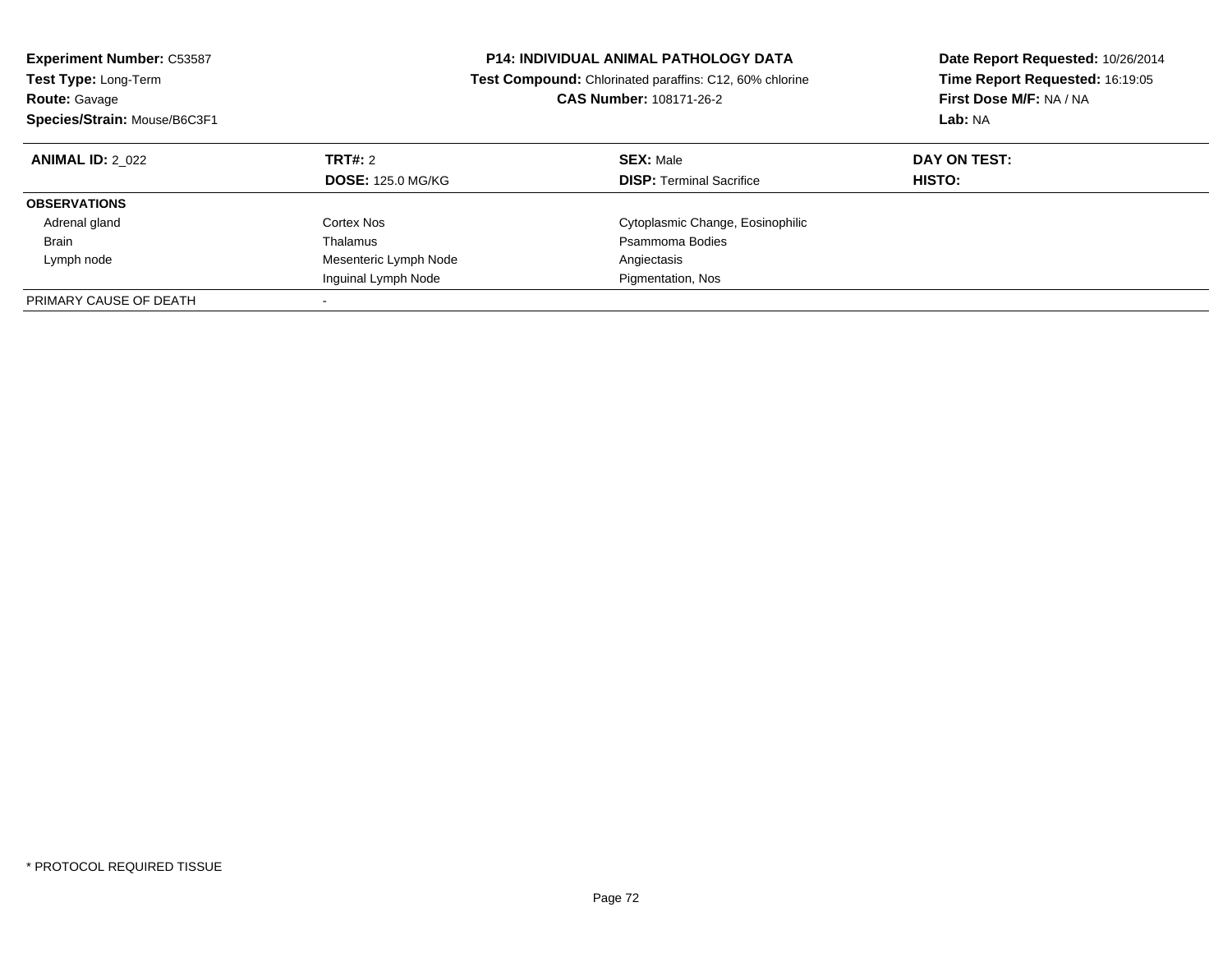| <b>Experiment Number: C53587</b><br><b>Test Type: Long-Term</b><br><b>Route: Gavage</b><br>Species/Strain: Mouse/B6C3F1 |                                     | <b>P14: INDIVIDUAL ANIMAL PATHOLOGY DATA</b><br>Test Compound: Chlorinated paraffins: C12, 60% chlorine<br><b>CAS Number: 108171-26-2</b> | Date Report Requested: 10/26/2014<br>Time Report Requested: 16:19:05<br>First Dose M/F: NA / NA<br>Lab: NA |  |
|-------------------------------------------------------------------------------------------------------------------------|-------------------------------------|-------------------------------------------------------------------------------------------------------------------------------------------|------------------------------------------------------------------------------------------------------------|--|
| <b>ANIMAL ID: 2 022</b>                                                                                                 | TRT#: 2<br><b>DOSE: 125.0 MG/KG</b> | <b>SEX: Male</b><br><b>DISP:</b> Terminal Sacrifice                                                                                       | DAY ON TEST:<br><b>HISTO:</b>                                                                              |  |
| <b>OBSERVATIONS</b>                                                                                                     |                                     |                                                                                                                                           |                                                                                                            |  |
| Adrenal gland                                                                                                           | Cortex Nos                          | Cytoplasmic Change, Eosinophilic                                                                                                          |                                                                                                            |  |
|                                                                                                                         | Thalamus                            | Psammoma Bodies                                                                                                                           |                                                                                                            |  |
| Brain                                                                                                                   |                                     |                                                                                                                                           |                                                                                                            |  |
| Lymph node                                                                                                              | Mesenteric Lymph Node               | Angiectasis                                                                                                                               |                                                                                                            |  |
|                                                                                                                         | Inguinal Lymph Node                 | Pigmentation, Nos                                                                                                                         |                                                                                                            |  |
| PRIMARY CAUSE OF DEATH                                                                                                  |                                     |                                                                                                                                           |                                                                                                            |  |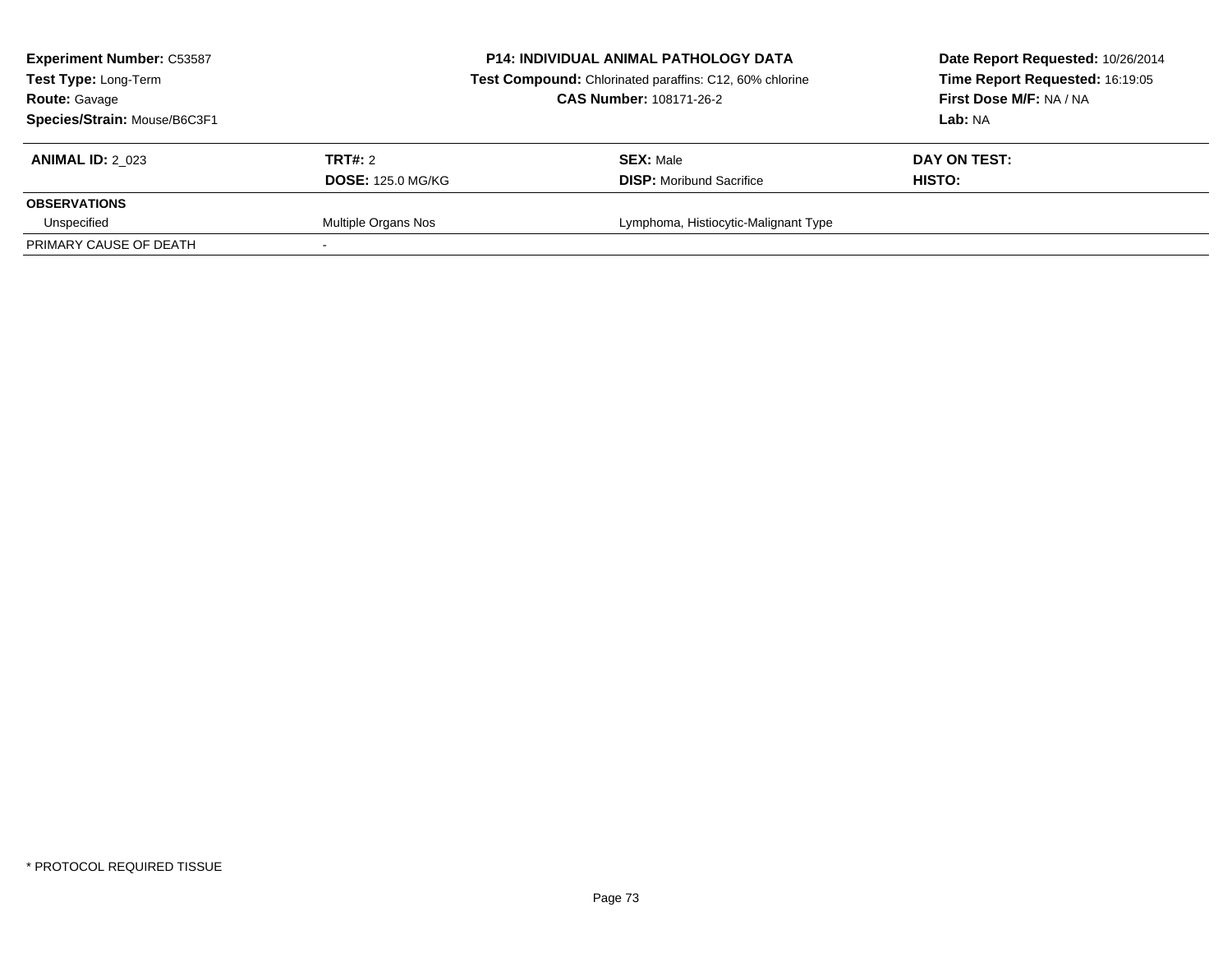| <b>Experiment Number: C53587</b><br><b>Test Type: Long-Term</b><br><b>Route: Gavage</b><br>Species/Strain: Mouse/B6C3F1 | <b>P14: INDIVIDUAL ANIMAL PATHOLOGY DATA</b><br>Test Compound: Chlorinated paraffins: C12, 60% chlorine<br><b>CAS Number: 108171-26-2</b> |                                                     | Date Report Requested: 10/26/2014<br>Time Report Requested: 16:19:05<br>First Dose M/F: NA / NA<br>Lab: NA |
|-------------------------------------------------------------------------------------------------------------------------|-------------------------------------------------------------------------------------------------------------------------------------------|-----------------------------------------------------|------------------------------------------------------------------------------------------------------------|
| <b>ANIMAL ID: 2 023</b>                                                                                                 | TRT#: 2<br><b>DOSE: 125.0 MG/KG</b>                                                                                                       | <b>SEX: Male</b><br><b>DISP:</b> Moribund Sacrifice | DAY ON TEST:<br>HISTO:                                                                                     |
| <b>OBSERVATIONS</b>                                                                                                     |                                                                                                                                           |                                                     |                                                                                                            |
| Unspecified<br>PRIMARY CAUSE OF DEATH                                                                                   | Multiple Organs Nos                                                                                                                       | Lymphoma, Histiocytic-Malignant Type                |                                                                                                            |
|                                                                                                                         |                                                                                                                                           |                                                     |                                                                                                            |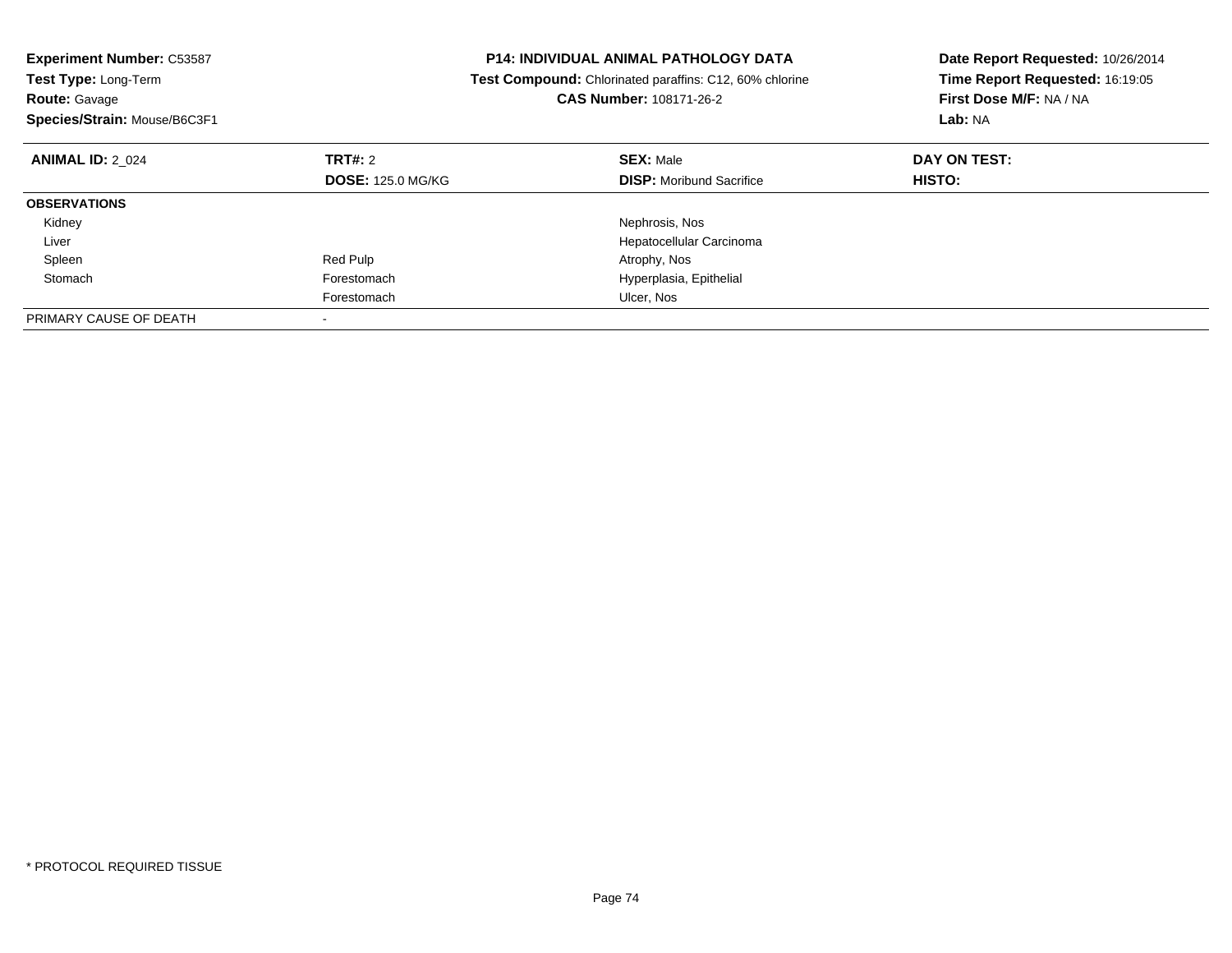| <b>Experiment Number: C53587</b><br><b>Test Type: Long-Term</b><br><b>Route: Gavage</b><br>Species/Strain: Mouse/B6C3F1 |                          | <b>P14: INDIVIDUAL ANIMAL PATHOLOGY DATA</b><br><b>Test Compound:</b> Chlorinated paraffins: C12, 60% chlorine<br>CAS Number: 108171-26-2 | Date Report Requested: 10/26/2014<br>Time Report Requested: 16:19:05<br>First Dose M/F: NA / NA<br>Lab: NA |
|-------------------------------------------------------------------------------------------------------------------------|--------------------------|-------------------------------------------------------------------------------------------------------------------------------------------|------------------------------------------------------------------------------------------------------------|
| <b>ANIMAL ID: 2 024</b>                                                                                                 | TRT#: 2                  | <b>SEX: Male</b>                                                                                                                          | DAY ON TEST:                                                                                               |
|                                                                                                                         | <b>DOSE: 125.0 MG/KG</b> | <b>DISP:</b> Moribund Sacrifice                                                                                                           | <b>HISTO:</b>                                                                                              |
| <b>OBSERVATIONS</b>                                                                                                     |                          |                                                                                                                                           |                                                                                                            |
| Kidney                                                                                                                  |                          | Nephrosis, Nos                                                                                                                            |                                                                                                            |
| Liver                                                                                                                   |                          | Hepatocellular Carcinoma                                                                                                                  |                                                                                                            |
| Spleen                                                                                                                  | Red Pulp                 | Atrophy, Nos                                                                                                                              |                                                                                                            |
| Stomach                                                                                                                 | Forestomach              | Hyperplasia, Epithelial                                                                                                                   |                                                                                                            |
|                                                                                                                         | Forestomach              | Ulcer, Nos                                                                                                                                |                                                                                                            |
| PRIMARY CAUSE OF DEATH                                                                                                  |                          |                                                                                                                                           |                                                                                                            |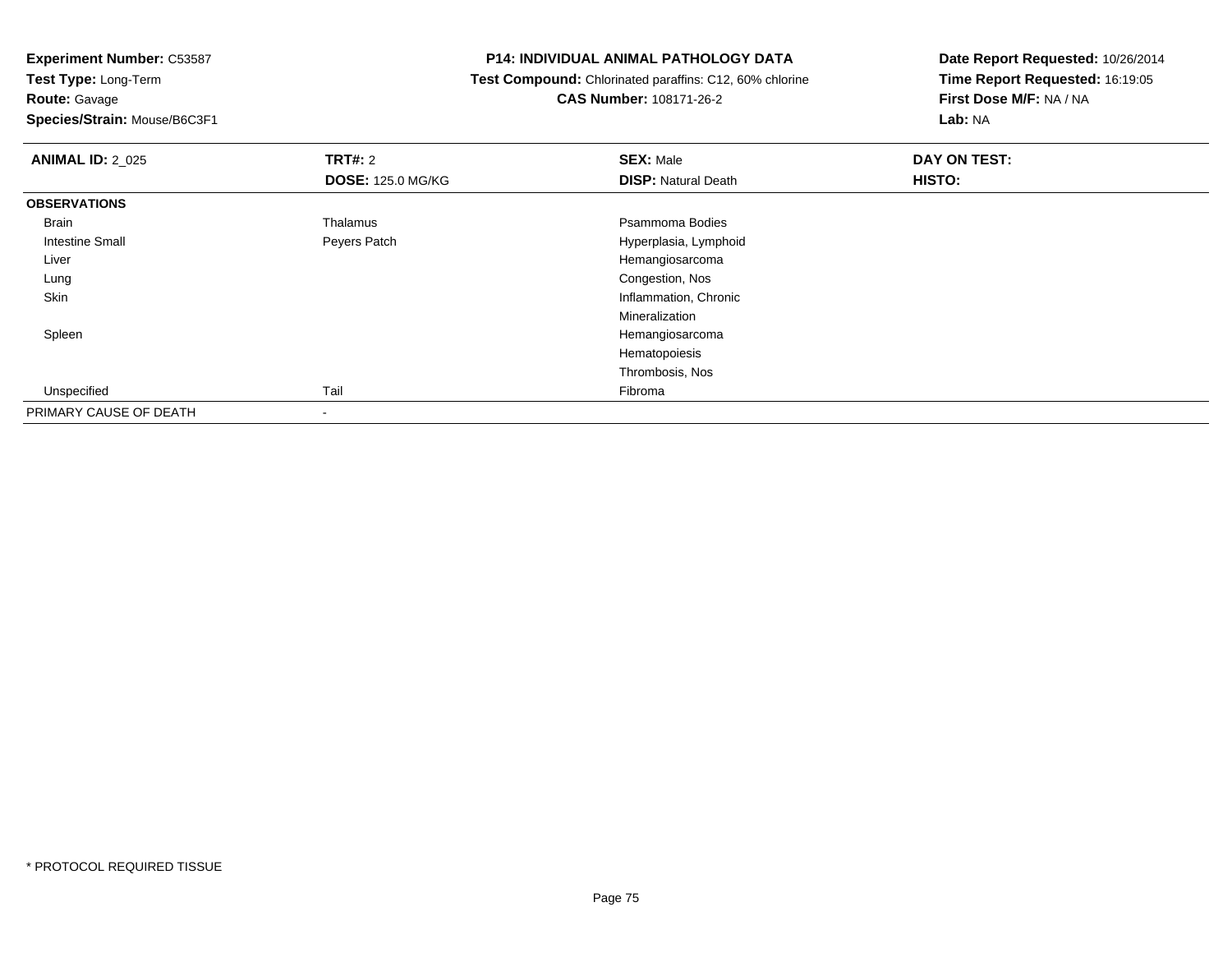**Route:** Gavage

**Species/Strain:** Mouse/B6C3F1

# **P14: INDIVIDUAL ANIMAL PATHOLOGY DATA**

 **Test Compound:** Chlorinated paraffins: C12, 60% chlorine**CAS Number:** 108171-26-2

| <b>ANIMAL ID: 2_025</b> | TRT#: 2                  | <b>SEX: Male</b>           | DAY ON TEST: |  |
|-------------------------|--------------------------|----------------------------|--------------|--|
|                         | <b>DOSE: 125.0 MG/KG</b> | <b>DISP: Natural Death</b> | HISTO:       |  |
| <b>OBSERVATIONS</b>     |                          |                            |              |  |
| Brain                   | Thalamus                 | Psammoma Bodies            |              |  |
| <b>Intestine Small</b>  | Peyers Patch             | Hyperplasia, Lymphoid      |              |  |
| Liver                   |                          | Hemangiosarcoma            |              |  |
| Lung                    |                          | Congestion, Nos            |              |  |
| Skin                    |                          | Inflammation, Chronic      |              |  |
|                         |                          | Mineralization             |              |  |
| Spleen                  |                          | Hemangiosarcoma            |              |  |
|                         |                          | Hematopoiesis              |              |  |
|                         |                          | Thrombosis, Nos            |              |  |
| Unspecified             | Tail                     | Fibroma                    |              |  |
| PRIMARY CAUSE OF DEATH  |                          |                            |              |  |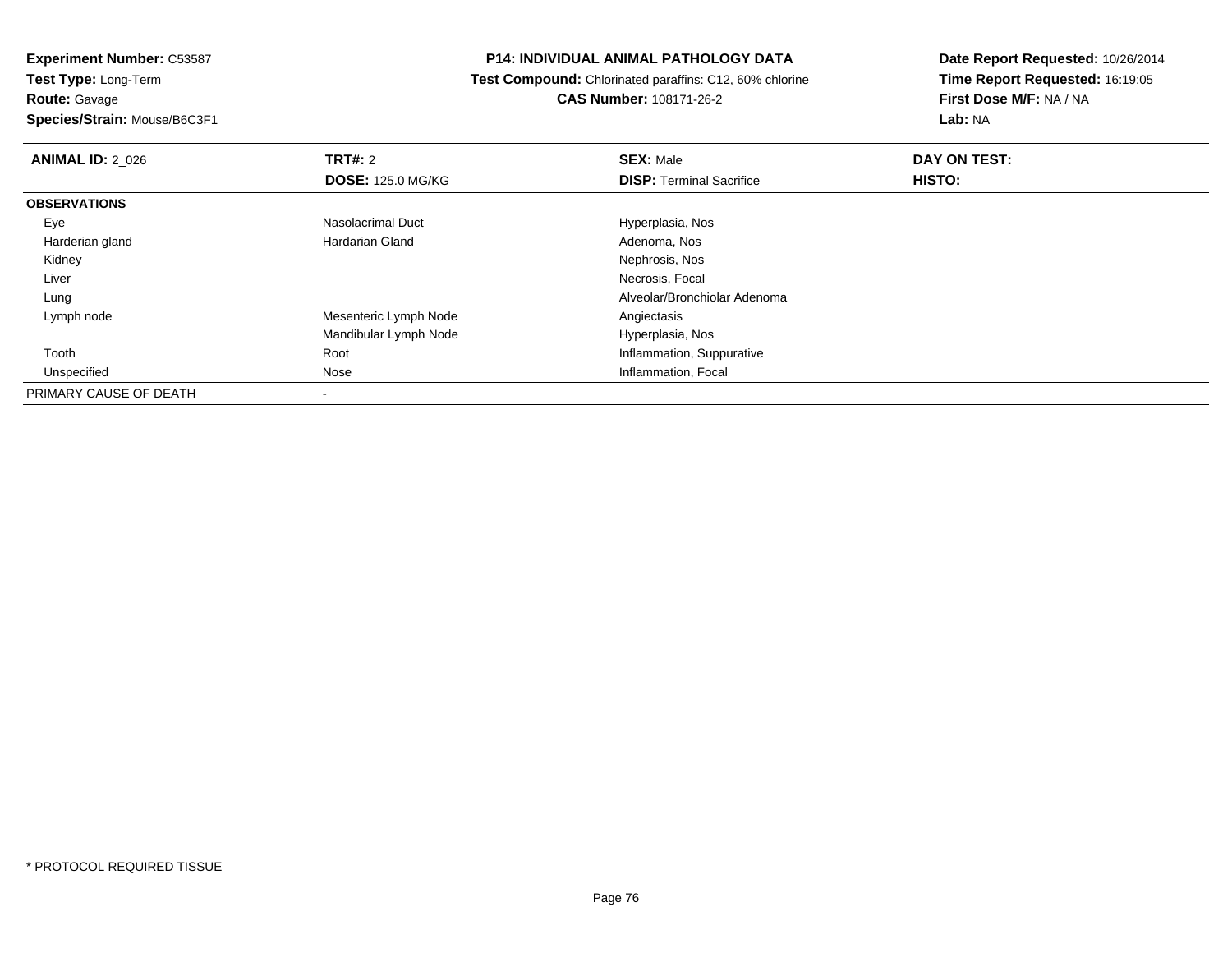**Experiment Number:** C53587**Test Type:** Long-Term**Route:** Gavage

**Species/Strain:** Mouse/B6C3F1

# **P14: INDIVIDUAL ANIMAL PATHOLOGY DATA**

 **Test Compound:** Chlorinated paraffins: C12, 60% chlorine**CAS Number:** 108171-26-2

| <b>ANIMAL ID: 2 026</b> | <b>TRT#: 2</b>           | <b>SEX: Male</b>                | DAY ON TEST: |  |
|-------------------------|--------------------------|---------------------------------|--------------|--|
|                         | <b>DOSE: 125.0 MG/KG</b> | <b>DISP: Terminal Sacrifice</b> | HISTO:       |  |
| <b>OBSERVATIONS</b>     |                          |                                 |              |  |
| Eye                     | Nasolacrimal Duct        | Hyperplasia, Nos                |              |  |
| Harderian gland         | Hardarian Gland          | Adenoma, Nos                    |              |  |
| Kidney                  |                          | Nephrosis, Nos                  |              |  |
| Liver                   |                          | Necrosis, Focal                 |              |  |
| Lung                    |                          | Alveolar/Bronchiolar Adenoma    |              |  |
| Lymph node              | Mesenteric Lymph Node    | Angiectasis                     |              |  |
|                         | Mandibular Lymph Node    | Hyperplasia, Nos                |              |  |
| Tooth                   | Root                     | Inflammation, Suppurative       |              |  |
| Unspecified             | Nose                     | Inflammation, Focal             |              |  |
| PRIMARY CAUSE OF DEATH  |                          |                                 |              |  |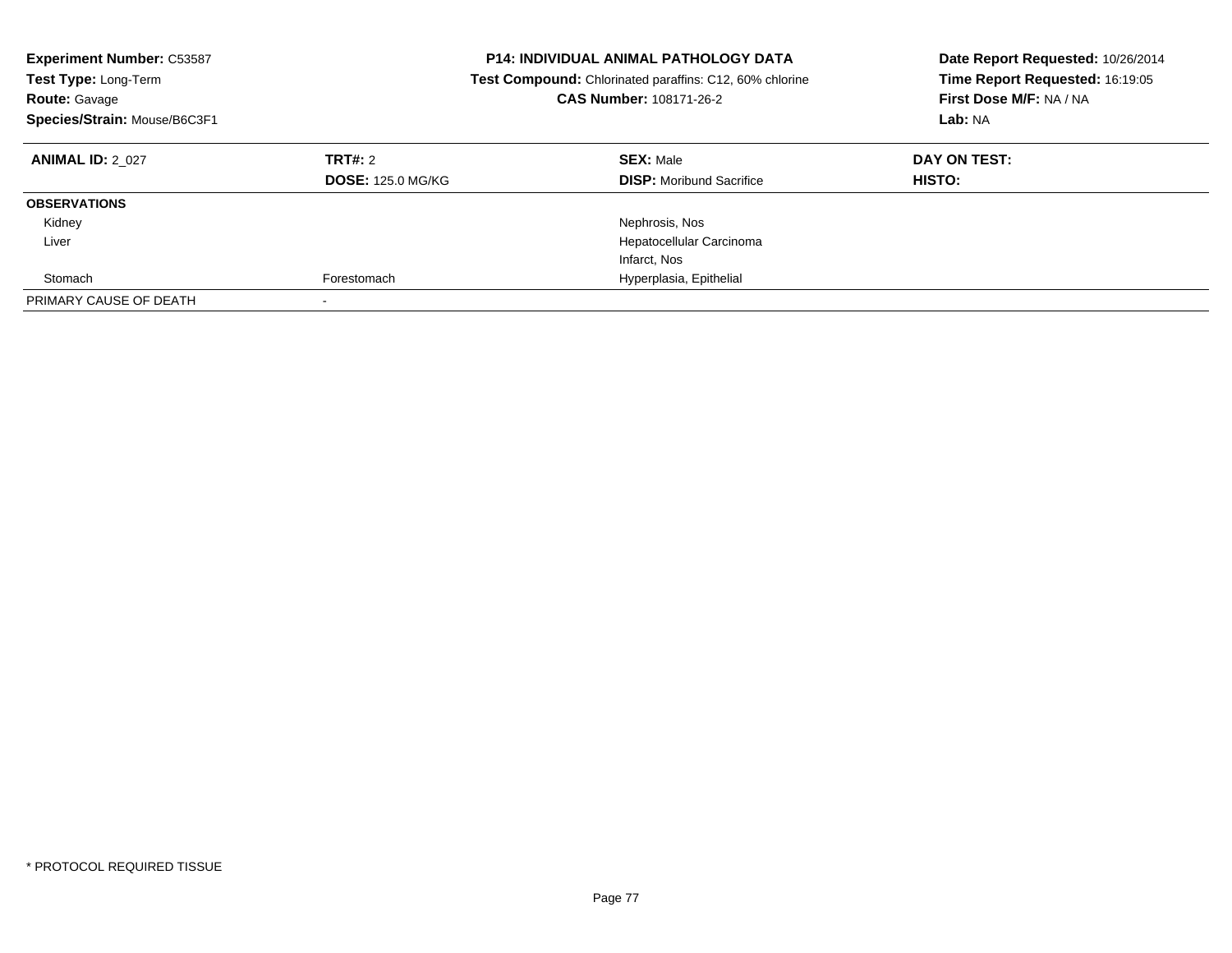| <b>Experiment Number: C53587</b><br><b>Test Type: Long-Term</b><br><b>Route: Gavage</b><br>Species/Strain: Mouse/B6C3F1 |                                     | <b>P14: INDIVIDUAL ANIMAL PATHOLOGY DATA</b><br><b>Test Compound:</b> Chlorinated paraffins: C12, 60% chlorine<br>CAS Number: 108171-26-2 | Date Report Requested: 10/26/2014<br>Time Report Requested: 16:19:05<br>First Dose M/F: NA / NA<br>Lab: NA |
|-------------------------------------------------------------------------------------------------------------------------|-------------------------------------|-------------------------------------------------------------------------------------------------------------------------------------------|------------------------------------------------------------------------------------------------------------|
| <b>ANIMAL ID: 2 027</b>                                                                                                 | TRT#: 2<br><b>DOSE: 125.0 MG/KG</b> | <b>SEX: Male</b><br><b>DISP:</b> Moribund Sacrifice                                                                                       | DAY ON TEST:<br>HISTO:                                                                                     |
| <b>OBSERVATIONS</b>                                                                                                     |                                     |                                                                                                                                           |                                                                                                            |
| Kidney                                                                                                                  |                                     | Nephrosis, Nos                                                                                                                            |                                                                                                            |
| Liver                                                                                                                   |                                     | Hepatocellular Carcinoma                                                                                                                  |                                                                                                            |
|                                                                                                                         |                                     | Infarct, Nos                                                                                                                              |                                                                                                            |
| Stomach                                                                                                                 | Forestomach                         | Hyperplasia, Epithelial                                                                                                                   |                                                                                                            |
| PRIMARY CAUSE OF DEATH                                                                                                  |                                     |                                                                                                                                           |                                                                                                            |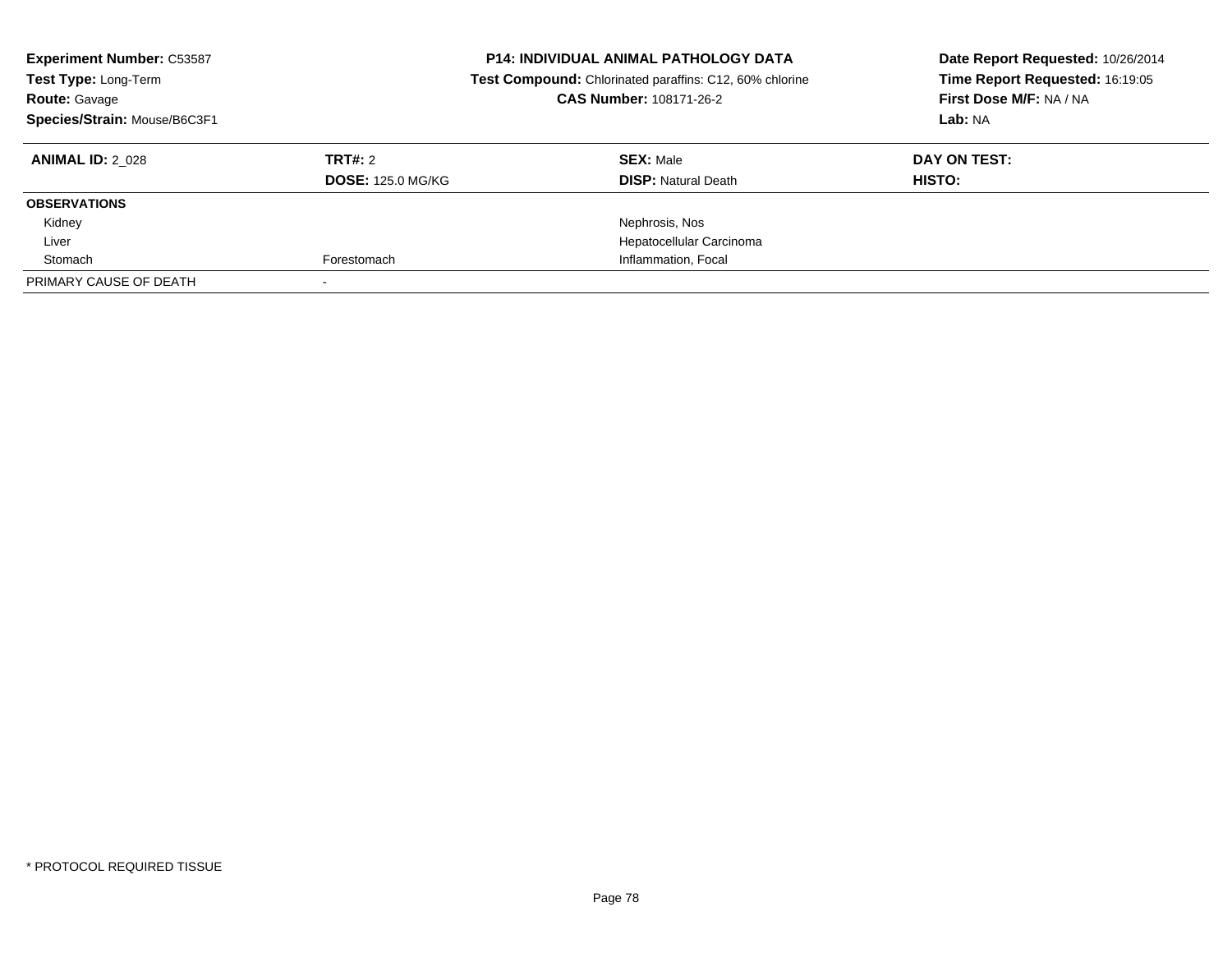| <b>Experiment Number: C53587</b><br>Test Type: Long-Term<br><b>Route: Gavage</b><br>Species/Strain: Mouse/B6C3F1 |                          | <b>P14: INDIVIDUAL ANIMAL PATHOLOGY DATA</b><br>Test Compound: Chlorinated paraffins: C12, 60% chlorine<br>CAS Number: 108171-26-2 | Date Report Requested: 10/26/2014<br>Time Report Requested: 16:19:05<br>First Dose M/F: NA / NA<br>Lab: NA |  |
|------------------------------------------------------------------------------------------------------------------|--------------------------|------------------------------------------------------------------------------------------------------------------------------------|------------------------------------------------------------------------------------------------------------|--|
| <b>ANIMAL ID: 2 028</b>                                                                                          | TRT#: 2                  | <b>SEX: Male</b>                                                                                                                   | DAY ON TEST:                                                                                               |  |
|                                                                                                                  | <b>DOSE: 125.0 MG/KG</b> | <b>DISP:</b> Natural Death                                                                                                         | HISTO:                                                                                                     |  |
| <b>OBSERVATIONS</b>                                                                                              |                          |                                                                                                                                    |                                                                                                            |  |
| Kidney                                                                                                           |                          | Nephrosis, Nos                                                                                                                     |                                                                                                            |  |
| Liver                                                                                                            |                          | Hepatocellular Carcinoma                                                                                                           |                                                                                                            |  |
| Stomach                                                                                                          | Forestomach              | Inflammation, Focal                                                                                                                |                                                                                                            |  |
| PRIMARY CAUSE OF DEATH                                                                                           |                          |                                                                                                                                    |                                                                                                            |  |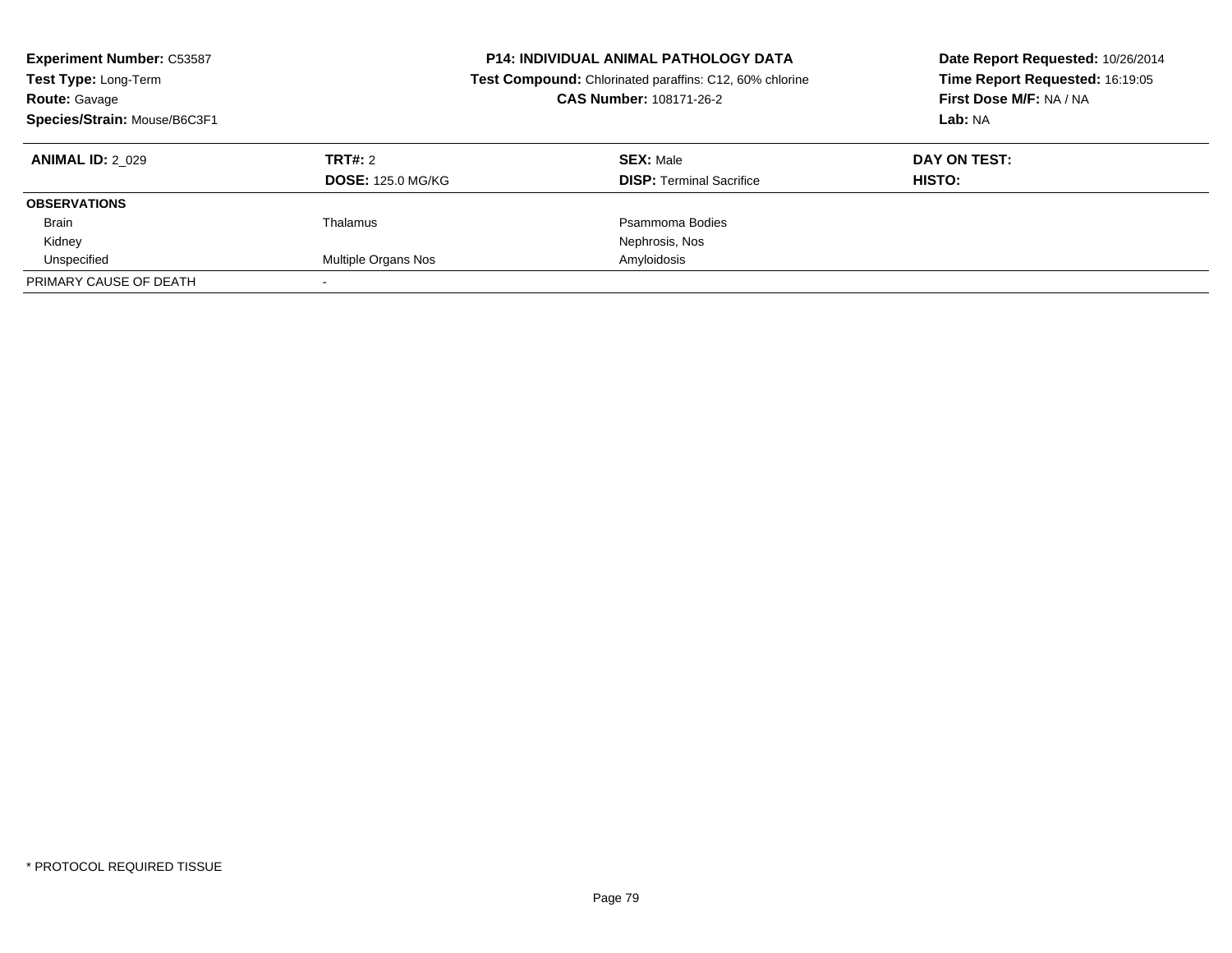| <b>Experiment Number: C53587</b><br>Test Type: Long-Term<br>Route: Gavage<br>Species/Strain: Mouse/B6C3F1 |                          | <b>P14: INDIVIDUAL ANIMAL PATHOLOGY DATA</b><br>Test Compound: Chlorinated paraffins: C12, 60% chlorine<br>CAS Number: 108171-26-2 | Date Report Requested: 10/26/2014<br>Time Report Requested: 16:19:05<br>First Dose M/F: NA / NA<br>Lab: NA |
|-----------------------------------------------------------------------------------------------------------|--------------------------|------------------------------------------------------------------------------------------------------------------------------------|------------------------------------------------------------------------------------------------------------|
| <b>ANIMAL ID: 2 029</b>                                                                                   | TRT#: 2                  | <b>SEX: Male</b>                                                                                                                   | DAY ON TEST:                                                                                               |
|                                                                                                           | <b>DOSE: 125.0 MG/KG</b> | <b>DISP:</b> Terminal Sacrifice                                                                                                    | HISTO:                                                                                                     |
| <b>OBSERVATIONS</b>                                                                                       |                          |                                                                                                                                    |                                                                                                            |
| <b>Brain</b>                                                                                              | Thalamus                 | Psammoma Bodies                                                                                                                    |                                                                                                            |
| Kidney                                                                                                    |                          | Nephrosis, Nos                                                                                                                     |                                                                                                            |
| Unspecified                                                                                               | Multiple Organs Nos      | Amyloidosis                                                                                                                        |                                                                                                            |
| PRIMARY CAUSE OF DEATH                                                                                    |                          |                                                                                                                                    |                                                                                                            |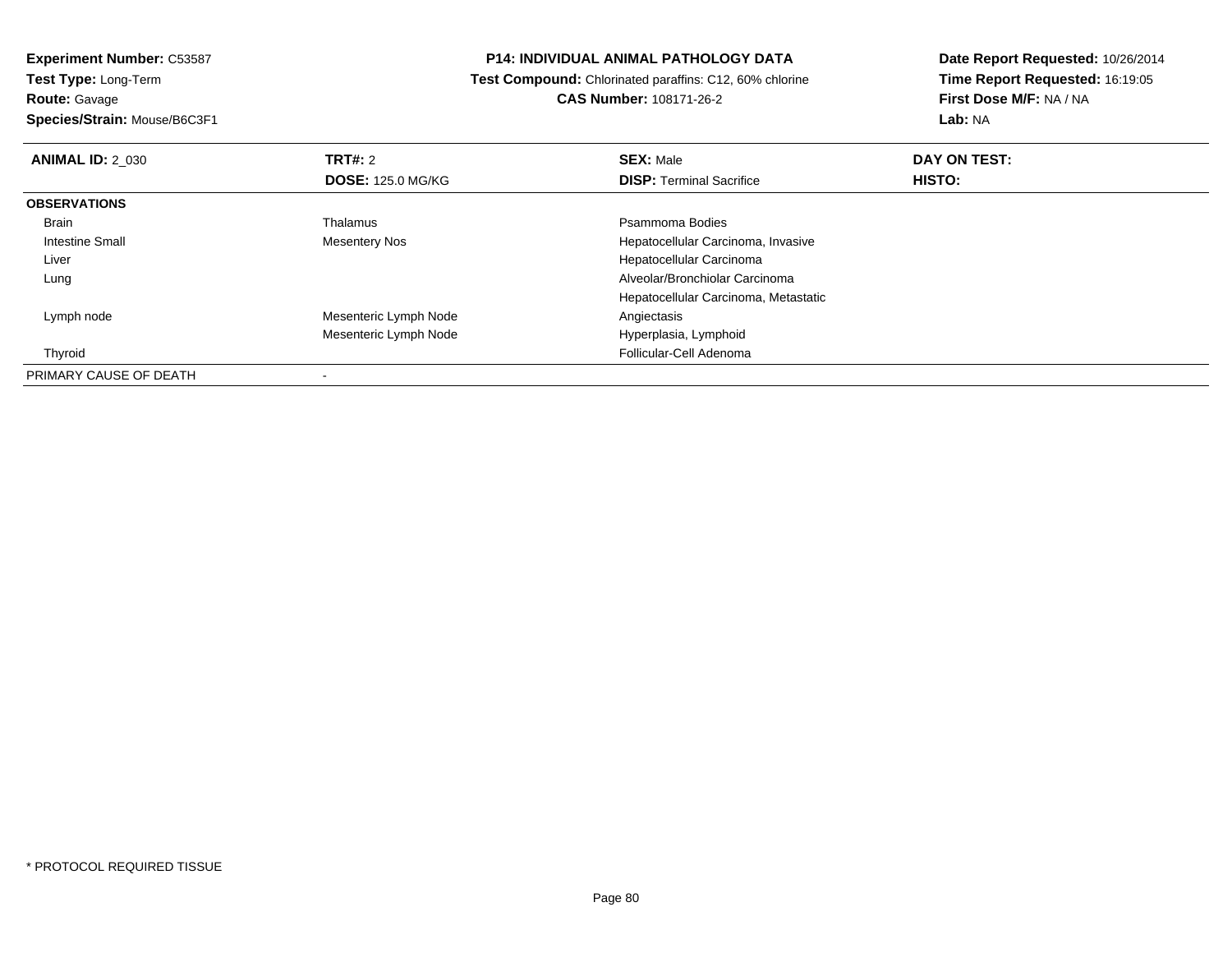**Experiment Number:** C53587**Test Type:** Long-Term**Route:** Gavage

**Species/Strain:** Mouse/B6C3F1

# **P14: INDIVIDUAL ANIMAL PATHOLOGY DATA**

 **Test Compound:** Chlorinated paraffins: C12, 60% chlorine**CAS Number:** 108171-26-2

| <b>ANIMAL ID: 2 030</b> | TRT#: 2                  | <b>SEX: Male</b>                     | DAY ON TEST: |  |
|-------------------------|--------------------------|--------------------------------------|--------------|--|
|                         | <b>DOSE: 125.0 MG/KG</b> | <b>DISP: Terminal Sacrifice</b>      | HISTO:       |  |
| <b>OBSERVATIONS</b>     |                          |                                      |              |  |
| <b>Brain</b>            | Thalamus                 | Psammoma Bodies                      |              |  |
| Intestine Small         | <b>Mesentery Nos</b>     | Hepatocellular Carcinoma, Invasive   |              |  |
| Liver                   |                          | Hepatocellular Carcinoma             |              |  |
| Lung                    |                          | Alveolar/Bronchiolar Carcinoma       |              |  |
|                         |                          | Hepatocellular Carcinoma, Metastatic |              |  |
| Lymph node              | Mesenteric Lymph Node    | Angiectasis                          |              |  |
|                         | Mesenteric Lymph Node    | Hyperplasia, Lymphoid                |              |  |
| Thyroid                 |                          | Follicular-Cell Adenoma              |              |  |
| PRIMARY CAUSE OF DEATH  |                          |                                      |              |  |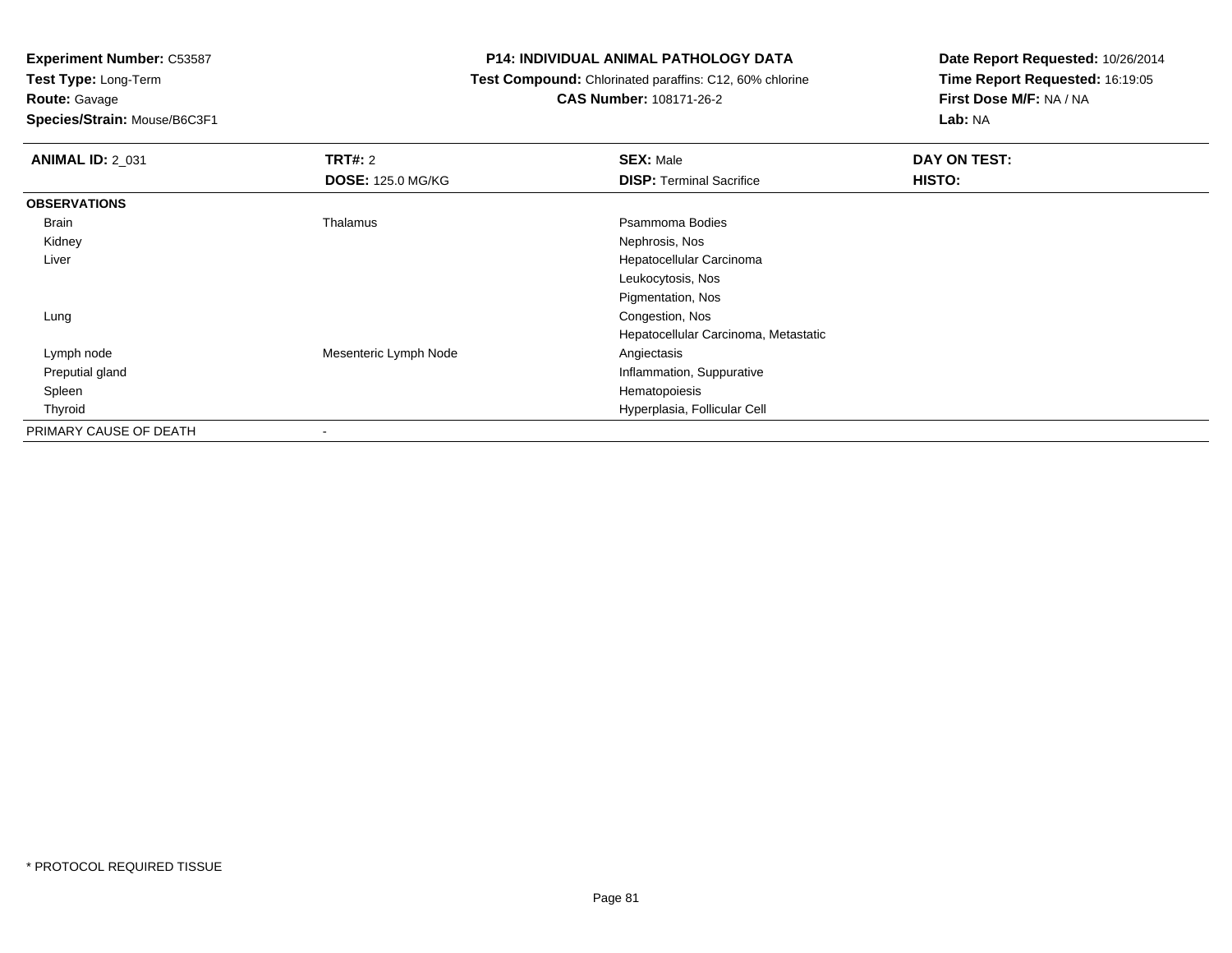**Route:** Gavage

**Species/Strain:** Mouse/B6C3F1

# **P14: INDIVIDUAL ANIMAL PATHOLOGY DATA**

 **Test Compound:** Chlorinated paraffins: C12, 60% chlorine**CAS Number:** 108171-26-2

| <b>ANIMAL ID: 2_031</b> | <b>TRT#: 2</b>           | <b>SEX: Male</b>                     | DAY ON TEST: |
|-------------------------|--------------------------|--------------------------------------|--------------|
|                         | <b>DOSE: 125.0 MG/KG</b> | <b>DISP: Terminal Sacrifice</b>      | HISTO:       |
| <b>OBSERVATIONS</b>     |                          |                                      |              |
| Brain                   | Thalamus                 | Psammoma Bodies                      |              |
| Kidney                  |                          | Nephrosis, Nos                       |              |
| Liver                   |                          | Hepatocellular Carcinoma             |              |
|                         |                          | Leukocytosis, Nos                    |              |
|                         |                          | Pigmentation, Nos                    |              |
| Lung                    |                          | Congestion, Nos                      |              |
|                         |                          | Hepatocellular Carcinoma, Metastatic |              |
| Lymph node              | Mesenteric Lymph Node    | Angiectasis                          |              |
| Preputial gland         |                          | Inflammation, Suppurative            |              |
| Spleen                  |                          | Hematopoiesis                        |              |
| Thyroid                 |                          | Hyperplasia, Follicular Cell         |              |
| PRIMARY CAUSE OF DEATH  |                          |                                      |              |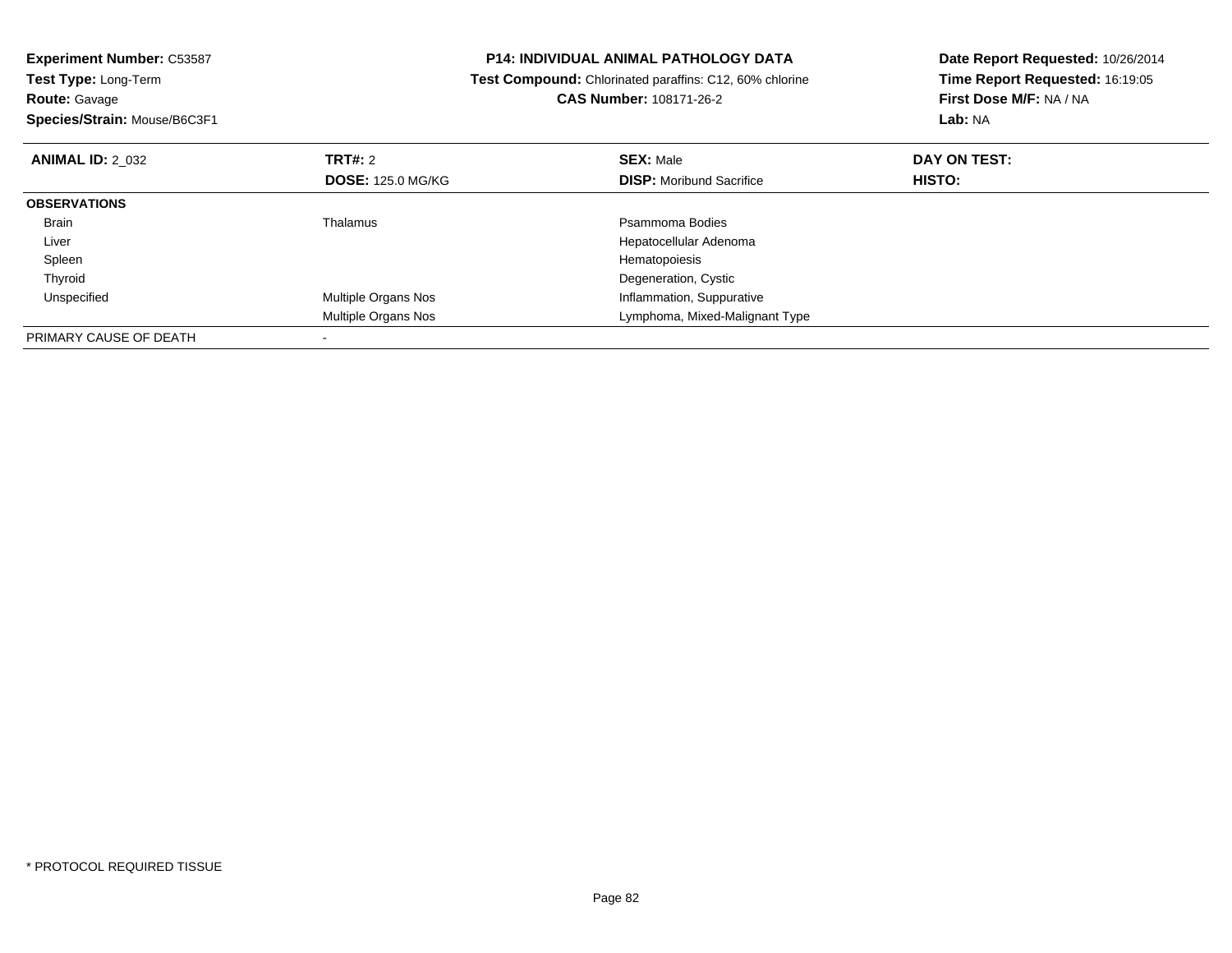| <b>Experiment Number: C53587</b><br><b>P14: INDIVIDUAL ANIMAL PATHOLOGY DATA</b><br>Test Type: Long-Term<br>Test Compound: Chlorinated paraffins: C12, 60% chlorine |                            | Date Report Requested: 10/26/2014 |                                 |
|---------------------------------------------------------------------------------------------------------------------------------------------------------------------|----------------------------|-----------------------------------|---------------------------------|
|                                                                                                                                                                     |                            |                                   | Time Report Requested: 16:19:05 |
| <b>Route: Gavage</b>                                                                                                                                                |                            | CAS Number: 108171-26-2           | First Dose M/F: NA / NA         |
| Species/Strain: Mouse/B6C3F1                                                                                                                                        |                            |                                   | Lab: NA                         |
| <b>TRT#: 2</b><br><b>ANIMAL ID: 2 032</b>                                                                                                                           |                            | <b>SEX: Male</b>                  | DAY ON TEST:                    |
|                                                                                                                                                                     | <b>DOSE: 125.0 MG/KG</b>   | <b>DISP:</b> Moribund Sacrifice   | HISTO:                          |
| <b>OBSERVATIONS</b>                                                                                                                                                 |                            |                                   |                                 |
| Thalamus<br>Brain                                                                                                                                                   |                            | Psammoma Bodies                   |                                 |
| Liver                                                                                                                                                               |                            | Hepatocellular Adenoma            |                                 |
| Spleen                                                                                                                                                              |                            | Hematopoiesis                     |                                 |
| Thyroid                                                                                                                                                             |                            | Degeneration, Cystic              |                                 |
| Unspecified                                                                                                                                                         | <b>Multiple Organs Nos</b> | Inflammation, Suppurative         |                                 |
|                                                                                                                                                                     | <b>Multiple Organs Nos</b> | Lymphoma, Mixed-Malignant Type    |                                 |
| PRIMARY CAUSE OF DEATH                                                                                                                                              |                            |                                   |                                 |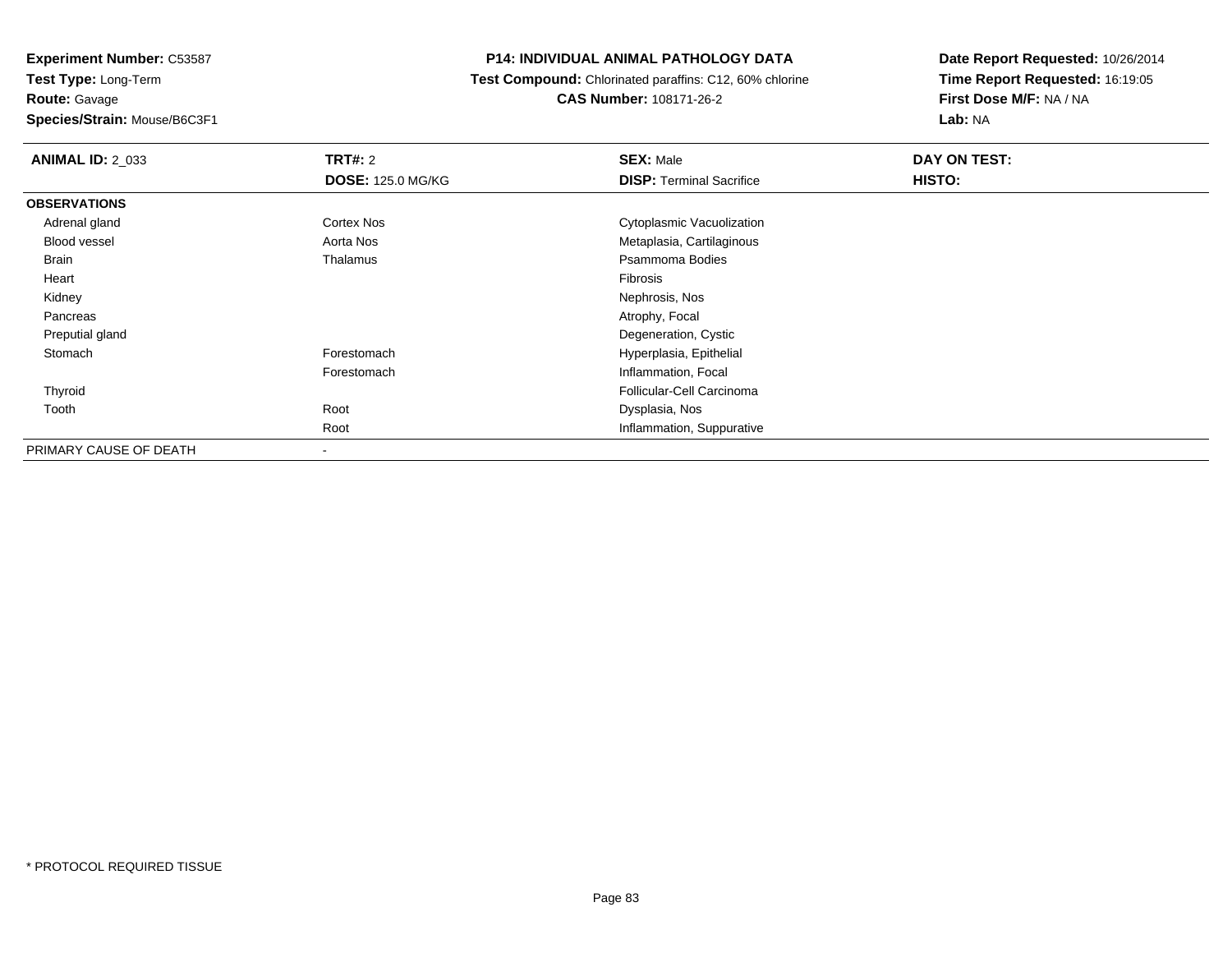**Experiment Number:** C53587**Test Type:** Long-Term**Route:** Gavage**Species/Strain:** Mouse/B6C3F1

# **P14: INDIVIDUAL ANIMAL PATHOLOGY DATA**

### **Test Compound:** Chlorinated paraffins: C12, 60% chlorine**CAS Number:** 108171-26-2

| <b>ANIMAL ID: 2_033</b> | <b>TRT#: 2</b>           | <b>SEX: Male</b>                | DAY ON TEST: |  |
|-------------------------|--------------------------|---------------------------------|--------------|--|
|                         | <b>DOSE: 125.0 MG/KG</b> | <b>DISP: Terminal Sacrifice</b> | HISTO:       |  |
| <b>OBSERVATIONS</b>     |                          |                                 |              |  |
| Adrenal gland           | <b>Cortex Nos</b>        | Cytoplasmic Vacuolization       |              |  |
| Blood vessel            | Aorta Nos                | Metaplasia, Cartilaginous       |              |  |
| Brain                   | Thalamus                 | Psammoma Bodies                 |              |  |
| Heart                   |                          | Fibrosis                        |              |  |
| Kidney                  |                          | Nephrosis, Nos                  |              |  |
| Pancreas                |                          | Atrophy, Focal                  |              |  |
| Preputial gland         |                          | Degeneration, Cystic            |              |  |
| Stomach                 | Forestomach              | Hyperplasia, Epithelial         |              |  |
|                         | Forestomach              | Inflammation, Focal             |              |  |
| Thyroid                 |                          | Follicular-Cell Carcinoma       |              |  |
| Tooth                   | Root                     | Dysplasia, Nos                  |              |  |
|                         | Root                     | Inflammation, Suppurative       |              |  |
| PRIMARY CAUSE OF DEATH  |                          |                                 |              |  |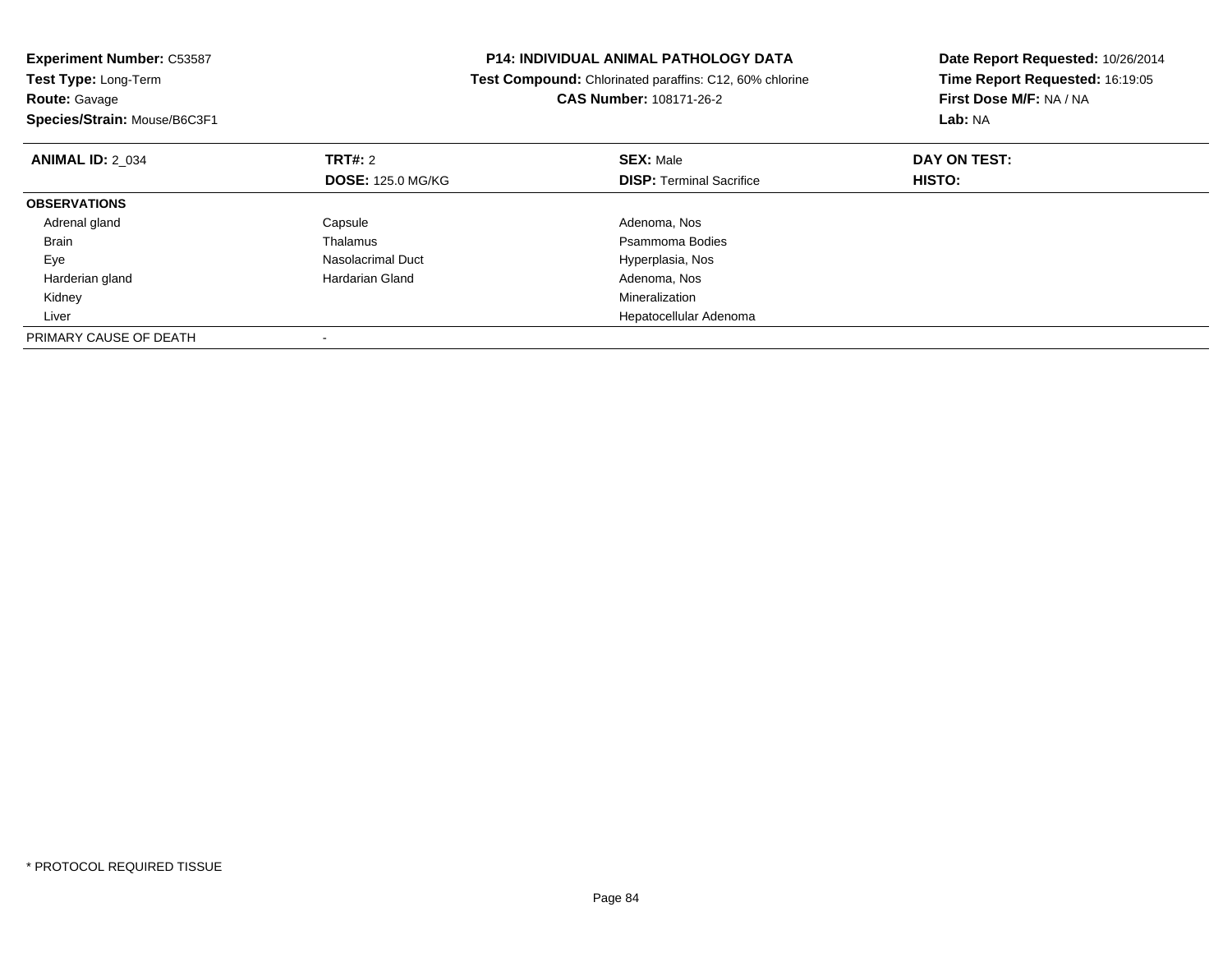| <b>Experiment Number: C53587</b> | <b>P14: INDIVIDUAL ANIMAL PATHOLOGY DATA</b> |                                                         | Date Report Requested: 10/26/2014 |
|----------------------------------|----------------------------------------------|---------------------------------------------------------|-----------------------------------|
| Test Type: Long-Term             |                                              | Test Compound: Chlorinated paraffins: C12, 60% chlorine | Time Report Requested: 16:19:05   |
| <b>Route: Gavage</b>             |                                              | <b>CAS Number: 108171-26-2</b>                          | First Dose M/F: NA / NA           |
| Species/Strain: Mouse/B6C3F1     |                                              |                                                         | Lab: NA                           |
| <b>ANIMAL ID: 2 034</b>          | <b>TRT#: 2</b>                               | <b>SEX: Male</b>                                        | DAY ON TEST:                      |
|                                  | <b>DOSE: 125.0 MG/KG</b>                     | <b>DISP: Terminal Sacrifice</b>                         | <b>HISTO:</b>                     |
| <b>OBSERVATIONS</b>              |                                              |                                                         |                                   |
| Adrenal gland                    | Capsule                                      | Adenoma, Nos                                            |                                   |
| Brain                            | Thalamus                                     | Psammoma Bodies                                         |                                   |
| Eye                              | Nasolacrimal Duct                            | Hyperplasia, Nos                                        |                                   |
| Harderian gland                  | Hardarian Gland                              | Adenoma, Nos                                            |                                   |
| Kidney                           |                                              | Mineralization                                          |                                   |
| Liver                            |                                              | Hepatocellular Adenoma                                  |                                   |
| PRIMARY CAUSE OF DEATH           |                                              |                                                         |                                   |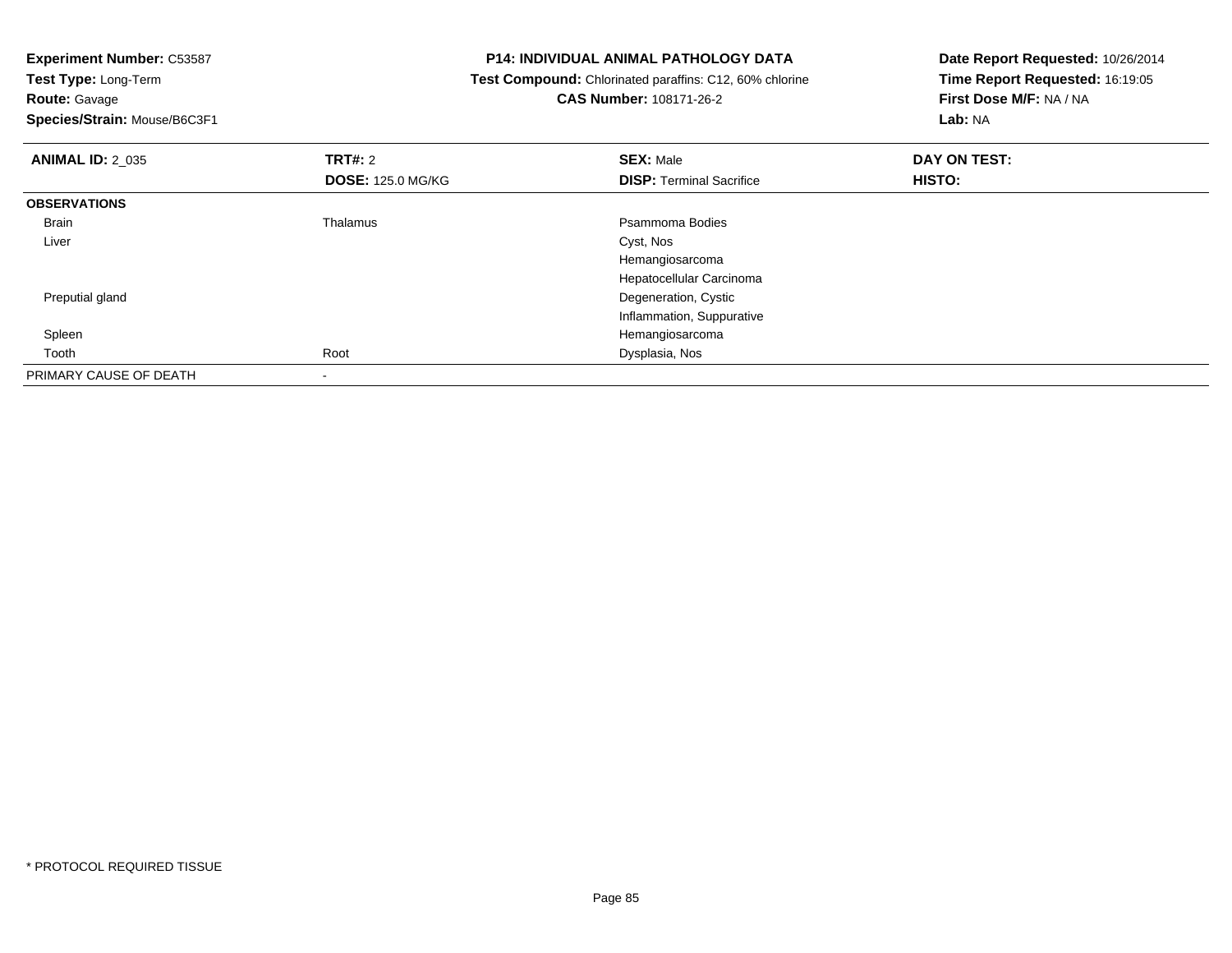**Experiment Number:** C53587

**Test Type:** Long-Term**Route:** Gavage

**Species/Strain:** Mouse/B6C3F1

# **P14: INDIVIDUAL ANIMAL PATHOLOGY DATA**

 **Test Compound:** Chlorinated paraffins: C12, 60% chlorine**CAS Number:** 108171-26-2

| <b>ANIMAL ID: 2_035</b> | TRT#: 2                  | <b>SEX: Male</b>                | DAY ON TEST: |  |
|-------------------------|--------------------------|---------------------------------|--------------|--|
|                         | <b>DOSE: 125.0 MG/KG</b> | <b>DISP: Terminal Sacrifice</b> | HISTO:       |  |
| <b>OBSERVATIONS</b>     |                          |                                 |              |  |
| <b>Brain</b>            | Thalamus                 | Psammoma Bodies                 |              |  |
| Liver                   |                          | Cyst, Nos                       |              |  |
|                         |                          | Hemangiosarcoma                 |              |  |
|                         |                          | Hepatocellular Carcinoma        |              |  |
| Preputial gland         |                          | Degeneration, Cystic            |              |  |
|                         |                          | Inflammation, Suppurative       |              |  |
| Spleen                  |                          | Hemangiosarcoma                 |              |  |
| Tooth                   | Root                     | Dysplasia, Nos                  |              |  |
| PRIMARY CAUSE OF DEATH  |                          |                                 |              |  |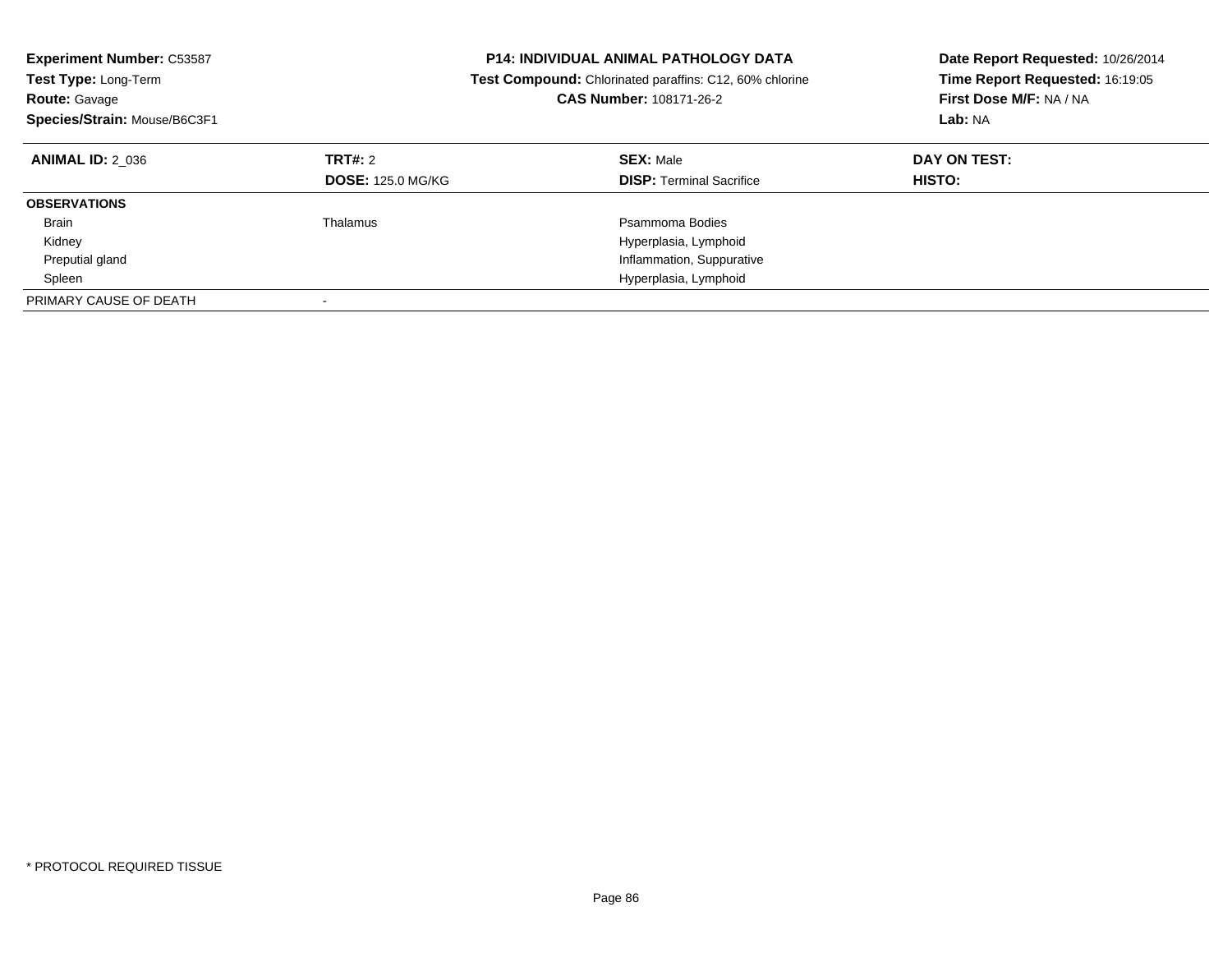| <b>Experiment Number: C53587</b><br>Test Type: Long-Term<br><b>Route: Gavage</b><br>Species/Strain: Mouse/B6C3F1 |                                            | <b>P14: INDIVIDUAL ANIMAL PATHOLOGY DATA</b><br><b>Test Compound:</b> Chlorinated paraffins: C12, 60% chlorine<br><b>CAS Number: 108171-26-2</b> | Date Report Requested: 10/26/2014<br>Time Report Requested: 16:19:05<br>First Dose M/F: NA / NA<br>Lab: NA |
|------------------------------------------------------------------------------------------------------------------|--------------------------------------------|--------------------------------------------------------------------------------------------------------------------------------------------------|------------------------------------------------------------------------------------------------------------|
| <b>ANIMAL ID: 2 036</b>                                                                                          | <b>TRT#: 2</b><br><b>DOSE: 125.0 MG/KG</b> | <b>SEX: Male</b><br><b>DISP:</b> Terminal Sacrifice                                                                                              | DAY ON TEST:<br><b>HISTO:</b>                                                                              |
| <b>OBSERVATIONS</b>                                                                                              |                                            |                                                                                                                                                  |                                                                                                            |
| <b>Brain</b><br>Kidney                                                                                           | Thalamus                                   | Psammoma Bodies<br>Hyperplasia, Lymphoid                                                                                                         |                                                                                                            |
| Preputial gland                                                                                                  |                                            | Inflammation, Suppurative                                                                                                                        |                                                                                                            |
| Spleen                                                                                                           |                                            | Hyperplasia, Lymphoid                                                                                                                            |                                                                                                            |
| PRIMARY CAUSE OF DEATH                                                                                           |                                            |                                                                                                                                                  |                                                                                                            |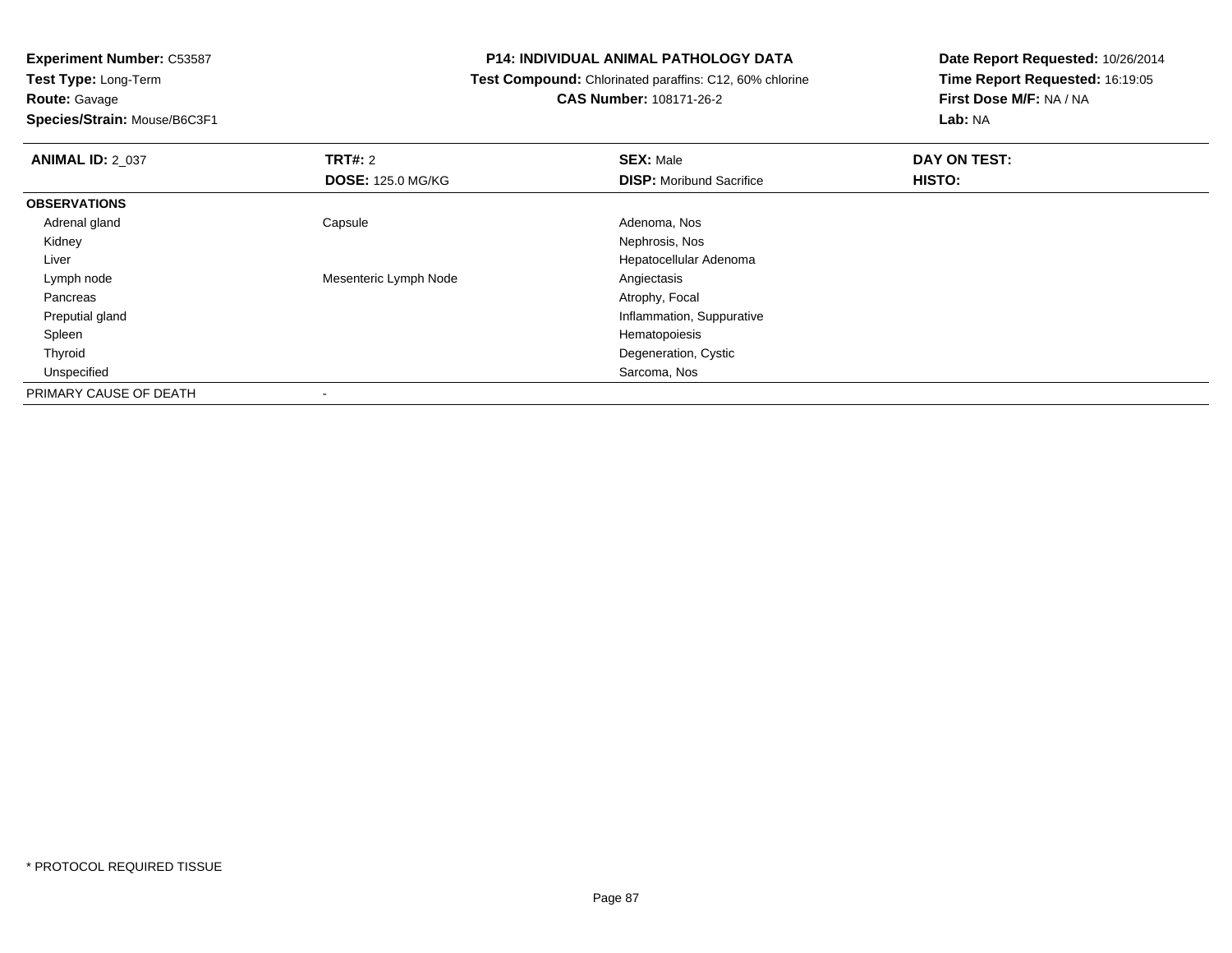**Route:** Gavage

**Species/Strain:** Mouse/B6C3F1

# **P14: INDIVIDUAL ANIMAL PATHOLOGY DATA**

 **Test Compound:** Chlorinated paraffins: C12, 60% chlorine**CAS Number:** 108171-26-2

| <b>ANIMAL ID: 2_037</b> | TRT#: 2                  | <b>SEX: Male</b>                | DAY ON TEST: |  |
|-------------------------|--------------------------|---------------------------------|--------------|--|
|                         | <b>DOSE: 125.0 MG/KG</b> | <b>DISP:</b> Moribund Sacrifice | HISTO:       |  |
| <b>OBSERVATIONS</b>     |                          |                                 |              |  |
| Adrenal gland           | Capsule                  | Adenoma, Nos                    |              |  |
| Kidney                  |                          | Nephrosis, Nos                  |              |  |
| Liver                   |                          | Hepatocellular Adenoma          |              |  |
| Lymph node              | Mesenteric Lymph Node    | Angiectasis                     |              |  |
| Pancreas                |                          | Atrophy, Focal                  |              |  |
| Preputial gland         |                          | Inflammation, Suppurative       |              |  |
| Spleen                  |                          | Hematopoiesis                   |              |  |
| Thyroid                 |                          | Degeneration, Cystic            |              |  |
| Unspecified             |                          | Sarcoma, Nos                    |              |  |
| PRIMARY CAUSE OF DEATH  |                          |                                 |              |  |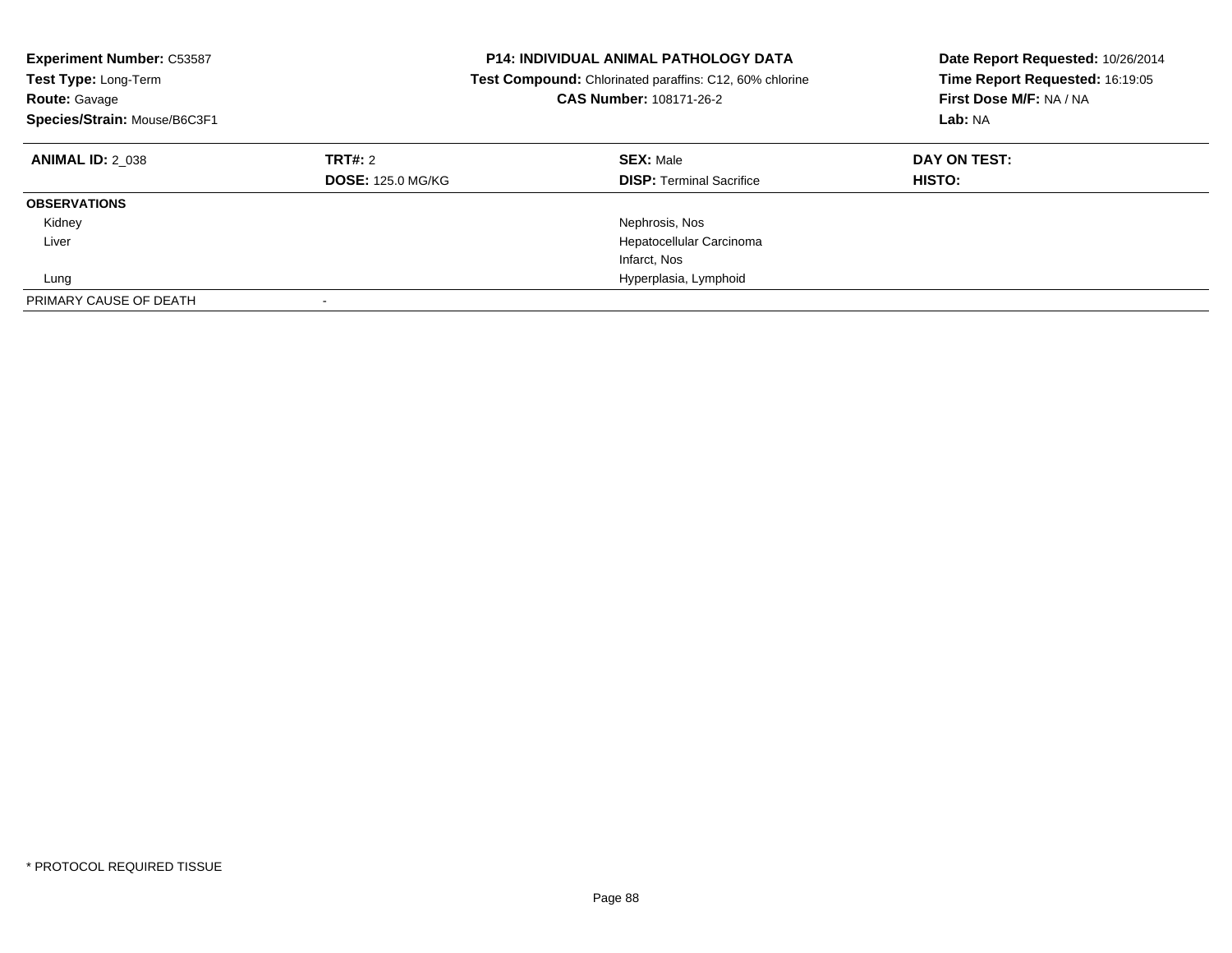| <b>Experiment Number: C53587</b><br>Test Type: Long-Term<br><b>Route: Gavage</b><br>Species/Strain: Mouse/B6C3F1 |                                     | <b>P14: INDIVIDUAL ANIMAL PATHOLOGY DATA</b><br><b>Test Compound:</b> Chlorinated paraffins: C12, 60% chlorine<br>CAS Number: 108171-26-2 | Date Report Requested: 10/26/2014<br>Time Report Requested: 16:19:05<br>First Dose M/F: NA / NA<br>Lab: NA |
|------------------------------------------------------------------------------------------------------------------|-------------------------------------|-------------------------------------------------------------------------------------------------------------------------------------------|------------------------------------------------------------------------------------------------------------|
| <b>ANIMAL ID: 2 038</b>                                                                                          | TRT#: 2<br><b>DOSE: 125.0 MG/KG</b> | <b>SEX: Male</b><br><b>DISP:</b> Terminal Sacrifice                                                                                       | DAY ON TEST:<br><b>HISTO:</b>                                                                              |
| <b>OBSERVATIONS</b>                                                                                              |                                     |                                                                                                                                           |                                                                                                            |
| Kidney                                                                                                           |                                     | Nephrosis, Nos                                                                                                                            |                                                                                                            |
| Liver                                                                                                            |                                     | Hepatocellular Carcinoma                                                                                                                  |                                                                                                            |
|                                                                                                                  |                                     | Infarct, Nos                                                                                                                              |                                                                                                            |
| Lung                                                                                                             | Hyperplasia, Lymphoid               |                                                                                                                                           |                                                                                                            |
| PRIMARY CAUSE OF DEATH                                                                                           |                                     |                                                                                                                                           |                                                                                                            |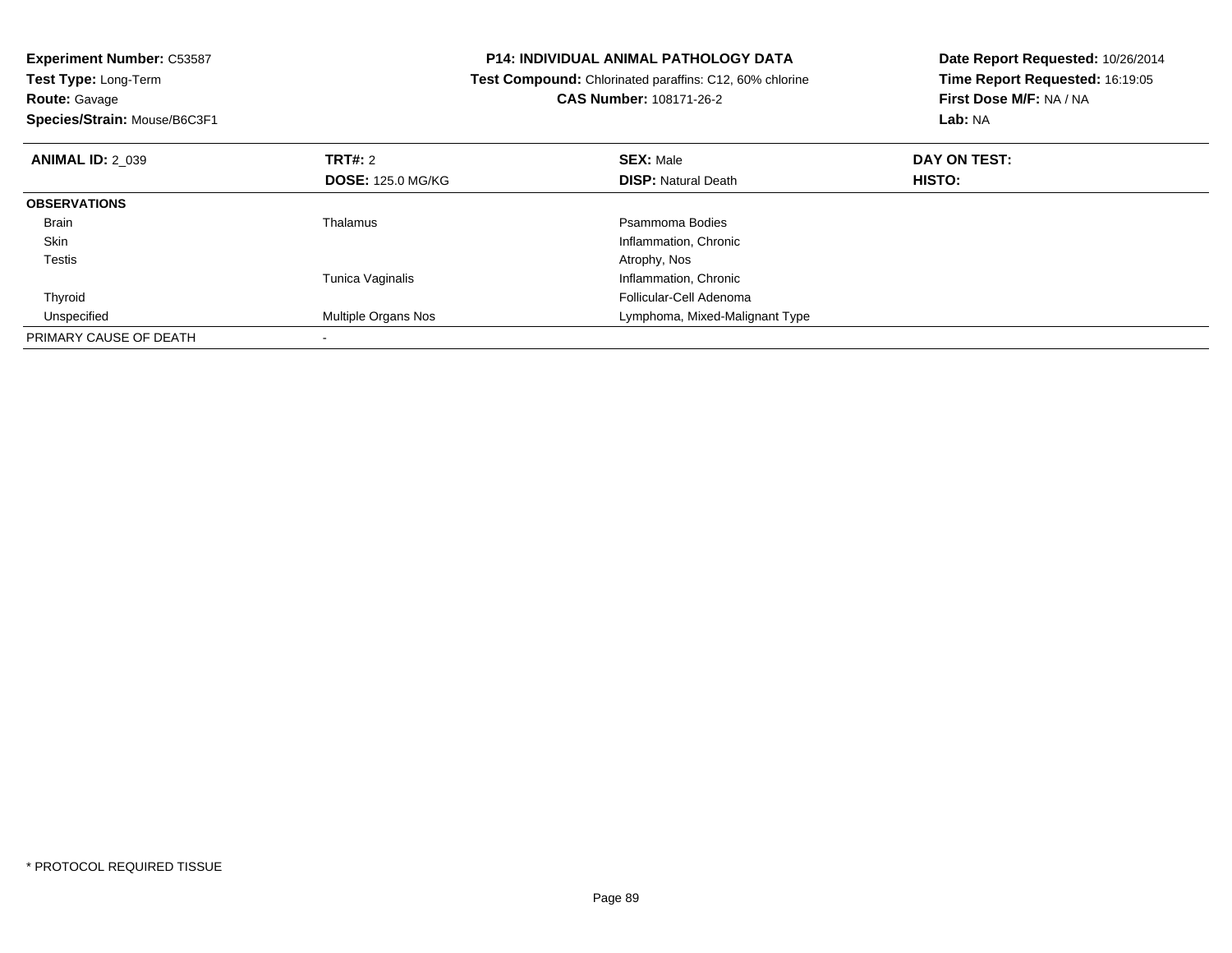| <b>Experiment Number: C53587</b><br>Test Type: Long-Term |                          | <b>P14: INDIVIDUAL ANIMAL PATHOLOGY DATA</b>                   | Date Report Requested: 10/26/2014<br>Time Report Requested: 16:19:05 |  |
|----------------------------------------------------------|--------------------------|----------------------------------------------------------------|----------------------------------------------------------------------|--|
|                                                          |                          | <b>Test Compound:</b> Chlorinated paraffins: C12, 60% chlorine |                                                                      |  |
| <b>Route: Gavage</b>                                     |                          | CAS Number: 108171-26-2                                        | First Dose M/F: NA / NA                                              |  |
| Species/Strain: Mouse/B6C3F1                             |                          |                                                                | Lab: NA                                                              |  |
| <b>ANIMAL ID: 2 039</b>                                  | <b>TRT#: 2</b>           | <b>SEX: Male</b>                                               | DAY ON TEST:                                                         |  |
|                                                          | <b>DOSE: 125.0 MG/KG</b> | <b>DISP:</b> Natural Death                                     | HISTO:                                                               |  |
| <b>OBSERVATIONS</b>                                      |                          |                                                                |                                                                      |  |
| Brain                                                    | Thalamus                 | Psammoma Bodies                                                |                                                                      |  |
| <b>Skin</b>                                              |                          | Inflammation, Chronic                                          |                                                                      |  |
| Testis                                                   |                          | Atrophy, Nos                                                   |                                                                      |  |
|                                                          | <b>Tunica Vaginalis</b>  | Inflammation, Chronic                                          |                                                                      |  |
| Thyroid                                                  |                          | Follicular-Cell Adenoma                                        |                                                                      |  |
| Unspecified                                              | Multiple Organs Nos      | Lymphoma, Mixed-Malignant Type                                 |                                                                      |  |
| PRIMARY CAUSE OF DEATH                                   |                          |                                                                |                                                                      |  |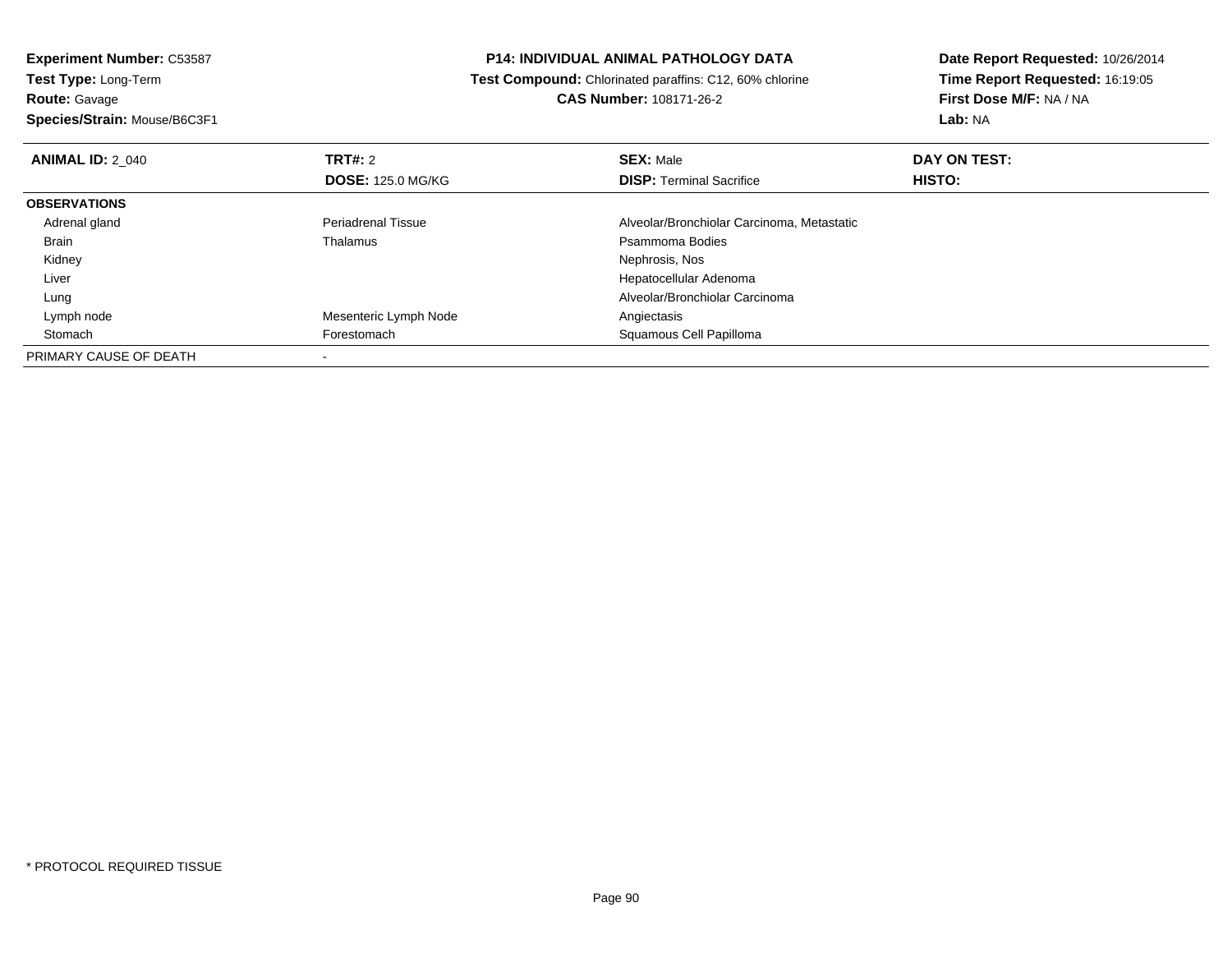**Experiment Number:** C53587**Test Type:** Long-Term**Route:** Gavage **Species/Strain:** Mouse/B6C3F1**P14: INDIVIDUAL ANIMAL PATHOLOGY DATA Test Compound:** Chlorinated paraffins: C12, 60% chlorine**CAS Number:** 108171-26-2**Date Report Requested:** 10/26/2014**Time Report Requested:** 16:19:05**First Dose M/F:** NA / NA**Lab:** NA**ANIMAL ID: 2 040 C TRT#:** 2 **SEX:** Male **DAY ON TEST: DOSE:** 125.0 MG/KG**DISP:** Terminal Sacrifice **HISTO: OBSERVATIONS** Adrenal glandPeriadrenal Tissue **Alveolar/Bronchiolar Carcinoma, Metastatic** Alveolar/Bronchiolar Carcinoma, Metastatic<br>
Psammoma Bodies Brainn and the control of the Thalamus and the control of the Psammoma Bodies and the Psammoma Bodies of the Psammoma Bodies and the Psammoma Bodies of the Psammoma Bodies of the Psammoma Bodies of the Psammoma Bodies of the Ps Kidneyy which is a set of the set of the set of the set of the set of the set of the Nephrosis, Nos Liver Hepatocellular Adenoma Alveolar/Bronchiolar Carcinoma Lung Lymph nodeMesenteric Lymph Node **Angiectasis** Angiectasis StomachForestomach **Squamous Cell Papilloma** PRIMARY CAUSE OF DEATH-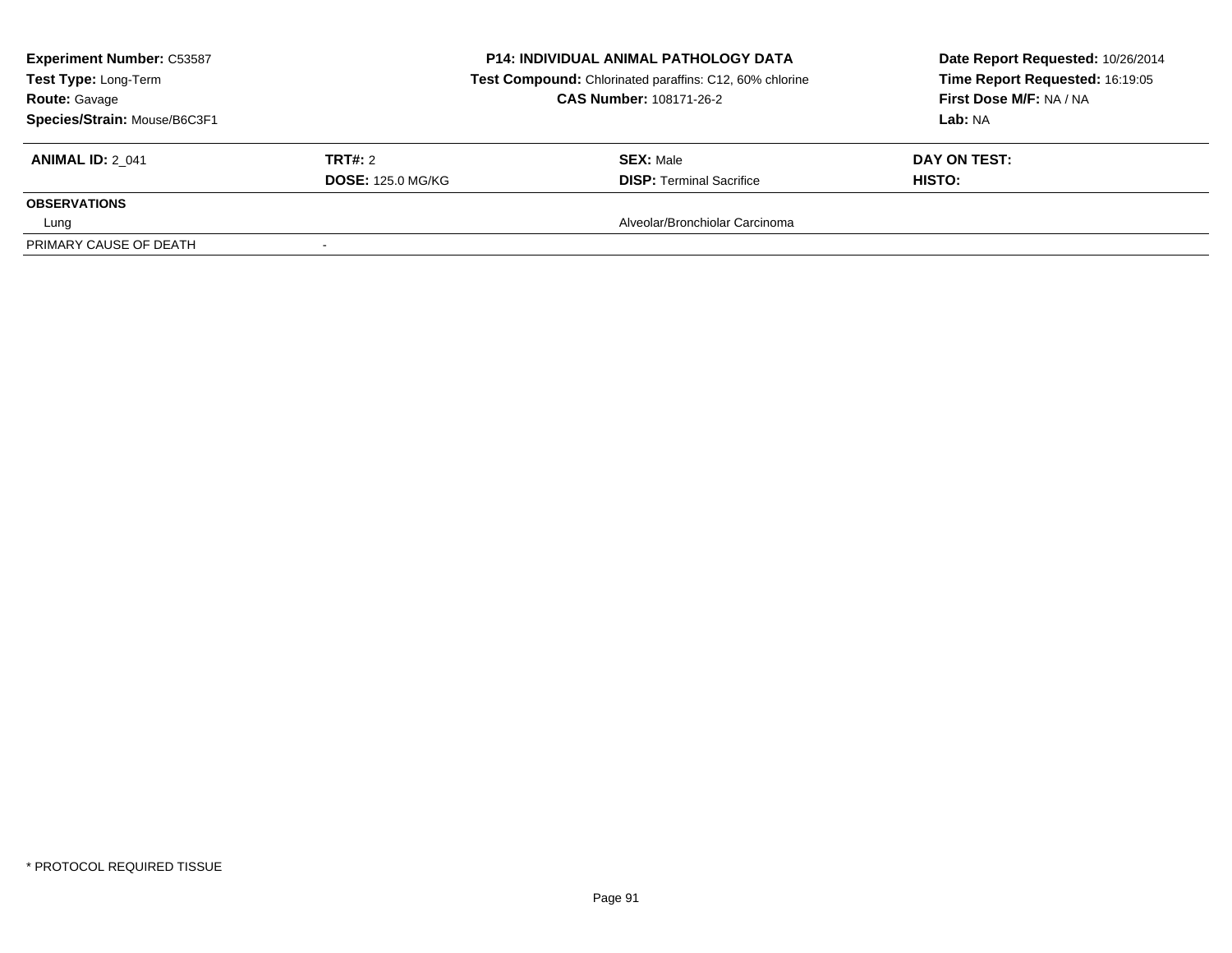| <b>Experiment Number: C53587</b><br>Test Type: Long-Term<br><b>Route: Gavage</b><br>Species/Strain: Mouse/B6C3F1 |                          | <b>P14: INDIVIDUAL ANIMAL PATHOLOGY DATA</b><br>Test Compound: Chlorinated paraffins: C12, 60% chlorine<br><b>CAS Number: 108171-26-2</b> | Date Report Requested: 10/26/2014<br>Time Report Requested: 16:19:05<br>First Dose M/F: NA / NA<br>Lab: NA |  |
|------------------------------------------------------------------------------------------------------------------|--------------------------|-------------------------------------------------------------------------------------------------------------------------------------------|------------------------------------------------------------------------------------------------------------|--|
| <b>ANIMAL ID: 2 041</b>                                                                                          | TRT#: 2                  | <b>SEX: Male</b>                                                                                                                          | DAY ON TEST:                                                                                               |  |
|                                                                                                                  | <b>DOSE: 125.0 MG/KG</b> | <b>DISP: Terminal Sacrifice</b>                                                                                                           | <b>HISTO:</b>                                                                                              |  |
| <b>OBSERVATIONS</b>                                                                                              |                          |                                                                                                                                           |                                                                                                            |  |
| Lung                                                                                                             |                          | Alveolar/Bronchiolar Carcinoma                                                                                                            |                                                                                                            |  |
| PRIMARY CAUSE OF DEATH                                                                                           |                          |                                                                                                                                           |                                                                                                            |  |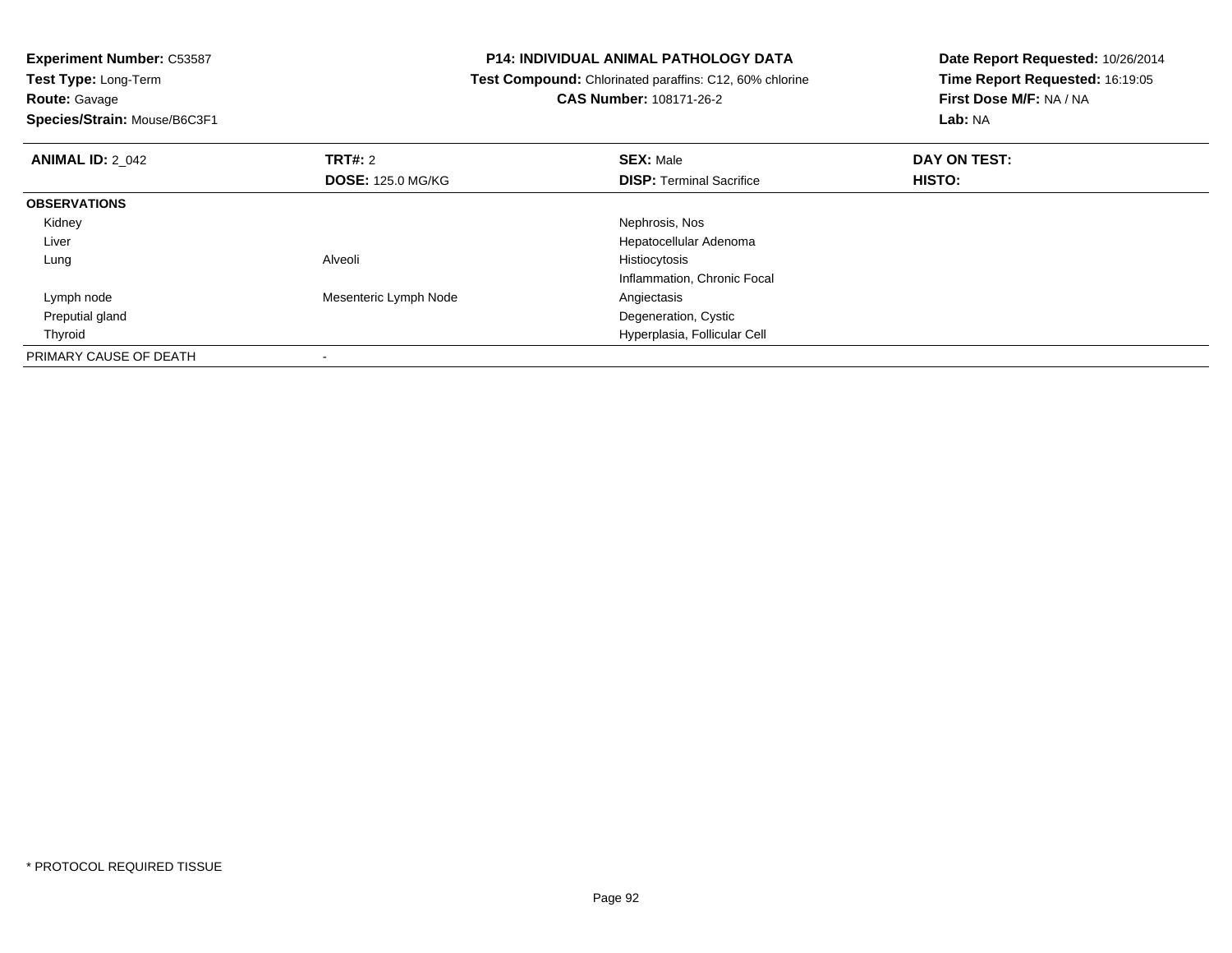**Route:** Gavage

**Species/Strain:** Mouse/B6C3F1

# **P14: INDIVIDUAL ANIMAL PATHOLOGY DATA**

 **Test Compound:** Chlorinated paraffins: C12, 60% chlorine**CAS Number:** 108171-26-2

| <b>ANIMAL ID: 2_042</b> | TRT#: 2<br><b>DOSE: 125.0 MG/KG</b> | <b>SEX: Male</b><br><b>DISP: Terminal Sacrifice</b> | DAY ON TEST:<br>HISTO: |  |
|-------------------------|-------------------------------------|-----------------------------------------------------|------------------------|--|
|                         |                                     |                                                     |                        |  |
| <b>OBSERVATIONS</b>     |                                     |                                                     |                        |  |
| Kidney                  |                                     | Nephrosis, Nos                                      |                        |  |
| Liver                   |                                     | Hepatocellular Adenoma                              |                        |  |
| Lung                    | Alveoli                             | Histiocytosis                                       |                        |  |
|                         |                                     | Inflammation, Chronic Focal                         |                        |  |
| Lymph node              | Mesenteric Lymph Node               | Angiectasis                                         |                        |  |
| Preputial gland         |                                     | Degeneration, Cystic                                |                        |  |
| Thyroid                 |                                     | Hyperplasia, Follicular Cell                        |                        |  |
| PRIMARY CAUSE OF DEATH  |                                     |                                                     |                        |  |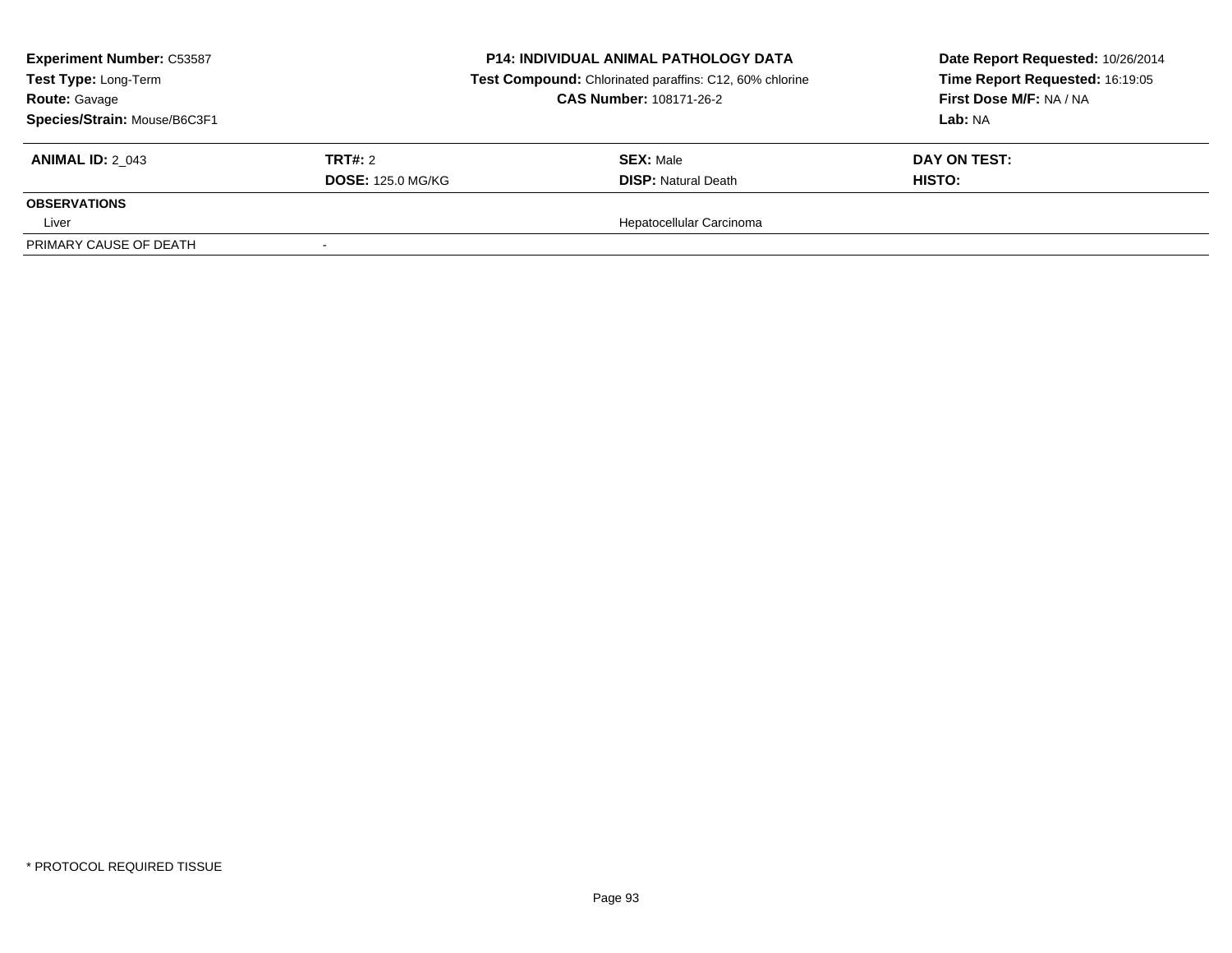| <b>Experiment Number: C53587</b><br>Test Type: Long-Term<br><b>Route: Gavage</b><br>Species/Strain: Mouse/B6C3F1 |                          | <b>P14: INDIVIDUAL ANIMAL PATHOLOGY DATA</b><br>Test Compound: Chlorinated paraffins: C12, 60% chlorine<br><b>CAS Number: 108171-26-2</b> | Date Report Requested: 10/26/2014<br>Time Report Requested: 16:19:05<br>First Dose M/F: NA / NA<br>Lab: NA |  |
|------------------------------------------------------------------------------------------------------------------|--------------------------|-------------------------------------------------------------------------------------------------------------------------------------------|------------------------------------------------------------------------------------------------------------|--|
| <b>ANIMAL ID: 2 043</b>                                                                                          | TRT#: 2                  | <b>SEX: Male</b>                                                                                                                          | DAY ON TEST:                                                                                               |  |
|                                                                                                                  | <b>DOSE: 125.0 MG/KG</b> | <b>DISP:</b> Natural Death                                                                                                                | <b>HISTO:</b>                                                                                              |  |
| <b>OBSERVATIONS</b>                                                                                              |                          |                                                                                                                                           |                                                                                                            |  |
| Liver                                                                                                            |                          | Hepatocellular Carcinoma                                                                                                                  |                                                                                                            |  |
| PRIMARY CAUSE OF DEATH                                                                                           |                          |                                                                                                                                           |                                                                                                            |  |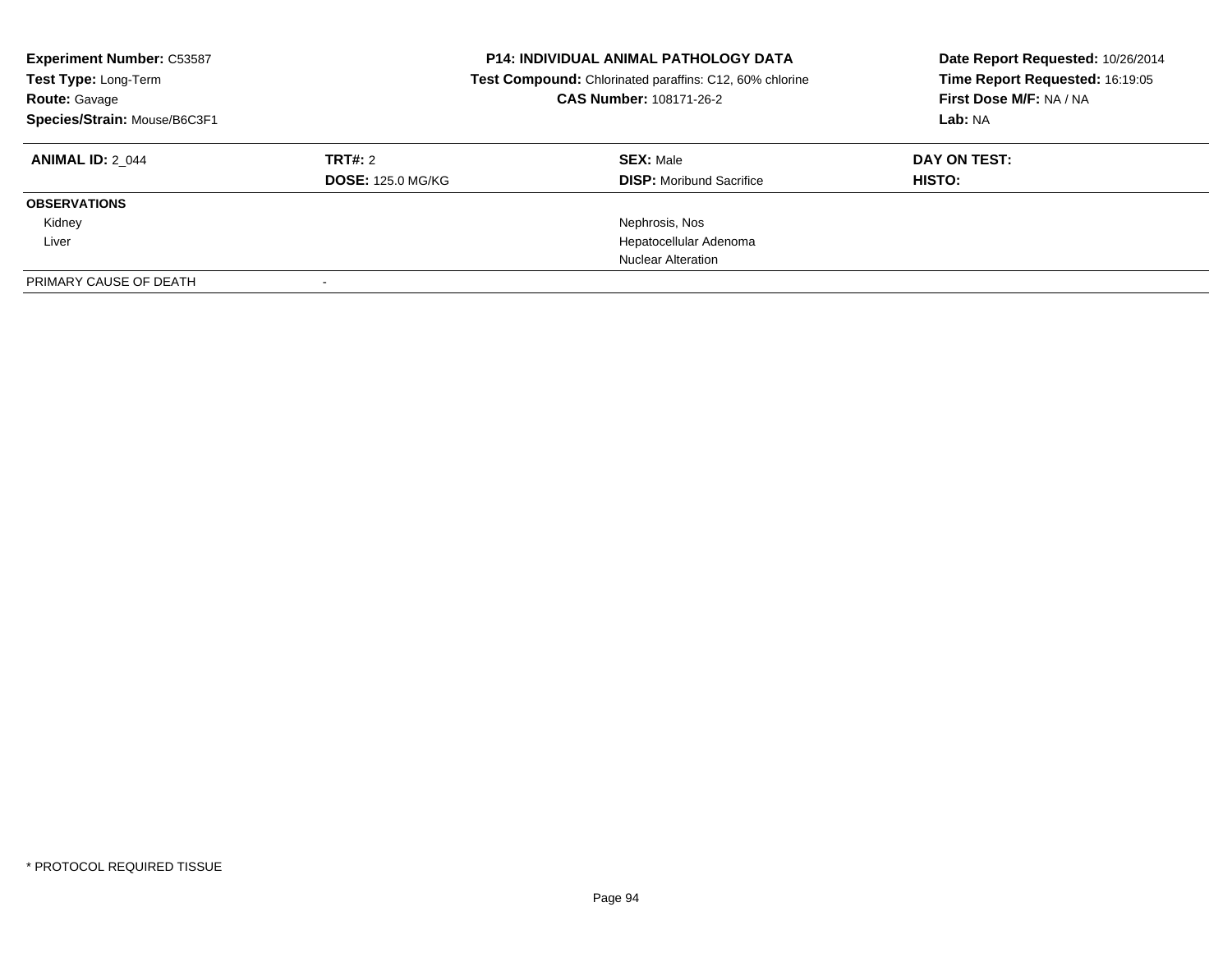| <b>Experiment Number: C53587</b><br>Test Type: Long-Term<br><b>Route: Gavage</b><br>Species/Strain: Mouse/B6C3F1 |                          | <b>P14: INDIVIDUAL ANIMAL PATHOLOGY DATA</b><br>Test Compound: Chlorinated paraffins: C12, 60% chlorine<br>CAS Number: 108171-26-2 | Date Report Requested: 10/26/2014<br>Time Report Requested: 16:19:05<br>First Dose M/F: NA / NA<br>Lab: NA |  |
|------------------------------------------------------------------------------------------------------------------|--------------------------|------------------------------------------------------------------------------------------------------------------------------------|------------------------------------------------------------------------------------------------------------|--|
| <b>ANIMAL ID: 2 044</b>                                                                                          | TRT#: 2                  | <b>SEX: Male</b>                                                                                                                   | DAY ON TEST:                                                                                               |  |
|                                                                                                                  | <b>DOSE: 125.0 MG/KG</b> | <b>DISP:</b> Moribund Sacrifice                                                                                                    | HISTO:                                                                                                     |  |
| <b>OBSERVATIONS</b>                                                                                              |                          |                                                                                                                                    |                                                                                                            |  |
| Kidney                                                                                                           |                          | Nephrosis, Nos                                                                                                                     |                                                                                                            |  |
| Liver                                                                                                            |                          | Hepatocellular Adenoma                                                                                                             |                                                                                                            |  |
|                                                                                                                  |                          | <b>Nuclear Alteration</b>                                                                                                          |                                                                                                            |  |
| PRIMARY CAUSE OF DEATH                                                                                           |                          |                                                                                                                                    |                                                                                                            |  |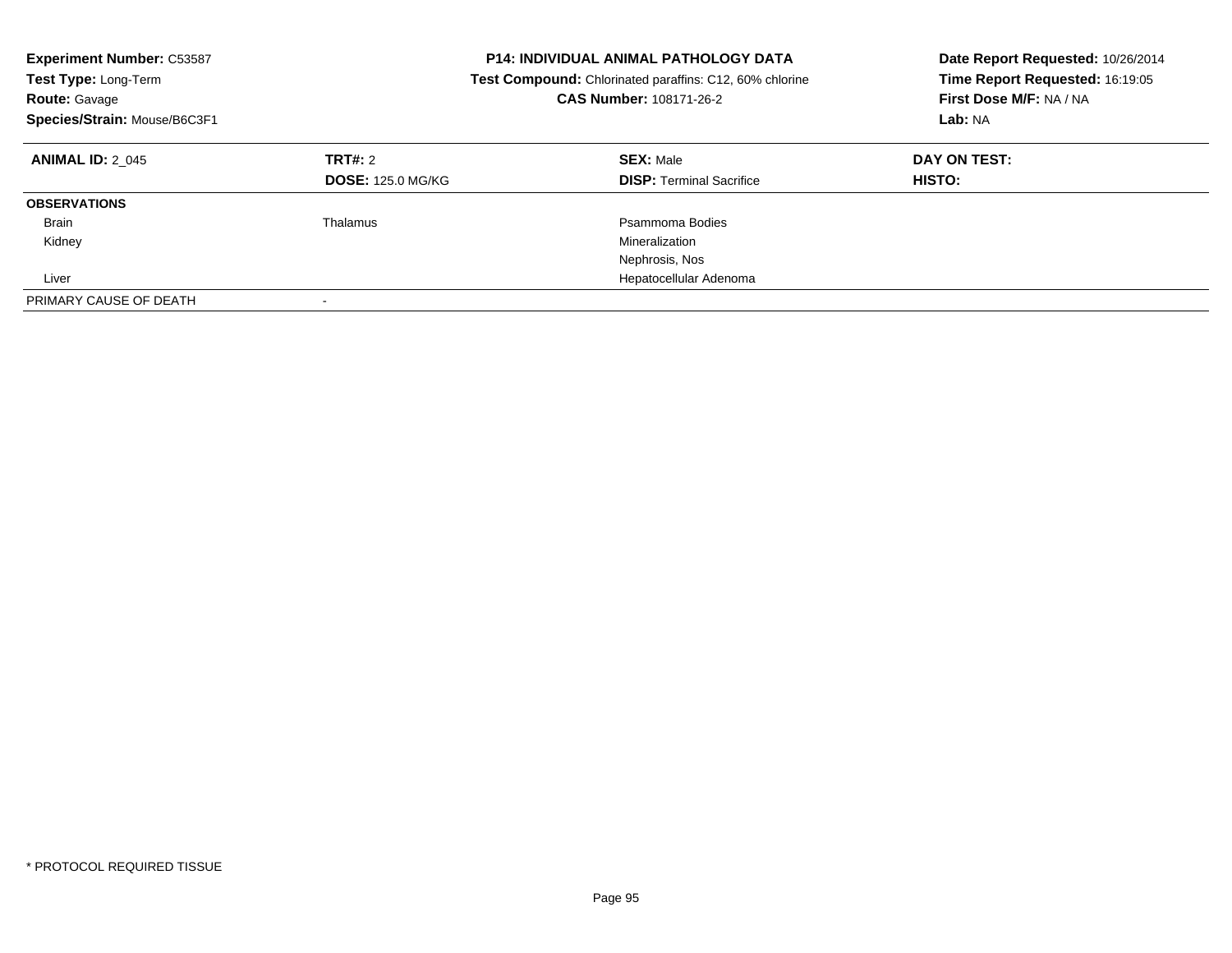| <b>Experiment Number: C53587</b><br>Test Type: Long-Term<br><b>Route: Gavage</b><br>Species/Strain: Mouse/B6C3F1 |                                            | <b>P14: INDIVIDUAL ANIMAL PATHOLOGY DATA</b><br>Test Compound: Chlorinated paraffins: C12, 60% chlorine<br>CAS Number: 108171-26-2 | Date Report Requested: 10/26/2014<br>Time Report Requested: 16:19:05<br>First Dose M/F: NA / NA<br>Lab: NA |
|------------------------------------------------------------------------------------------------------------------|--------------------------------------------|------------------------------------------------------------------------------------------------------------------------------------|------------------------------------------------------------------------------------------------------------|
| <b>ANIMAL ID: 2 045</b>                                                                                          | <b>TRT#: 2</b><br><b>DOSE: 125.0 MG/KG</b> | <b>SEX: Male</b><br><b>DISP:</b> Terminal Sacrifice                                                                                | DAY ON TEST:<br>HISTO:                                                                                     |
| <b>OBSERVATIONS</b>                                                                                              |                                            |                                                                                                                                    |                                                                                                            |
| <b>Brain</b>                                                                                                     | Thalamus                                   | Psammoma Bodies                                                                                                                    |                                                                                                            |
| Kidney                                                                                                           |                                            | Mineralization                                                                                                                     |                                                                                                            |
|                                                                                                                  |                                            | Nephrosis, Nos                                                                                                                     |                                                                                                            |
| Liver                                                                                                            |                                            | Hepatocellular Adenoma                                                                                                             |                                                                                                            |
| PRIMARY CAUSE OF DEATH                                                                                           |                                            |                                                                                                                                    |                                                                                                            |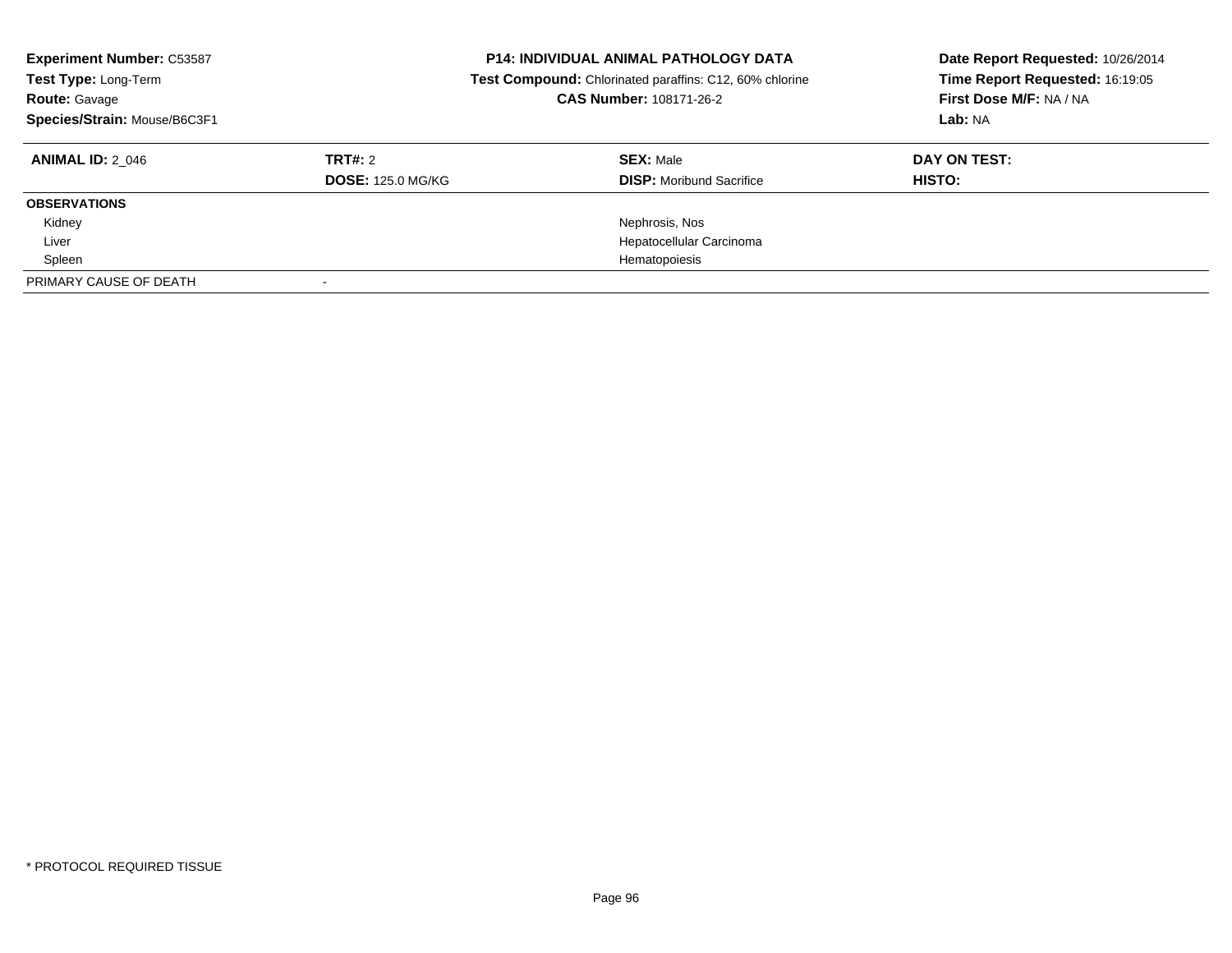| <b>Experiment Number: C53587</b><br>Test Type: Long-Term<br><b>Route: Gavage</b><br>Species/Strain: Mouse/B6C3F1 |                          | <b>P14: INDIVIDUAL ANIMAL PATHOLOGY DATA</b><br>Test Compound: Chlorinated paraffins: C12, 60% chlorine<br>CAS Number: 108171-26-2 | Date Report Requested: 10/26/2014<br>Time Report Requested: 16:19:05<br>First Dose M/F: NA / NA<br>Lab: NA |  |
|------------------------------------------------------------------------------------------------------------------|--------------------------|------------------------------------------------------------------------------------------------------------------------------------|------------------------------------------------------------------------------------------------------------|--|
| <b>ANIMAL ID: 2 046</b>                                                                                          | TRT#: 2                  | <b>SEX: Male</b>                                                                                                                   | DAY ON TEST:                                                                                               |  |
|                                                                                                                  | <b>DOSE: 125.0 MG/KG</b> | <b>DISP:</b> Moribund Sacrifice                                                                                                    | HISTO:                                                                                                     |  |
| <b>OBSERVATIONS</b>                                                                                              |                          |                                                                                                                                    |                                                                                                            |  |
| Kidney                                                                                                           |                          | Nephrosis, Nos                                                                                                                     |                                                                                                            |  |
| Liver                                                                                                            |                          | Hepatocellular Carcinoma                                                                                                           |                                                                                                            |  |
| Spleen                                                                                                           |                          | Hematopoiesis                                                                                                                      |                                                                                                            |  |
| PRIMARY CAUSE OF DEATH                                                                                           |                          |                                                                                                                                    |                                                                                                            |  |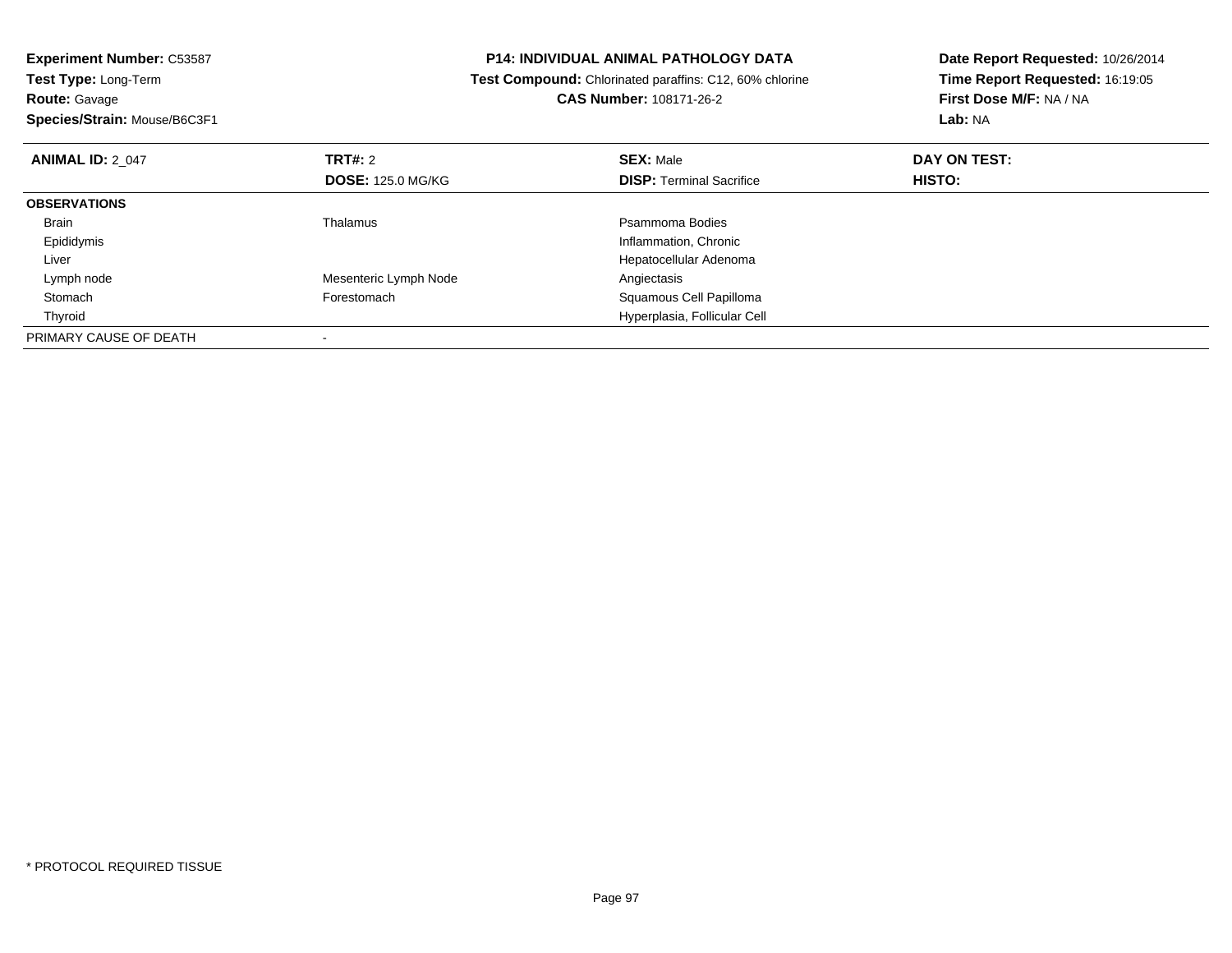**Experiment Number:** C53587**Test Type:** Long-Term**Route:** Gavage **Species/Strain:** Mouse/B6C3F1**P14: INDIVIDUAL ANIMAL PATHOLOGY DATA Test Compound:** Chlorinated paraffins: C12, 60% chlorine**CAS Number:** 108171-26-2**Date Report Requested:** 10/26/2014**Time Report Requested:** 16:19:05**First Dose M/F:** NA / NA**Lab:** NA**ANIMAL ID:** 2\_047 **TRT#:** <sup>2</sup> **SEX:** Male **DAY ON TEST: DOSE:** 125.0 MG/KG**DISP:** Terminal Sacrifice **HISTO: OBSERVATIONS** Brainn and the control of the Thalamus and the control of the Psammoma Bodies and the Psammoma Bodies of the Psammoma Bodies and the Psammoma Bodies of the Psammoma Bodies of the Psammoma Bodies of the Psammoma Bodies of the Ps Epididymis Inflammation, Chronic Liver Hepatocellular Adenoma Lymph nodeMesenteric Lymph Node<br>
Forestomach<br>
Squamous ( StomachSquamous Cell Papilloma Thyroid Hyperplasia, Follicular Cell PRIMARY CAUSE OF DEATH-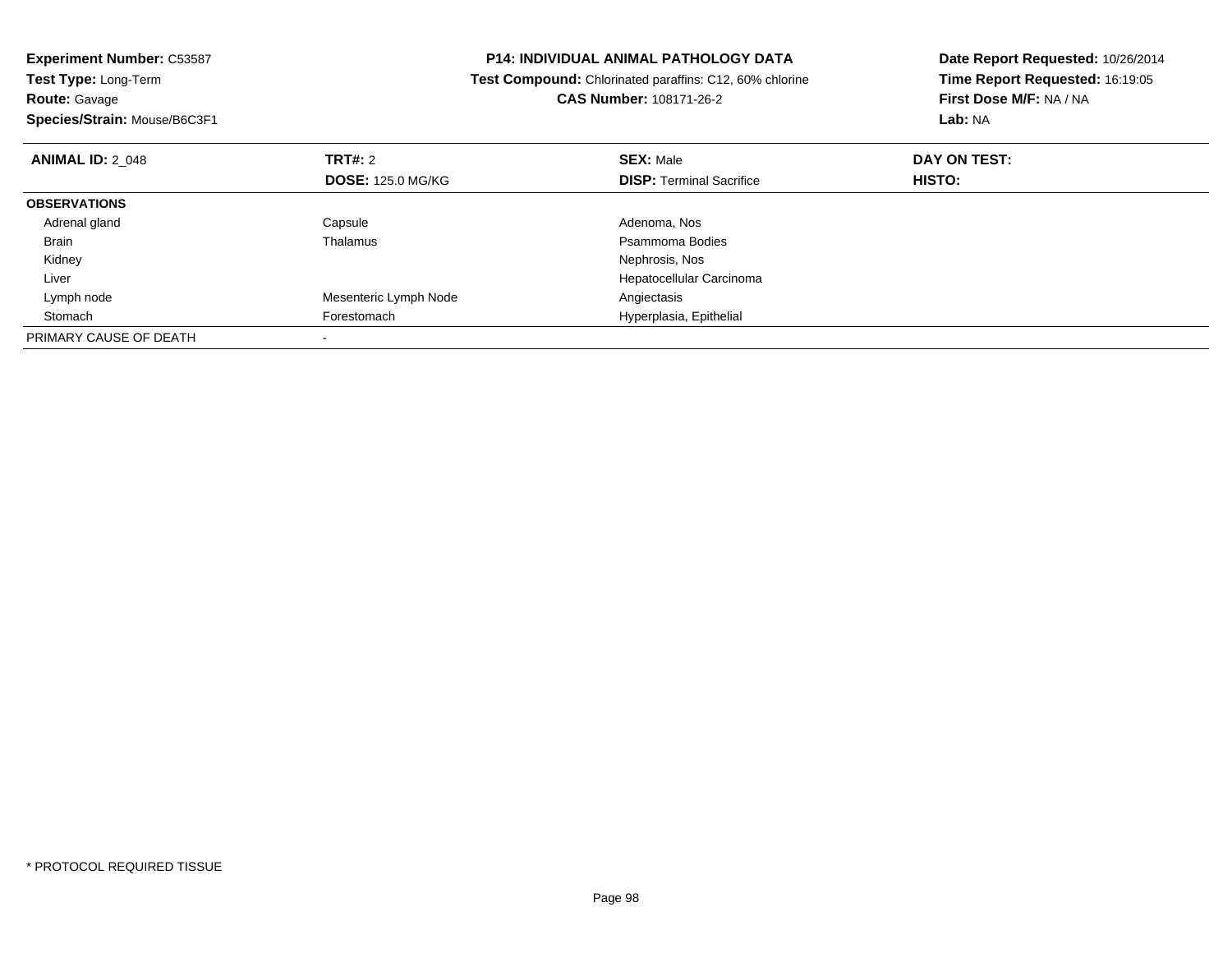| <b>Experiment Number: C53587</b><br>Test Type: Long-Term |                          | <b>P14: INDIVIDUAL ANIMAL PATHOLOGY DATA</b>            | Date Report Requested: 10/26/2014 |
|----------------------------------------------------------|--------------------------|---------------------------------------------------------|-----------------------------------|
|                                                          |                          | Test Compound: Chlorinated paraffins: C12, 60% chlorine | Time Report Requested: 16:19:05   |
| <b>Route: Gavage</b>                                     |                          | CAS Number: 108171-26-2                                 | First Dose M/F: NA / NA           |
| Species/Strain: Mouse/B6C3F1                             |                          |                                                         | Lab: NA                           |
| <b>ANIMAL ID: 2 048</b>                                  | <b>TRT#:</b> 2           | <b>SEX: Male</b>                                        | DAY ON TEST:                      |
|                                                          | <b>DOSE: 125.0 MG/KG</b> | <b>DISP: Terminal Sacrifice</b>                         | HISTO:                            |
| <b>OBSERVATIONS</b>                                      |                          |                                                         |                                   |
| Adrenal gland                                            | Capsule                  | Adenoma, Nos                                            |                                   |
| Brain                                                    | Thalamus                 | Psammoma Bodies                                         |                                   |
| Kidney                                                   |                          | Nephrosis, Nos                                          |                                   |
| Liver                                                    |                          | Hepatocellular Carcinoma                                |                                   |
| Lymph node                                               | Mesenteric Lymph Node    | Angiectasis                                             |                                   |
| Stomach                                                  | Forestomach              | Hyperplasia, Epithelial                                 |                                   |
| PRIMARY CAUSE OF DEATH                                   |                          |                                                         |                                   |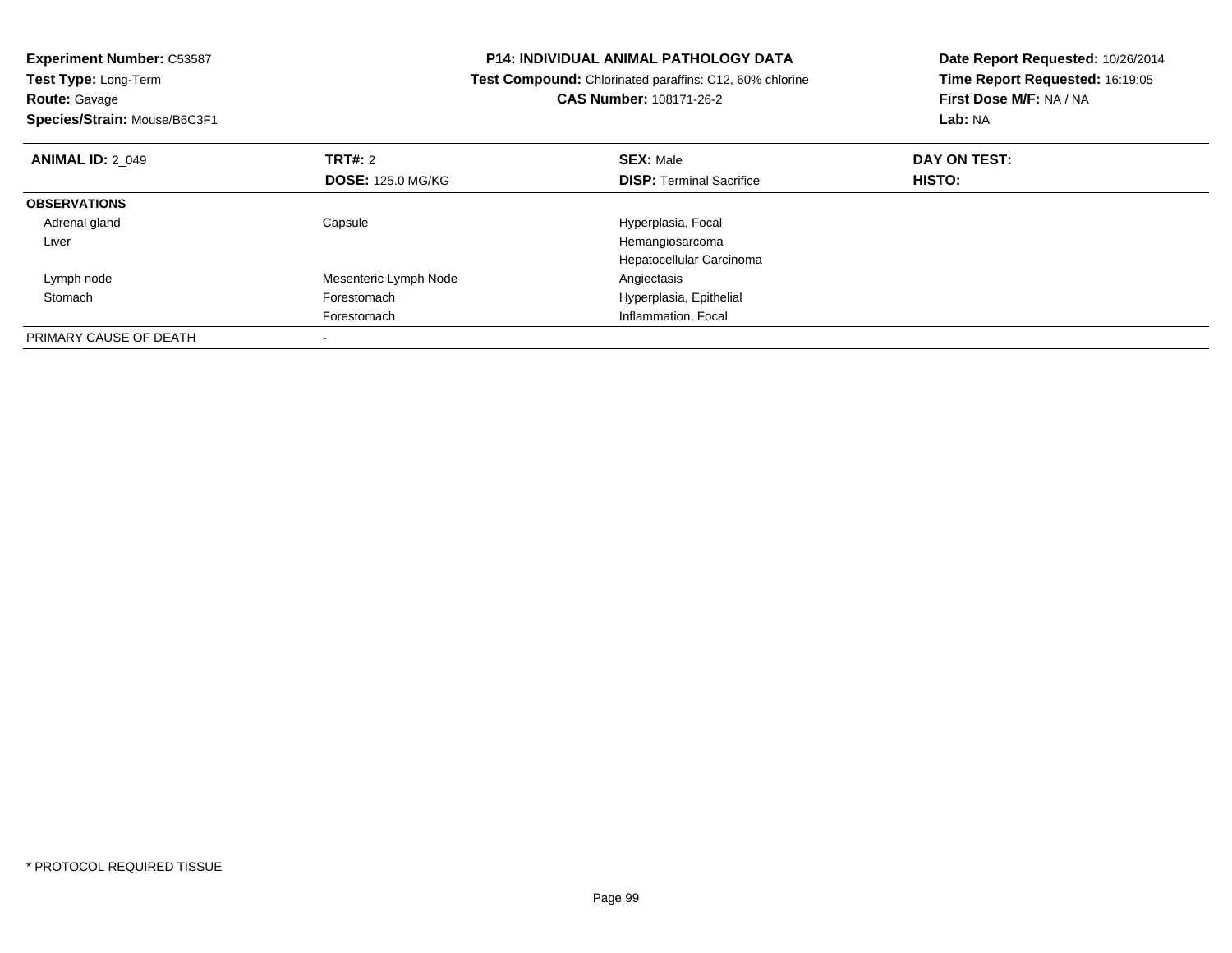| <b>Experiment Number: C53587</b>          |                                                         | <b>P14: INDIVIDUAL ANIMAL PATHOLOGY DATA</b> | Date Report Requested: 10/26/2014 |  |
|-------------------------------------------|---------------------------------------------------------|----------------------------------------------|-----------------------------------|--|
| Test Type: Long-Term                      | Test Compound: Chlorinated paraffins: C12, 60% chlorine |                                              | Time Report Requested: 16:19:05   |  |
| <b>Route: Gavage</b>                      |                                                         | <b>CAS Number: 108171-26-2</b>               | First Dose M/F: NA / NA           |  |
| Species/Strain: Mouse/B6C3F1              |                                                         |                                              | Lab: NA                           |  |
| <b>TRT#: 2</b><br><b>ANIMAL ID: 2 049</b> |                                                         | <b>SEX: Male</b>                             | DAY ON TEST:                      |  |
|                                           | <b>DOSE: 125.0 MG/KG</b>                                | <b>DISP:</b> Terminal Sacrifice              | <b>HISTO:</b>                     |  |
| <b>OBSERVATIONS</b>                       |                                                         |                                              |                                   |  |
| Adrenal gland<br>Capsule                  |                                                         | Hyperplasia, Focal                           |                                   |  |
| Liver                                     |                                                         | Hemangiosarcoma                              |                                   |  |
|                                           |                                                         | Hepatocellular Carcinoma                     |                                   |  |
| Lymph node                                | Mesenteric Lymph Node                                   | Angiectasis                                  |                                   |  |
| Stomach<br>Forestomach                    |                                                         | Hyperplasia, Epithelial                      |                                   |  |
| Forestomach                               |                                                         | Inflammation, Focal                          |                                   |  |
| PRIMARY CAUSE OF DEATH                    |                                                         |                                              |                                   |  |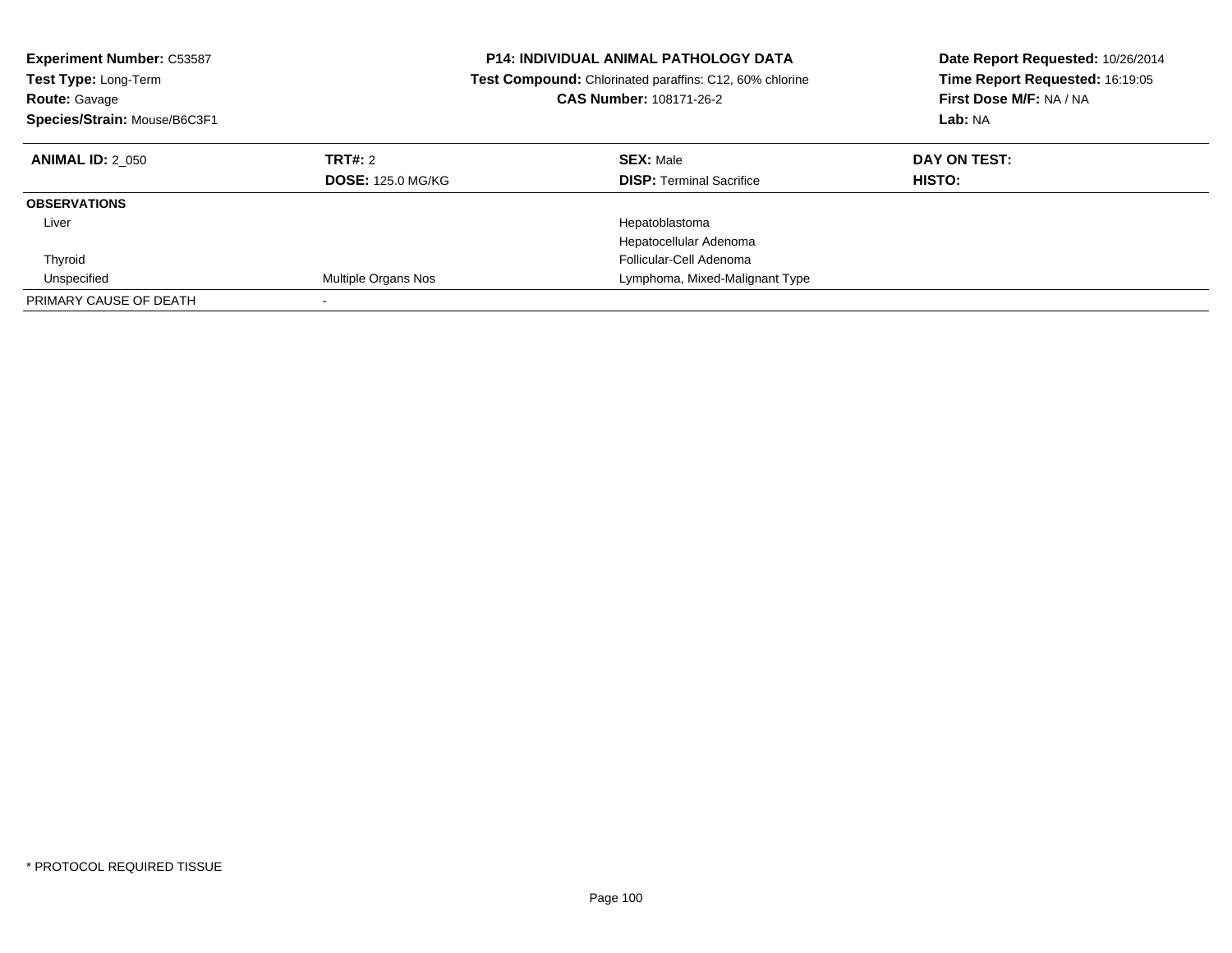| <b>Experiment Number: C53587</b><br><b>Test Type: Long-Term</b><br><b>Route: Gavage</b><br>Species/Strain: Mouse/B6C3F1 |                                     | <b>P14: INDIVIDUAL ANIMAL PATHOLOGY DATA</b><br><b>Test Compound:</b> Chlorinated paraffins: C12, 60% chlorine<br>CAS Number: 108171-26-2 | Date Report Requested: 10/26/2014<br>Time Report Requested: 16:19:05<br>First Dose M/F: NA / NA<br>Lab: NA |
|-------------------------------------------------------------------------------------------------------------------------|-------------------------------------|-------------------------------------------------------------------------------------------------------------------------------------------|------------------------------------------------------------------------------------------------------------|
| <b>ANIMAL ID: 2 050</b>                                                                                                 | TRT#: 2<br><b>DOSE: 125.0 MG/KG</b> | <b>SEX: Male</b><br><b>DISP: Terminal Sacrifice</b>                                                                                       | DAY ON TEST:<br><b>HISTO:</b>                                                                              |
| <b>OBSERVATIONS</b>                                                                                                     |                                     |                                                                                                                                           |                                                                                                            |
| Liver                                                                                                                   |                                     | Hepatoblastoma<br>Hepatocellular Adenoma                                                                                                  |                                                                                                            |
| Thyroid                                                                                                                 |                                     | Follicular-Cell Adenoma                                                                                                                   |                                                                                                            |
| Unspecified                                                                                                             | Multiple Organs Nos                 | Lymphoma, Mixed-Malignant Type                                                                                                            |                                                                                                            |
| PRIMARY CAUSE OF DEATH                                                                                                  |                                     |                                                                                                                                           |                                                                                                            |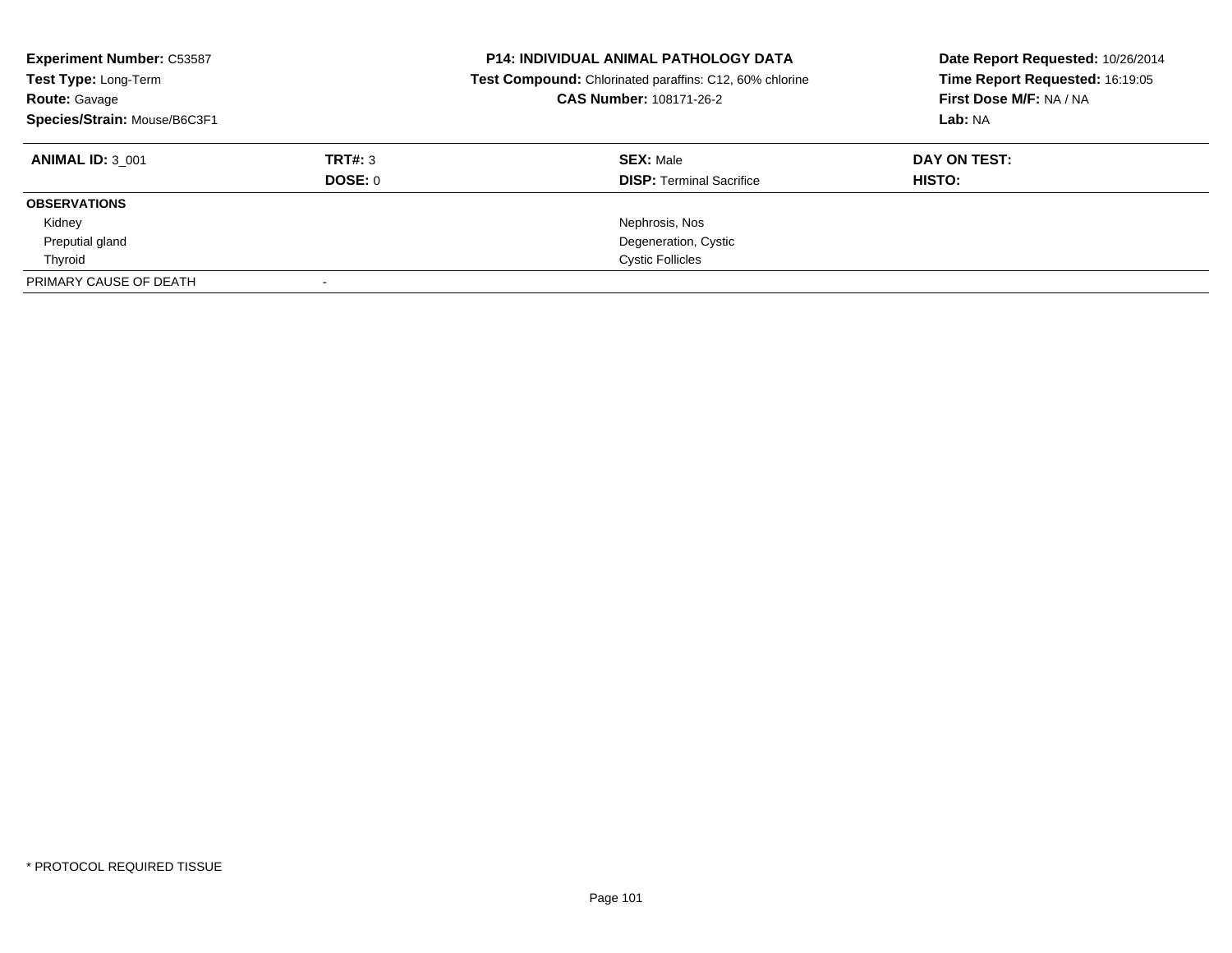| <b>Experiment Number: C53587</b><br>Test Type: Long-Term<br><b>Route: Gavage</b><br>Species/Strain: Mouse/B6C3F1 |                | <b>P14: INDIVIDUAL ANIMAL PATHOLOGY DATA</b><br>Test Compound: Chlorinated paraffins: C12, 60% chlorine<br>CAS Number: 108171-26-2 | Date Report Requested: 10/26/2014<br>Time Report Requested: 16:19:05<br>First Dose M/F: NA / NA<br>Lab: NA |
|------------------------------------------------------------------------------------------------------------------|----------------|------------------------------------------------------------------------------------------------------------------------------------|------------------------------------------------------------------------------------------------------------|
| <b>ANIMAL ID: 3 001</b>                                                                                          | TRT#: 3        | <b>SEX: Male</b>                                                                                                                   | DAY ON TEST:                                                                                               |
|                                                                                                                  | <b>DOSE: 0</b> | <b>DISP:</b> Terminal Sacrifice                                                                                                    | HISTO:                                                                                                     |
| <b>OBSERVATIONS</b>                                                                                              |                |                                                                                                                                    |                                                                                                            |
| Kidney                                                                                                           |                | Nephrosis, Nos                                                                                                                     |                                                                                                            |
| Preputial gland                                                                                                  |                | Degeneration, Cystic                                                                                                               |                                                                                                            |
| Thyroid                                                                                                          |                | <b>Cystic Follicles</b>                                                                                                            |                                                                                                            |
| PRIMARY CAUSE OF DEATH                                                                                           |                |                                                                                                                                    |                                                                                                            |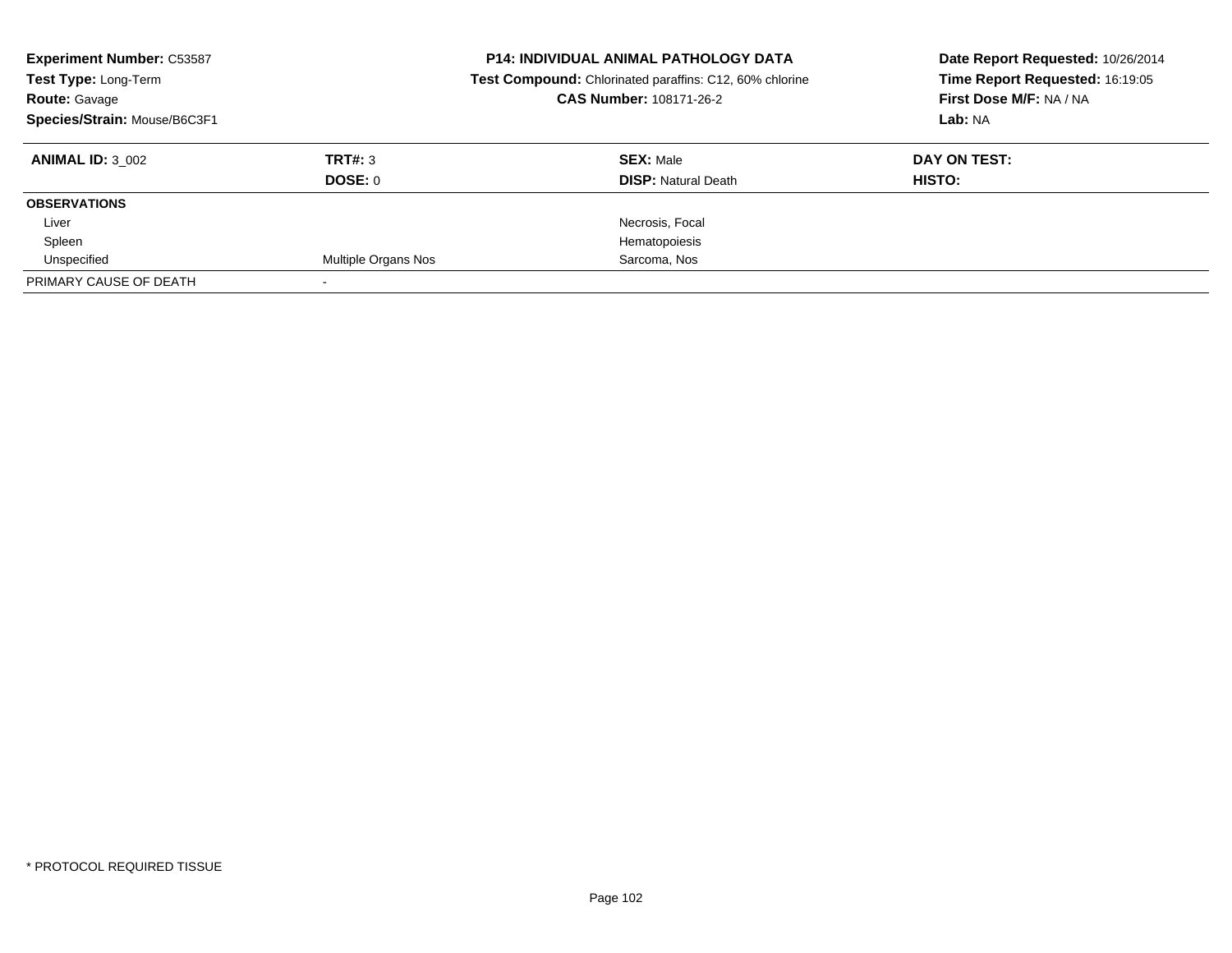| <b>Experiment Number: C53587</b><br>Test Type: Long-Term<br><b>Route: Gavage</b><br>Species/Strain: Mouse/B6C3F1 |                            | <b>P14: INDIVIDUAL ANIMAL PATHOLOGY DATA</b><br>Test Compound: Chlorinated paraffins: C12, 60% chlorine<br>CAS Number: 108171-26-2 | Date Report Requested: 10/26/2014<br>Time Report Requested: 16:19:05<br>First Dose M/F: NA / NA<br>Lab: NA |  |
|------------------------------------------------------------------------------------------------------------------|----------------------------|------------------------------------------------------------------------------------------------------------------------------------|------------------------------------------------------------------------------------------------------------|--|
| <b>ANIMAL ID: 3 002</b>                                                                                          | TRT#: 3                    | <b>SEX: Male</b>                                                                                                                   | DAY ON TEST:                                                                                               |  |
|                                                                                                                  | <b>DOSE: 0</b>             | <b>DISP:</b> Natural Death                                                                                                         | HISTO:                                                                                                     |  |
| <b>OBSERVATIONS</b>                                                                                              |                            |                                                                                                                                    |                                                                                                            |  |
| Liver                                                                                                            |                            | Necrosis, Focal                                                                                                                    |                                                                                                            |  |
| Spleen                                                                                                           |                            | Hematopoiesis                                                                                                                      |                                                                                                            |  |
| Unspecified                                                                                                      | <b>Multiple Organs Nos</b> | Sarcoma, Nos                                                                                                                       |                                                                                                            |  |
| PRIMARY CAUSE OF DEATH                                                                                           |                            |                                                                                                                                    |                                                                                                            |  |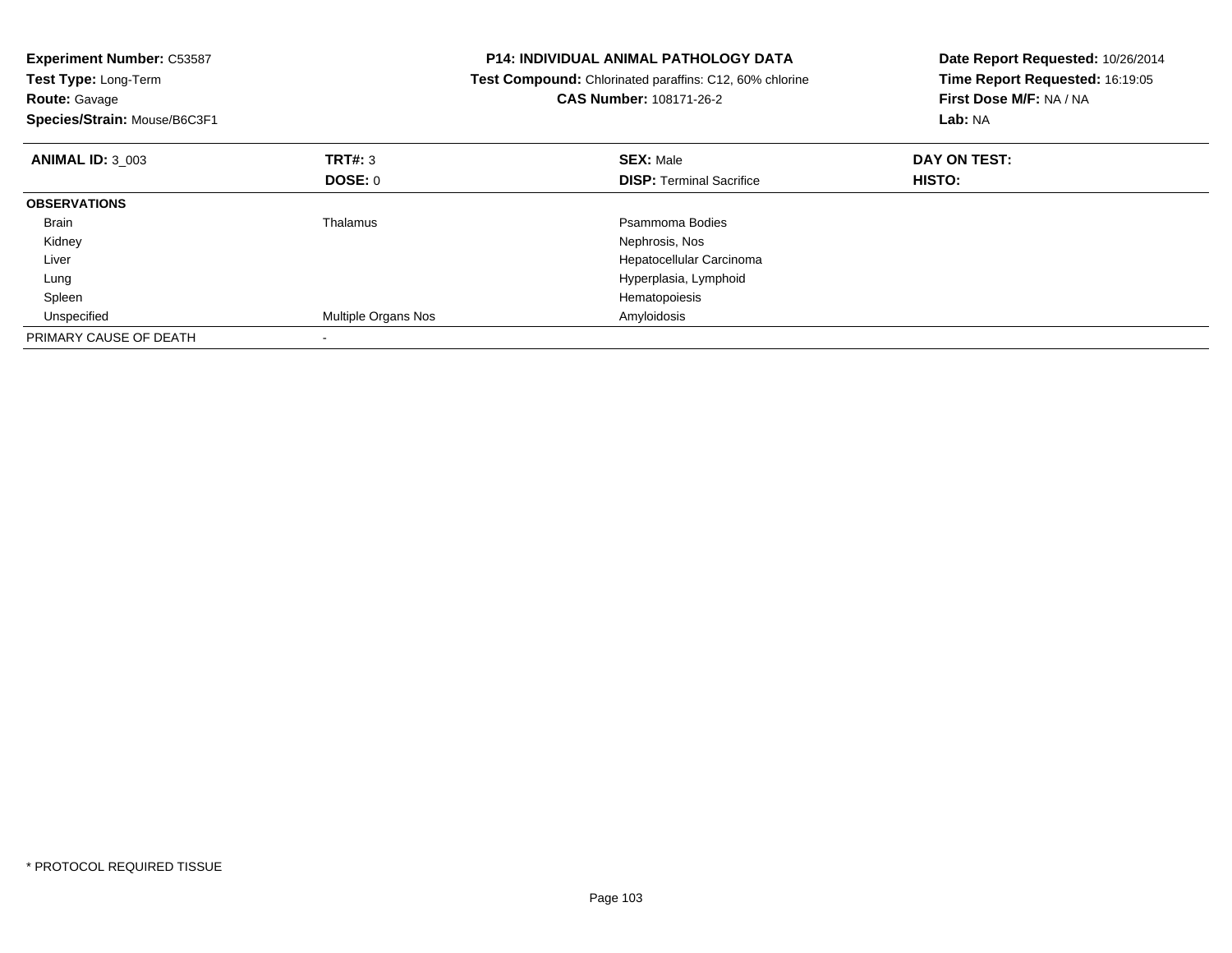| <b>Experiment Number: C53587</b><br>Test Type: Long-Term<br><b>Route: Gavage</b><br>Species/Strain: Mouse/B6C3F1 |                     | <b>P14: INDIVIDUAL ANIMAL PATHOLOGY DATA</b><br>Test Compound: Chlorinated paraffins: C12, 60% chlorine<br><b>CAS Number: 108171-26-2</b> | Date Report Requested: 10/26/2014<br>Time Report Requested: 16:19:05<br>First Dose M/F: NA / NA<br>Lab: NA |  |
|------------------------------------------------------------------------------------------------------------------|---------------------|-------------------------------------------------------------------------------------------------------------------------------------------|------------------------------------------------------------------------------------------------------------|--|
| <b>ANIMAL ID: 3 003</b>                                                                                          | TRT#: 3             | <b>SEX: Male</b>                                                                                                                          | DAY ON TEST:                                                                                               |  |
|                                                                                                                  | DOSE: 0             | <b>DISP:</b> Terminal Sacrifice                                                                                                           | HISTO:                                                                                                     |  |
| <b>OBSERVATIONS</b>                                                                                              |                     |                                                                                                                                           |                                                                                                            |  |
| Brain                                                                                                            | Thalamus            | Psammoma Bodies                                                                                                                           |                                                                                                            |  |
| Kidney                                                                                                           |                     | Nephrosis, Nos                                                                                                                            |                                                                                                            |  |
| Liver                                                                                                            |                     | Hepatocellular Carcinoma                                                                                                                  |                                                                                                            |  |
| Lung                                                                                                             |                     | Hyperplasia, Lymphoid                                                                                                                     |                                                                                                            |  |
| Spleen                                                                                                           |                     | Hematopoiesis                                                                                                                             |                                                                                                            |  |
| Unspecified                                                                                                      | Multiple Organs Nos | Amyloidosis                                                                                                                               |                                                                                                            |  |
| PRIMARY CAUSE OF DEATH                                                                                           |                     |                                                                                                                                           |                                                                                                            |  |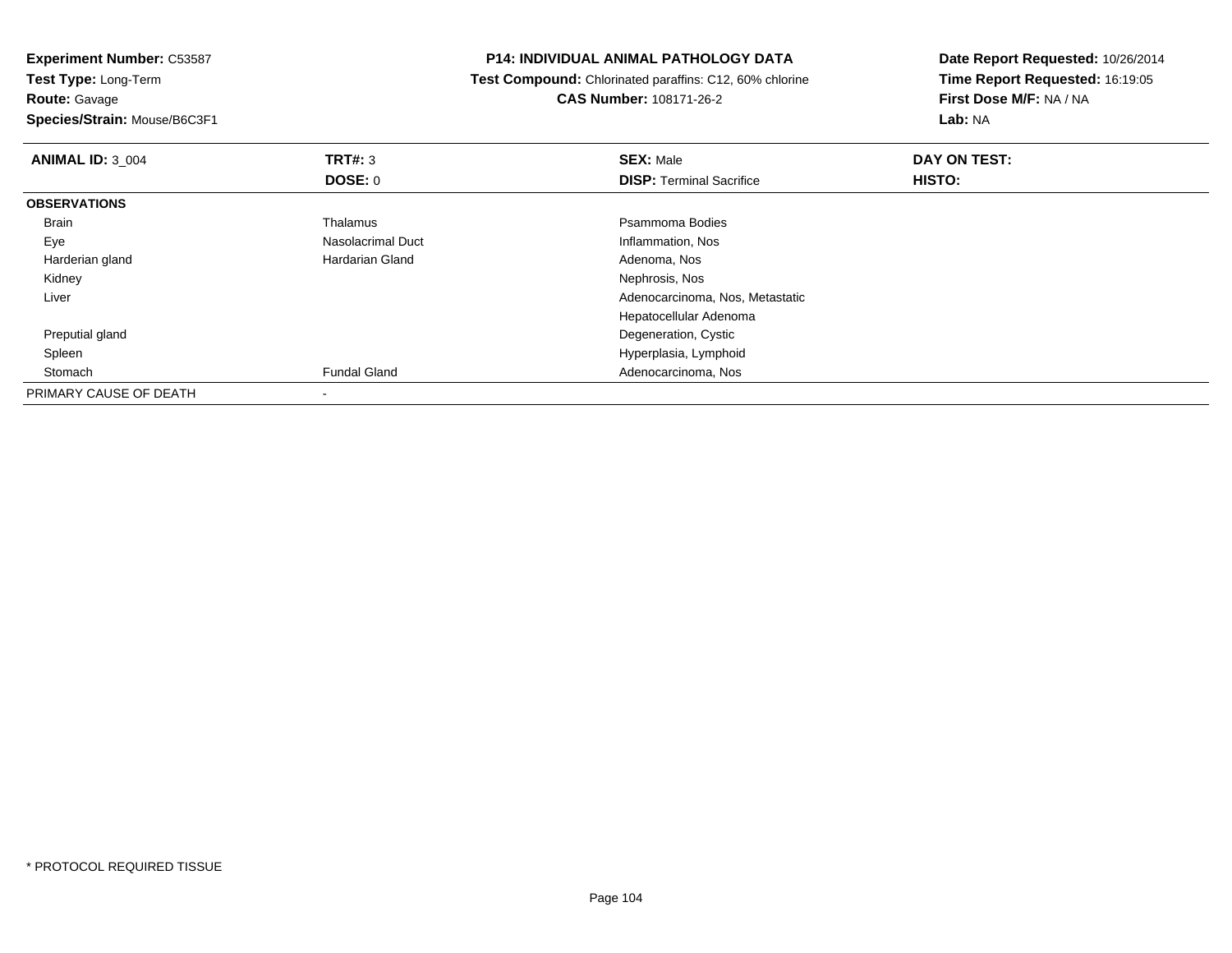**Route:** Gavage

**Species/Strain:** Mouse/B6C3F1

# **P14: INDIVIDUAL ANIMAL PATHOLOGY DATA**

 **Test Compound:** Chlorinated paraffins: C12, 60% chlorine**CAS Number:** 108171-26-2

| <b>ANIMAL ID: 3_004</b> | TRT#: 3                  | <b>SEX: Male</b>                | DAY ON TEST: |  |
|-------------------------|--------------------------|---------------------------------|--------------|--|
|                         | <b>DOSE: 0</b>           | <b>DISP: Terminal Sacrifice</b> | HISTO:       |  |
| <b>OBSERVATIONS</b>     |                          |                                 |              |  |
| <b>Brain</b>            | Thalamus                 | Psammoma Bodies                 |              |  |
| Eye                     | Nasolacrimal Duct        | Inflammation, Nos               |              |  |
| Harderian gland         | Hardarian Gland          | Adenoma, Nos                    |              |  |
| Kidney                  |                          | Nephrosis, Nos                  |              |  |
| Liver                   |                          | Adenocarcinoma, Nos, Metastatic |              |  |
|                         |                          | Hepatocellular Adenoma          |              |  |
| Preputial gland         |                          | Degeneration, Cystic            |              |  |
| Spleen                  |                          | Hyperplasia, Lymphoid           |              |  |
| Stomach                 | <b>Fundal Gland</b>      | Adenocarcinoma, Nos             |              |  |
| PRIMARY CAUSE OF DEATH  | $\overline{\phantom{a}}$ |                                 |              |  |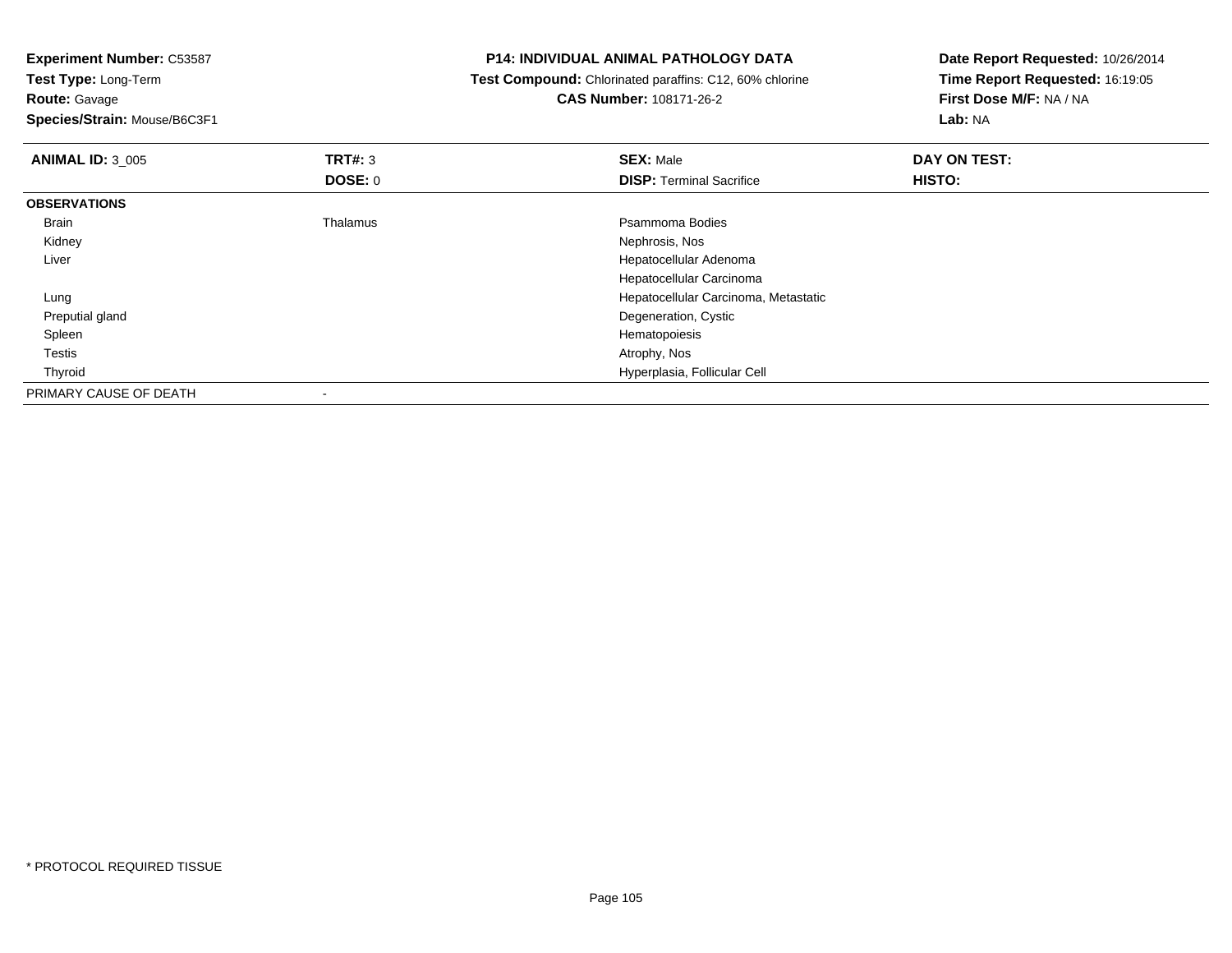| <b>P14: INDIVIDUAL ANIMAL PATHOLOGY DATA</b>                   | Date Report Requested: 10/26/2014<br>Time Report Requested: 16:19:05 |  |
|----------------------------------------------------------------|----------------------------------------------------------------------|--|
| <b>Test Compound:</b> Chlorinated paraffins: C12, 60% chlorine |                                                                      |  |
| <b>CAS Number: 108171-26-2</b>                                 | First Dose M/F: NA / NA                                              |  |
|                                                                | Lab: NA                                                              |  |
| <b>SEX: Male</b>                                               | DAY ON TEST:                                                         |  |
| <b>DISP:</b> Terminal Sacrifice                                | <b>HISTO:</b>                                                        |  |
|                                                                |                                                                      |  |
| Psammoma Bodies                                                |                                                                      |  |
| Nephrosis, Nos                                                 |                                                                      |  |
| Hepatocellular Adenoma                                         |                                                                      |  |
| Hepatocellular Carcinoma                                       |                                                                      |  |
| Hepatocellular Carcinoma, Metastatic                           |                                                                      |  |
| Degeneration, Cystic                                           |                                                                      |  |
| Hematopoiesis                                                  |                                                                      |  |
| Atrophy, Nos                                                   |                                                                      |  |
| Hyperplasia, Follicular Cell                                   |                                                                      |  |
|                                                                |                                                                      |  |
| DOSE: 0<br>Thalamus                                            |                                                                      |  |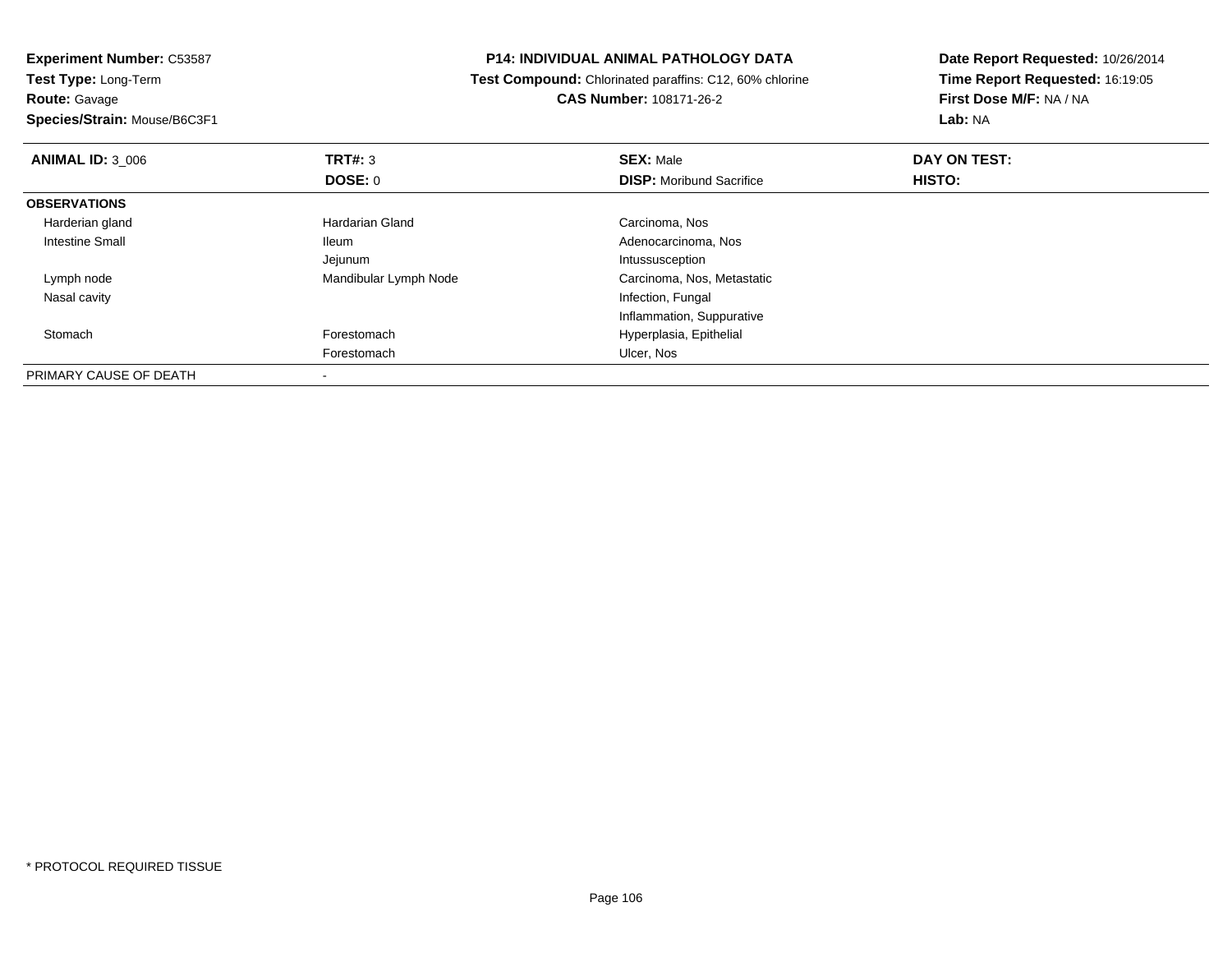**Route:** Gavage

**Species/Strain:** Mouse/B6C3F1

# **P14: INDIVIDUAL ANIMAL PATHOLOGY DATA**

 **Test Compound:** Chlorinated paraffins: C12, 60% chlorine**CAS Number:** 108171-26-2

| <b>ANIMAL ID: 3 006</b> | TRT#: 3               | <b>SEX: Male</b>                | DAY ON TEST:  |  |
|-------------------------|-----------------------|---------------------------------|---------------|--|
|                         | DOSE: 0               | <b>DISP:</b> Moribund Sacrifice | <b>HISTO:</b> |  |
| <b>OBSERVATIONS</b>     |                       |                                 |               |  |
| Harderian gland         | Hardarian Gland       | Carcinoma, Nos                  |               |  |
| Intestine Small         | <b>Ileum</b>          | Adenocarcinoma, Nos             |               |  |
|                         | Jejunum               | Intussusception                 |               |  |
| Lymph node              | Mandibular Lymph Node | Carcinoma, Nos, Metastatic      |               |  |
| Nasal cavity            |                       | Infection, Fungal               |               |  |
|                         |                       | Inflammation, Suppurative       |               |  |
| Stomach                 | Forestomach           | Hyperplasia, Epithelial         |               |  |
|                         | Forestomach           | Ulcer, Nos                      |               |  |
| PRIMARY CAUSE OF DEATH  |                       |                                 |               |  |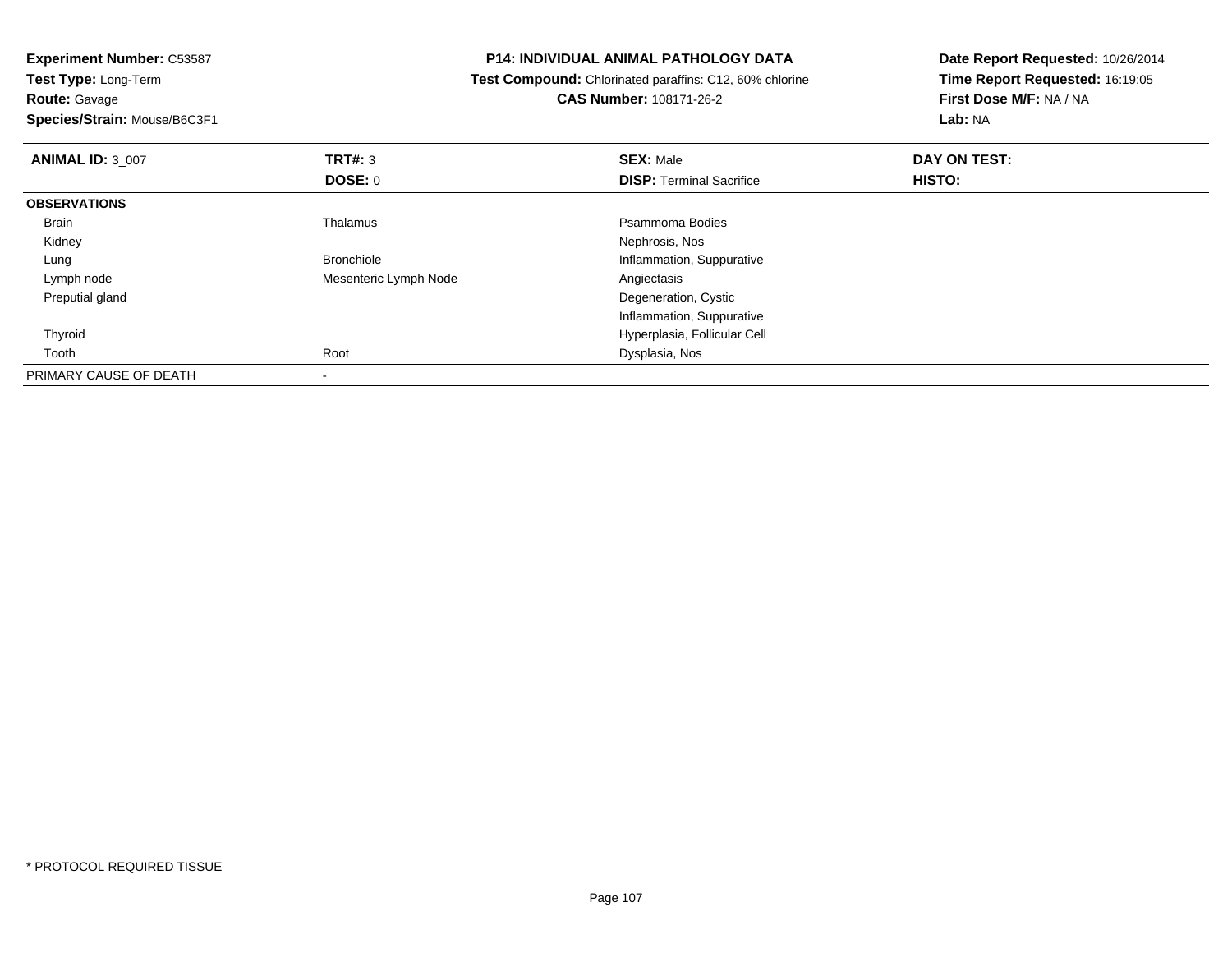**Experiment Number:** C53587**Test Type:** Long-Term**Route:** Gavage **Species/Strain:** Mouse/B6C3F1**P14: INDIVIDUAL ANIMAL PATHOLOGY DATA Test Compound:** Chlorinated paraffins: C12, 60% chlorine**CAS Number:** 108171-26-2**Date Report Requested:** 10/26/2014**Time Report Requested:** 16:19:05**First Dose M/F:** NA / NA**Lab:** NA**ANIMAL ID:** 3\_007 **TRT#:** <sup>3</sup> **SEX:** Male **DAY ON TEST: DOSE:** 0**DISP:** Terminal Sacrifice **HISTO: OBSERVATIONS** Brainn and the control of the Thalamus and the control of the Psammoma Bodies and the Psammoma Bodies of the Psammoma Bodies and the Psammoma Bodies of the Psammoma Bodies of the Psammoma Bodies of the Psammoma Bodies of the Ps Kidney Nephrosis, Nos LungBronchiole Inflammation, Suppurative Inflammation, Suppurative Inflammation, Suppurative Inflammation, Suppurative Lymph nodeMesenteric Lymph Node Preputial gland Degeneration, Cystic Inflammation, Suppurative Hyperplasia, Follicular Cell Thyroid Toothh and the control of the Root Control of the Dysplasia, Nos and the Dysplasia, Nos and the Dysplasia, Nos and the Dysplasia, Nos and the Dysplasia, Nos and the Dysplasia, Nos and the Dysplasia, Nos and the Dysplasia, Nos a

\* PROTOCOL REQUIRED TISSUE

PRIMARY CAUSE OF DEATH

-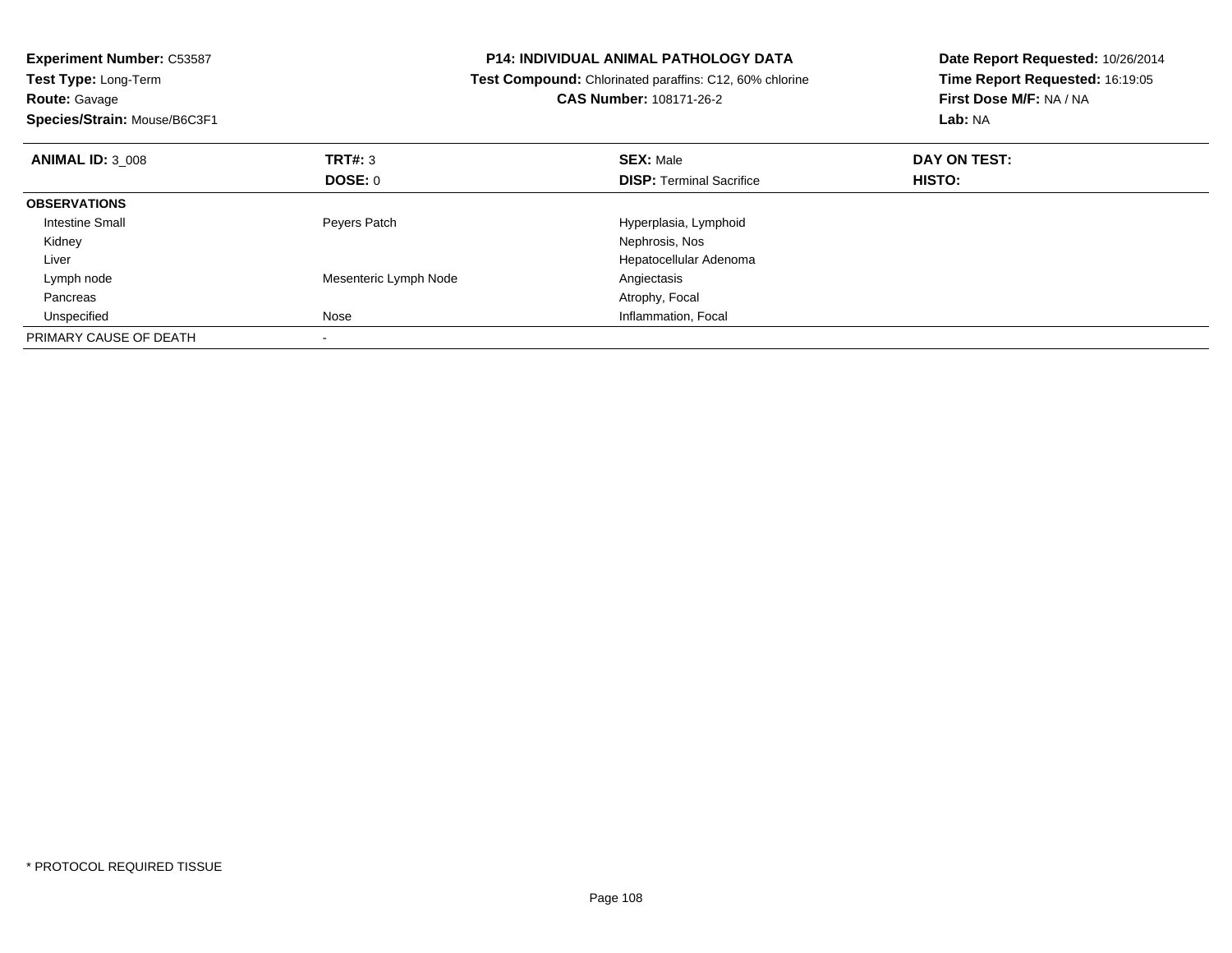| <b>Experiment Number: C53587</b><br><b>Test Type: Long-Term</b><br><b>Route: Gavage</b> |                       | P14: INDIVIDUAL ANIMAL PATHOLOGY DATA<br>Test Compound: Chlorinated paraffins: C12, 60% chlorine<br><b>CAS Number: 108171-26-2</b> | Date Report Requested: 10/26/2014<br>Time Report Requested: 16:19:05<br>First Dose M/F: NA / NA |
|-----------------------------------------------------------------------------------------|-----------------------|------------------------------------------------------------------------------------------------------------------------------------|-------------------------------------------------------------------------------------------------|
| Species/Strain: Mouse/B6C3F1                                                            |                       |                                                                                                                                    | Lab: NA                                                                                         |
| <b>ANIMAL ID: 3 008</b>                                                                 | TRT#: 3               | <b>SEX: Male</b>                                                                                                                   | DAY ON TEST:                                                                                    |
|                                                                                         | <b>DOSE: 0</b>        | <b>DISP:</b> Terminal Sacrifice                                                                                                    | HISTO:                                                                                          |
| <b>OBSERVATIONS</b>                                                                     |                       |                                                                                                                                    |                                                                                                 |
| Intestine Small                                                                         | Peyers Patch          | Hyperplasia, Lymphoid                                                                                                              |                                                                                                 |
| Kidney                                                                                  |                       | Nephrosis, Nos                                                                                                                     |                                                                                                 |
| Liver                                                                                   |                       | Hepatocellular Adenoma                                                                                                             |                                                                                                 |
| Lymph node                                                                              | Mesenteric Lymph Node | Angiectasis                                                                                                                        |                                                                                                 |
| Pancreas                                                                                |                       | Atrophy, Focal                                                                                                                     |                                                                                                 |
| Unspecified                                                                             | <b>Nose</b>           | Inflammation, Focal                                                                                                                |                                                                                                 |
| PRIMARY CAUSE OF DEATH                                                                  |                       |                                                                                                                                    |                                                                                                 |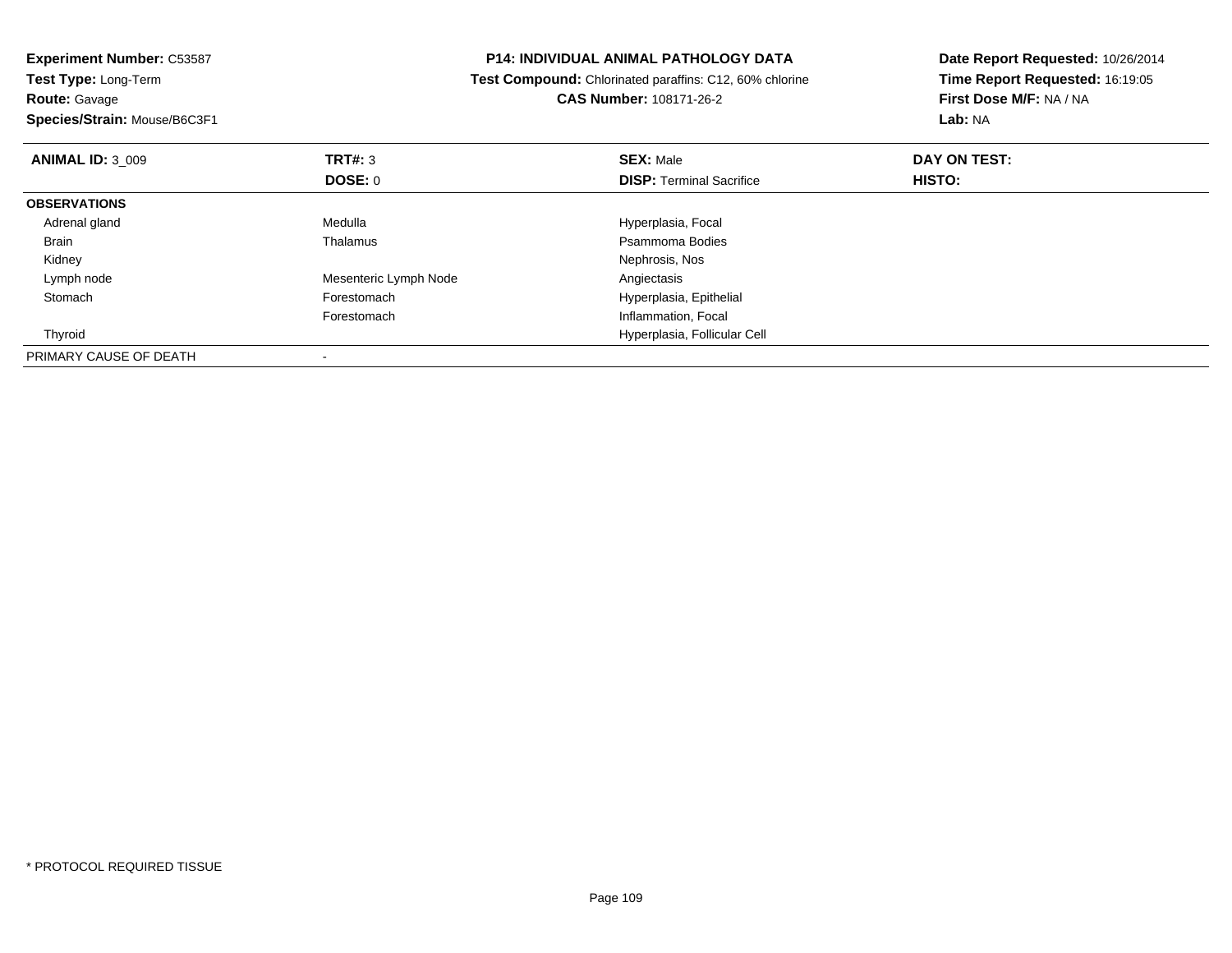| <b>Experiment Number: C53587</b> |                                                         | <b>P14: INDIVIDUAL ANIMAL PATHOLOGY DATA</b> | Date Report Requested: 10/26/2014 |
|----------------------------------|---------------------------------------------------------|----------------------------------------------|-----------------------------------|
| <b>Test Type: Long-Term</b>      | Test Compound: Chlorinated paraffins: C12, 60% chlorine |                                              | Time Report Requested: 16:19:05   |
| <b>Route: Gavage</b>             |                                                         | <b>CAS Number: 108171-26-2</b>               | First Dose M/F: NA / NA           |
| Species/Strain: Mouse/B6C3F1     |                                                         |                                              | Lab: NA                           |
| <b>ANIMAL ID: 3 009</b>          | TRT#: 3                                                 | <b>SEX: Male</b>                             | DAY ON TEST:                      |
|                                  | DOSE: 0                                                 | <b>DISP:</b> Terminal Sacrifice              | <b>HISTO:</b>                     |
| <b>OBSERVATIONS</b>              |                                                         |                                              |                                   |
| Adrenal gland                    | Medulla                                                 | Hyperplasia, Focal                           |                                   |
| Brain                            | Thalamus                                                | Psammoma Bodies                              |                                   |
| Kidney                           |                                                         | Nephrosis, Nos                               |                                   |
| Lymph node                       | Mesenteric Lymph Node                                   | Angiectasis                                  |                                   |
| Stomach                          | Forestomach                                             | Hyperplasia, Epithelial                      |                                   |
|                                  | Forestomach                                             | Inflammation, Focal                          |                                   |
| Thyroid                          |                                                         | Hyperplasia, Follicular Cell                 |                                   |
| PRIMARY CAUSE OF DEATH           |                                                         |                                              |                                   |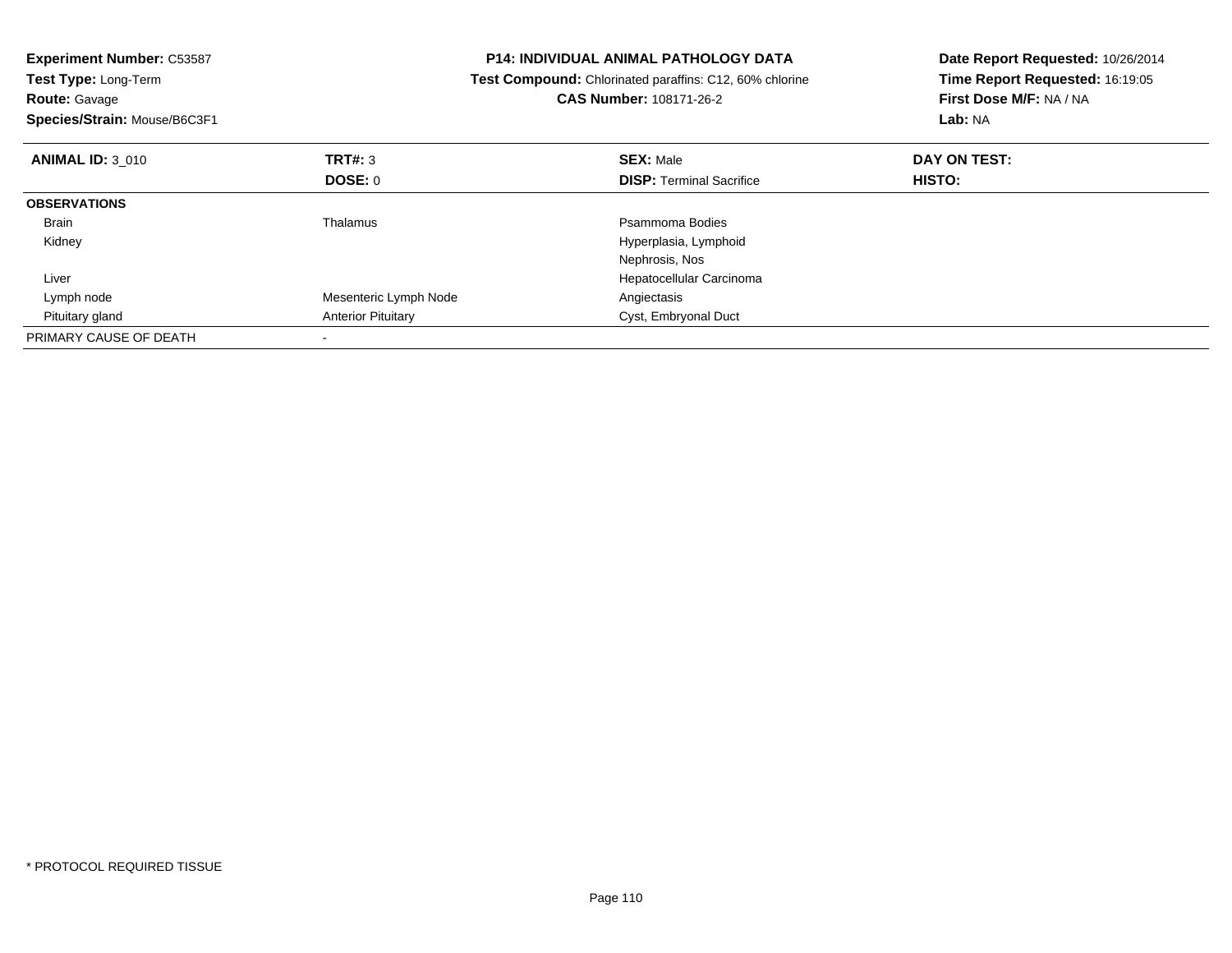| <b>Experiment Number: C53587</b><br><b>Test Type: Long-Term</b><br><b>Route: Gavage</b><br>Species/Strain: Mouse/B6C3F1 |                           | <b>P14: INDIVIDUAL ANIMAL PATHOLOGY DATA</b><br>Test Compound: Chlorinated paraffins: C12, 60% chlorine<br>CAS Number: 108171-26-2 | Date Report Requested: 10/26/2014<br>Time Report Requested: 16:19:05<br>First Dose M/F: NA / NA<br>Lab: NA |
|-------------------------------------------------------------------------------------------------------------------------|---------------------------|------------------------------------------------------------------------------------------------------------------------------------|------------------------------------------------------------------------------------------------------------|
| <b>ANIMAL ID: 3 010</b>                                                                                                 | TRT#: 3                   | <b>SEX: Male</b>                                                                                                                   | DAY ON TEST:                                                                                               |
|                                                                                                                         | <b>DOSE: 0</b>            | <b>DISP:</b> Terminal Sacrifice                                                                                                    | HISTO:                                                                                                     |
| <b>OBSERVATIONS</b>                                                                                                     |                           |                                                                                                                                    |                                                                                                            |
| Brain                                                                                                                   | Thalamus                  | Psammoma Bodies                                                                                                                    |                                                                                                            |
| Kidney                                                                                                                  |                           | Hyperplasia, Lymphoid                                                                                                              |                                                                                                            |
|                                                                                                                         |                           | Nephrosis, Nos                                                                                                                     |                                                                                                            |
| Liver                                                                                                                   |                           | Hepatocellular Carcinoma                                                                                                           |                                                                                                            |
| Lymph node                                                                                                              | Mesenteric Lymph Node     | Angiectasis                                                                                                                        |                                                                                                            |
| Pituitary gland                                                                                                         | <b>Anterior Pituitary</b> | Cyst, Embryonal Duct                                                                                                               |                                                                                                            |
| PRIMARY CAUSE OF DEATH                                                                                                  |                           |                                                                                                                                    |                                                                                                            |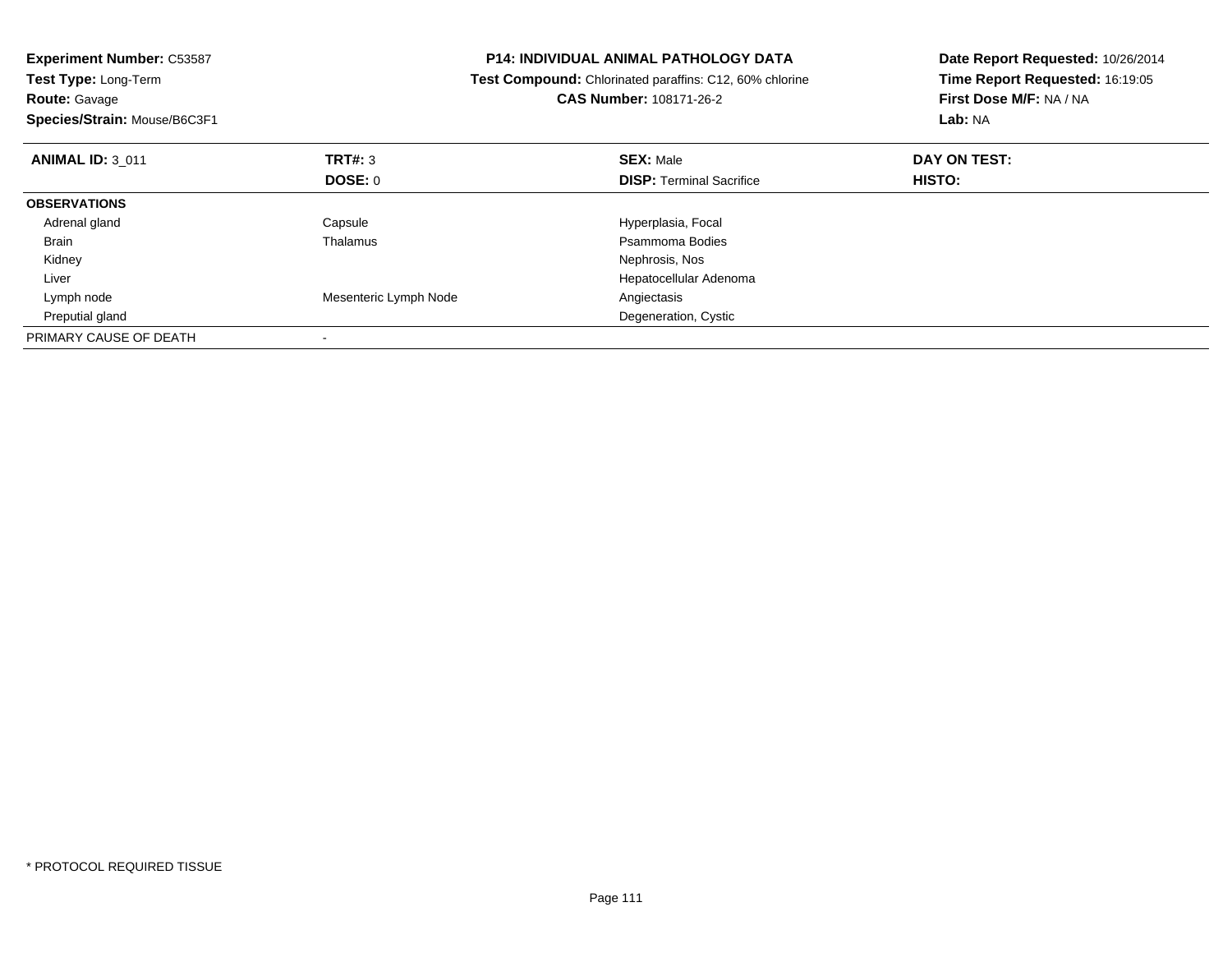| <b>Experiment Number: C53587</b><br>Test Type: Long-Term<br><b>Route: Gavage</b><br>Species/Strain: Mouse/B6C3F1 |                           | P14: INDIVIDUAL ANIMAL PATHOLOGY DATA<br>Test Compound: Chlorinated paraffins: C12, 60% chlorine<br><b>CAS Number: 108171-26-2</b> | Date Report Requested: 10/26/2014<br>Time Report Requested: 16:19:05<br>First Dose M/F: NA / NA<br>Lab: NA |
|------------------------------------------------------------------------------------------------------------------|---------------------------|------------------------------------------------------------------------------------------------------------------------------------|------------------------------------------------------------------------------------------------------------|
| <b>ANIMAL ID: 3 011</b>                                                                                          | <b>TRT#: 3</b><br>DOSE: 0 | <b>SEX: Male</b><br><b>DISP:</b> Terminal Sacrifice                                                                                | DAY ON TEST:<br>HISTO:                                                                                     |
| <b>OBSERVATIONS</b>                                                                                              |                           |                                                                                                                                    |                                                                                                            |
| Adrenal gland                                                                                                    | Capsule                   | Hyperplasia, Focal                                                                                                                 |                                                                                                            |
| Brain                                                                                                            | Thalamus                  | Psammoma Bodies                                                                                                                    |                                                                                                            |
| Kidney                                                                                                           |                           | Nephrosis, Nos                                                                                                                     |                                                                                                            |
| Liver                                                                                                            |                           | Hepatocellular Adenoma                                                                                                             |                                                                                                            |
| Lymph node                                                                                                       | Mesenteric Lymph Node     | Angiectasis                                                                                                                        |                                                                                                            |
| Preputial gland                                                                                                  |                           | Degeneration, Cystic                                                                                                               |                                                                                                            |
| PRIMARY CAUSE OF DEATH                                                                                           |                           |                                                                                                                                    |                                                                                                            |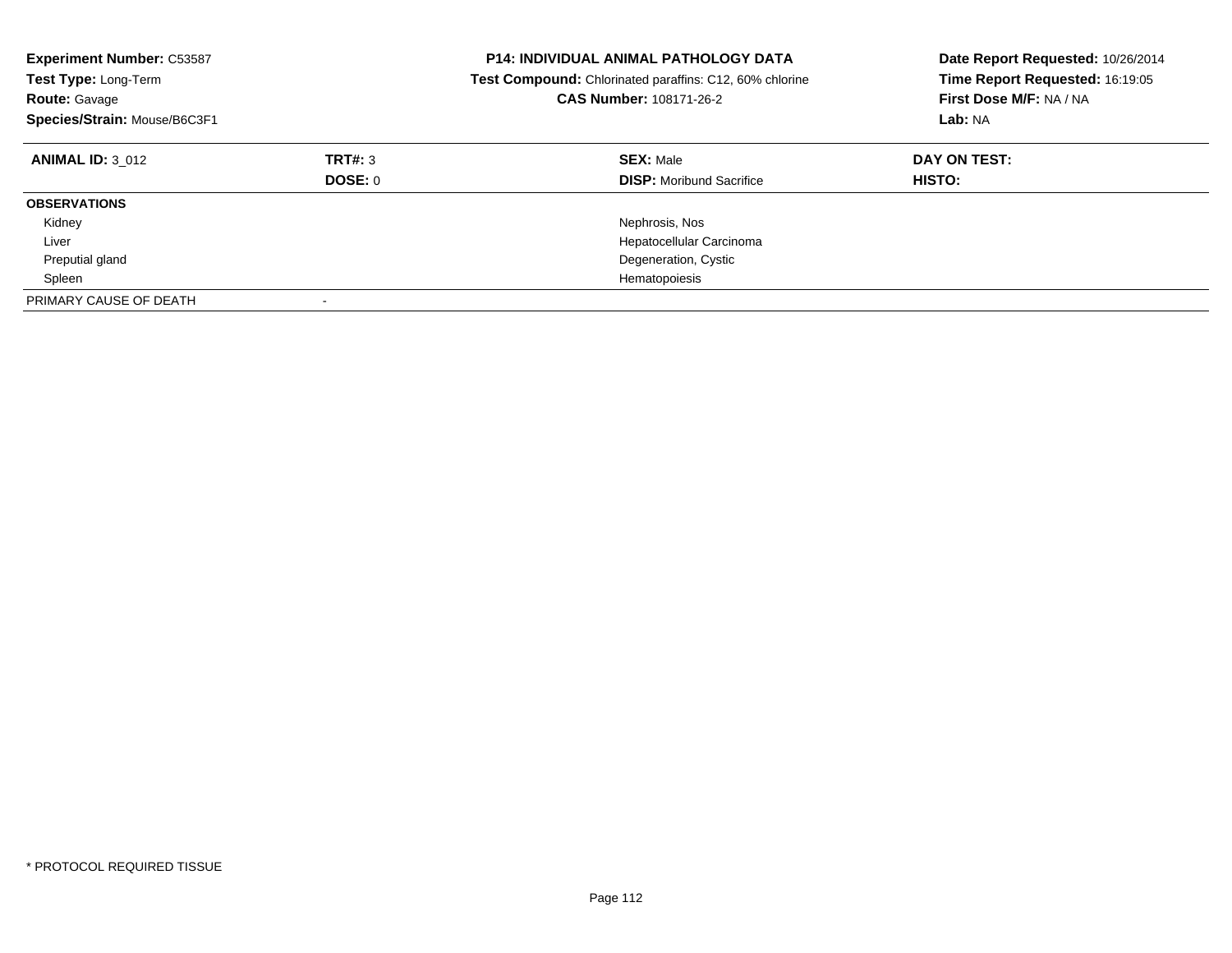| <b>Experiment Number: C53587</b><br>Test Type: Long-Term<br><b>Route: Gavage</b><br>Species/Strain: Mouse/B6C3F1 |                    | <b>P14: INDIVIDUAL ANIMAL PATHOLOGY DATA</b><br>Date Report Requested: 10/26/2014<br>Time Report Requested: 16:19:05<br><b>Test Compound:</b> Chlorinated paraffins: C12, 60% chlorine<br>CAS Number: 108171-26-2<br>First Dose M/F: NA / NA<br>Lab: NA |                        |
|------------------------------------------------------------------------------------------------------------------|--------------------|---------------------------------------------------------------------------------------------------------------------------------------------------------------------------------------------------------------------------------------------------------|------------------------|
| <b>ANIMAL ID: 3 012</b>                                                                                          | TRT#: 3<br>DOSE: 0 | <b>SEX: Male</b><br><b>DISP:</b> Moribund Sacrifice                                                                                                                                                                                                     | DAY ON TEST:<br>HISTO: |
| <b>OBSERVATIONS</b>                                                                                              |                    |                                                                                                                                                                                                                                                         |                        |
| Kidney                                                                                                           |                    | Nephrosis, Nos                                                                                                                                                                                                                                          |                        |
| Liver                                                                                                            |                    | Hepatocellular Carcinoma                                                                                                                                                                                                                                |                        |
| Preputial gland                                                                                                  |                    | Degeneration, Cystic                                                                                                                                                                                                                                    |                        |
| Spleen                                                                                                           |                    | Hematopoiesis                                                                                                                                                                                                                                           |                        |
| PRIMARY CAUSE OF DEATH                                                                                           |                    |                                                                                                                                                                                                                                                         |                        |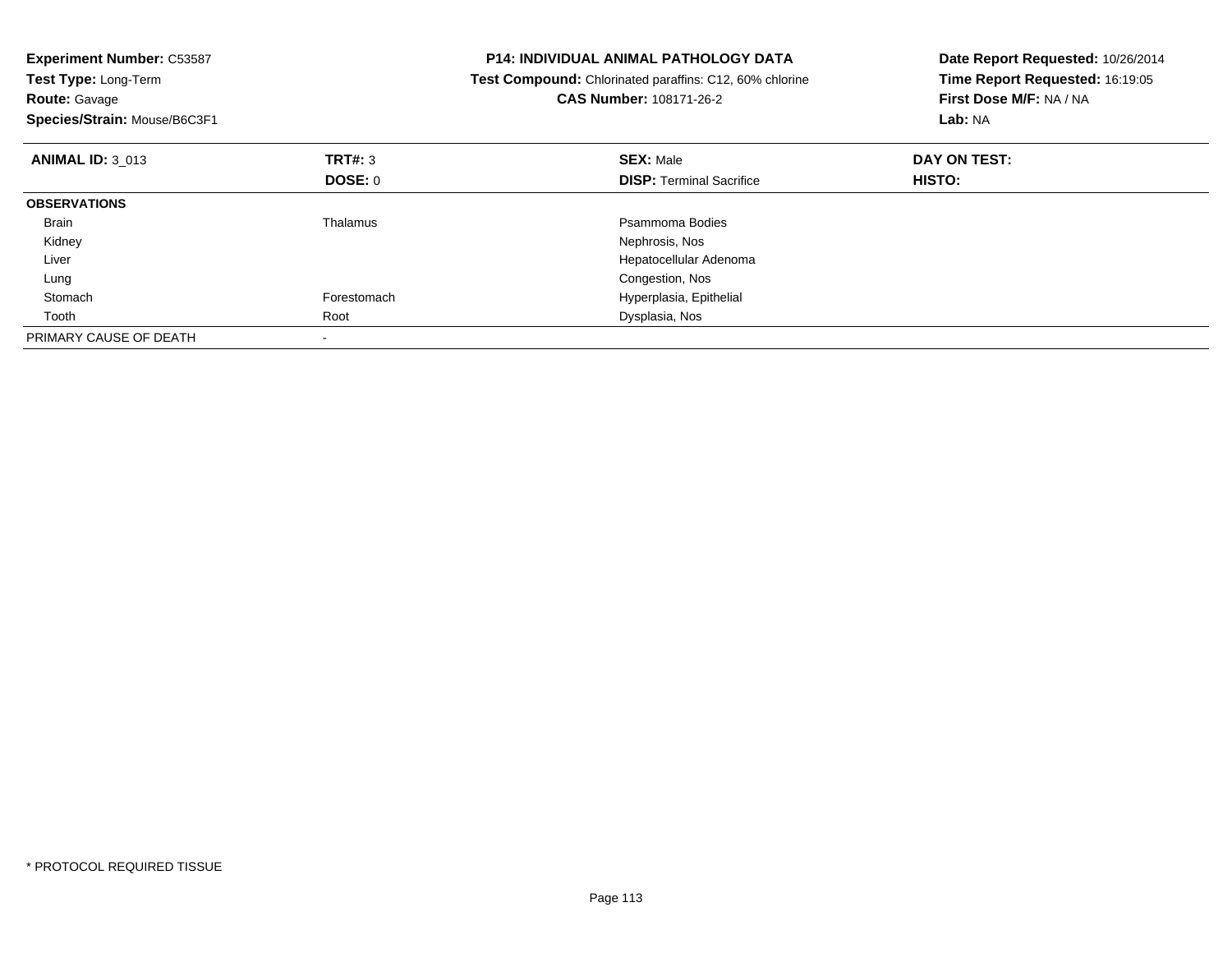| <b>Experiment Number: C53587</b><br>Test Type: Long-Term<br><b>Route: Gavage</b><br>Species/Strain: Mouse/B6C3F1 |                | <b>P14: INDIVIDUAL ANIMAL PATHOLOGY DATA</b><br>Test Compound: Chlorinated paraffins: C12, 60% chlorine<br>CAS Number: 108171-26-2 | Date Report Requested: 10/26/2014<br>Time Report Requested: 16:19:05<br>First Dose M/F: NA / NA<br>Lab: NA |
|------------------------------------------------------------------------------------------------------------------|----------------|------------------------------------------------------------------------------------------------------------------------------------|------------------------------------------------------------------------------------------------------------|
| <b>ANIMAL ID: 3 013</b>                                                                                          | TRT#: 3        | <b>SEX: Male</b>                                                                                                                   | DAY ON TEST:                                                                                               |
|                                                                                                                  | <b>DOSE: 0</b> | <b>DISP:</b> Terminal Sacrifice                                                                                                    | HISTO:                                                                                                     |
| <b>OBSERVATIONS</b>                                                                                              |                |                                                                                                                                    |                                                                                                            |
| Brain                                                                                                            | Thalamus       | Psammoma Bodies                                                                                                                    |                                                                                                            |
| Kidney                                                                                                           |                | Nephrosis, Nos                                                                                                                     |                                                                                                            |
| Liver                                                                                                            |                | Hepatocellular Adenoma                                                                                                             |                                                                                                            |
| Lung                                                                                                             |                | Congestion, Nos                                                                                                                    |                                                                                                            |
| Stomach                                                                                                          | Forestomach    | Hyperplasia, Epithelial                                                                                                            |                                                                                                            |
| Tooth                                                                                                            | Root           | Dysplasia, Nos                                                                                                                     |                                                                                                            |
| PRIMARY CAUSE OF DEATH                                                                                           |                |                                                                                                                                    |                                                                                                            |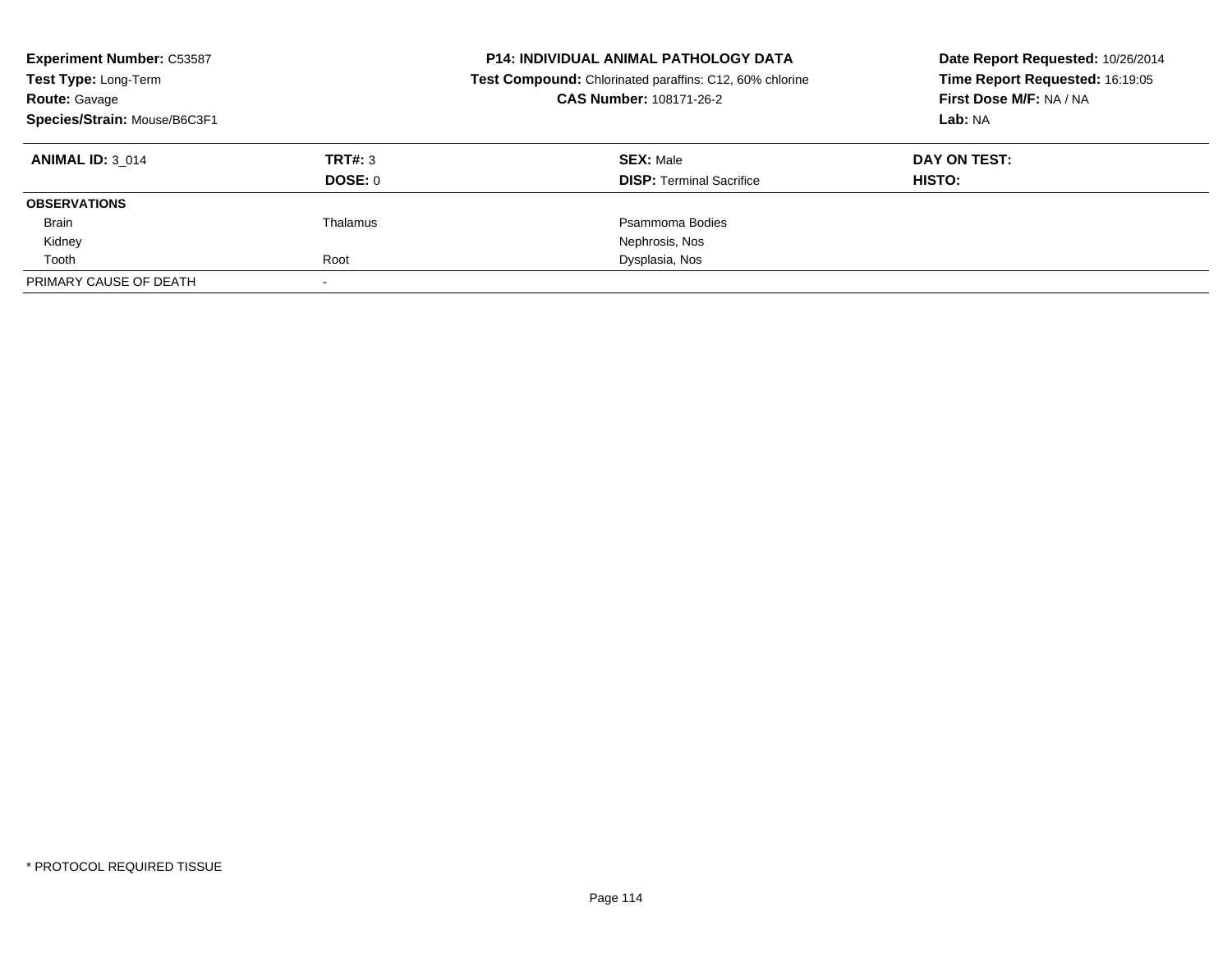| <b>Experiment Number: C53587</b><br>Test Type: Long-Term<br><b>Route: Gavage</b><br>Species/Strain: Mouse/B6C3F1 |          | <b>P14: INDIVIDUAL ANIMAL PATHOLOGY DATA</b><br>Date Report Requested: 10/26/2014<br>Time Report Requested: 16:19:05<br>Test Compound: Chlorinated paraffins: C12, 60% chlorine<br>CAS Number: 108171-26-2<br>First Dose M/F: NA / NA<br>Lab: NA |              |
|------------------------------------------------------------------------------------------------------------------|----------|--------------------------------------------------------------------------------------------------------------------------------------------------------------------------------------------------------------------------------------------------|--------------|
| <b>ANIMAL ID: 3 014</b>                                                                                          | TRT#: 3  | <b>SEX: Male</b>                                                                                                                                                                                                                                 | DAY ON TEST: |
|                                                                                                                  | DOSE: 0  | <b>DISP:</b> Terminal Sacrifice                                                                                                                                                                                                                  | HISTO:       |
| <b>OBSERVATIONS</b>                                                                                              |          |                                                                                                                                                                                                                                                  |              |
| Brain                                                                                                            | Thalamus | Psammoma Bodies                                                                                                                                                                                                                                  |              |
| Kidney                                                                                                           |          | Nephrosis, Nos                                                                                                                                                                                                                                   |              |
| Tooth                                                                                                            | Root     | Dysplasia, Nos                                                                                                                                                                                                                                   |              |
| PRIMARY CAUSE OF DEATH                                                                                           |          |                                                                                                                                                                                                                                                  |              |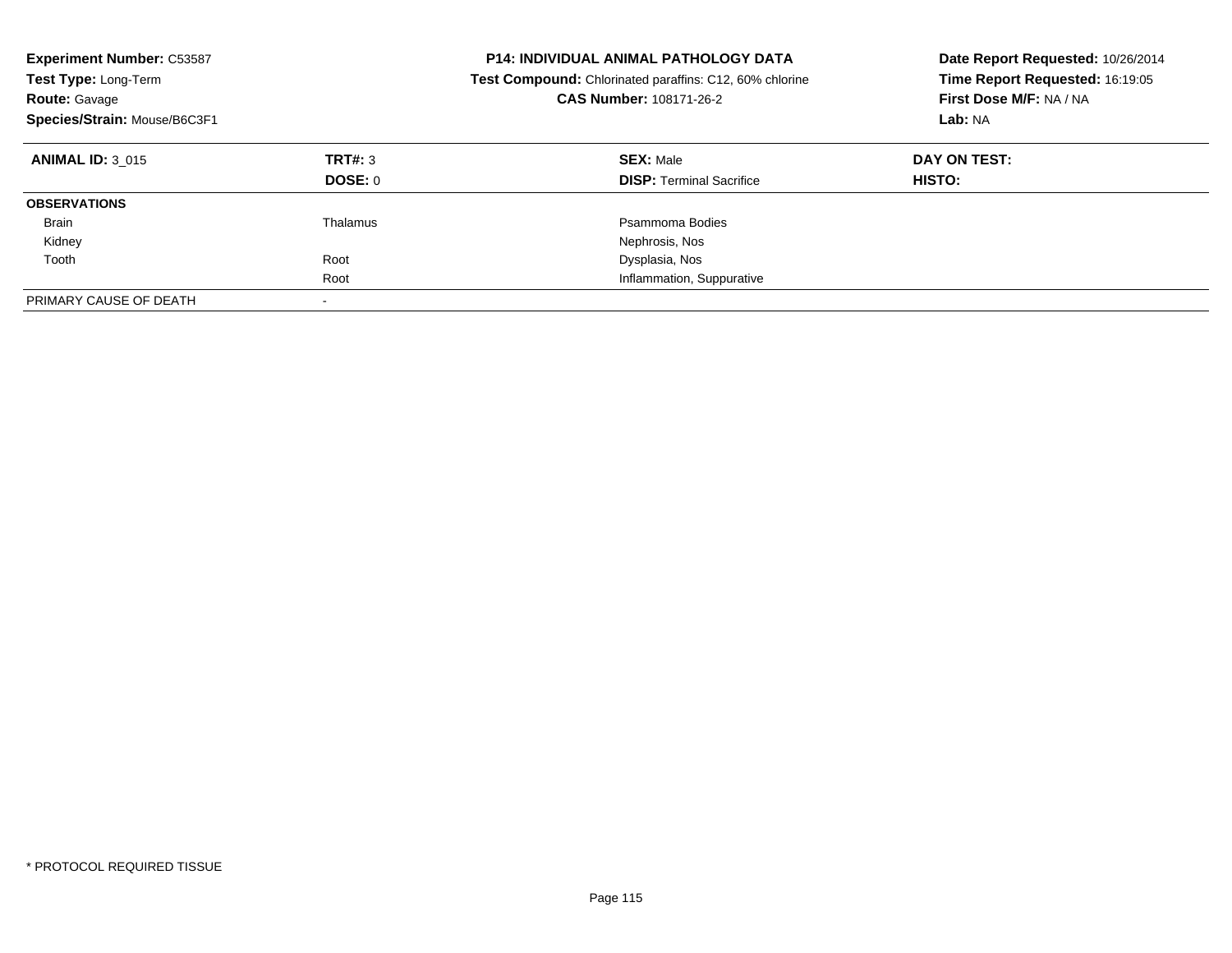| <b>Experiment Number: C53587</b><br>Test Type: Long-Term<br><b>Route: Gavage</b><br>Species/Strain: Mouse/B6C3F1 |                          | <b>P14: INDIVIDUAL ANIMAL PATHOLOGY DATA</b><br>Date Report Requested: 10/26/2014<br>Time Report Requested: 16:19:05<br><b>Test Compound:</b> Chlorinated paraffins: C12, 60% chlorine<br>First Dose M/F: NA / NA<br><b>CAS Number: 108171-26-2</b><br>Lab: NA |                        |
|------------------------------------------------------------------------------------------------------------------|--------------------------|----------------------------------------------------------------------------------------------------------------------------------------------------------------------------------------------------------------------------------------------------------------|------------------------|
| <b>ANIMAL ID: 3 015</b>                                                                                          | TRT#: 3<br>DOSE: 0       | <b>SEX: Male</b><br><b>DISP: Terminal Sacrifice</b>                                                                                                                                                                                                            | DAY ON TEST:<br>HISTO: |
| <b>OBSERVATIONS</b>                                                                                              |                          |                                                                                                                                                                                                                                                                |                        |
| <b>Brain</b>                                                                                                     | Thalamus                 | Psammoma Bodies                                                                                                                                                                                                                                                |                        |
| Kidney                                                                                                           |                          | Nephrosis, Nos                                                                                                                                                                                                                                                 |                        |
| Tooth                                                                                                            | Root                     | Dysplasia, Nos                                                                                                                                                                                                                                                 |                        |
|                                                                                                                  | Root                     | Inflammation, Suppurative                                                                                                                                                                                                                                      |                        |
| PRIMARY CAUSE OF DEATH                                                                                           | $\overline{\phantom{a}}$ |                                                                                                                                                                                                                                                                |                        |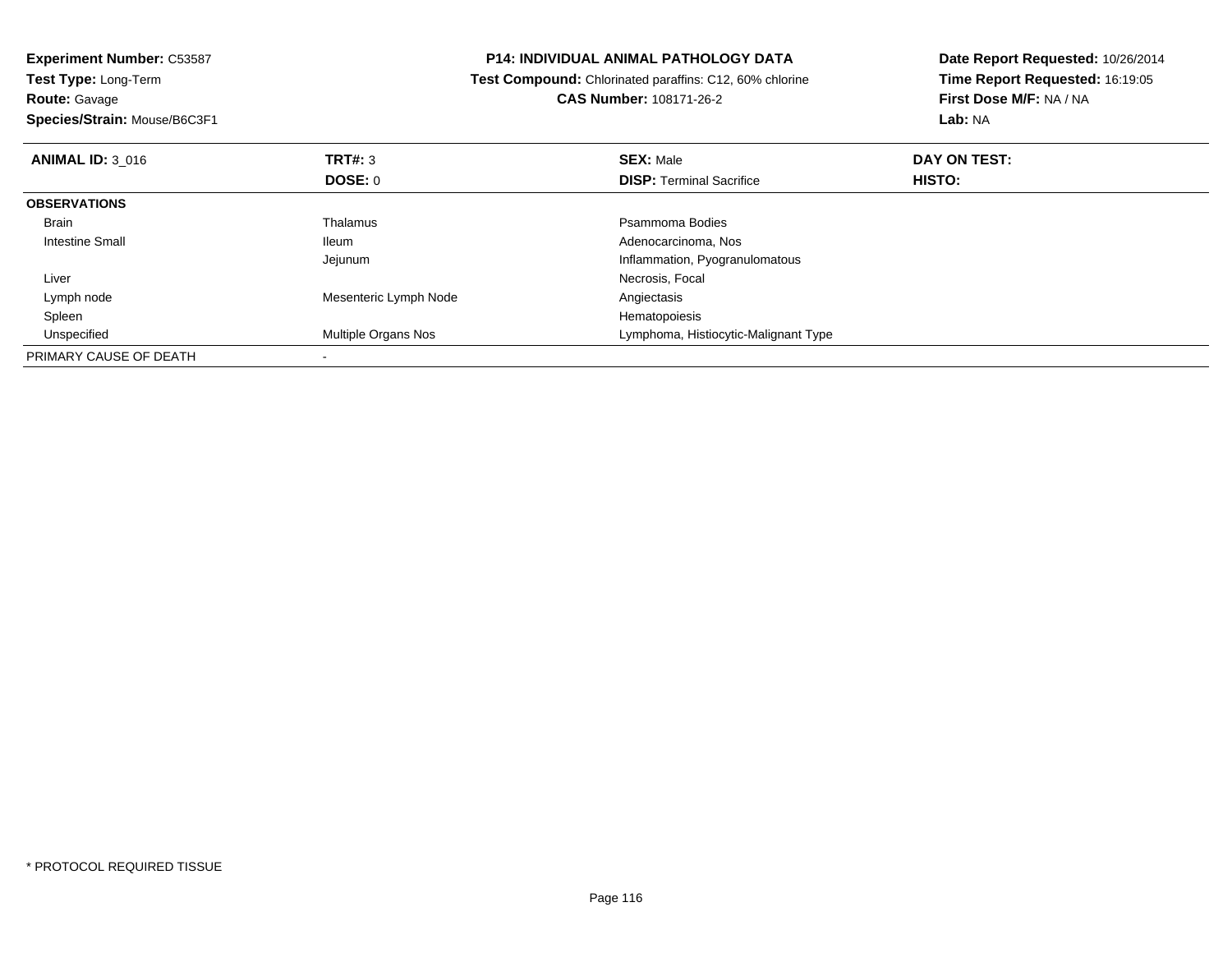**Experiment Number:** C53587**Test Type:** Long-Term**Route:** Gavage **Species/Strain:** Mouse/B6C3F1**P14: INDIVIDUAL ANIMAL PATHOLOGY DATA Test Compound:** Chlorinated paraffins: C12, 60% chlorine**CAS Number:** 108171-26-2**Date Report Requested:** 10/26/2014**Time Report Requested:** 16:19:05**First Dose M/F:** NA / NA**Lab:** NA**ANIMAL ID:** 3\_016 **TRT#:** <sup>3</sup> **SEX:** Male **DAY ON TEST: DOSE:** 0**DISP:** Terminal Sacrifice **HISTO: OBSERVATIONS** Brainn and the control of the Thalamus and the control of the Psammoma Bodies and the Psammoma Bodies of the Psammoma Bodies and the Psammoma Bodies of the Psammoma Bodies of the Psammoma Bodies of the Psammoma Bodies of the Ps Intestine Small Ileum Adenocarcinoma, Nos Jejunum Inflammation, Pyogranulomatous Liver Necrosis, Focal Lymph nodeMesenteric Lymph Node<br>
Hematopoiesis<br>
Hematopoiesis Spleenn and the state of the state of the state of the state of the state of the state of the state of the state of the state of the state of the state of the state of the state of the state of the state of the state of the stat Unspecified Multiple Organs Nos Lymphoma, Histiocytic-Malignant Type PRIMARY CAUSE OF DEATH-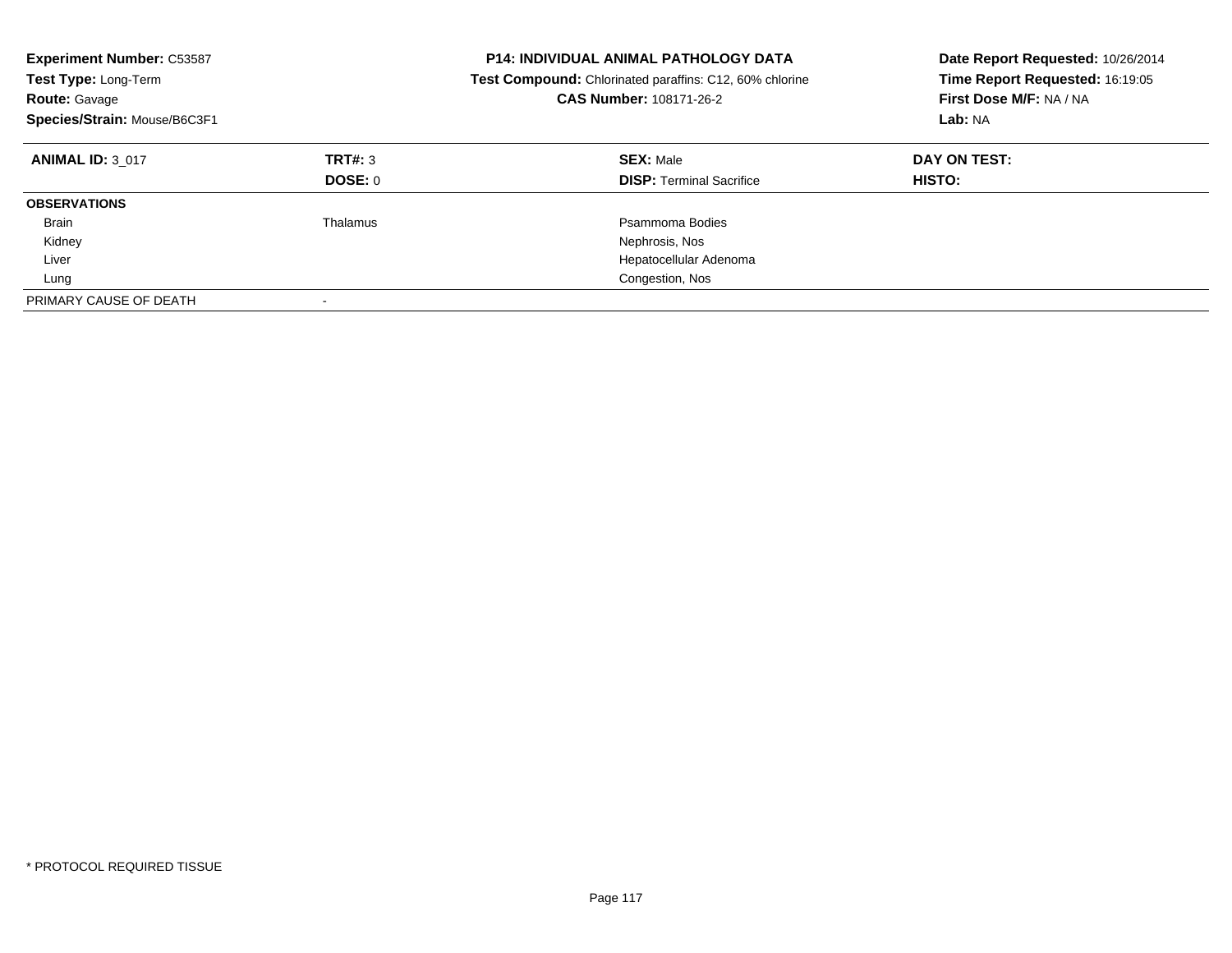| <b>Experiment Number: C53587</b><br>Test Type: Long-Term<br><b>Route: Gavage</b><br>Species/Strain: Mouse/B6C3F1 |                           | <b>P14: INDIVIDUAL ANIMAL PATHOLOGY DATA</b><br><b>Test Compound:</b> Chlorinated paraffins: C12, 60% chlorine<br>CAS Number: 108171-26-2 | Date Report Requested: 10/26/2014<br>Time Report Requested: 16:19:05<br>First Dose M/F: NA / NA<br>Lab: NA |
|------------------------------------------------------------------------------------------------------------------|---------------------------|-------------------------------------------------------------------------------------------------------------------------------------------|------------------------------------------------------------------------------------------------------------|
| <b>ANIMAL ID: 3 017</b>                                                                                          | TRT#: 3<br><b>DOSE: 0</b> | <b>SEX: Male</b><br><b>DISP:</b> Terminal Sacrifice                                                                                       | DAY ON TEST:<br><b>HISTO:</b>                                                                              |
| <b>OBSERVATIONS</b>                                                                                              |                           |                                                                                                                                           |                                                                                                            |
| <b>Brain</b>                                                                                                     | Thalamus                  | Psammoma Bodies                                                                                                                           |                                                                                                            |
| Kidney                                                                                                           |                           | Nephrosis, Nos                                                                                                                            |                                                                                                            |
| Liver                                                                                                            |                           | Hepatocellular Adenoma                                                                                                                    |                                                                                                            |
| Lung                                                                                                             |                           | Congestion, Nos                                                                                                                           |                                                                                                            |
| PRIMARY CAUSE OF DEATH                                                                                           |                           |                                                                                                                                           |                                                                                                            |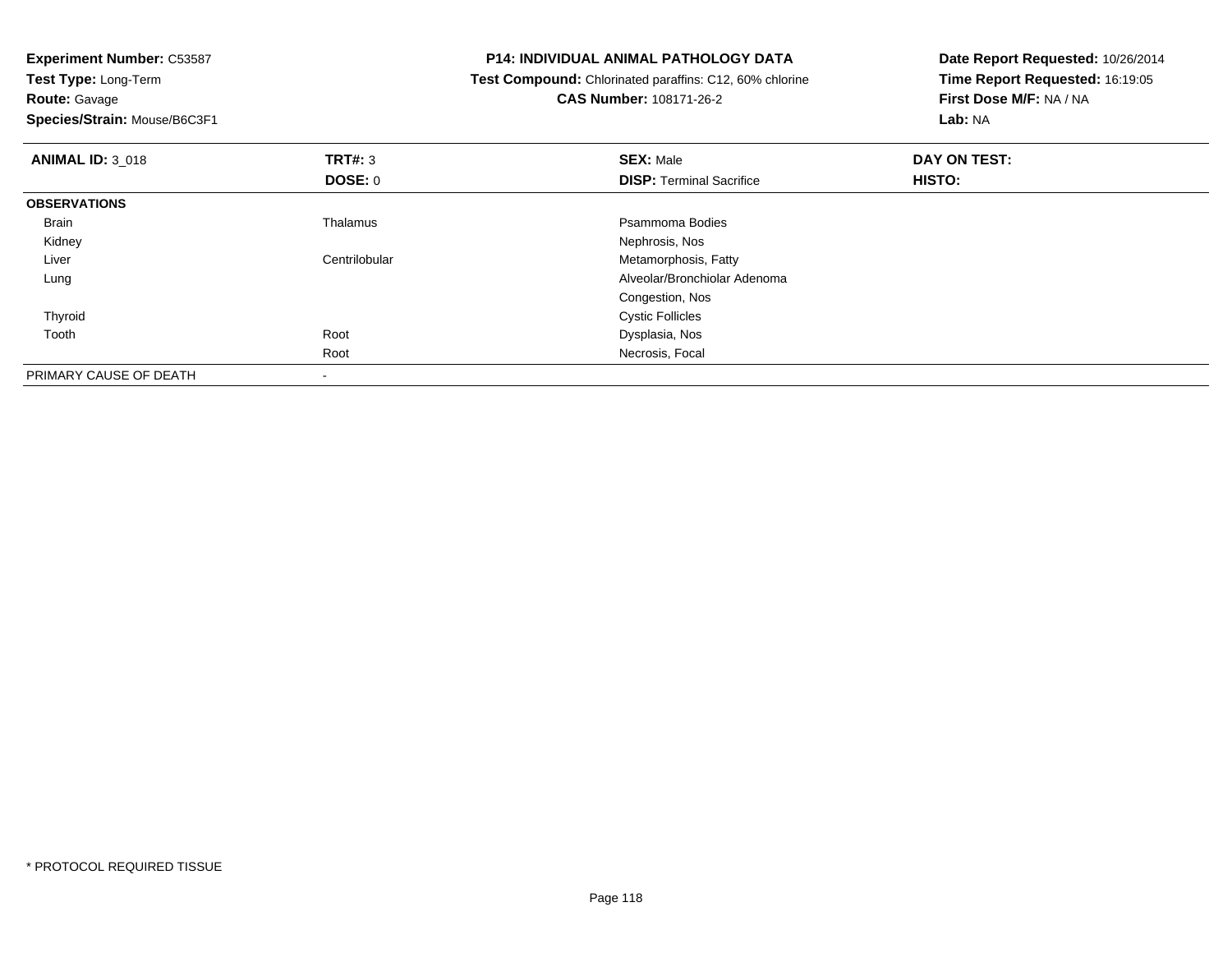| <b>Experiment Number: C53587</b> |                | <b>P14: INDIVIDUAL ANIMAL PATHOLOGY DATA</b>            | Date Report Requested: 10/26/2014 |  |
|----------------------------------|----------------|---------------------------------------------------------|-----------------------------------|--|
| Test Type: Long-Term             |                | Test Compound: Chlorinated paraffins: C12, 60% chlorine | Time Report Requested: 16:19:05   |  |
| <b>Route: Gavage</b>             |                | <b>CAS Number: 108171-26-2</b>                          | First Dose M/F: NA / NA           |  |
| Species/Strain: Mouse/B6C3F1     |                |                                                         | Lab: NA                           |  |
| <b>ANIMAL ID: 3 018</b>          | <b>TRT#: 3</b> | <b>SEX: Male</b>                                        | DAY ON TEST:                      |  |
|                                  | <b>DOSE: 0</b> | <b>DISP: Terminal Sacrifice</b>                         | HISTO:                            |  |
| <b>OBSERVATIONS</b>              |                |                                                         |                                   |  |
| Brain                            | Thalamus       | Psammoma Bodies                                         |                                   |  |
| Kidney                           |                | Nephrosis, Nos                                          |                                   |  |
| Liver                            | Centrilobular  | Metamorphosis, Fatty                                    |                                   |  |
| Lung                             |                | Alveolar/Bronchiolar Adenoma                            |                                   |  |
|                                  |                | Congestion, Nos                                         |                                   |  |
| Thyroid                          |                | <b>Cystic Follicles</b>                                 |                                   |  |
| Tooth                            | Root           | Dysplasia, Nos                                          |                                   |  |
|                                  | Root           | Necrosis, Focal                                         |                                   |  |
| PRIMARY CAUSE OF DEATH           |                |                                                         |                                   |  |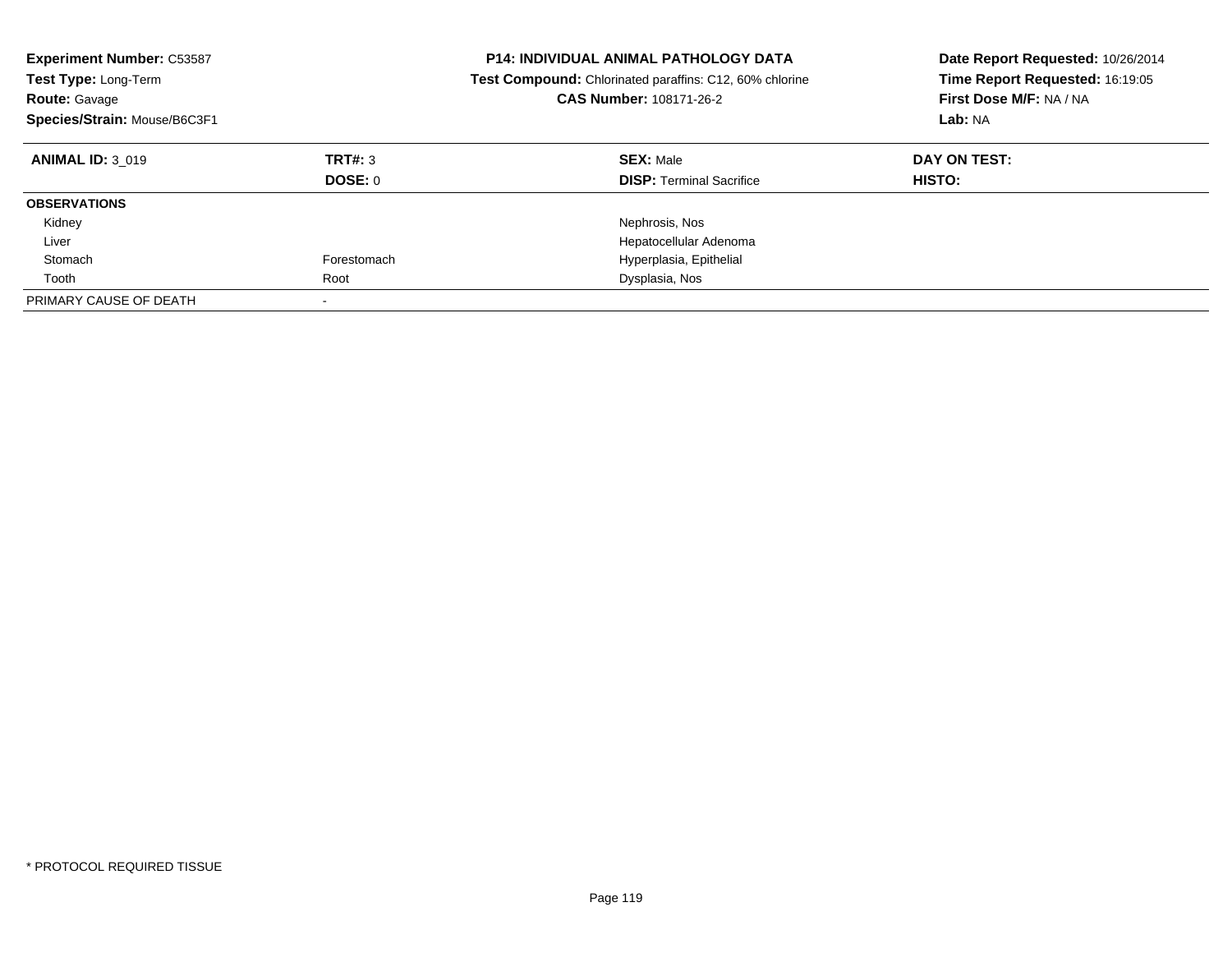| <b>Experiment Number: C53587</b><br>Test Type: Long-Term<br><b>Route: Gavage</b><br>Species/Strain: Mouse/B6C3F1 |                    | <b>P14: INDIVIDUAL ANIMAL PATHOLOGY DATA</b><br>Date Report Requested: 10/26/2014<br>Time Report Requested: 16:19:05<br><b>Test Compound:</b> Chlorinated paraffins: C12, 60% chlorine<br>First Dose M/F: NA / NA<br>CAS Number: 108171-26-2<br>Lab: NA |                               |
|------------------------------------------------------------------------------------------------------------------|--------------------|---------------------------------------------------------------------------------------------------------------------------------------------------------------------------------------------------------------------------------------------------------|-------------------------------|
| <b>ANIMAL ID: 3 019</b>                                                                                          | TRT#: 3<br>DOSE: 0 | <b>SEX: Male</b><br><b>DISP:</b> Terminal Sacrifice                                                                                                                                                                                                     | DAY ON TEST:<br><b>HISTO:</b> |
| <b>OBSERVATIONS</b>                                                                                              |                    |                                                                                                                                                                                                                                                         |                               |
| Kidney                                                                                                           |                    | Nephrosis, Nos                                                                                                                                                                                                                                          |                               |
| Liver                                                                                                            |                    | Hepatocellular Adenoma                                                                                                                                                                                                                                  |                               |
| Stomach                                                                                                          | Forestomach        | Hyperplasia, Epithelial                                                                                                                                                                                                                                 |                               |
| Tooth                                                                                                            | Root               | Dysplasia, Nos                                                                                                                                                                                                                                          |                               |
| PRIMARY CAUSE OF DEATH                                                                                           |                    |                                                                                                                                                                                                                                                         |                               |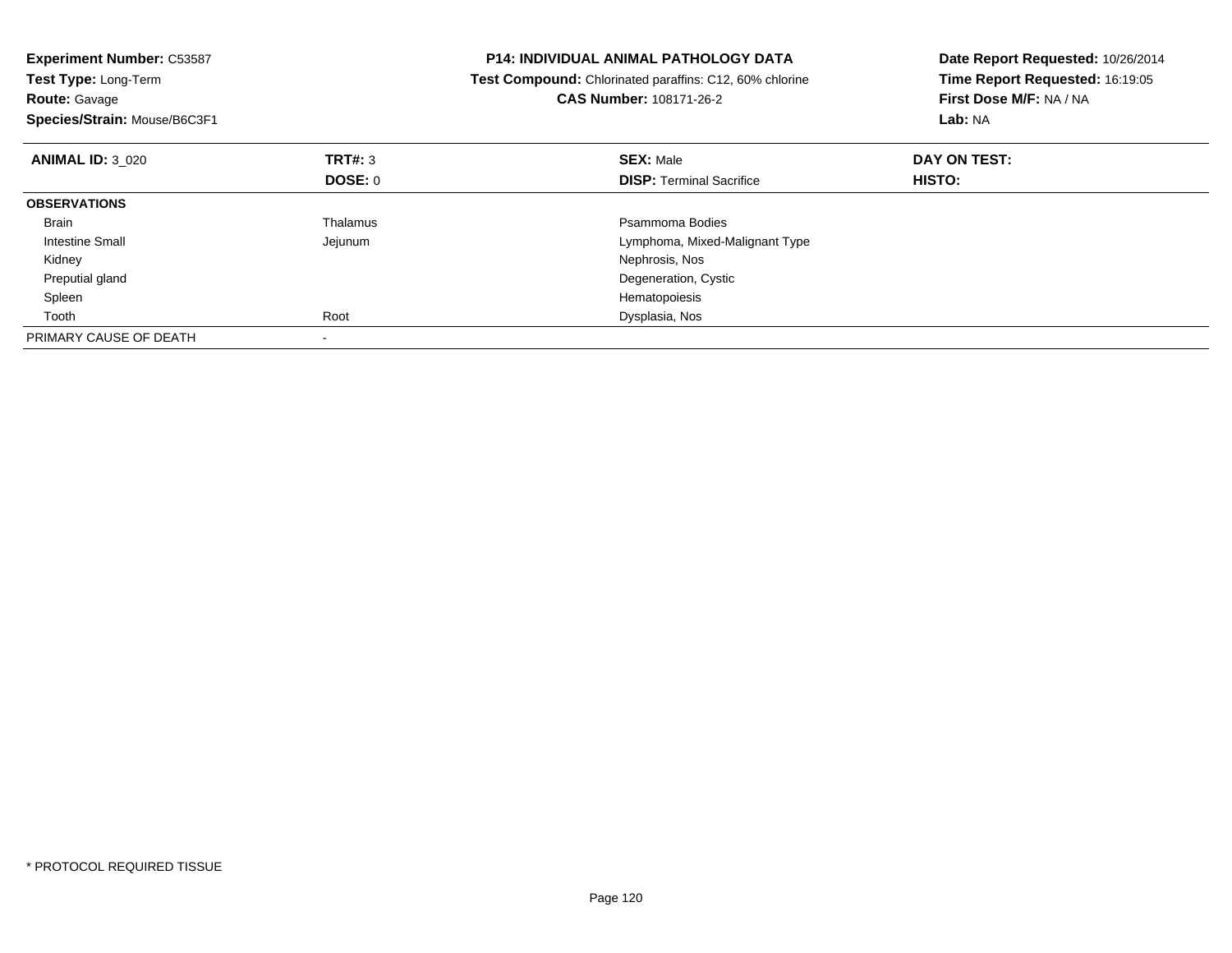| <b>Experiment Number: C53587</b><br>Test Type: Long-Term<br><b>Route: Gavage</b><br>Species/Strain: Mouse/B6C3F1 |                | <b>P14: INDIVIDUAL ANIMAL PATHOLOGY DATA</b><br>Test Compound: Chlorinated paraffins: C12, 60% chlorine<br><b>CAS Number: 108171-26-2</b> | Date Report Requested: 10/26/2014<br>Time Report Requested: 16:19:05<br>First Dose M/F: NA / NA<br>Lab: NA |
|------------------------------------------------------------------------------------------------------------------|----------------|-------------------------------------------------------------------------------------------------------------------------------------------|------------------------------------------------------------------------------------------------------------|
| <b>ANIMAL ID: 3 020</b>                                                                                          | TRT#: 3        | <b>SEX: Male</b>                                                                                                                          | DAY ON TEST:                                                                                               |
|                                                                                                                  | <b>DOSE: 0</b> | <b>DISP:</b> Terminal Sacrifice                                                                                                           | <b>HISTO:</b>                                                                                              |
| <b>OBSERVATIONS</b>                                                                                              |                |                                                                                                                                           |                                                                                                            |
| <b>Brain</b>                                                                                                     | Thalamus       | Psammoma Bodies                                                                                                                           |                                                                                                            |
| Intestine Small                                                                                                  | Jejunum        | Lymphoma, Mixed-Malignant Type                                                                                                            |                                                                                                            |
| Kidney                                                                                                           |                | Nephrosis, Nos                                                                                                                            |                                                                                                            |
| Preputial gland                                                                                                  |                | Degeneration, Cystic                                                                                                                      |                                                                                                            |
| Spleen                                                                                                           |                | Hematopoiesis                                                                                                                             |                                                                                                            |
| Tooth                                                                                                            | Root           | Dysplasia, Nos                                                                                                                            |                                                                                                            |
| PRIMARY CAUSE OF DEATH                                                                                           |                |                                                                                                                                           |                                                                                                            |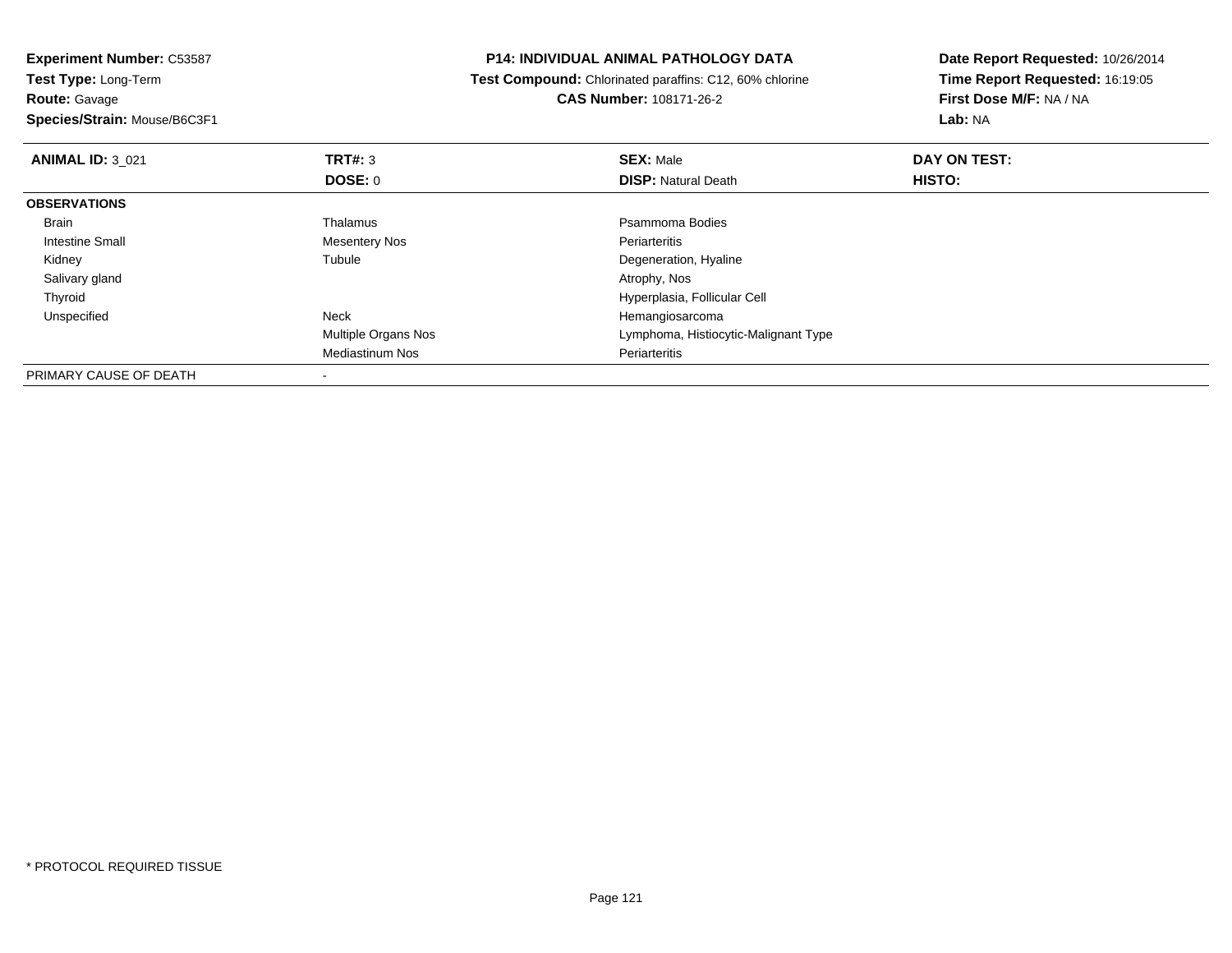**Experiment Number:** C53587**Test Type:** Long-Term

**Route:** Gavage

**Species/Strain:** Mouse/B6C3F1

## **P14: INDIVIDUAL ANIMAL PATHOLOGY DATA**

 **Test Compound:** Chlorinated paraffins: C12, 60% chlorine**CAS Number:** 108171-26-2

**Date Report Requested:** 10/26/2014**Time Report Requested:** 16:19:05**First Dose M/F:** NA / NA**Lab:** NA

| <b>ANIMAL ID: 3 021</b> | TRT#: 3                    | <b>SEX: Male</b>                     | DAY ON TEST: |  |
|-------------------------|----------------------------|--------------------------------------|--------------|--|
|                         | <b>DOSE: 0</b>             | <b>DISP: Natural Death</b>           | HISTO:       |  |
| <b>OBSERVATIONS</b>     |                            |                                      |              |  |
| Brain                   | Thalamus                   | Psammoma Bodies                      |              |  |
| Intestine Small         | <b>Mesentery Nos</b>       | Periarteritis                        |              |  |
| Kidney                  | Tubule                     | Degeneration, Hyaline                |              |  |
| Salivary gland          |                            | Atrophy, Nos                         |              |  |
| Thyroid                 |                            | Hyperplasia, Follicular Cell         |              |  |
| Unspecified             | <b>Neck</b>                | Hemangiosarcoma                      |              |  |
|                         | <b>Multiple Organs Nos</b> | Lymphoma, Histiocytic-Malignant Type |              |  |
|                         | <b>Mediastinum Nos</b>     | Periarteritis                        |              |  |
| PRIMARY CAUSE OF DEATH  |                            |                                      |              |  |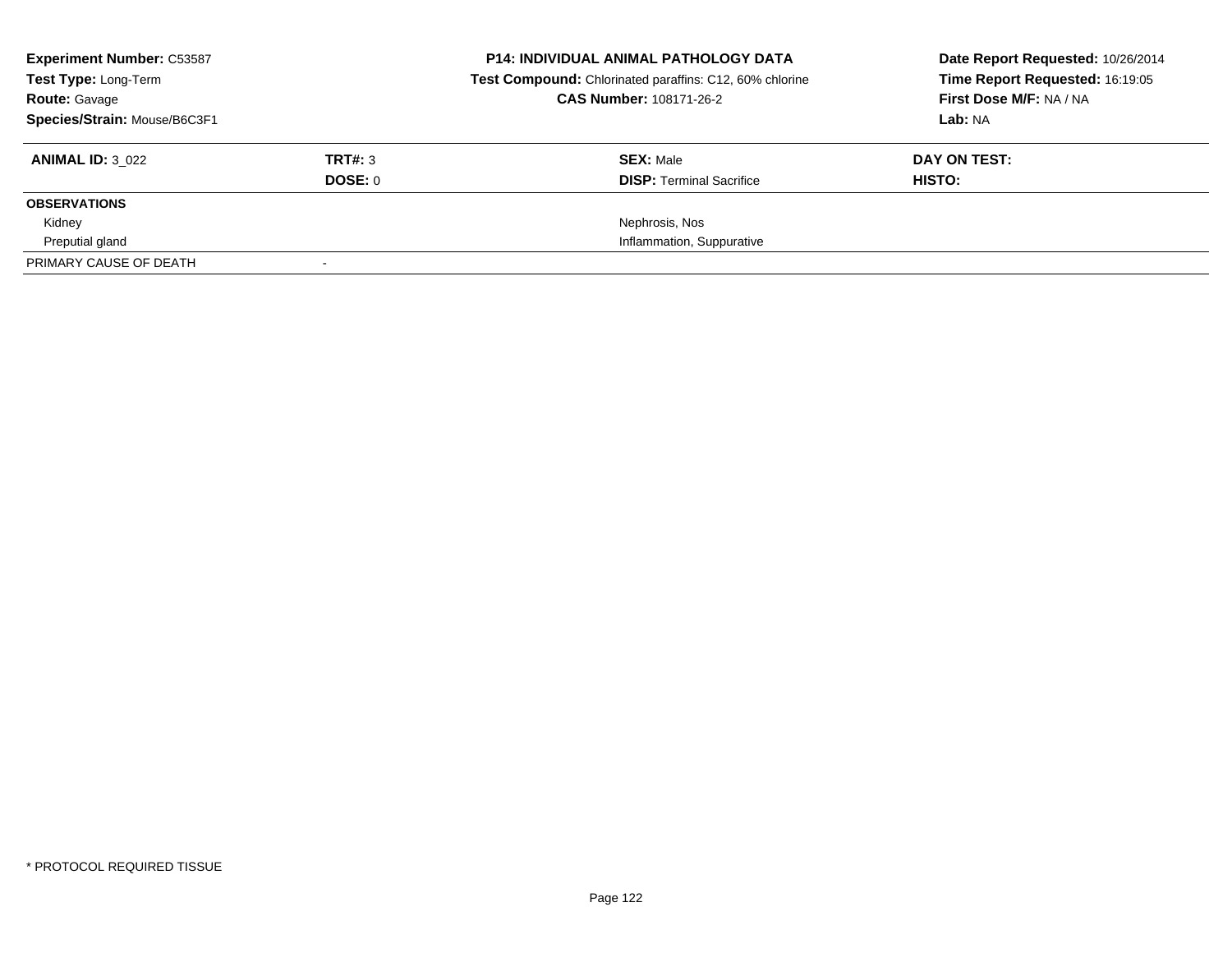| <b>Experiment Number: C53587</b><br><b>Test Type: Long-Term</b> |         | <b>P14: INDIVIDUAL ANIMAL PATHOLOGY DATA</b><br>Test Compound: Chlorinated paraffins: C12, 60% chlorine | Date Report Requested: 10/26/2014<br>Time Report Requested: 16:19:05 |
|-----------------------------------------------------------------|---------|---------------------------------------------------------------------------------------------------------|----------------------------------------------------------------------|
| <b>Route: Gavage</b>                                            |         | <b>CAS Number: 108171-26-2</b>                                                                          | First Dose M/F: NA / NA                                              |
| Species/Strain: Mouse/B6C3F1                                    |         |                                                                                                         | Lab: NA                                                              |
| <b>ANIMAL ID: 3 022</b>                                         | TRT#: 3 | <b>SEX: Male</b>                                                                                        | DAY ON TEST:                                                         |
|                                                                 | DOSE: 0 | <b>DISP:</b> Terminal Sacrifice                                                                         | HISTO:                                                               |
| <b>OBSERVATIONS</b>                                             |         |                                                                                                         |                                                                      |
| Kidney                                                          |         | Nephrosis, Nos                                                                                          |                                                                      |
| Preputial gland                                                 |         | Inflammation, Suppurative                                                                               |                                                                      |
| PRIMARY CAUSE OF DEATH                                          |         |                                                                                                         |                                                                      |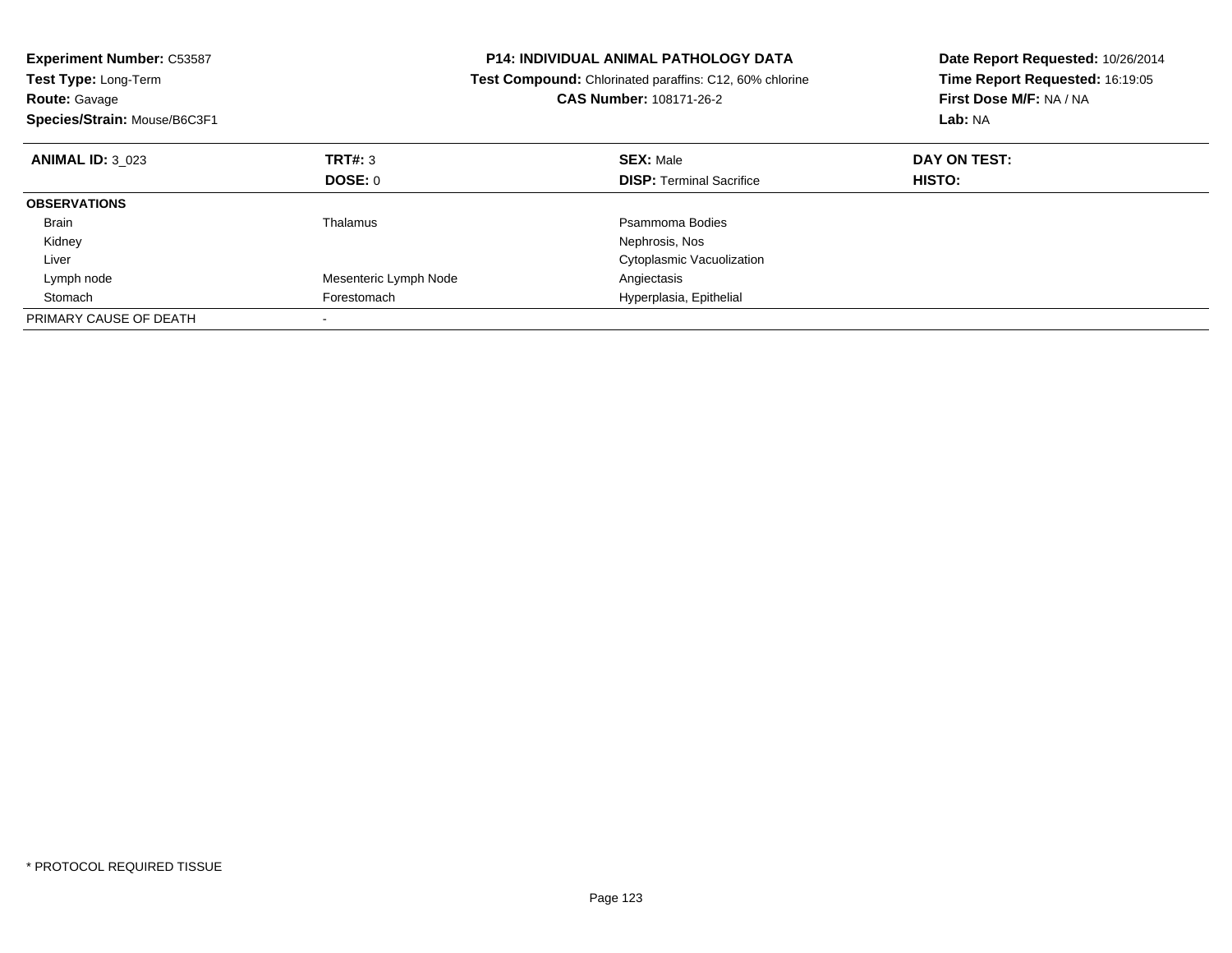| <b>Experiment Number: C53587</b><br>Test Type: Long-Term<br><b>Route: Gavage</b><br>Species/Strain: Mouse/B6C3F1 |                       | <b>P14: INDIVIDUAL ANIMAL PATHOLOGY DATA</b><br>Test Compound: Chlorinated paraffins: C12, 60% chlorine<br><b>CAS Number: 108171-26-2</b> | Date Report Requested: 10/26/2014<br>Time Report Requested: 16:19:05<br>First Dose M/F: NA / NA<br>Lab: NA |
|------------------------------------------------------------------------------------------------------------------|-----------------------|-------------------------------------------------------------------------------------------------------------------------------------------|------------------------------------------------------------------------------------------------------------|
| <b>ANIMAL ID: 3 023</b>                                                                                          | TRT#: 3               | <b>SEX: Male</b>                                                                                                                          | DAY ON TEST:                                                                                               |
|                                                                                                                  | <b>DOSE: 0</b>        | <b>DISP: Terminal Sacrifice</b>                                                                                                           | HISTO:                                                                                                     |
| <b>OBSERVATIONS</b>                                                                                              |                       |                                                                                                                                           |                                                                                                            |
| Brain                                                                                                            | Thalamus              | Psammoma Bodies                                                                                                                           |                                                                                                            |
| Kidney                                                                                                           |                       | Nephrosis, Nos                                                                                                                            |                                                                                                            |
| Liver                                                                                                            |                       | Cytoplasmic Vacuolization                                                                                                                 |                                                                                                            |
| Lymph node                                                                                                       | Mesenteric Lymph Node | Angiectasis                                                                                                                               |                                                                                                            |
| Stomach                                                                                                          | Forestomach           | Hyperplasia, Epithelial                                                                                                                   |                                                                                                            |
| PRIMARY CAUSE OF DEATH                                                                                           |                       |                                                                                                                                           |                                                                                                            |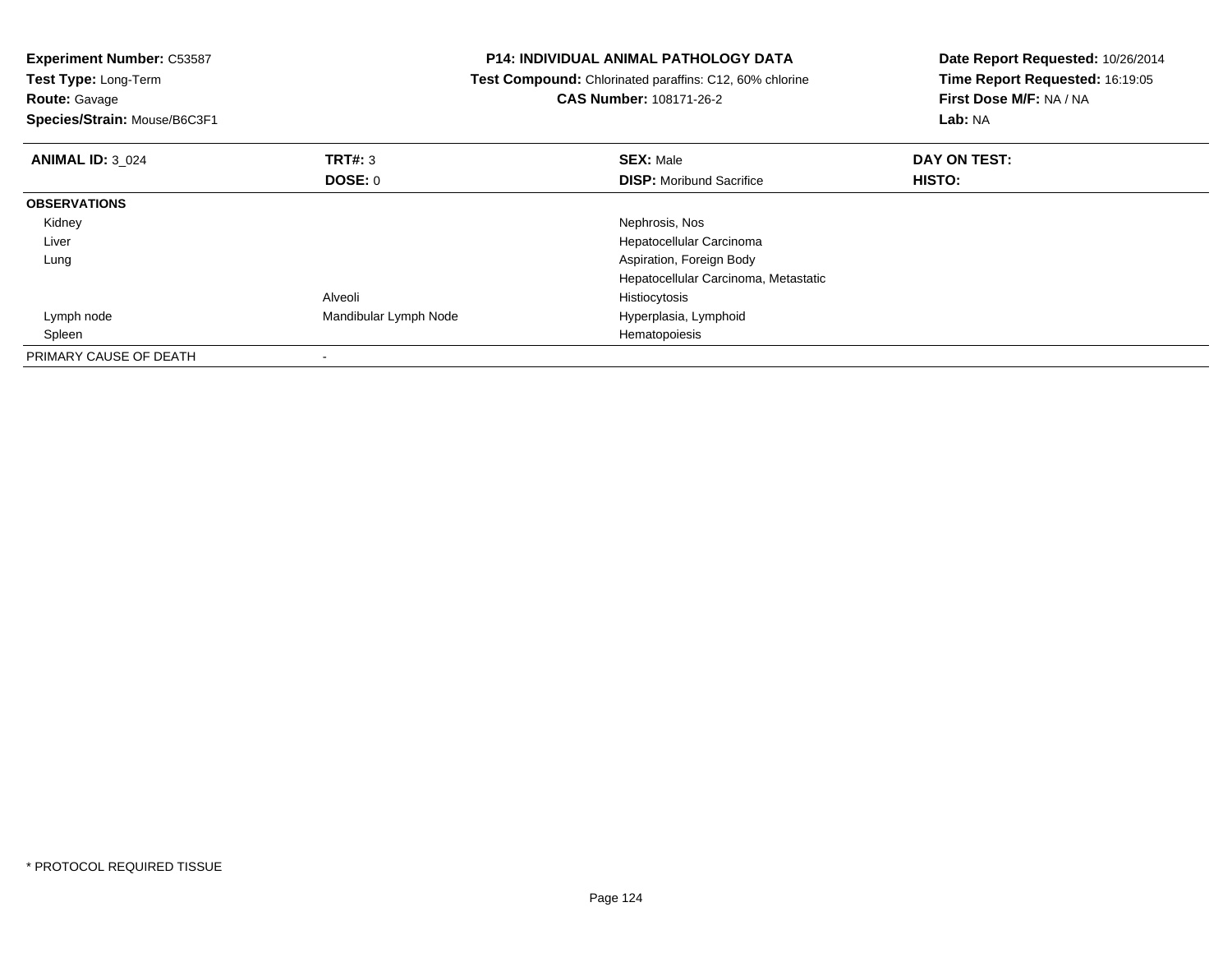| <b>Experiment Number: C53587</b><br>Test Type: Long-Term<br><b>Route: Gavage</b><br>Species/Strain: Mouse/B6C3F1 |                       | <b>P14: INDIVIDUAL ANIMAL PATHOLOGY DATA</b><br>Test Compound: Chlorinated paraffins: C12, 60% chlorine<br><b>CAS Number: 108171-26-2</b> | Date Report Requested: 10/26/2014<br>Time Report Requested: 16:19:05<br>First Dose M/F: NA / NA<br>Lab: NA |
|------------------------------------------------------------------------------------------------------------------|-----------------------|-------------------------------------------------------------------------------------------------------------------------------------------|------------------------------------------------------------------------------------------------------------|
| <b>ANIMAL ID: 3 024</b>                                                                                          | <b>TRT#: 3</b>        | <b>SEX: Male</b>                                                                                                                          | DAY ON TEST:                                                                                               |
|                                                                                                                  | DOSE: 0               | <b>DISP:</b> Moribund Sacrifice                                                                                                           | HISTO:                                                                                                     |
| <b>OBSERVATIONS</b>                                                                                              |                       |                                                                                                                                           |                                                                                                            |
| Kidney                                                                                                           |                       | Nephrosis, Nos                                                                                                                            |                                                                                                            |
| Liver                                                                                                            |                       | Hepatocellular Carcinoma                                                                                                                  |                                                                                                            |
| Lung                                                                                                             |                       | Aspiration, Foreign Body                                                                                                                  |                                                                                                            |
|                                                                                                                  |                       | Hepatocellular Carcinoma, Metastatic                                                                                                      |                                                                                                            |
|                                                                                                                  | Alveoli               | Histiocytosis                                                                                                                             |                                                                                                            |
| Lymph node                                                                                                       | Mandibular Lymph Node | Hyperplasia, Lymphoid                                                                                                                     |                                                                                                            |
| Spleen                                                                                                           |                       | Hematopoiesis                                                                                                                             |                                                                                                            |
| PRIMARY CAUSE OF DEATH                                                                                           |                       |                                                                                                                                           |                                                                                                            |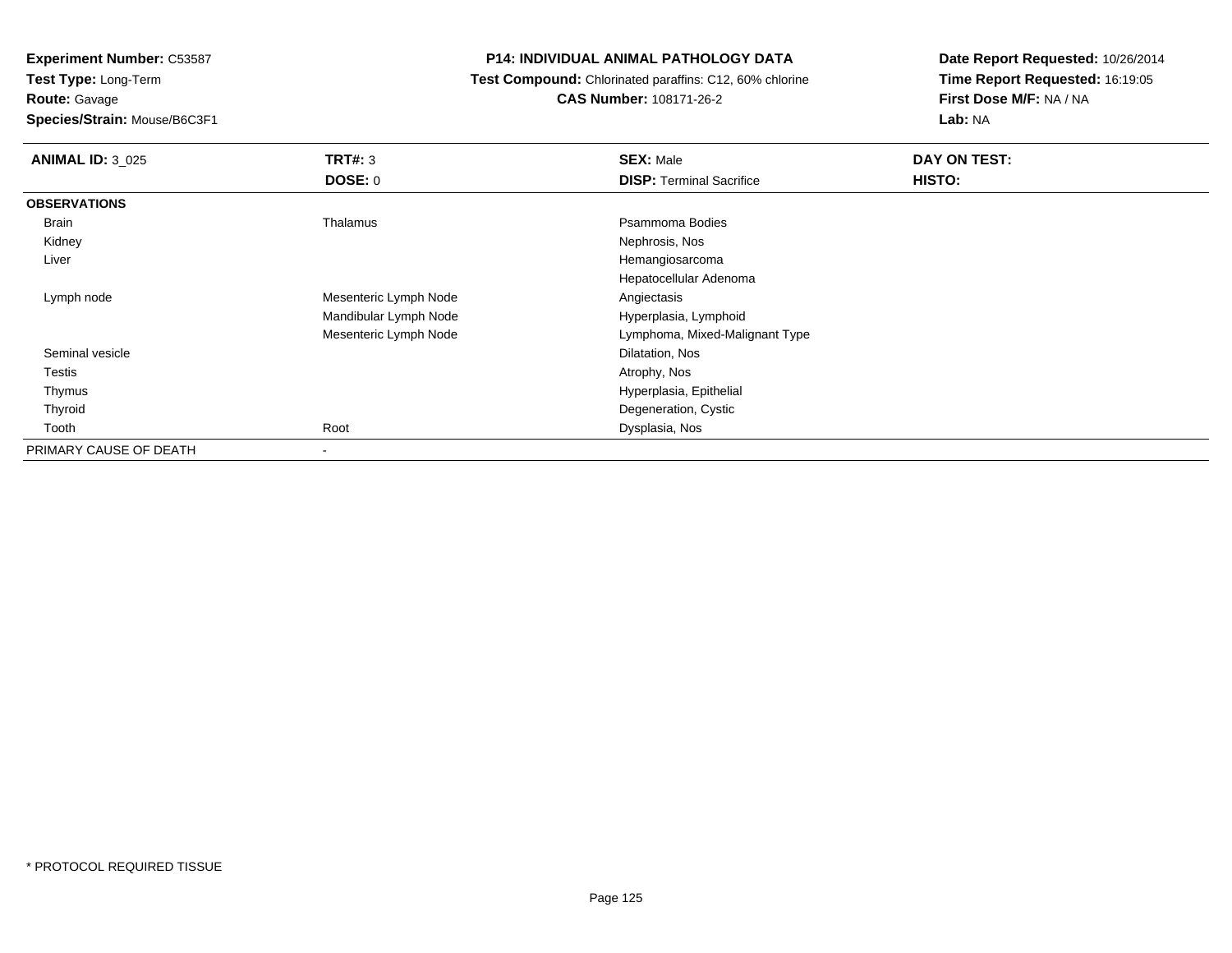**Experiment Number:** C53587

**Test Type:** Long-Term

**Route:** Gavage

**Species/Strain:** Mouse/B6C3F1

## **P14: INDIVIDUAL ANIMAL PATHOLOGY DATA**

 **Test Compound:** Chlorinated paraffins: C12, 60% chlorine**CAS Number:** 108171-26-2

**Date Report Requested:** 10/26/2014**Time Report Requested:** 16:19:05**First Dose M/F:** NA / NA**Lab:** NA

| <b>ANIMAL ID: 3 025</b> | TRT#: 3<br><b>DOSE: 0</b> | <b>SEX: Male</b><br><b>DISP: Terminal Sacrifice</b> | DAY ON TEST:<br>HISTO: |
|-------------------------|---------------------------|-----------------------------------------------------|------------------------|
| <b>OBSERVATIONS</b>     |                           |                                                     |                        |
| Brain                   | Thalamus                  | Psammoma Bodies                                     |                        |
| Kidney                  |                           | Nephrosis, Nos                                      |                        |
| Liver                   |                           | Hemangiosarcoma                                     |                        |
|                         |                           | Hepatocellular Adenoma                              |                        |
| Lymph node              | Mesenteric Lymph Node     | Angiectasis                                         |                        |
|                         | Mandibular Lymph Node     | Hyperplasia, Lymphoid                               |                        |
|                         | Mesenteric Lymph Node     | Lymphoma, Mixed-Malignant Type                      |                        |
| Seminal vesicle         |                           | Dilatation, Nos                                     |                        |
| Testis                  |                           | Atrophy, Nos                                        |                        |
| Thymus                  |                           | Hyperplasia, Epithelial                             |                        |
| Thyroid                 |                           | Degeneration, Cystic                                |                        |
| Tooth                   | Root                      | Dysplasia, Nos                                      |                        |
| PRIMARY CAUSE OF DEATH  | $\overline{\phantom{a}}$  |                                                     |                        |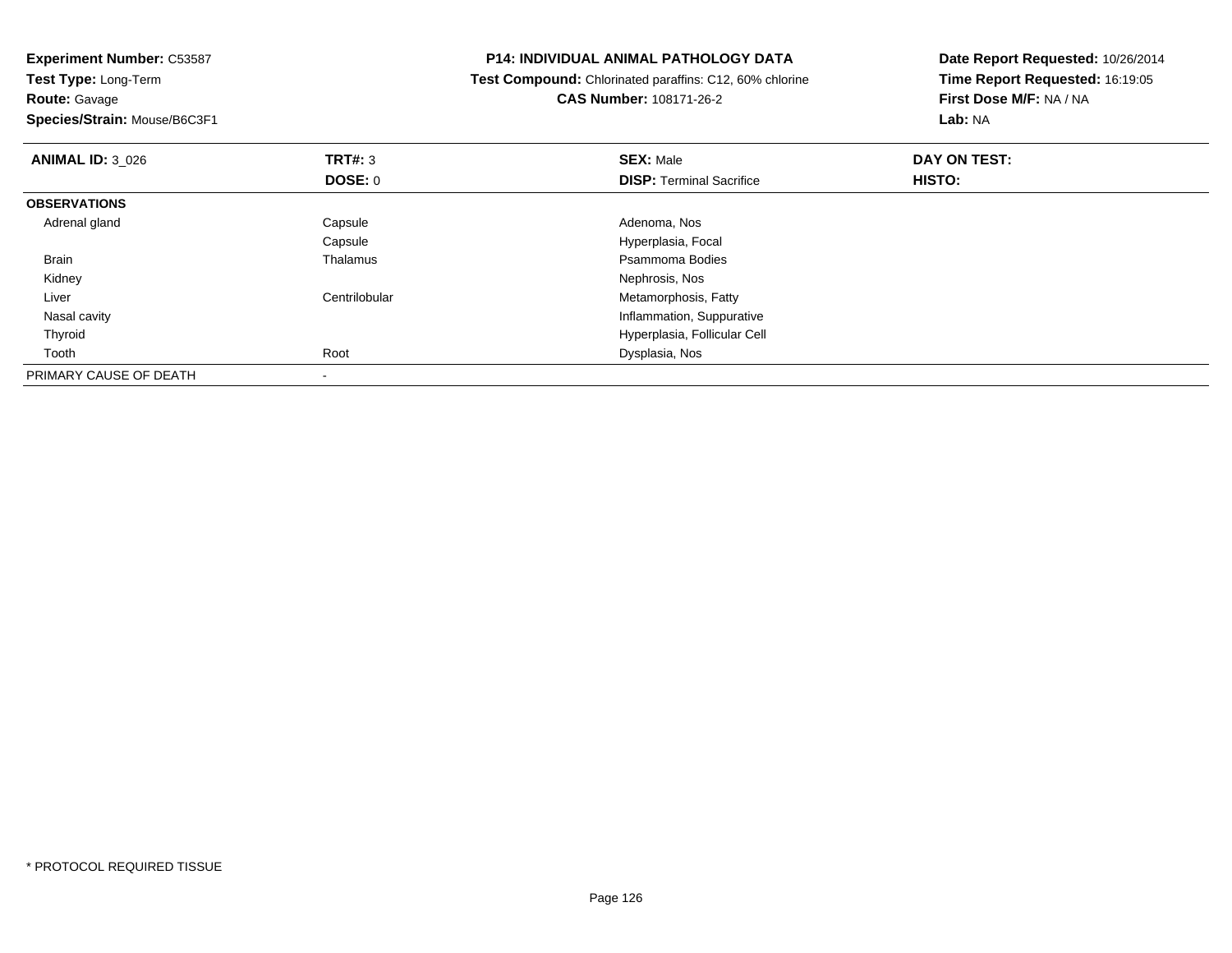**Experiment Number:** C53587**Test Type:** Long-Term**Route:** Gavage **Species/Strain:** Mouse/B6C3F1**P14: INDIVIDUAL ANIMAL PATHOLOGY DATA Test Compound:** Chlorinated paraffins: C12, 60% chlorine**CAS Number:** 108171-26-2**Date Report Requested:** 10/26/2014**Time Report Requested:** 16:19:05**First Dose M/F:** NA / NA**Lab:** NA**ANIMAL ID:** 3\_026 **TRT#:** <sup>3</sup> **SEX:** Male **DAY ON TEST: DOSE:** 0**DISP:** Terminal Sacrifice **HISTO: OBSERVATIONS** Adrenal glandCapsule **Adenoma, Nos** Capsule Hyperplasia, Focal Brainn and the control of the Thalamus and the control of the Psammoma Bodies and the Psammoma Bodies of the Psammoma Bodies and the Psammoma Bodies of the Psammoma Bodies of the Psammoma Bodies of the Psammoma Bodies of the Ps Kidneyy which is a set of the set of the set of the set of the set of the set of the Nephrosis, Nos LiverCentrilobular **Metamorphosis**, Fatty **Inflammation, Suppurative**  Nasal cavity Hyperplasia, Follicular Cell Thyroid Toothh and the control of the Root Control of the Dysplasia, Nos and the Dysplasia, Nos and the Dysplasia, Nos and the Dysplasia, Nos and the Dysplasia, Nos and the Dysplasia, Nos and the Dysplasia, Nos and the Dysplasia, Nos a PRIMARY CAUSE OF DEATH-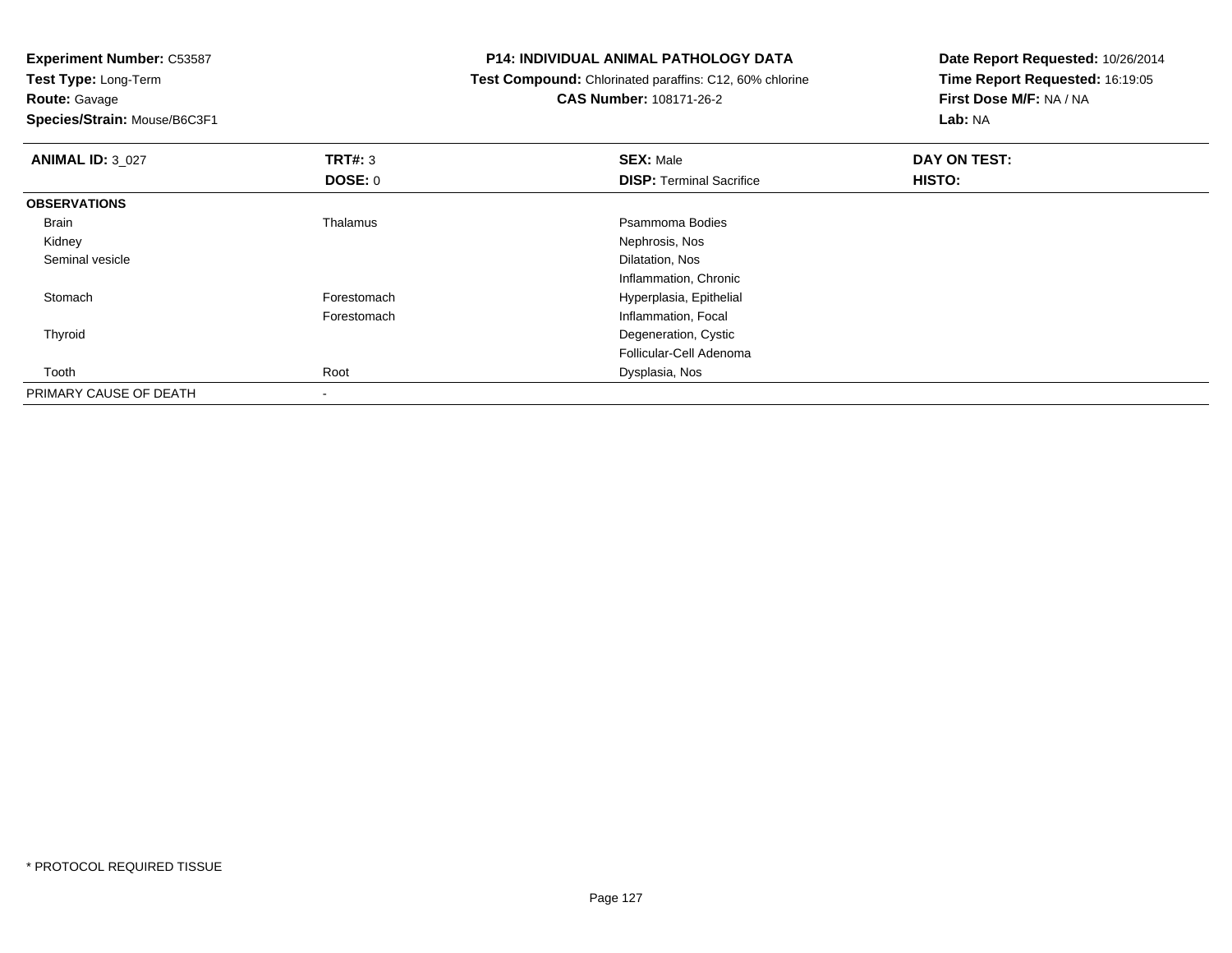**Experiment Number:** C53587**Test Type:** Long-Term**Route:** Gavage **Species/Strain:** Mouse/B6C3F1**P14: INDIVIDUAL ANIMAL PATHOLOGY DATA Test Compound:** Chlorinated paraffins: C12, 60% chlorine**CAS Number:** 108171-26-2**Date Report Requested:** 10/26/2014**Time Report Requested:** 16:19:05**First Dose M/F:** NA / NA**Lab:** NA**ANIMAL ID:** 3\_027 **TRT#:** <sup>3</sup> **SEX:** Male **DAY ON TEST: DOSE:** 0**DISP:** Terminal Sacrifice **HISTO: OBSERVATIONS** Brainn and the control of the Thalamus and the control of the Psammoma Bodies and the Psammoma Bodies of the Psammoma Bodies and the Psammoma Bodies of the Psammoma Bodies of the Psammoma Bodies of the Psammoma Bodies of the Ps Kidneyy which is a set of the set of the set of the set of the set of the set of the Nephrosis, Nos Seminal vesicle Dilatation, Nos Inflammation, Chronich **Forestomach Hyperplasia, Epithelial Stomach** Forestomach Inflammation, Focal Thyroid Degeneration, Cystic Follicular-Cell Adenoma Toothh and the control of the Root Control of the Dysplasia, Nos and the Dysplasia, Nos and the Dysplasia, Nos and the Dysplasia, Nos and the Dysplasia, Nos and the Dysplasia, Nos and the Dysplasia, Nos and the Dysplasia, Nos a PRIMARY CAUSE OF DEATH-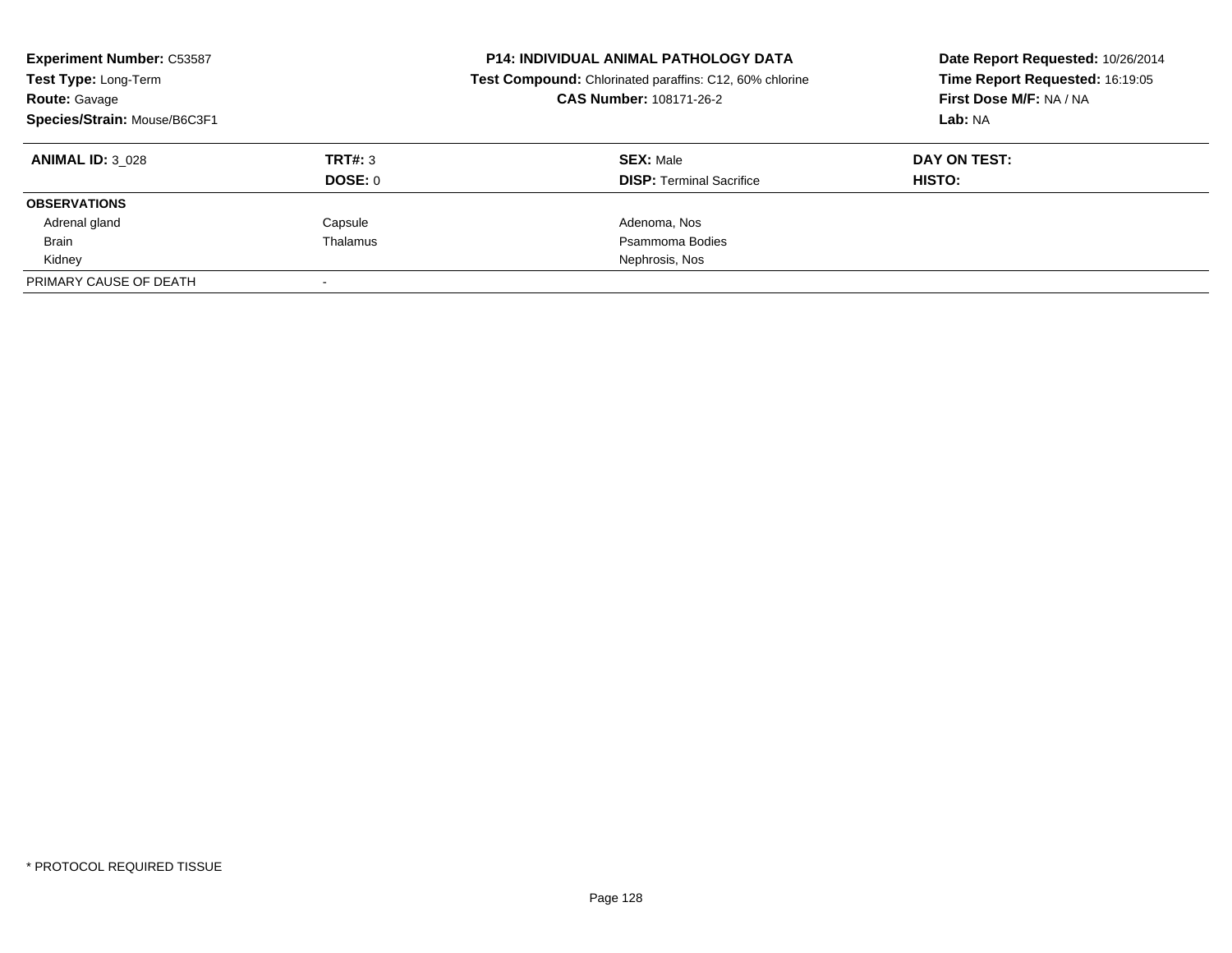| <b>Experiment Number: C53587</b><br>Test Type: Long-Term<br><b>Route: Gavage</b><br>Species/Strain: Mouse/B6C3F1 |          | <b>P14: INDIVIDUAL ANIMAL PATHOLOGY DATA</b><br>Test Compound: Chlorinated paraffins: C12, 60% chlorine<br>CAS Number: 108171-26-2 | Date Report Requested: 10/26/2014<br>Time Report Requested: 16:19:05<br>First Dose M/F: NA / NA<br>Lab: NA |
|------------------------------------------------------------------------------------------------------------------|----------|------------------------------------------------------------------------------------------------------------------------------------|------------------------------------------------------------------------------------------------------------|
| <b>ANIMAL ID: 3 028</b>                                                                                          | TRT#: 3  | <b>SEX: Male</b>                                                                                                                   | DAY ON TEST:                                                                                               |
|                                                                                                                  | DOSE: 0  | <b>DISP:</b> Terminal Sacrifice                                                                                                    | HISTO:                                                                                                     |
| <b>OBSERVATIONS</b>                                                                                              |          |                                                                                                                                    |                                                                                                            |
| Adrenal gland                                                                                                    | Capsule  | Adenoma, Nos                                                                                                                       |                                                                                                            |
| <b>Brain</b>                                                                                                     | Thalamus | Psammoma Bodies                                                                                                                    |                                                                                                            |
| Kidney                                                                                                           |          | Nephrosis, Nos                                                                                                                     |                                                                                                            |
| PRIMARY CAUSE OF DEATH                                                                                           |          |                                                                                                                                    |                                                                                                            |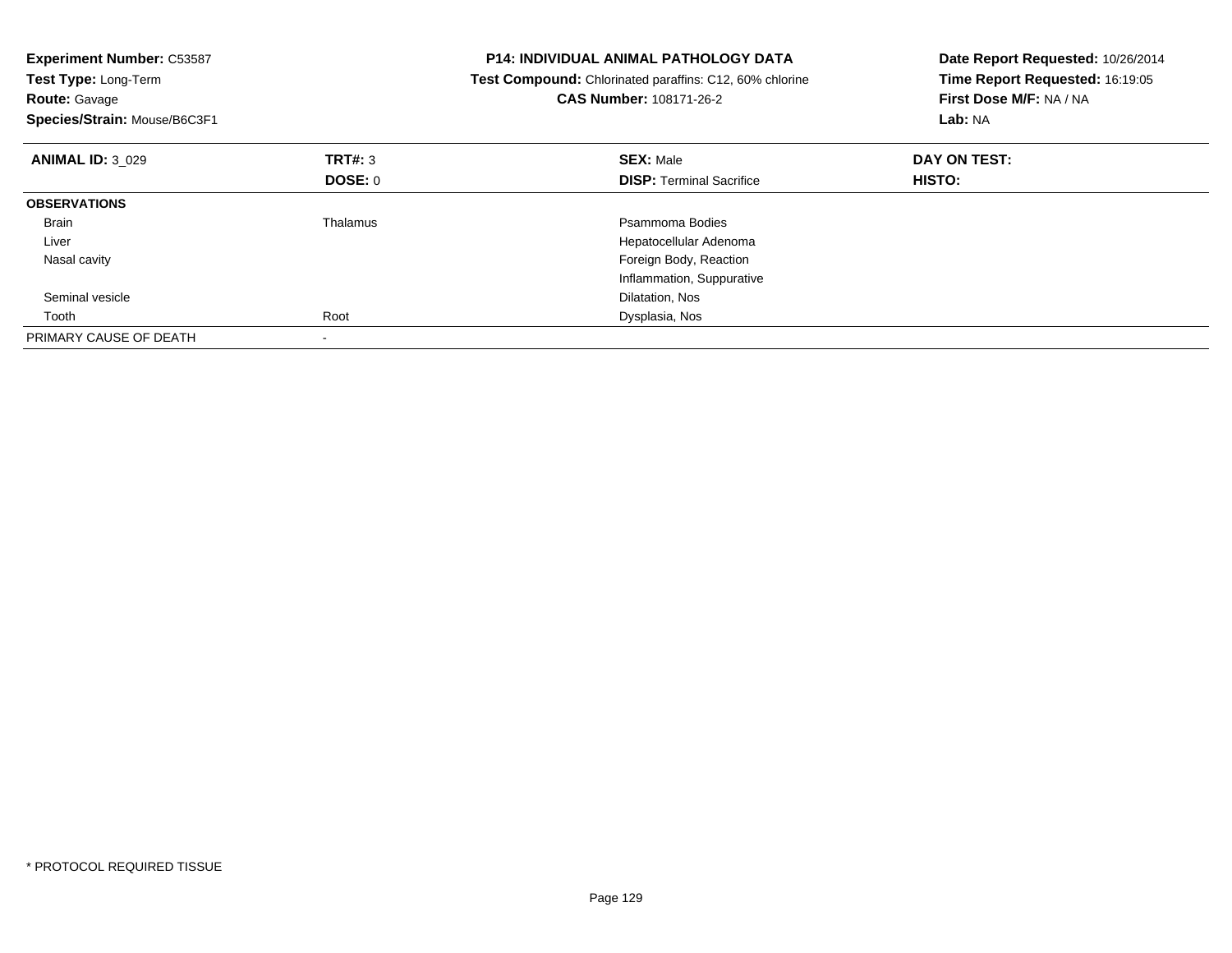| <b>Experiment Number: C53587</b><br>Test Type: Long-Term<br><b>Route: Gavage</b><br>Species/Strain: Mouse/B6C3F1 |                 | P14: INDIVIDUAL ANIMAL PATHOLOGY DATA<br>Test Compound: Chlorinated paraffins: C12, 60% chlorine<br><b>CAS Number: 108171-26-2</b> | Date Report Requested: 10/26/2014<br>Time Report Requested: 16:19:05<br>First Dose M/F: NA / NA<br>Lab: NA |
|------------------------------------------------------------------------------------------------------------------|-----------------|------------------------------------------------------------------------------------------------------------------------------------|------------------------------------------------------------------------------------------------------------|
| <b>ANIMAL ID: 3 029</b>                                                                                          | TRT#: 3         | <b>SEX: Male</b>                                                                                                                   | DAY ON TEST:                                                                                               |
|                                                                                                                  | DOSE: 0         | <b>DISP:</b> Terminal Sacrifice                                                                                                    | HISTO:                                                                                                     |
| <b>OBSERVATIONS</b>                                                                                              |                 |                                                                                                                                    |                                                                                                            |
| <b>Brain</b>                                                                                                     | <b>Thalamus</b> | Psammoma Bodies                                                                                                                    |                                                                                                            |
| Liver                                                                                                            |                 | Hepatocellular Adenoma                                                                                                             |                                                                                                            |
| Nasal cavity                                                                                                     |                 | Foreign Body, Reaction                                                                                                             |                                                                                                            |
|                                                                                                                  |                 | Inflammation, Suppurative                                                                                                          |                                                                                                            |
| Seminal vesicle                                                                                                  |                 | Dilatation, Nos                                                                                                                    |                                                                                                            |
| Tooth                                                                                                            | Root            | Dysplasia, Nos                                                                                                                     |                                                                                                            |
| PRIMARY CAUSE OF DEATH                                                                                           |                 |                                                                                                                                    |                                                                                                            |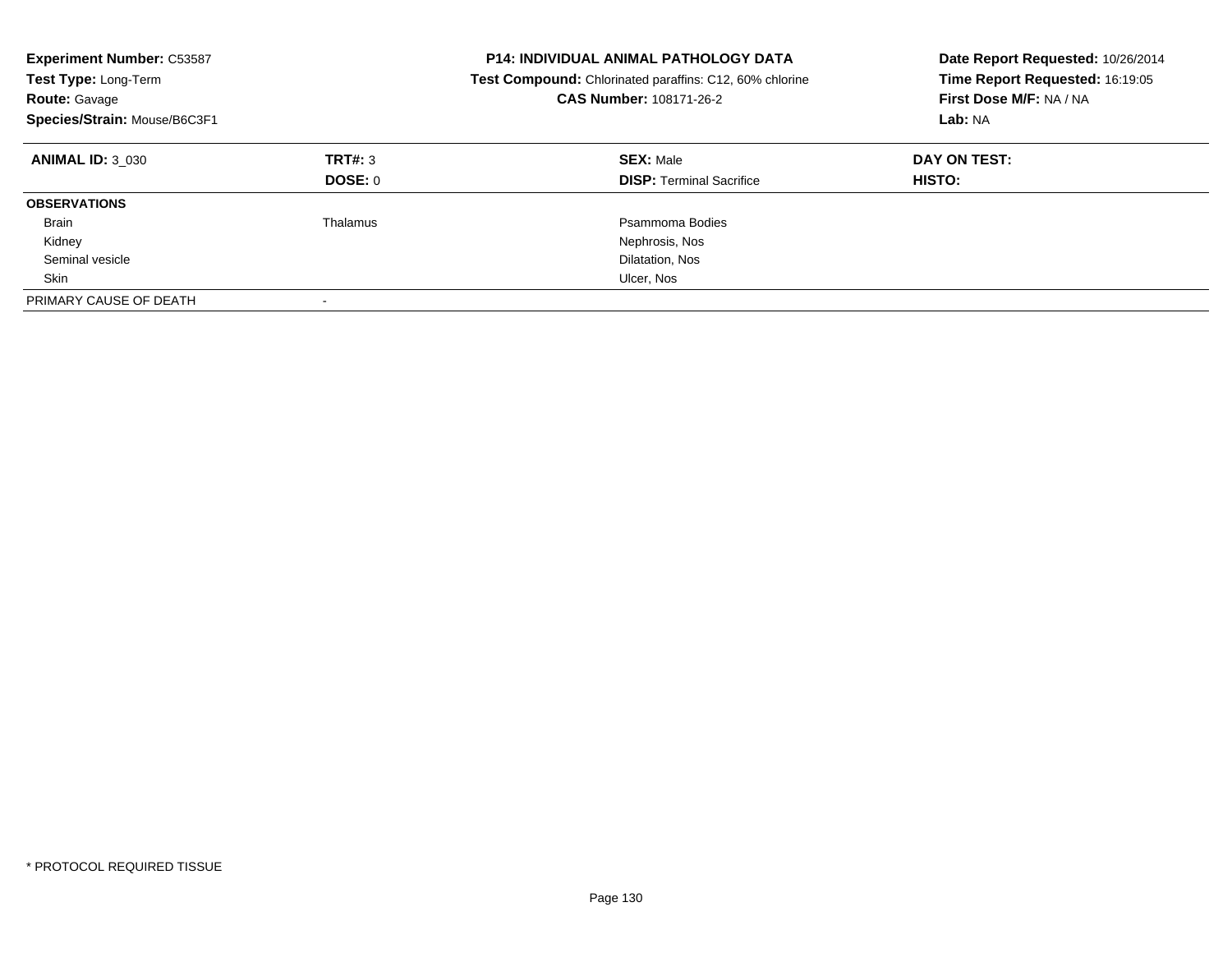| <b>Experiment Number: C53587</b><br>Test Type: Long-Term<br><b>Route: Gavage</b><br>Species/Strain: Mouse/B6C3F1 |                    | <b>P14: INDIVIDUAL ANIMAL PATHOLOGY DATA</b><br><b>Test Compound:</b> Chlorinated paraffins: C12, 60% chlorine<br>CAS Number: 108171-26-2 | Date Report Requested: 10/26/2014<br>Time Report Requested: 16:19:05<br>First Dose M/F: NA / NA<br>Lab: NA |
|------------------------------------------------------------------------------------------------------------------|--------------------|-------------------------------------------------------------------------------------------------------------------------------------------|------------------------------------------------------------------------------------------------------------|
| <b>ANIMAL ID: 3 030</b>                                                                                          | TRT#: 3<br>DOSE: 0 | <b>SEX: Male</b><br><b>DISP:</b> Terminal Sacrifice                                                                                       | DAY ON TEST:<br><b>HISTO:</b>                                                                              |
| <b>OBSERVATIONS</b>                                                                                              |                    |                                                                                                                                           |                                                                                                            |
| <b>Brain</b>                                                                                                     | Thalamus           | Psammoma Bodies                                                                                                                           |                                                                                                            |
| Kidney                                                                                                           |                    | Nephrosis, Nos                                                                                                                            |                                                                                                            |
| Seminal vesicle                                                                                                  |                    | Dilatation, Nos                                                                                                                           |                                                                                                            |
| Skin                                                                                                             |                    | Ulcer, Nos                                                                                                                                |                                                                                                            |
| PRIMARY CAUSE OF DEATH                                                                                           |                    |                                                                                                                                           |                                                                                                            |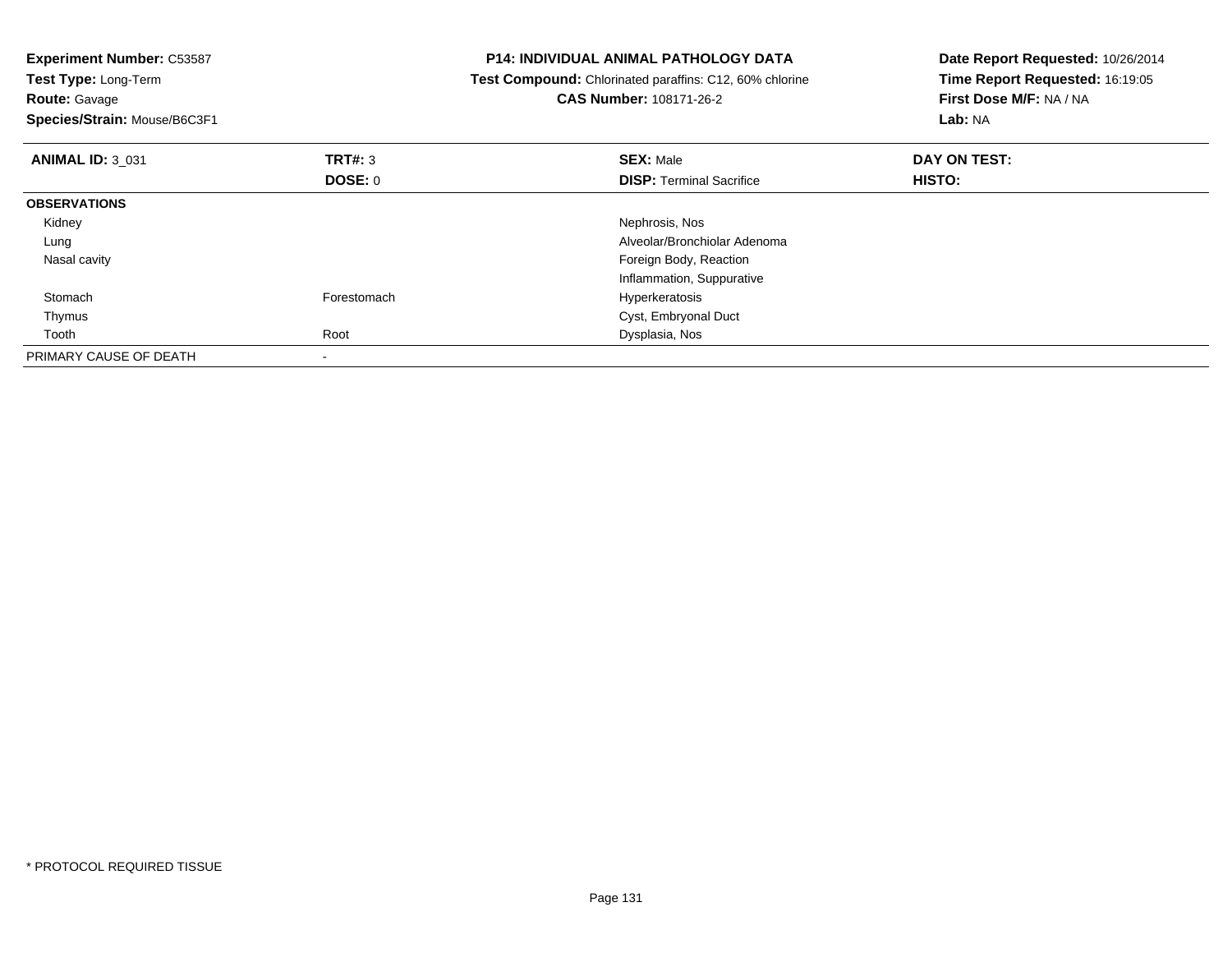| <b>Experiment Number: C53587</b><br>Test Type: Long-Term<br><b>Route: Gavage</b><br>Species/Strain: Mouse/B6C3F1 |                | <b>P14: INDIVIDUAL ANIMAL PATHOLOGY DATA</b><br>Test Compound: Chlorinated paraffins: C12, 60% chlorine<br><b>CAS Number: 108171-26-2</b> | Date Report Requested: 10/26/2014<br>Time Report Requested: 16:19:05<br>First Dose M/F: NA / NA<br>Lab: NA |
|------------------------------------------------------------------------------------------------------------------|----------------|-------------------------------------------------------------------------------------------------------------------------------------------|------------------------------------------------------------------------------------------------------------|
| <b>ANIMAL ID: 3 031</b>                                                                                          | <b>TRT#: 3</b> | <b>SEX: Male</b>                                                                                                                          | DAY ON TEST:                                                                                               |
|                                                                                                                  | <b>DOSE: 0</b> | <b>DISP:</b> Terminal Sacrifice                                                                                                           | HISTO:                                                                                                     |
| <b>OBSERVATIONS</b>                                                                                              |                |                                                                                                                                           |                                                                                                            |
| Kidney                                                                                                           |                | Nephrosis, Nos                                                                                                                            |                                                                                                            |
| Lung                                                                                                             |                | Alveolar/Bronchiolar Adenoma                                                                                                              |                                                                                                            |
| Nasal cavity                                                                                                     |                | Foreign Body, Reaction                                                                                                                    |                                                                                                            |
|                                                                                                                  |                | Inflammation, Suppurative                                                                                                                 |                                                                                                            |
| Stomach                                                                                                          | Forestomach    | Hyperkeratosis                                                                                                                            |                                                                                                            |
| Thymus                                                                                                           |                | Cyst, Embryonal Duct                                                                                                                      |                                                                                                            |
| Tooth                                                                                                            | Root           | Dysplasia, Nos                                                                                                                            |                                                                                                            |
| PRIMARY CAUSE OF DEATH                                                                                           | $\,$           |                                                                                                                                           |                                                                                                            |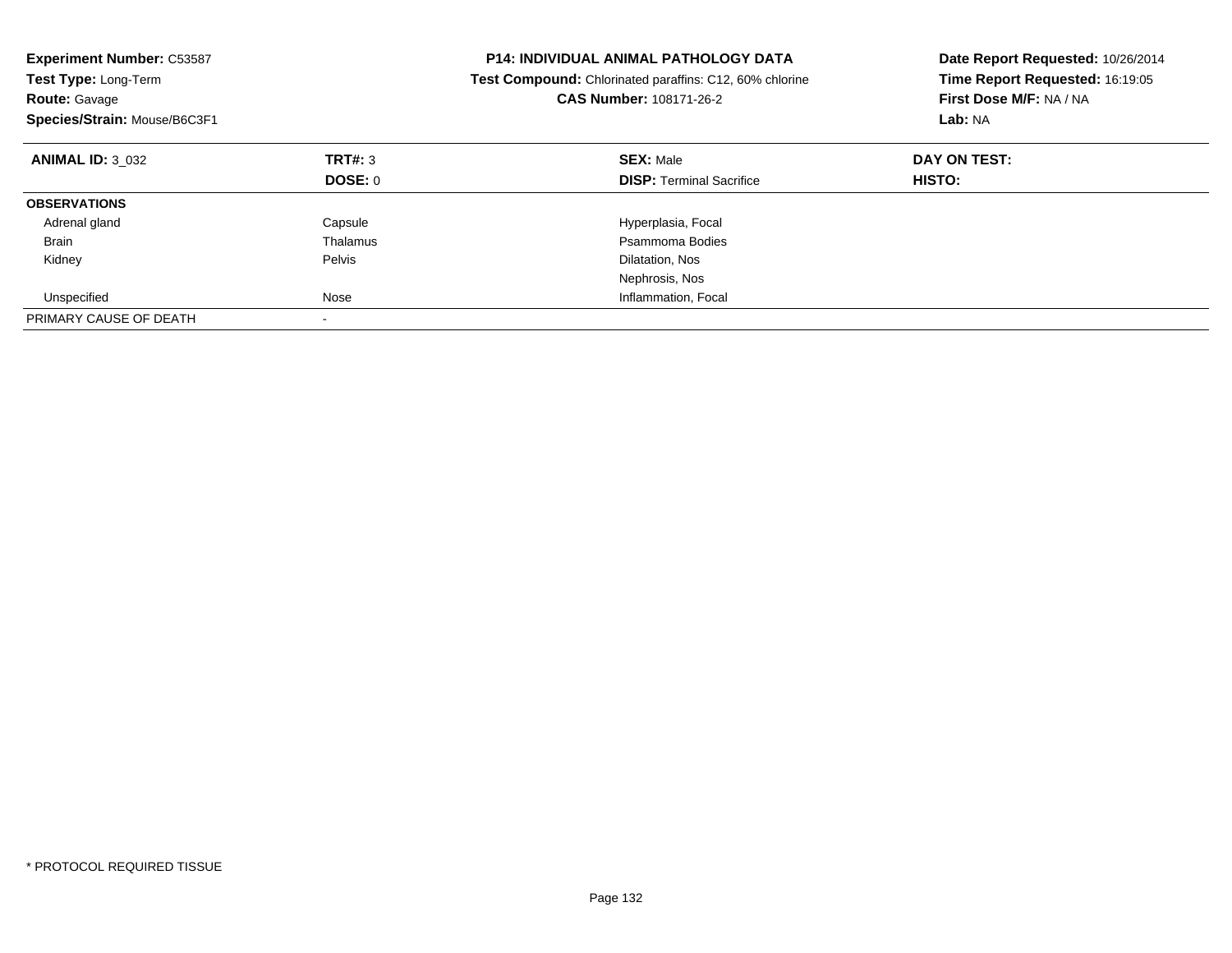| <b>Experiment Number: C53587</b><br>Test Type: Long-Term<br><b>Route: Gavage</b><br>Species/Strain: Mouse/B6C3F1 |          | <b>P14: INDIVIDUAL ANIMAL PATHOLOGY DATA</b><br>Test Compound: Chlorinated paraffins: C12, 60% chlorine<br>CAS Number: 108171-26-2 | Date Report Requested: 10/26/2014<br>Time Report Requested: 16:19:05<br>First Dose M/F: NA / NA<br>Lab: NA |
|------------------------------------------------------------------------------------------------------------------|----------|------------------------------------------------------------------------------------------------------------------------------------|------------------------------------------------------------------------------------------------------------|
| <b>ANIMAL ID: 3 032</b>                                                                                          | TRT#: 3  | <b>SEX: Male</b>                                                                                                                   | DAY ON TEST:                                                                                               |
|                                                                                                                  | DOSE: 0  | <b>DISP:</b> Terminal Sacrifice                                                                                                    | <b>HISTO:</b>                                                                                              |
| <b>OBSERVATIONS</b>                                                                                              |          |                                                                                                                                    |                                                                                                            |
| Adrenal gland                                                                                                    | Capsule  | Hyperplasia, Focal                                                                                                                 |                                                                                                            |
| <b>Brain</b>                                                                                                     | Thalamus | Psammoma Bodies                                                                                                                    |                                                                                                            |
| Kidney                                                                                                           | Pelvis   | Dilatation, Nos                                                                                                                    |                                                                                                            |
|                                                                                                                  |          | Nephrosis, Nos                                                                                                                     |                                                                                                            |
| Unspecified                                                                                                      | Nose     | Inflammation, Focal                                                                                                                |                                                                                                            |
| PRIMARY CAUSE OF DEATH                                                                                           |          |                                                                                                                                    |                                                                                                            |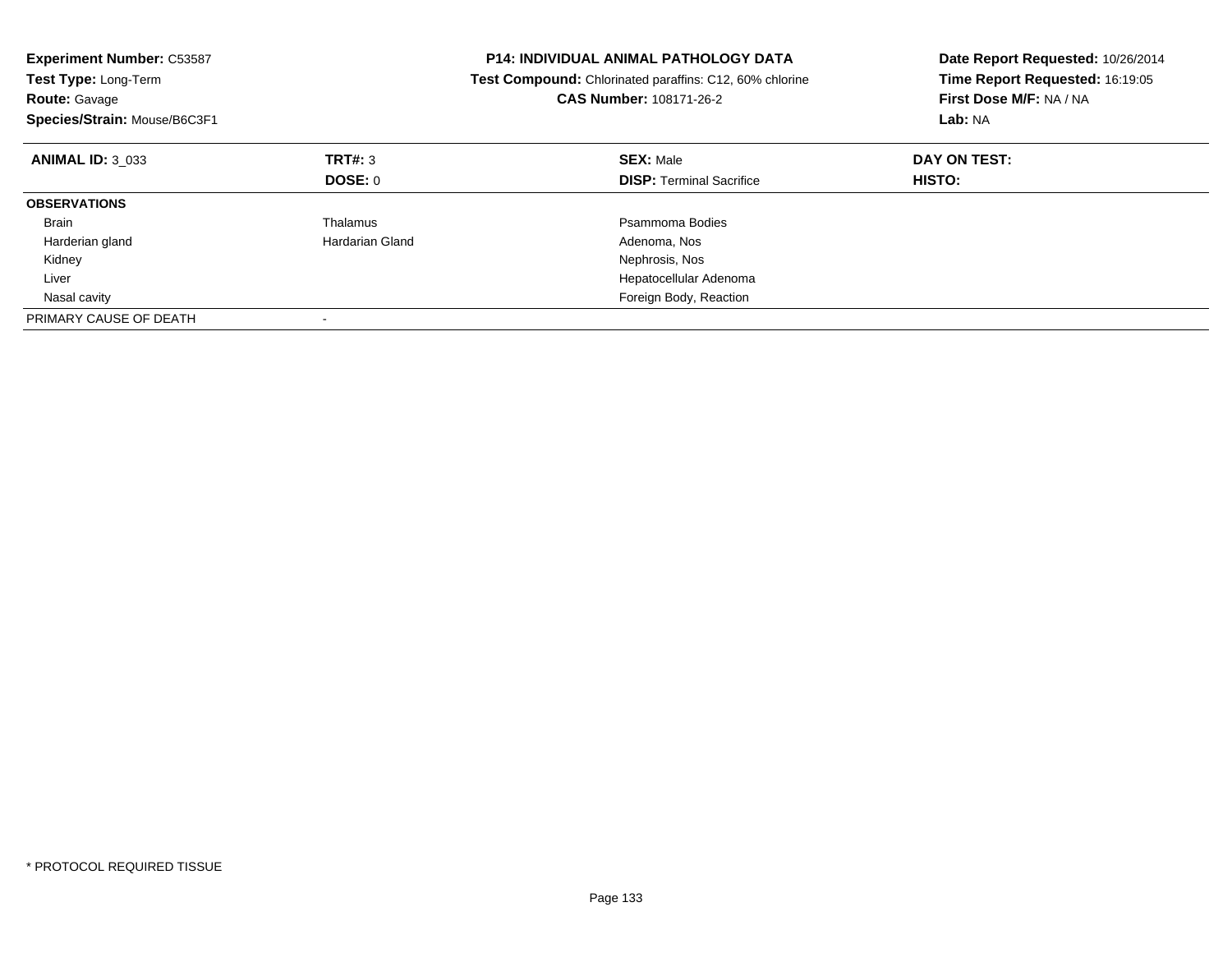| <b>Experiment Number: C53587</b><br>Test Type: Long-Term<br><b>Route: Gavage</b><br>Species/Strain: Mouse/B6C3F1 |                 | <b>P14: INDIVIDUAL ANIMAL PATHOLOGY DATA</b><br>Test Compound: Chlorinated paraffins: C12, 60% chlorine<br><b>CAS Number: 108171-26-2</b> | Date Report Requested: 10/26/2014<br>Time Report Requested: 16:19:05<br>First Dose M/F: NA / NA<br>Lab: NA |
|------------------------------------------------------------------------------------------------------------------|-----------------|-------------------------------------------------------------------------------------------------------------------------------------------|------------------------------------------------------------------------------------------------------------|
| <b>ANIMAL ID: 3 033</b>                                                                                          | TRT#: 3         | <b>SEX: Male</b>                                                                                                                          | DAY ON TEST:                                                                                               |
|                                                                                                                  | DOSE: 0         | <b>DISP:</b> Terminal Sacrifice                                                                                                           | HISTO:                                                                                                     |
| <b>OBSERVATIONS</b>                                                                                              |                 |                                                                                                                                           |                                                                                                            |
| <b>Brain</b>                                                                                                     | Thalamus        | Psammoma Bodies                                                                                                                           |                                                                                                            |
| Harderian gland                                                                                                  | Hardarian Gland | Adenoma, Nos                                                                                                                              |                                                                                                            |
| Kidney                                                                                                           |                 | Nephrosis, Nos                                                                                                                            |                                                                                                            |
| Liver                                                                                                            |                 | Hepatocellular Adenoma                                                                                                                    |                                                                                                            |
| Nasal cavity                                                                                                     |                 | Foreign Body, Reaction                                                                                                                    |                                                                                                            |
| PRIMARY CAUSE OF DEATH                                                                                           |                 |                                                                                                                                           |                                                                                                            |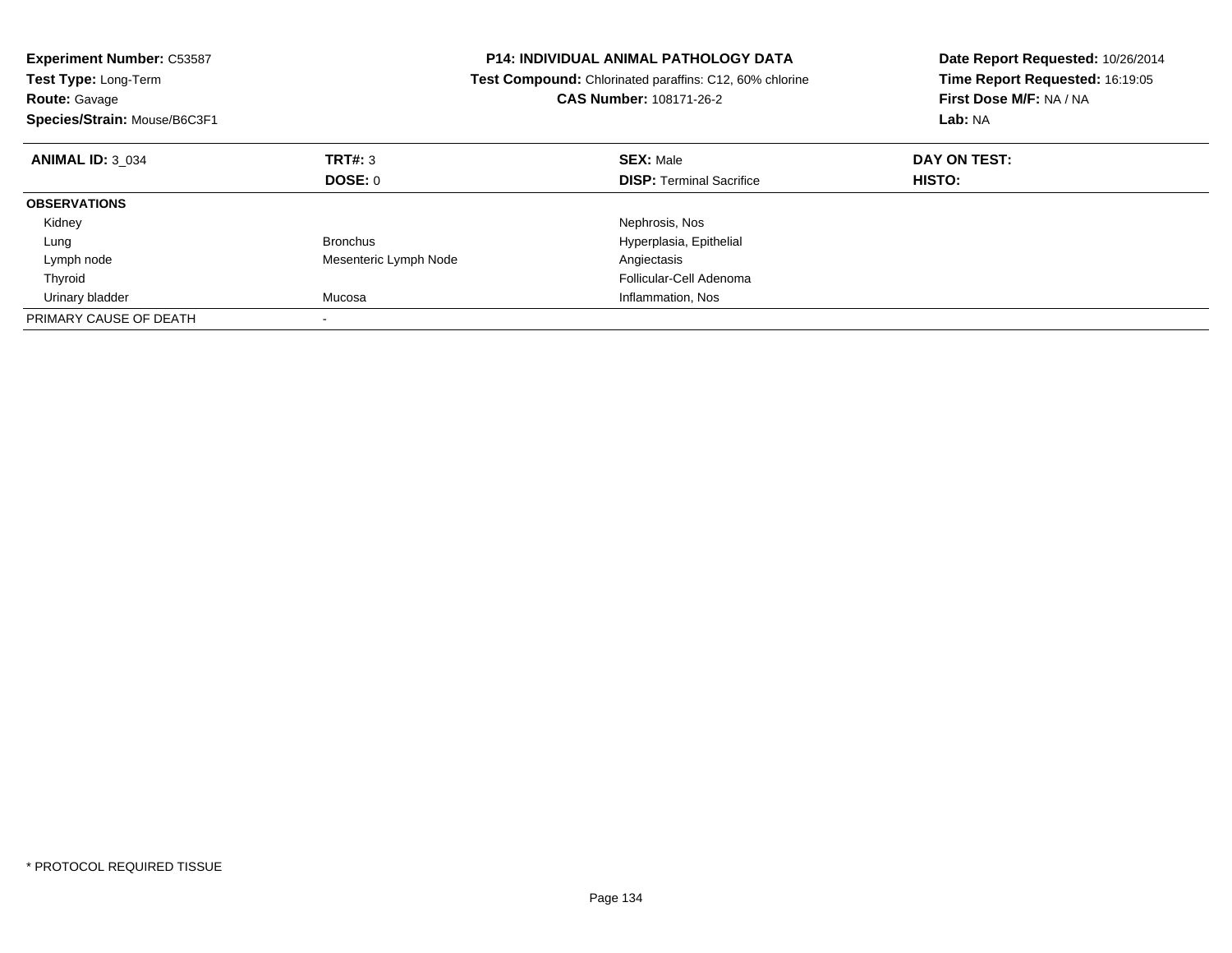| <b>Experiment Number: C53587</b><br>Test Type: Long-Term<br><b>Route: Gavage</b><br>Species/Strain: Mouse/B6C3F1 |                       | <b>P14: INDIVIDUAL ANIMAL PATHOLOGY DATA</b><br>Test Compound: Chlorinated paraffins: C12, 60% chlorine<br>CAS Number: 108171-26-2 | Date Report Requested: 10/26/2014<br>Time Report Requested: 16:19:05<br>First Dose M/F: NA / NA<br>Lab: NA |
|------------------------------------------------------------------------------------------------------------------|-----------------------|------------------------------------------------------------------------------------------------------------------------------------|------------------------------------------------------------------------------------------------------------|
| <b>ANIMAL ID: 3 034</b>                                                                                          | TRT#: 3               | <b>SEX: Male</b>                                                                                                                   | DAY ON TEST:                                                                                               |
|                                                                                                                  | DOSE: 0               | <b>DISP: Terminal Sacrifice</b>                                                                                                    | HISTO:                                                                                                     |
| <b>OBSERVATIONS</b>                                                                                              |                       |                                                                                                                                    |                                                                                                            |
| Kidney                                                                                                           |                       | Nephrosis, Nos                                                                                                                     |                                                                                                            |
| Lung                                                                                                             | <b>Bronchus</b>       | Hyperplasia, Epithelial                                                                                                            |                                                                                                            |
| Lymph node                                                                                                       | Mesenteric Lymph Node | Angiectasis                                                                                                                        |                                                                                                            |
| Thyroid                                                                                                          |                       | Follicular-Cell Adenoma                                                                                                            |                                                                                                            |
| Urinary bladder                                                                                                  | Mucosa                | Inflammation, Nos                                                                                                                  |                                                                                                            |
| PRIMARY CAUSE OF DEATH                                                                                           |                       |                                                                                                                                    |                                                                                                            |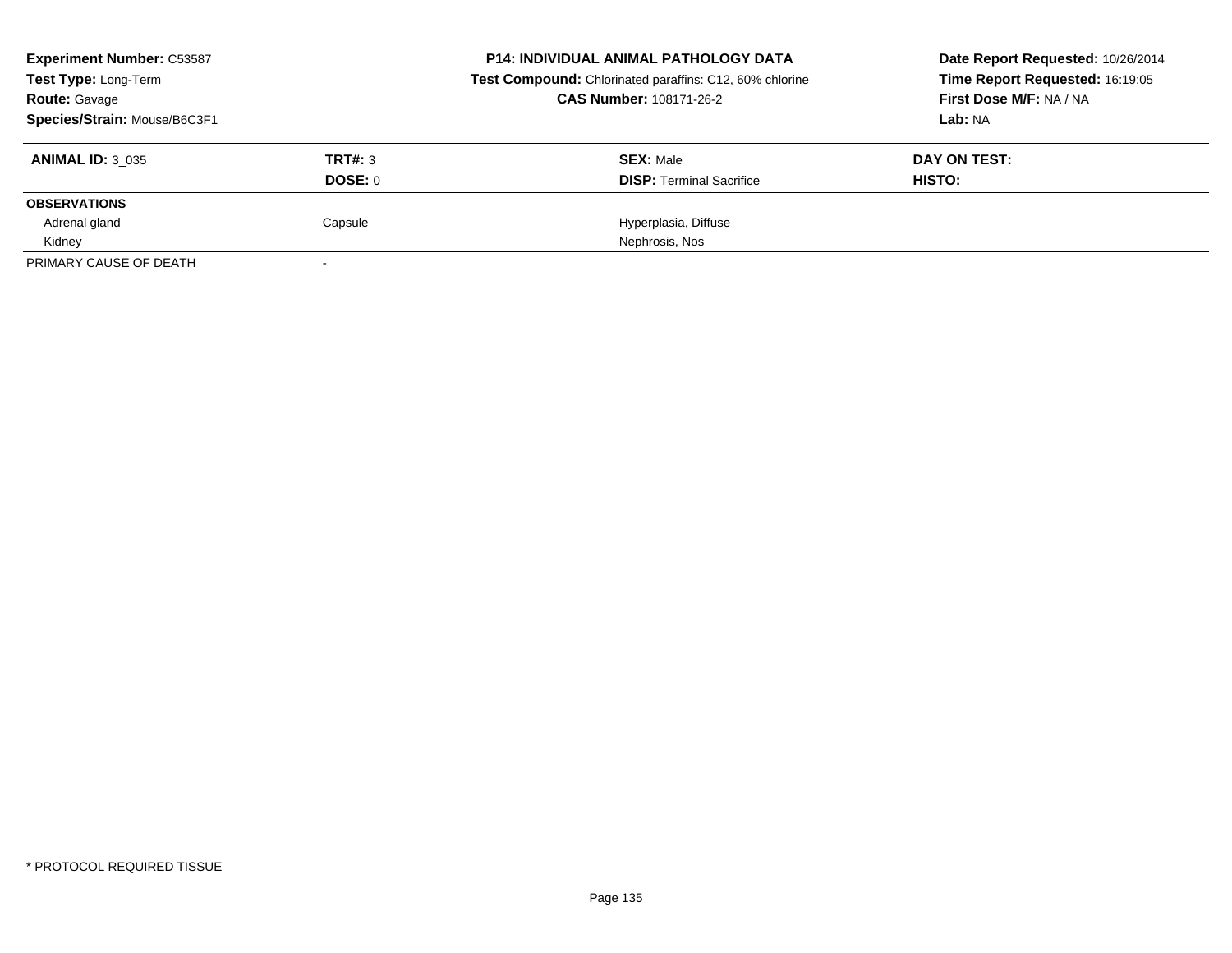| <b>Experiment Number: C53587</b> |                | <b>P14: INDIVIDUAL ANIMAL PATHOLOGY DATA</b>            | Date Report Requested: 10/26/2014 |
|----------------------------------|----------------|---------------------------------------------------------|-----------------------------------|
| Test Type: Long-Term             |                | Test Compound: Chlorinated paraffins: C12, 60% chlorine | Time Report Requested: 16:19:05   |
| <b>Route: Gavage</b>             |                | <b>CAS Number: 108171-26-2</b>                          | First Dose M/F: NA / NA           |
| Species/Strain: Mouse/B6C3F1     |                |                                                         | Lab: NA                           |
| <b>ANIMAL ID: 3 035</b>          | TRT#: 3        | <b>SEX: Male</b>                                        | DAY ON TEST:                      |
|                                  | <b>DOSE: 0</b> | <b>DISP:</b> Terminal Sacrifice                         | HISTO:                            |
| <b>OBSERVATIONS</b>              |                |                                                         |                                   |
| Adrenal gland                    | Capsule        | Hyperplasia, Diffuse                                    |                                   |
| Kidney                           |                | Nephrosis, Nos                                          |                                   |
| PRIMARY CAUSE OF DEATH           |                |                                                         |                                   |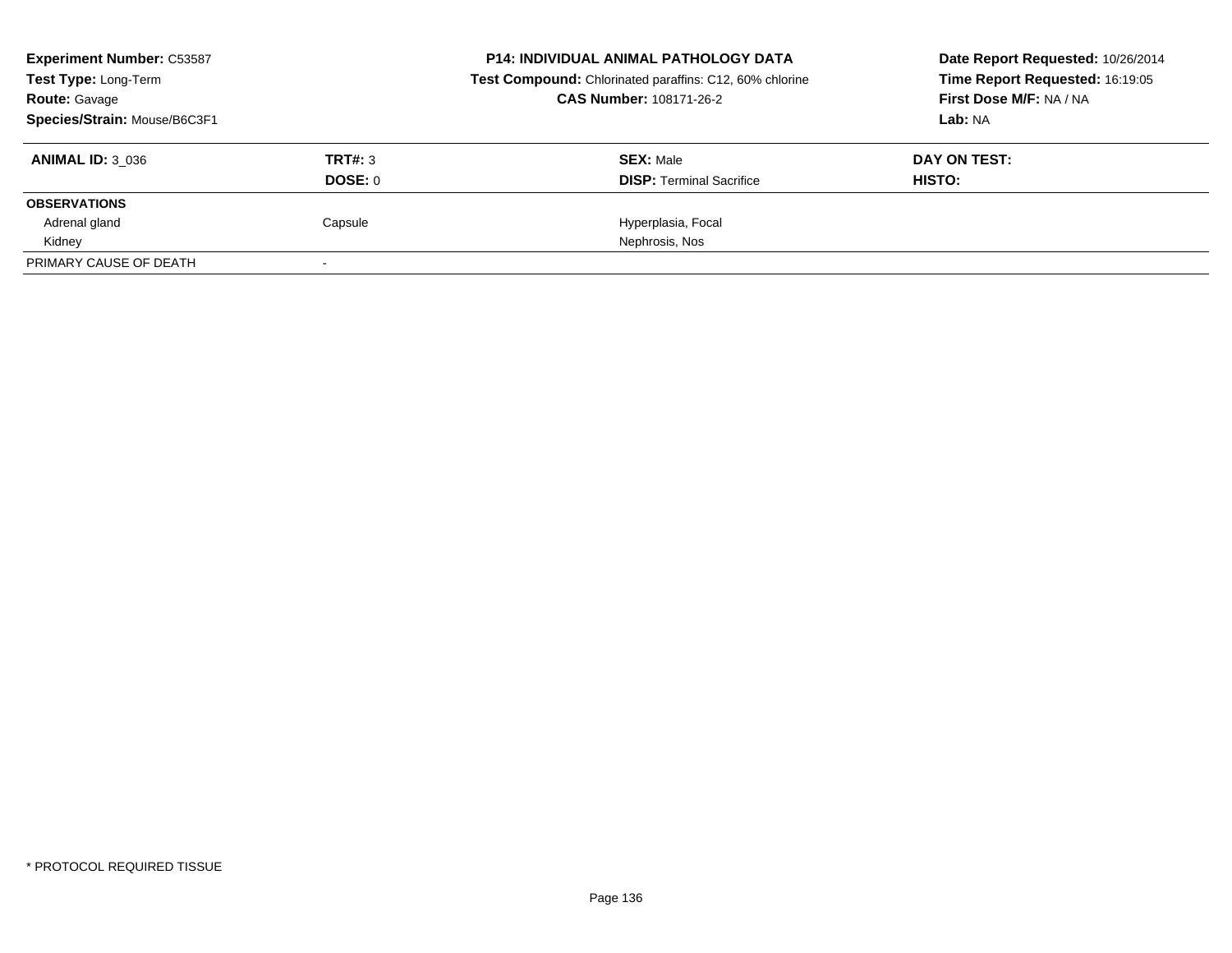| <b>Experiment Number: C53587</b>             |                | <b>P14: INDIVIDUAL ANIMAL PATHOLOGY DATA</b>            | Date Report Requested: 10/26/2014                          |
|----------------------------------------------|----------------|---------------------------------------------------------|------------------------------------------------------------|
| Test Type: Long-Term<br><b>Route: Gavage</b> |                | Test Compound: Chlorinated paraffins: C12, 60% chlorine | Time Report Requested: 16:19:05<br>First Dose M/F: NA / NA |
|                                              |                | <b>CAS Number: 108171-26-2</b>                          |                                                            |
| Species/Strain: Mouse/B6C3F1                 |                |                                                         | Lab: NA                                                    |
| <b>ANIMAL ID: 3 036</b>                      | TRT#: 3        | <b>SEX: Male</b>                                        | DAY ON TEST:                                               |
|                                              | <b>DOSE: 0</b> | <b>DISP:</b> Terminal Sacrifice                         | HISTO:                                                     |
| <b>OBSERVATIONS</b>                          |                |                                                         |                                                            |
| Adrenal gland                                | Capsule        | Hyperplasia, Focal                                      |                                                            |
| Kidney                                       |                | Nephrosis, Nos                                          |                                                            |
| PRIMARY CAUSE OF DEATH                       |                |                                                         |                                                            |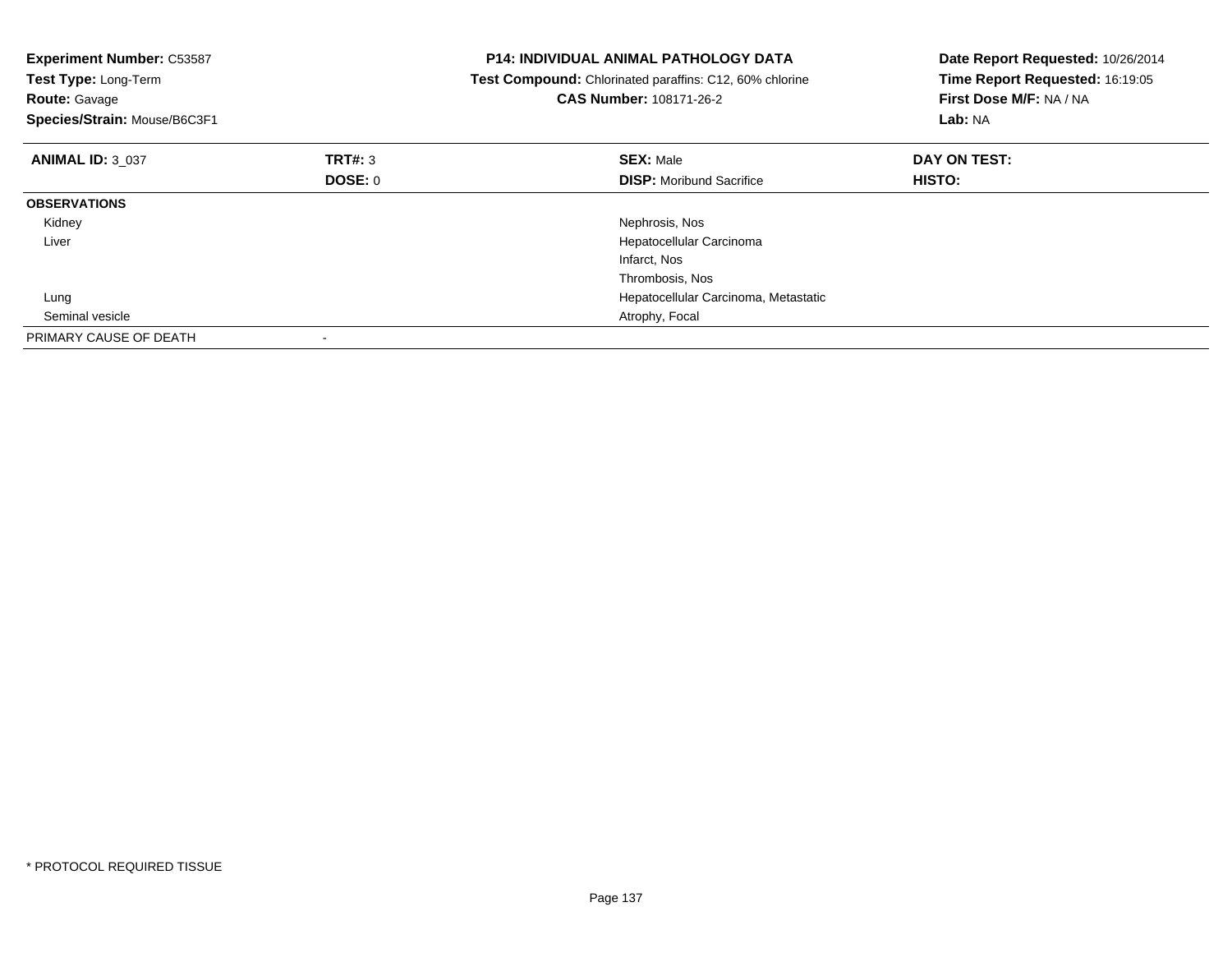| <b>Experiment Number: C53587</b><br>Test Type: Long-Term<br><b>Route: Gavage</b><br>Species/Strain: Mouse/B6C3F1 |         | <b>P14: INDIVIDUAL ANIMAL PATHOLOGY DATA</b><br>Test Compound: Chlorinated paraffins: C12, 60% chlorine<br><b>CAS Number: 108171-26-2</b> | Date Report Requested: 10/26/2014<br>Time Report Requested: 16:19:05<br>First Dose M/F: NA / NA<br>Lab: NA |
|------------------------------------------------------------------------------------------------------------------|---------|-------------------------------------------------------------------------------------------------------------------------------------------|------------------------------------------------------------------------------------------------------------|
| <b>ANIMAL ID: 3 037</b>                                                                                          | TRT#: 3 | <b>SEX: Male</b>                                                                                                                          | DAY ON TEST:                                                                                               |
|                                                                                                                  | DOSE: 0 | <b>DISP:</b> Moribund Sacrifice                                                                                                           | HISTO:                                                                                                     |
| <b>OBSERVATIONS</b>                                                                                              |         |                                                                                                                                           |                                                                                                            |
| Kidney                                                                                                           |         | Nephrosis, Nos                                                                                                                            |                                                                                                            |
| Liver                                                                                                            |         | Hepatocellular Carcinoma                                                                                                                  |                                                                                                            |
|                                                                                                                  |         | Infarct, Nos                                                                                                                              |                                                                                                            |
|                                                                                                                  |         | Thrombosis, Nos                                                                                                                           |                                                                                                            |
| Lung                                                                                                             |         | Hepatocellular Carcinoma, Metastatic                                                                                                      |                                                                                                            |
| Seminal vesicle                                                                                                  |         | Atrophy, Focal                                                                                                                            |                                                                                                            |
| PRIMARY CAUSE OF DEATH                                                                                           |         |                                                                                                                                           |                                                                                                            |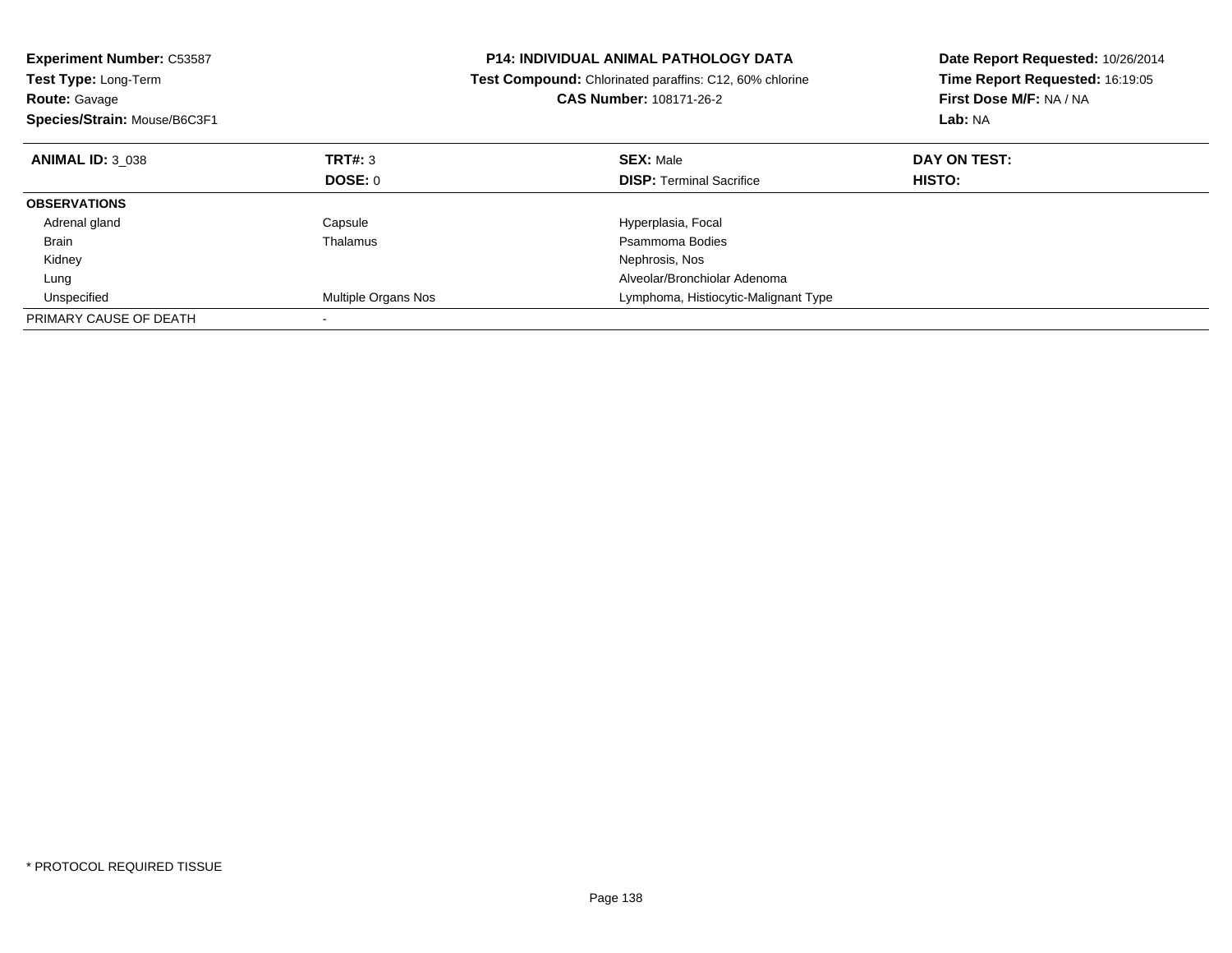| <b>Experiment Number: C53587</b><br><b>Test Type: Long-Term</b><br><b>Route: Gavage</b><br>Species/Strain: Mouse/B6C3F1 |                     | <b>P14: INDIVIDUAL ANIMAL PATHOLOGY DATA</b><br>Test Compound: Chlorinated paraffins: C12, 60% chlorine<br><b>CAS Number: 108171-26-2</b> | Date Report Requested: 10/26/2014<br>Time Report Requested: 16:19:05<br>First Dose M/F: NA / NA<br>Lab: NA |
|-------------------------------------------------------------------------------------------------------------------------|---------------------|-------------------------------------------------------------------------------------------------------------------------------------------|------------------------------------------------------------------------------------------------------------|
| <b>ANIMAL ID: 3 038</b>                                                                                                 | TRT#: 3             | <b>SEX: Male</b>                                                                                                                          | DAY ON TEST:                                                                                               |
|                                                                                                                         | DOSE: 0             | <b>DISP:</b> Terminal Sacrifice                                                                                                           | HISTO:                                                                                                     |
| <b>OBSERVATIONS</b>                                                                                                     |                     |                                                                                                                                           |                                                                                                            |
| Adrenal gland                                                                                                           | Capsule             | Hyperplasia, Focal                                                                                                                        |                                                                                                            |
| <b>Brain</b>                                                                                                            | Thalamus            | Psammoma Bodies                                                                                                                           |                                                                                                            |
| Kidney                                                                                                                  |                     | Nephrosis, Nos                                                                                                                            |                                                                                                            |
| Lung                                                                                                                    |                     | Alveolar/Bronchiolar Adenoma                                                                                                              |                                                                                                            |
| Unspecified                                                                                                             | Multiple Organs Nos | Lymphoma, Histiocytic-Malignant Type                                                                                                      |                                                                                                            |
| PRIMARY CAUSE OF DEATH                                                                                                  |                     |                                                                                                                                           |                                                                                                            |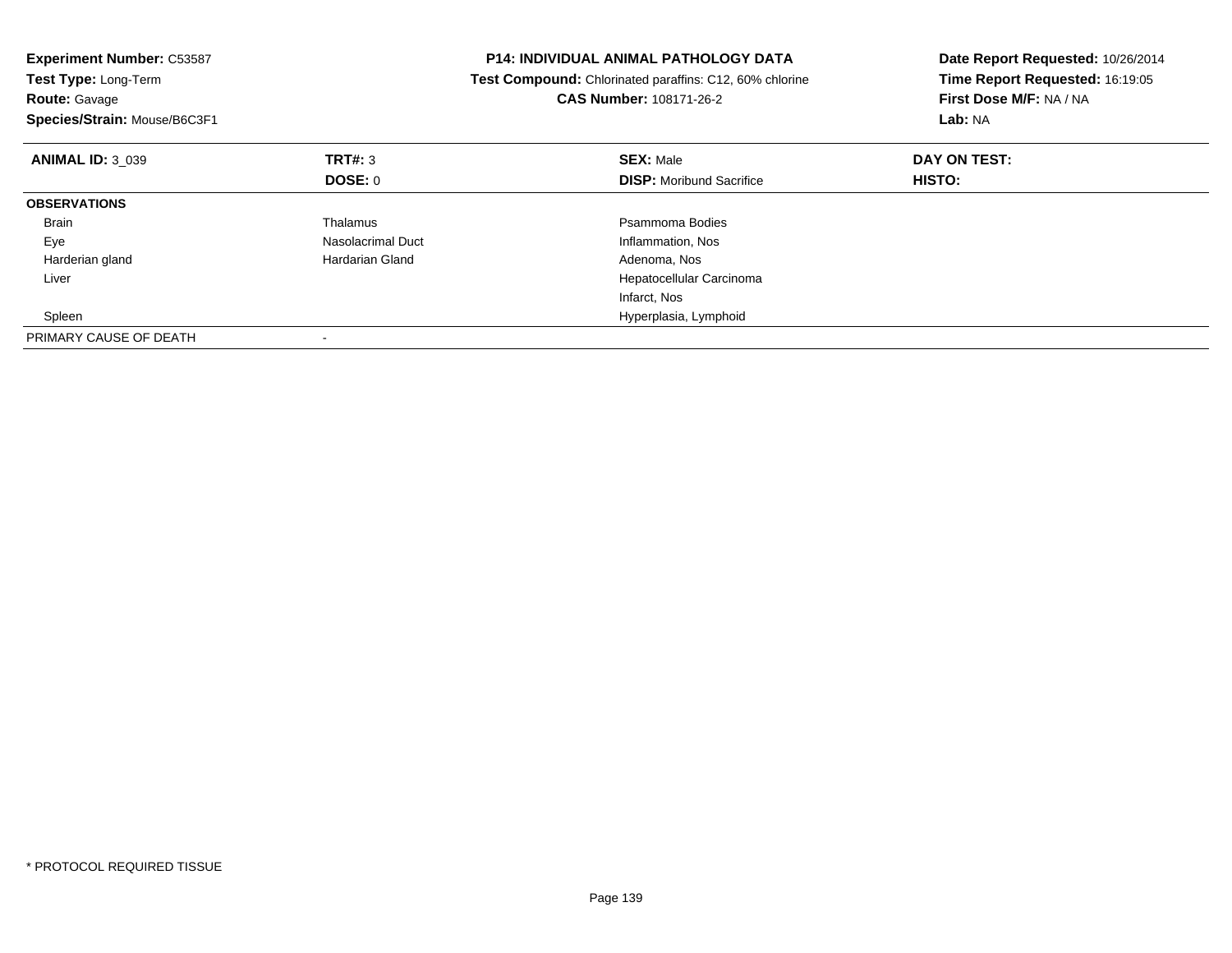| <b>Experiment Number: C53587</b><br><b>Test Type: Long-Term</b><br><b>Route: Gavage</b><br>Species/Strain: Mouse/B6C3F1 |                   | <b>P14: INDIVIDUAL ANIMAL PATHOLOGY DATA</b><br>Test Compound: Chlorinated paraffins: C12, 60% chlorine<br><b>CAS Number: 108171-26-2</b> | Date Report Requested: 10/26/2014<br>Time Report Requested: 16:19:05<br>First Dose M/F: NA / NA<br>Lab: NA |
|-------------------------------------------------------------------------------------------------------------------------|-------------------|-------------------------------------------------------------------------------------------------------------------------------------------|------------------------------------------------------------------------------------------------------------|
| <b>ANIMAL ID: 3 039</b>                                                                                                 | TRT#: 3           | <b>SEX: Male</b>                                                                                                                          | DAY ON TEST:                                                                                               |
|                                                                                                                         | <b>DOSE: 0</b>    | <b>DISP:</b> Moribund Sacrifice                                                                                                           | HISTO:                                                                                                     |
| <b>OBSERVATIONS</b>                                                                                                     |                   |                                                                                                                                           |                                                                                                            |
| <b>Brain</b>                                                                                                            | Thalamus          | Psammoma Bodies                                                                                                                           |                                                                                                            |
| Eye                                                                                                                     | Nasolacrimal Duct | Inflammation, Nos                                                                                                                         |                                                                                                            |
| Harderian gland                                                                                                         | Hardarian Gland   | Adenoma, Nos                                                                                                                              |                                                                                                            |
| Liver                                                                                                                   |                   | Hepatocellular Carcinoma                                                                                                                  |                                                                                                            |
|                                                                                                                         |                   | Infarct, Nos                                                                                                                              |                                                                                                            |
| Spleen                                                                                                                  |                   | Hyperplasia, Lymphoid                                                                                                                     |                                                                                                            |
| PRIMARY CAUSE OF DEATH                                                                                                  |                   |                                                                                                                                           |                                                                                                            |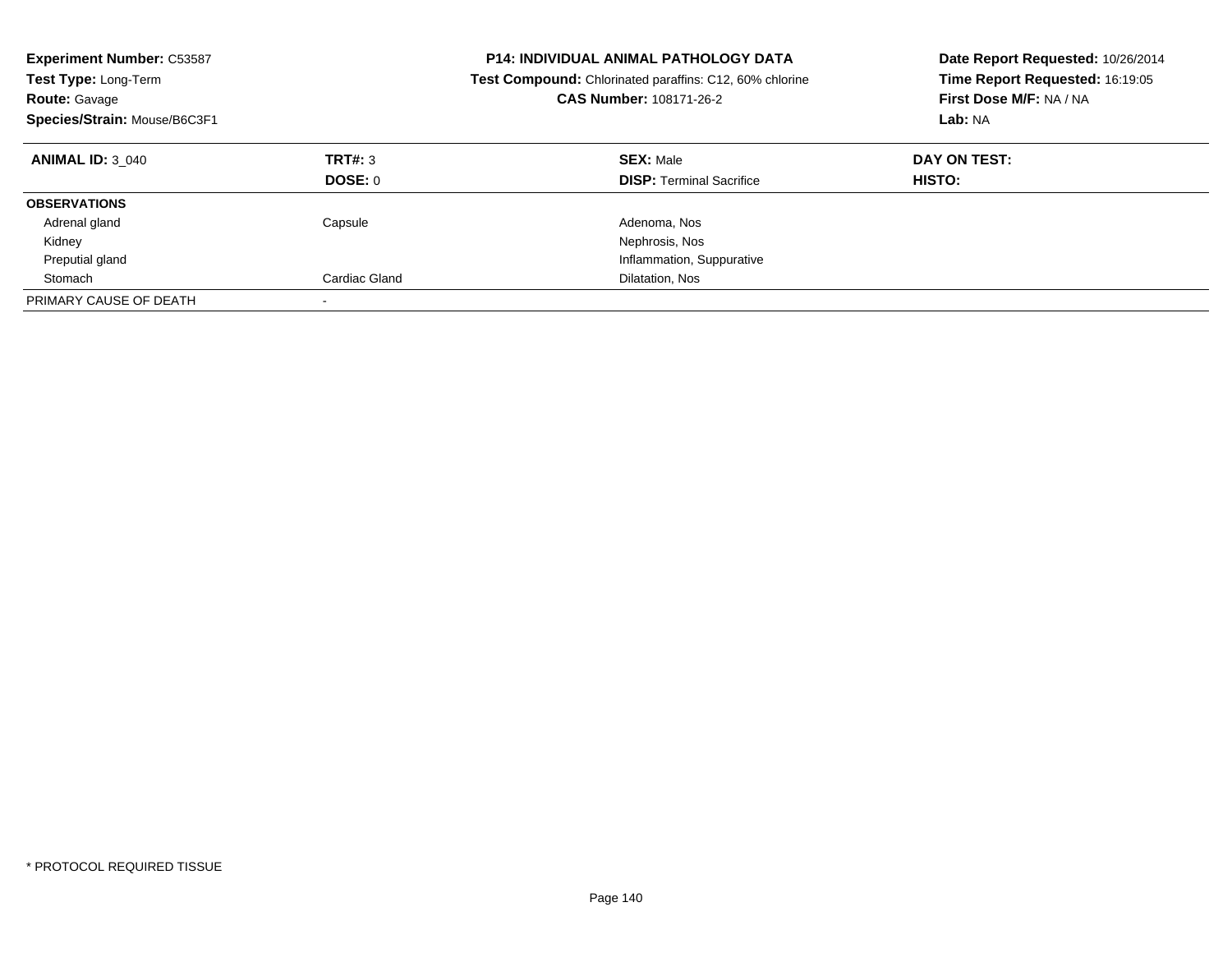| <b>Experiment Number: C53587</b><br><b>Test Type: Long-Term</b><br><b>Route: Gavage</b><br>Species/Strain: Mouse/B6C3F1 |                    | <b>P14: INDIVIDUAL ANIMAL PATHOLOGY DATA</b><br><b>Test Compound:</b> Chlorinated paraffins: C12, 60% chlorine<br>CAS Number: 108171-26-2 | Date Report Requested: 10/26/2014<br>Time Report Requested: 16:19:05<br>First Dose M/F: NA / NA<br>Lab: NA |
|-------------------------------------------------------------------------------------------------------------------------|--------------------|-------------------------------------------------------------------------------------------------------------------------------------------|------------------------------------------------------------------------------------------------------------|
| <b>ANIMAL ID: 3 040</b>                                                                                                 | TRT#: 3<br>DOSE: 0 | <b>SEX: Male</b><br><b>DISP:</b> Terminal Sacrifice                                                                                       | DAY ON TEST:<br><b>HISTO:</b>                                                                              |
| <b>OBSERVATIONS</b>                                                                                                     |                    |                                                                                                                                           |                                                                                                            |
| Adrenal gland                                                                                                           | Capsule            | Adenoma, Nos                                                                                                                              |                                                                                                            |
| Kidney                                                                                                                  |                    | Nephrosis, Nos                                                                                                                            |                                                                                                            |
| Preputial gland                                                                                                         |                    | Inflammation, Suppurative                                                                                                                 |                                                                                                            |
| Stomach                                                                                                                 | Cardiac Gland      | Dilatation, Nos                                                                                                                           |                                                                                                            |
| PRIMARY CAUSE OF DEATH                                                                                                  |                    |                                                                                                                                           |                                                                                                            |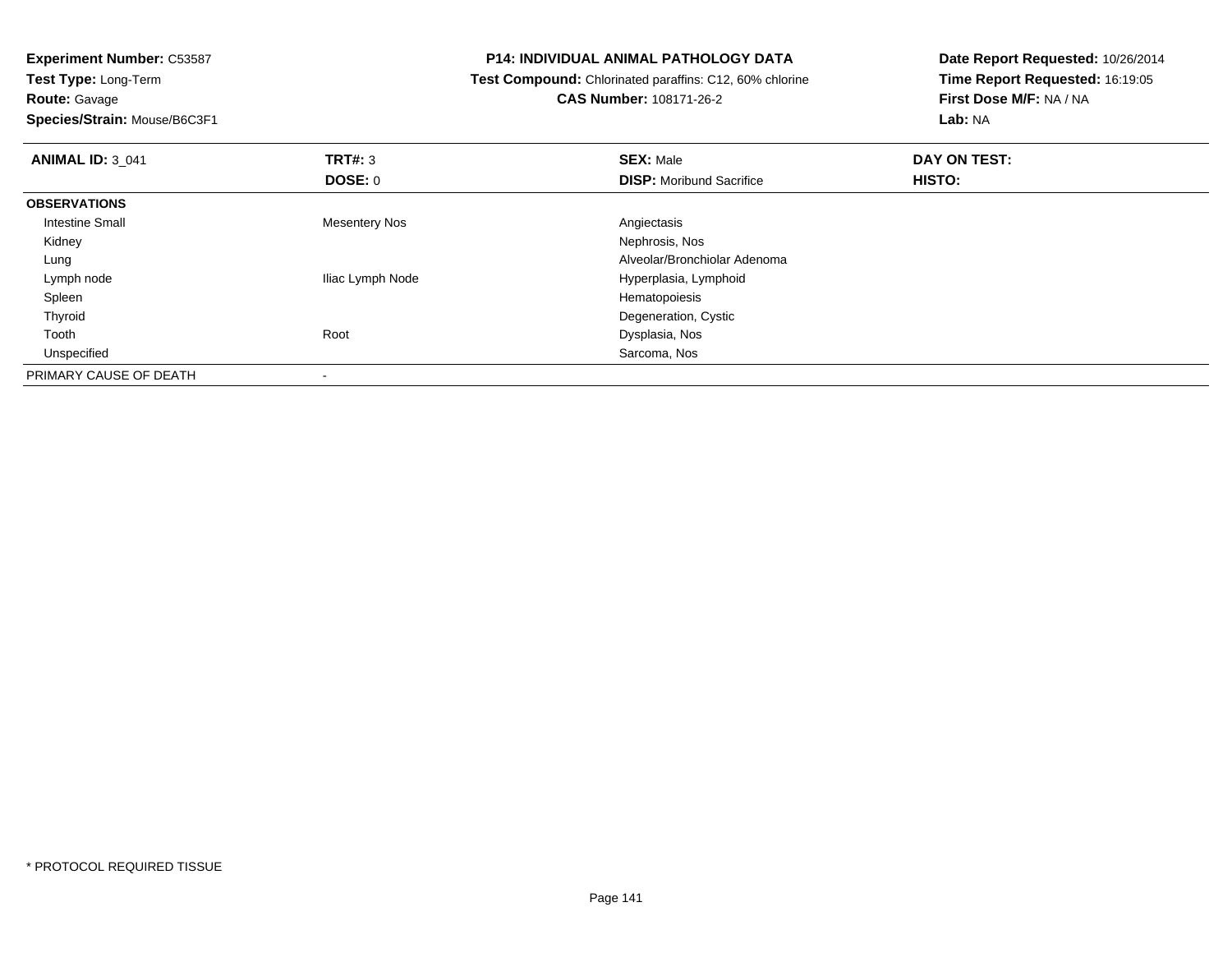**Experiment Number:** C53587**Test Type:** Long-Term

**Route:** Gavage

**Species/Strain:** Mouse/B6C3F1

## **P14: INDIVIDUAL ANIMAL PATHOLOGY DATA**

 **Test Compound:** Chlorinated paraffins: C12, 60% chlorine**CAS Number:** 108171-26-2

**Date Report Requested:** 10/26/2014**Time Report Requested:** 16:19:05**First Dose M/F:** NA / NA**Lab:** NA

| <b>ANIMAL ID: 3 041</b> | TRT#: 3          | <b>SEX: Male</b>                | DAY ON TEST: |  |
|-------------------------|------------------|---------------------------------|--------------|--|
|                         | DOSE: 0          | <b>DISP:</b> Moribund Sacrifice | HISTO:       |  |
| <b>OBSERVATIONS</b>     |                  |                                 |              |  |
| Intestine Small         | Mesentery Nos    | Angiectasis                     |              |  |
| Kidney                  |                  | Nephrosis, Nos                  |              |  |
| Lung                    |                  | Alveolar/Bronchiolar Adenoma    |              |  |
| Lymph node              | Iliac Lymph Node | Hyperplasia, Lymphoid           |              |  |
| Spleen                  |                  | Hematopoiesis                   |              |  |
| Thyroid                 |                  | Degeneration, Cystic            |              |  |
| Tooth                   | Root             | Dysplasia, Nos                  |              |  |
| Unspecified             |                  | Sarcoma, Nos                    |              |  |
| PRIMARY CAUSE OF DEATH  |                  |                                 |              |  |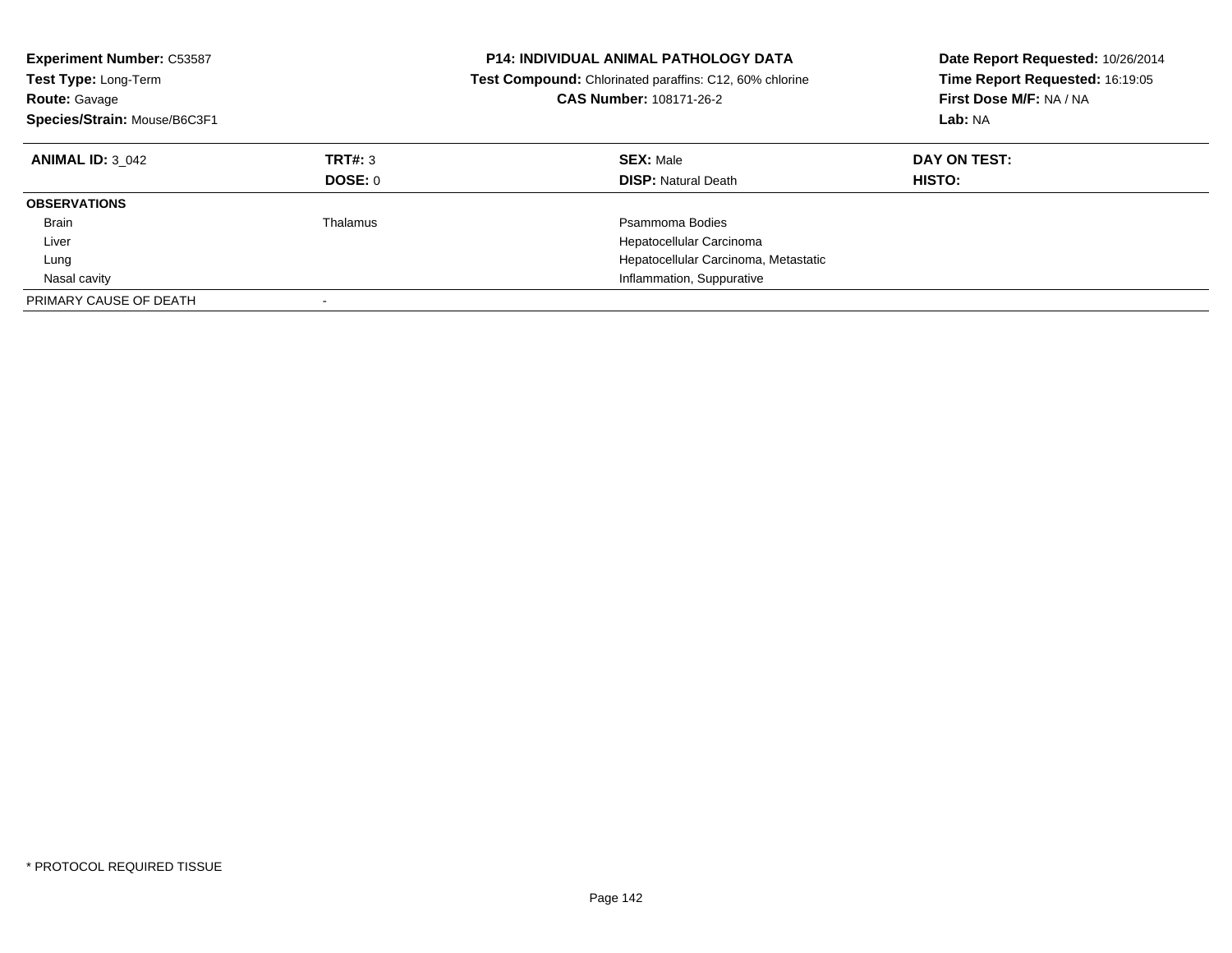| <b>Experiment Number: C53587</b><br><b>Test Type: Long-Term</b><br><b>Route: Gavage</b><br>Species/Strain: Mouse/B6C3F1 |                           | <b>P14: INDIVIDUAL ANIMAL PATHOLOGY DATA</b><br><b>Test Compound:</b> Chlorinated paraffins: C12, 60% chlorine<br>CAS Number: 108171-26-2 | Date Report Requested: 10/26/2014<br>Time Report Requested: 16:19:05<br>First Dose M/F: NA / NA<br>Lab: NA |
|-------------------------------------------------------------------------------------------------------------------------|---------------------------|-------------------------------------------------------------------------------------------------------------------------------------------|------------------------------------------------------------------------------------------------------------|
| <b>ANIMAL ID: 3 042</b>                                                                                                 | TRT#: 3<br><b>DOSE: 0</b> | <b>SEX: Male</b><br><b>DISP:</b> Natural Death                                                                                            | DAY ON TEST:<br><b>HISTO:</b>                                                                              |
| <b>OBSERVATIONS</b>                                                                                                     |                           |                                                                                                                                           |                                                                                                            |
| <b>Brain</b>                                                                                                            | Thalamus                  | Psammoma Bodies                                                                                                                           |                                                                                                            |
| Liver                                                                                                                   |                           | Hepatocellular Carcinoma                                                                                                                  |                                                                                                            |
| Lung                                                                                                                    |                           | Hepatocellular Carcinoma, Metastatic                                                                                                      |                                                                                                            |
| Nasal cavity                                                                                                            |                           | Inflammation, Suppurative                                                                                                                 |                                                                                                            |
| PRIMARY CAUSE OF DEATH                                                                                                  |                           |                                                                                                                                           |                                                                                                            |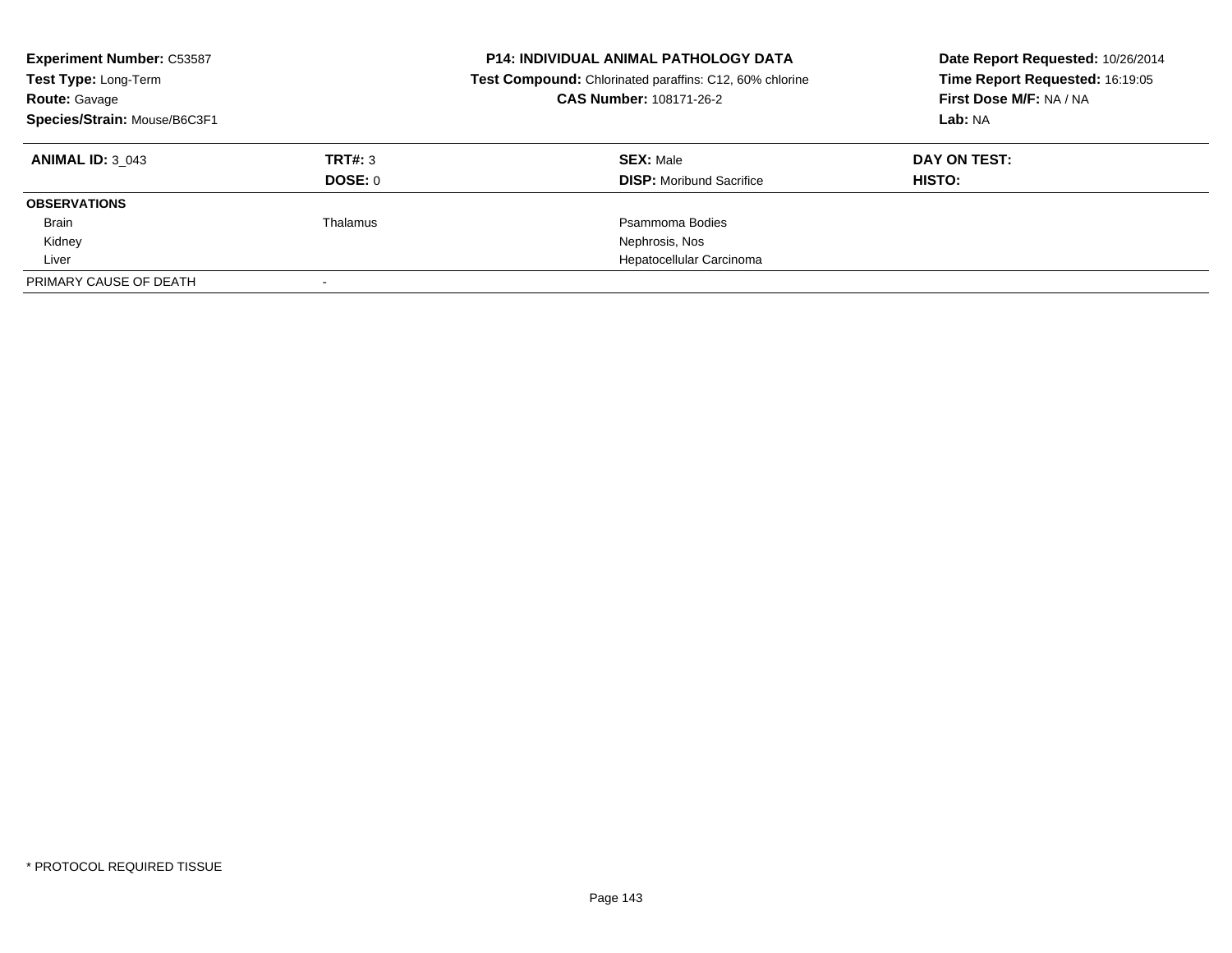| <b>Experiment Number: C53587</b><br>Test Type: Long-Term<br><b>Route: Gavage</b><br>Species/Strain: Mouse/B6C3F1 |          | <b>P14: INDIVIDUAL ANIMAL PATHOLOGY DATA</b><br>Test Compound: Chlorinated paraffins: C12, 60% chlorine<br>CAS Number: 108171-26-2 | Date Report Requested: 10/26/2014<br>Time Report Requested: 16:19:05<br>First Dose M/F: NA / NA<br>Lab: NA |
|------------------------------------------------------------------------------------------------------------------|----------|------------------------------------------------------------------------------------------------------------------------------------|------------------------------------------------------------------------------------------------------------|
| <b>ANIMAL ID: 3 043</b>                                                                                          | TRT#: 3  | <b>SEX: Male</b>                                                                                                                   | DAY ON TEST:                                                                                               |
|                                                                                                                  | DOSE: 0  | <b>DISP:</b> Moribund Sacrifice                                                                                                    | HISTO:                                                                                                     |
| <b>OBSERVATIONS</b>                                                                                              |          |                                                                                                                                    |                                                                                                            |
| Brain                                                                                                            | Thalamus | Psammoma Bodies                                                                                                                    |                                                                                                            |
| Kidney                                                                                                           |          | Nephrosis, Nos                                                                                                                     |                                                                                                            |
| Liver                                                                                                            |          | Hepatocellular Carcinoma                                                                                                           |                                                                                                            |
| PRIMARY CAUSE OF DEATH                                                                                           |          |                                                                                                                                    |                                                                                                            |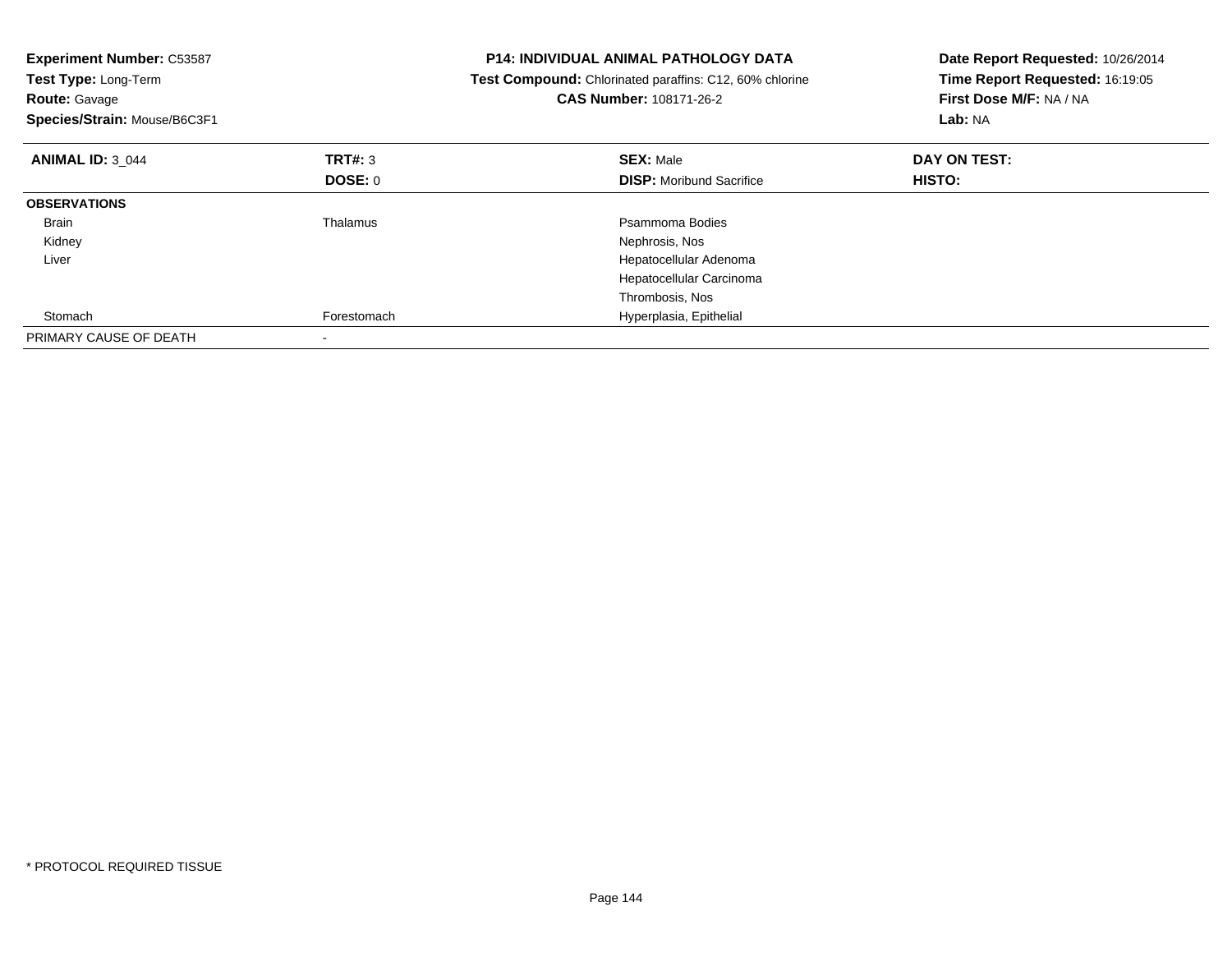| <b>Experiment Number: C53587</b><br>Test Type: Long-Term<br><b>Route: Gavage</b><br>Species/Strain: Mouse/B6C3F1 |                 | <b>P14: INDIVIDUAL ANIMAL PATHOLOGY DATA</b><br>Test Compound: Chlorinated paraffins: C12, 60% chlorine<br><b>CAS Number: 108171-26-2</b> | Date Report Requested: 10/26/2014<br>Time Report Requested: 16:19:05<br>First Dose M/F: NA / NA<br>Lab: NA |
|------------------------------------------------------------------------------------------------------------------|-----------------|-------------------------------------------------------------------------------------------------------------------------------------------|------------------------------------------------------------------------------------------------------------|
| <b>ANIMAL ID: 3 044</b>                                                                                          | TRT#: 3         | <b>SEX: Male</b>                                                                                                                          | DAY ON TEST:                                                                                               |
|                                                                                                                  | DOSE: 0         | <b>DISP:</b> Moribund Sacrifice                                                                                                           | HISTO:                                                                                                     |
| <b>OBSERVATIONS</b>                                                                                              |                 |                                                                                                                                           |                                                                                                            |
| <b>Brain</b>                                                                                                     | <b>Thalamus</b> | Psammoma Bodies                                                                                                                           |                                                                                                            |
| Kidney                                                                                                           |                 | Nephrosis, Nos                                                                                                                            |                                                                                                            |
| Liver                                                                                                            |                 | Hepatocellular Adenoma                                                                                                                    |                                                                                                            |
|                                                                                                                  |                 | Hepatocellular Carcinoma                                                                                                                  |                                                                                                            |
|                                                                                                                  |                 | Thrombosis, Nos                                                                                                                           |                                                                                                            |
| Stomach                                                                                                          | Forestomach     | Hyperplasia, Epithelial                                                                                                                   |                                                                                                            |
| PRIMARY CAUSE OF DEATH                                                                                           |                 |                                                                                                                                           |                                                                                                            |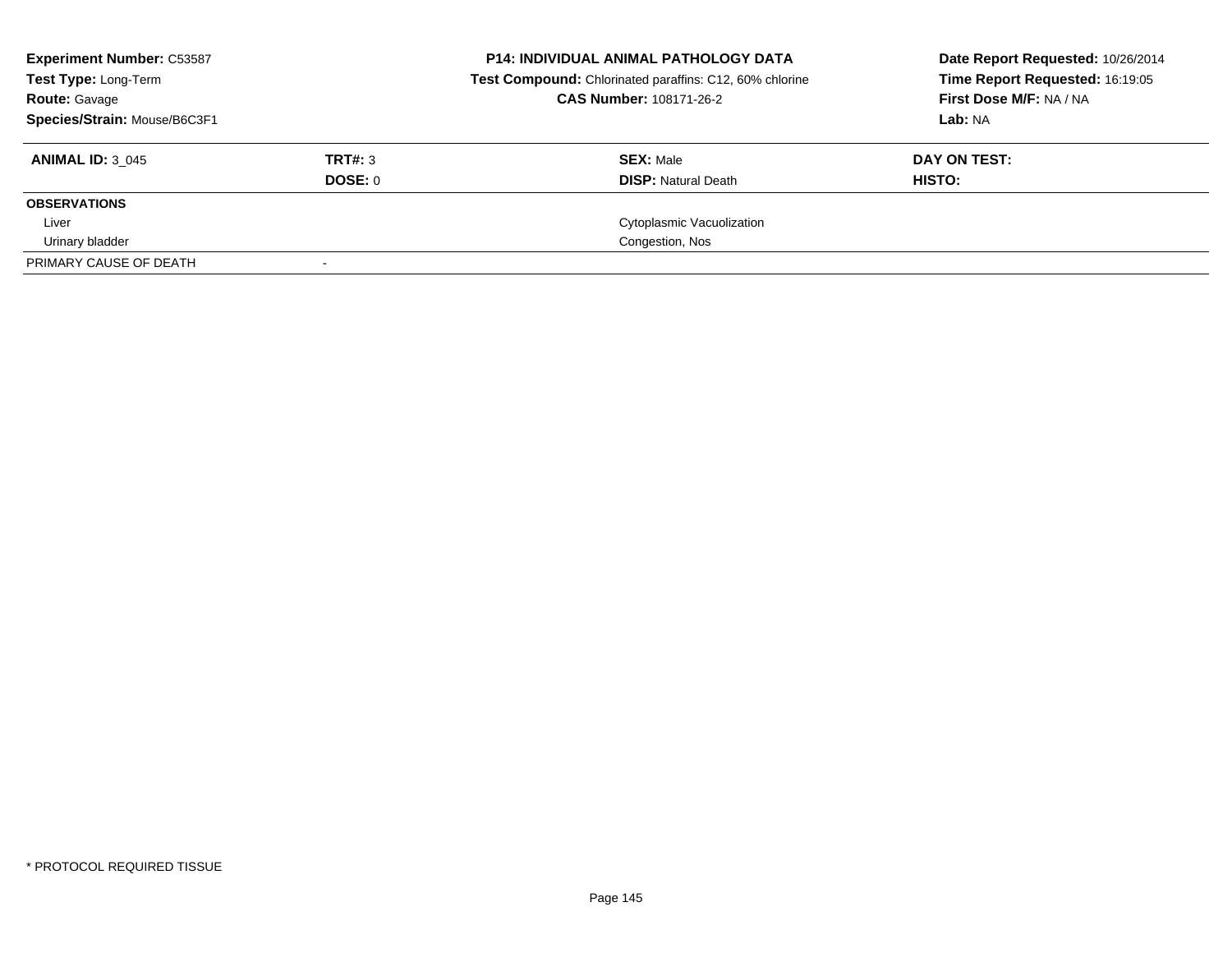| <b>Experiment Number: C53587</b><br>Test Type: Long-Term | <b>P14: INDIVIDUAL ANIMAL PATHOLOGY DATA</b><br>Test Compound: Chlorinated paraffins: C12, 60% chlorine |                                | Date Report Requested: 10/26/2014<br>Time Report Requested: 16:19:05 |  |
|----------------------------------------------------------|---------------------------------------------------------------------------------------------------------|--------------------------------|----------------------------------------------------------------------|--|
| <b>Route: Gavage</b>                                     |                                                                                                         | <b>CAS Number: 108171-26-2</b> | First Dose M/F: NA / NA                                              |  |
| Species/Strain: Mouse/B6C3F1                             |                                                                                                         |                                | Lab: NA                                                              |  |
| <b>ANIMAL ID: 3 045</b>                                  | TRT#: 3                                                                                                 | <b>SEX: Male</b>               | DAY ON TEST:                                                         |  |
|                                                          | DOSE: 0                                                                                                 | <b>DISP:</b> Natural Death     | HISTO:                                                               |  |
| <b>OBSERVATIONS</b>                                      |                                                                                                         |                                |                                                                      |  |
| Liver                                                    |                                                                                                         | Cytoplasmic Vacuolization      |                                                                      |  |
| Urinary bladder                                          |                                                                                                         | Congestion, Nos                |                                                                      |  |
| PRIMARY CAUSE OF DEATH                                   |                                                                                                         |                                |                                                                      |  |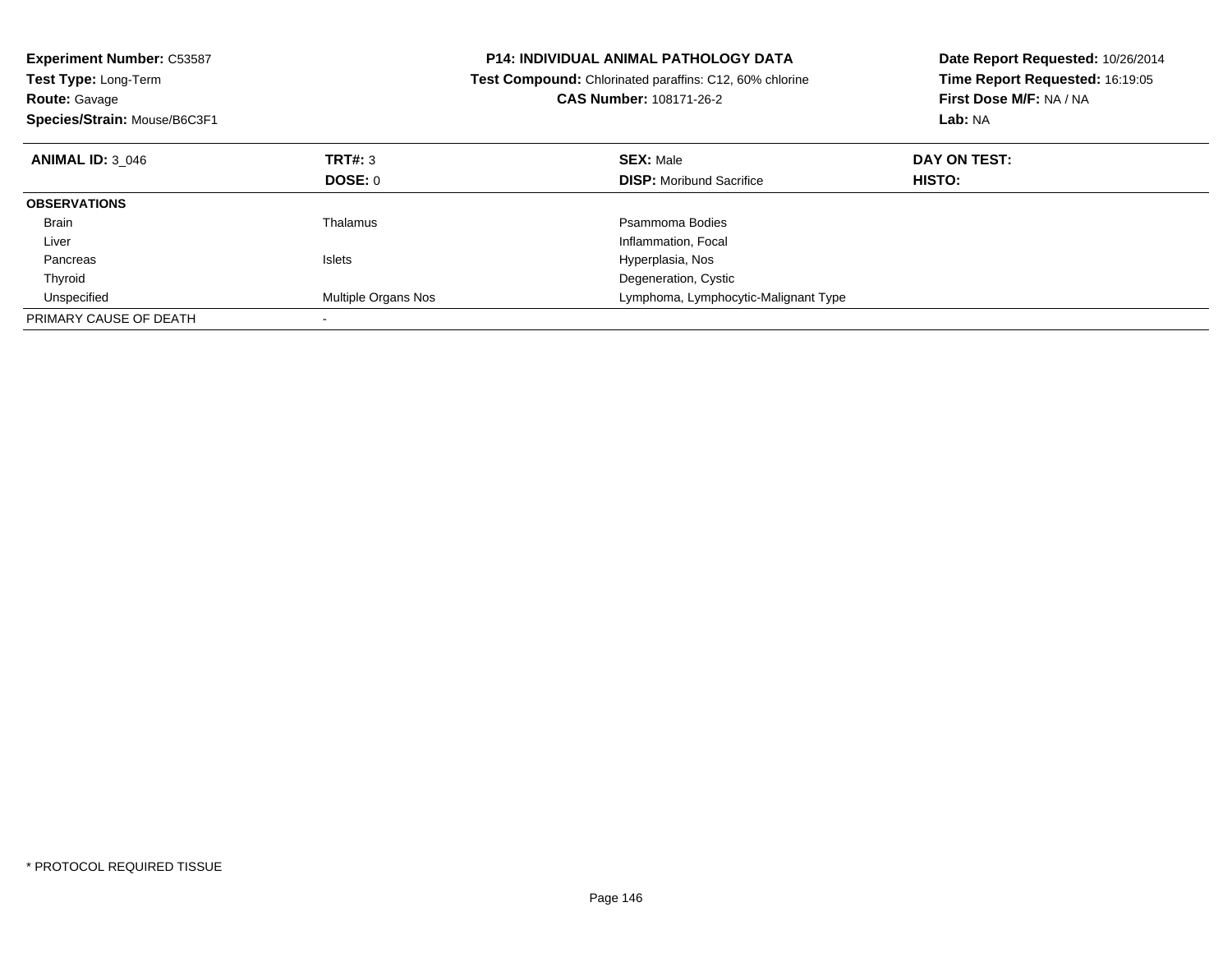| <b>Experiment Number: C53587</b><br><b>Test Type: Long-Term</b><br><b>Route: Gavage</b><br>Species/Strain: Mouse/B6C3F1 |                     | <b>P14: INDIVIDUAL ANIMAL PATHOLOGY DATA</b><br><b>Test Compound:</b> Chlorinated paraffins: C12, 60% chlorine<br><b>CAS Number: 108171-26-2</b> | Date Report Requested: 10/26/2014<br>Time Report Requested: 16:19:05<br>First Dose M/F: NA / NA<br>Lab: NA |  |
|-------------------------------------------------------------------------------------------------------------------------|---------------------|--------------------------------------------------------------------------------------------------------------------------------------------------|------------------------------------------------------------------------------------------------------------|--|
| <b>ANIMAL ID: 3 046</b>                                                                                                 | TRT#: 3             | <b>SEX: Male</b>                                                                                                                                 | DAY ON TEST:                                                                                               |  |
|                                                                                                                         | DOSE: 0             | <b>DISP:</b> Moribund Sacrifice                                                                                                                  | HISTO:                                                                                                     |  |
| <b>OBSERVATIONS</b>                                                                                                     |                     |                                                                                                                                                  |                                                                                                            |  |
| <b>Brain</b>                                                                                                            | Thalamus            | Psammoma Bodies                                                                                                                                  |                                                                                                            |  |
| Liver                                                                                                                   |                     | Inflammation, Focal                                                                                                                              |                                                                                                            |  |
| Pancreas                                                                                                                | <b>Islets</b>       | Hyperplasia, Nos                                                                                                                                 |                                                                                                            |  |
| Thyroid                                                                                                                 |                     | Degeneration, Cystic                                                                                                                             |                                                                                                            |  |
| Unspecified                                                                                                             | Multiple Organs Nos | Lymphoma, Lymphocytic-Malignant Type                                                                                                             |                                                                                                            |  |
| PRIMARY CAUSE OF DEATH                                                                                                  |                     |                                                                                                                                                  |                                                                                                            |  |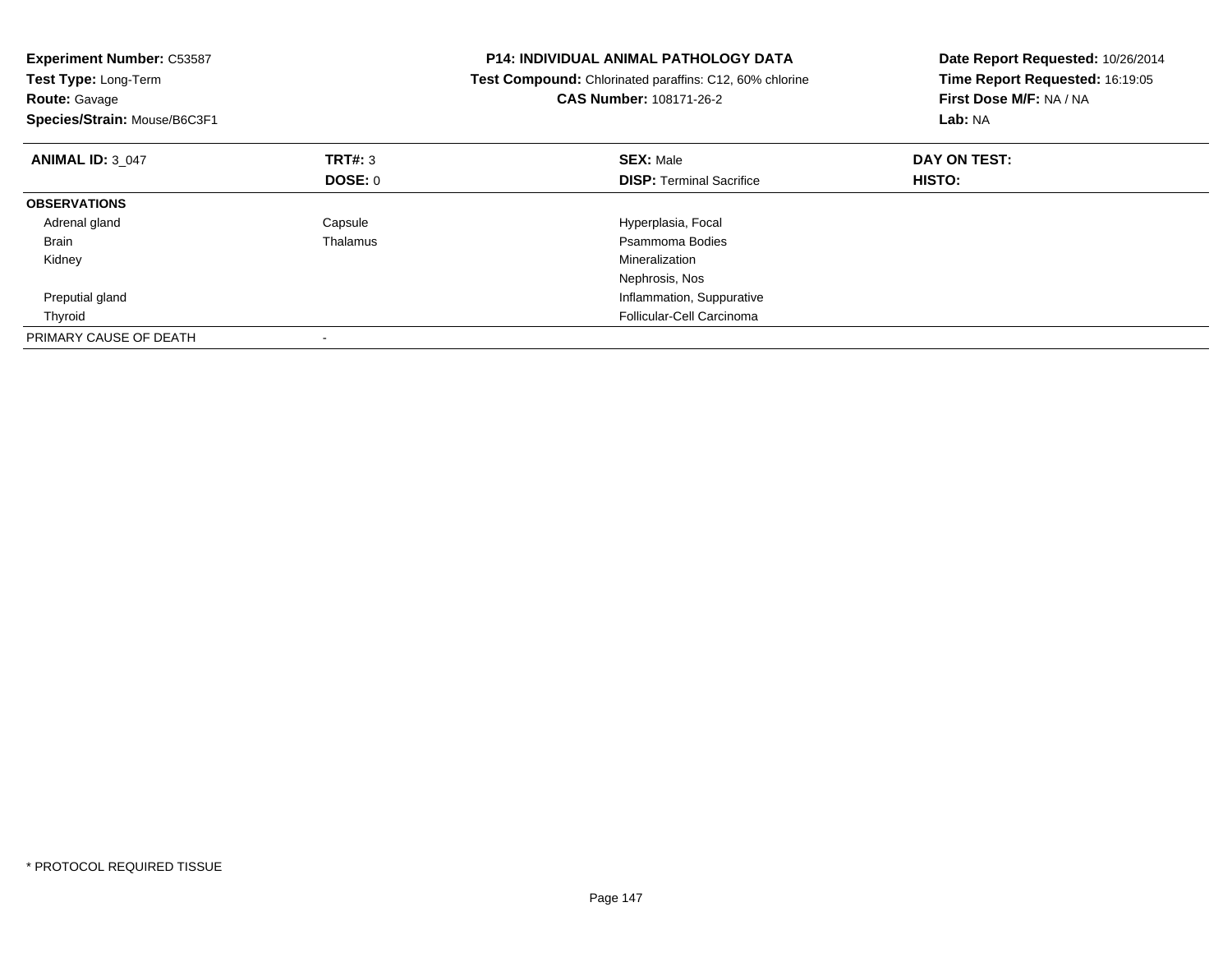| <b>Experiment Number: C53587</b><br>Test Type: Long-Term<br><b>Route: Gavage</b><br>Species/Strain: Mouse/B6C3F1 |                | <b>P14: INDIVIDUAL ANIMAL PATHOLOGY DATA</b><br>Test Compound: Chlorinated paraffins: C12, 60% chlorine<br><b>CAS Number: 108171-26-2</b> | Date Report Requested: 10/26/2014<br>Time Report Requested: 16:19:05<br>First Dose M/F: NA / NA<br>Lab: NA |  |
|------------------------------------------------------------------------------------------------------------------|----------------|-------------------------------------------------------------------------------------------------------------------------------------------|------------------------------------------------------------------------------------------------------------|--|
| <b>ANIMAL ID: 3 047</b>                                                                                          | TRT#: 3        | <b>SEX: Male</b>                                                                                                                          | DAY ON TEST:                                                                                               |  |
|                                                                                                                  | <b>DOSE: 0</b> | <b>DISP:</b> Terminal Sacrifice                                                                                                           | <b>HISTO:</b>                                                                                              |  |
| <b>OBSERVATIONS</b>                                                                                              |                |                                                                                                                                           |                                                                                                            |  |
| Adrenal gland                                                                                                    | Capsule        | Hyperplasia, Focal                                                                                                                        |                                                                                                            |  |
| Brain                                                                                                            | Thalamus       | Psammoma Bodies                                                                                                                           |                                                                                                            |  |
| Kidney                                                                                                           |                | Mineralization                                                                                                                            |                                                                                                            |  |
|                                                                                                                  |                | Nephrosis, Nos                                                                                                                            |                                                                                                            |  |
| Preputial gland                                                                                                  |                | Inflammation, Suppurative                                                                                                                 |                                                                                                            |  |
| Thyroid                                                                                                          |                | Follicular-Cell Carcinoma                                                                                                                 |                                                                                                            |  |
| PRIMARY CAUSE OF DEATH                                                                                           |                |                                                                                                                                           |                                                                                                            |  |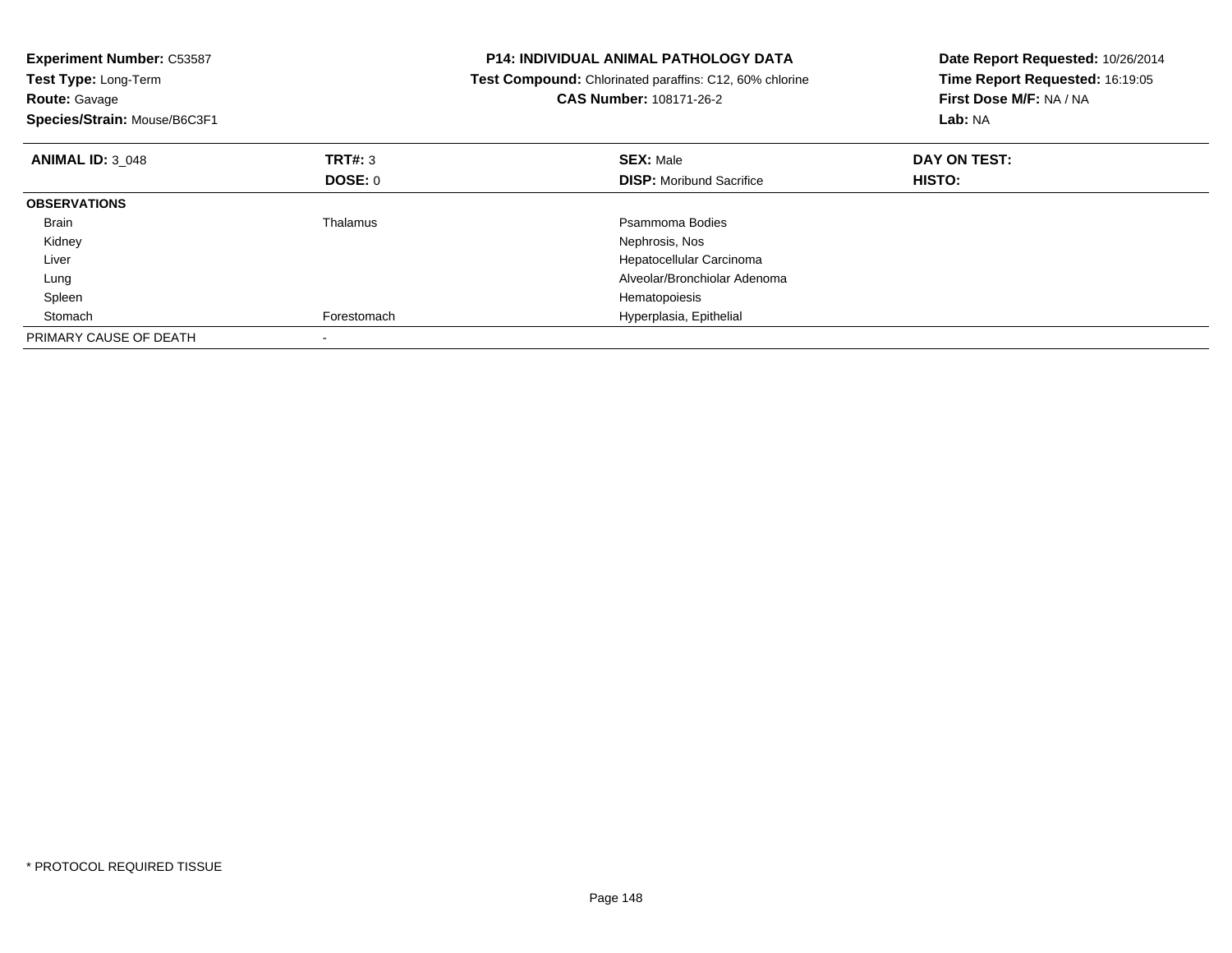| <b>Experiment Number: C53587</b><br>Test Type: Long-Term<br><b>Route: Gavage</b><br>Species/Strain: Mouse/B6C3F1 |             | <b>P14: INDIVIDUAL ANIMAL PATHOLOGY DATA</b><br>Test Compound: Chlorinated paraffins: C12, 60% chlorine<br>CAS Number: 108171-26-2 | Date Report Requested: 10/26/2014<br>Time Report Requested: 16:19:05<br>First Dose M/F: NA / NA<br>Lab: NA |  |
|------------------------------------------------------------------------------------------------------------------|-------------|------------------------------------------------------------------------------------------------------------------------------------|------------------------------------------------------------------------------------------------------------|--|
| <b>ANIMAL ID: 3 048</b>                                                                                          | TRT#: 3     | <b>SEX: Male</b>                                                                                                                   | DAY ON TEST:                                                                                               |  |
|                                                                                                                  | DOSE: 0     | <b>DISP:</b> Moribund Sacrifice                                                                                                    | <b>HISTO:</b>                                                                                              |  |
| <b>OBSERVATIONS</b>                                                                                              |             |                                                                                                                                    |                                                                                                            |  |
| Brain                                                                                                            | Thalamus    | Psammoma Bodies                                                                                                                    |                                                                                                            |  |
| Kidney                                                                                                           |             | Nephrosis, Nos                                                                                                                     |                                                                                                            |  |
| Liver                                                                                                            |             | Hepatocellular Carcinoma                                                                                                           |                                                                                                            |  |
| Lung                                                                                                             |             | Alveolar/Bronchiolar Adenoma                                                                                                       |                                                                                                            |  |
| Spleen                                                                                                           |             | Hematopoiesis                                                                                                                      |                                                                                                            |  |
| Stomach                                                                                                          | Forestomach | Hyperplasia, Epithelial                                                                                                            |                                                                                                            |  |
| PRIMARY CAUSE OF DEATH                                                                                           |             |                                                                                                                                    |                                                                                                            |  |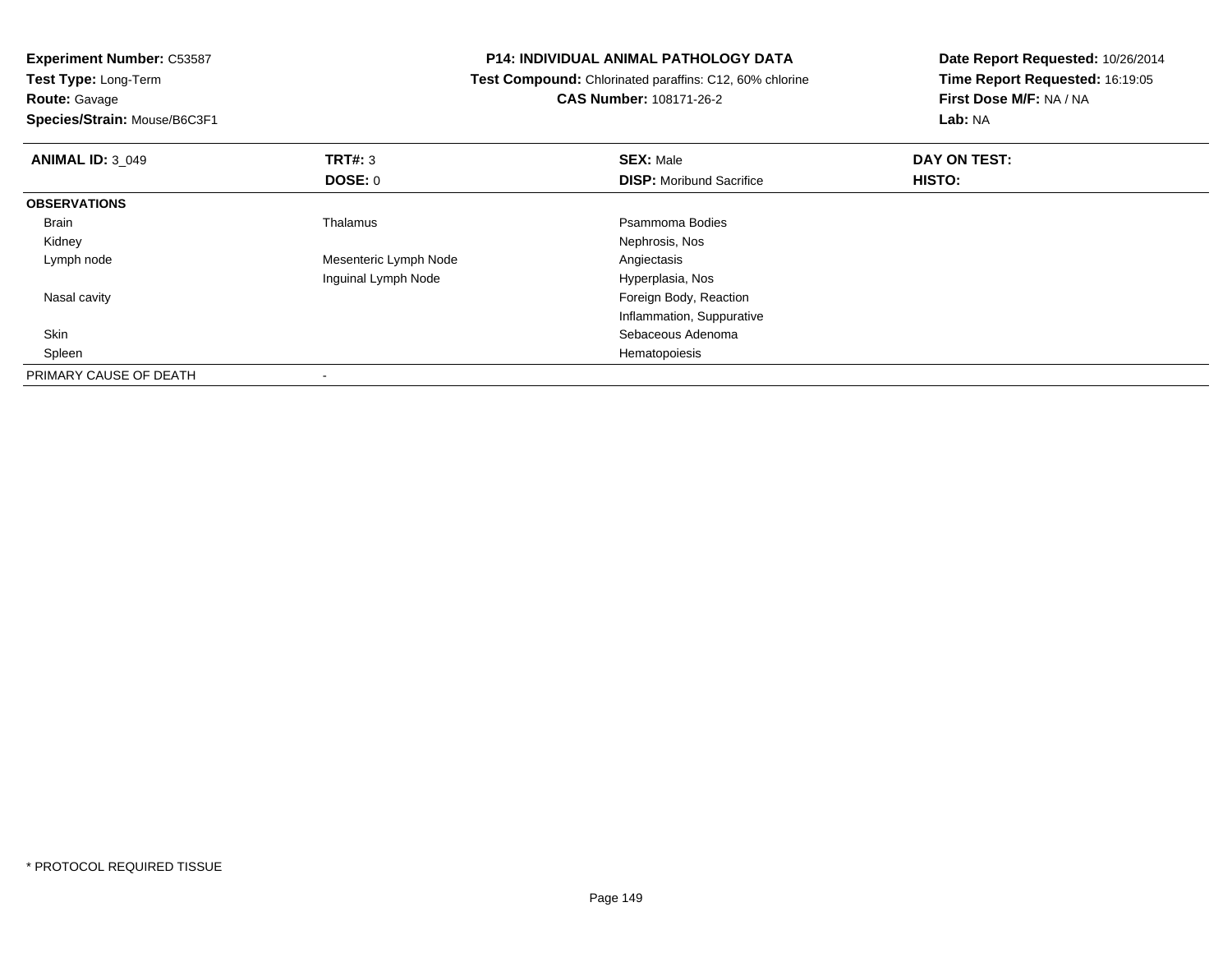**Experiment Number:** C53587

**Test Type:** Long-Term**Route:** Gavage

**Species/Strain:** Mouse/B6C3F1

## **P14: INDIVIDUAL ANIMAL PATHOLOGY DATA**

 **Test Compound:** Chlorinated paraffins: C12, 60% chlorine**CAS Number:** 108171-26-2

**Date Report Requested:** 10/26/2014**Time Report Requested:** 16:19:05**First Dose M/F:** NA / NA**Lab:** NA

| <b>ANIMAL ID: 3 049</b> | TRT#: 3               | <b>SEX: Male</b>                | DAY ON TEST: |  |
|-------------------------|-----------------------|---------------------------------|--------------|--|
|                         | <b>DOSE: 0</b>        | <b>DISP:</b> Moribund Sacrifice | HISTO:       |  |
| <b>OBSERVATIONS</b>     |                       |                                 |              |  |
| Brain                   | Thalamus              | Psammoma Bodies                 |              |  |
| Kidney                  |                       | Nephrosis, Nos                  |              |  |
| Lymph node              | Mesenteric Lymph Node | Angiectasis                     |              |  |
|                         | Inguinal Lymph Node   | Hyperplasia, Nos                |              |  |
| Nasal cavity            |                       | Foreign Body, Reaction          |              |  |
|                         |                       | Inflammation, Suppurative       |              |  |
| Skin                    |                       | Sebaceous Adenoma               |              |  |
| Spleen                  |                       | Hematopoiesis                   |              |  |
| PRIMARY CAUSE OF DEATH  |                       |                                 |              |  |